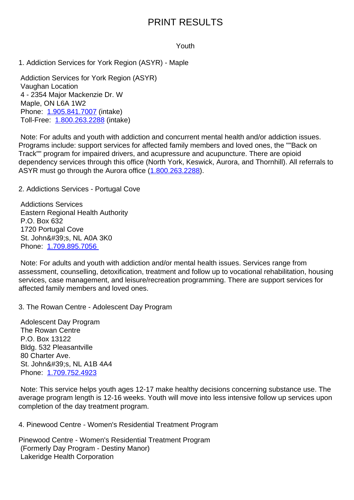## Youth

1. Addiction Services for York Region (ASYR) - Maple 1. Addiction Services for York Region (ASYR) - Maple

 Addiction Services for York Region (ASYR) Vaughan Location 4 - 2354 Major Mackenzie Dr. W Maple, ON L6A 1W2 Phone: 1.905.841.7007 (intake) Toll-Free: 1.800.263.2288 (intake)

 Note: For adults and youth with addiction and concurrent mental health and/or addiction issues. Program[s include: suppo](tel:1.905.841.7007)rt services for affected family members and loved ones, the ""Back on Track"" pro[gram for impaire](tel:1.800.263.2288)d drivers, and acupressure and acupuncture. There are opioid dependency services through this office (North York, Keswick, Aurora, and Thornhill). All referrals to ASYR must go through the Aurora office (1.800.263.2288).

2. Addictions Services - Portugal Cove 2. Addictions Services - Portugal Cove

 Addictions Services Eastern Regional Health Authority P.O. Box 632 1720 Portugal Cove St. John's, NL A0A 3K0 Phone: 1.709.895.7056

 Note: For adults and youth with addiction and/or mental health issues. Services range from assessment, counselling, detoxification, treatment and follow up to vocational rehabilitation, housing services, [case manageme](tel:1.709.895.7056)nt, and leisure/recreation programming. There are support services for affected family members and loved ones.

3. The Rowan Centre - Adolescent Day Program 3. The Rowan Centre - Adolescent Day Program

 Adolescent Day Program The Rowan Centre P.O. Box 13122 Bldg. 532 Pleasantville 80 Charter Ave. St. John's, NL A1B 4A4 Phone: 1.709.752.4923

 Note: This service helps youth ages 12-17 make healthy decisions concerning substance use. The average program length is 12-16 weeks. Youth will move into less intensive follow up services upon completi[on of the day trea](tel:1.709.752.4923)tment program.

4. Pinewood Centre - Women's Residential Treatment Program 4. Pinewood Centre - Women's Residential Treatment Program

Pinewood Centre - Women's Residential Treatment Program (Formerly Day Program - Destiny Manor) Lakeridge Health Corporation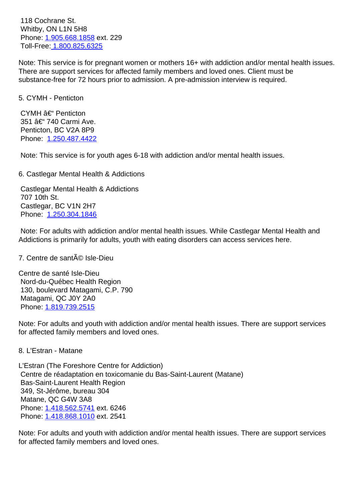$V$ VIIIWY, ON LTIY 5H8 Phone: 1.905.668.1858 ext. 229 Toll-Free: 1.800.825.6325

Note: This service is for pregnant women or mothers 16+ with addiction and/or mental health issues. There a[re support servic](tel:1.905.668.1858)es for affected family members and loved ones. Client must be substance[-free for 72 hours](tel:1.800.825.6325) prior to admission. A pre-admission interview is required.

| 5. CYMH - Penticton                                                                                                                                                                         | 5. |
|---------------------------------------------------------------------------------------------------------------------------------------------------------------------------------------------|----|
| CYMH – Penticton<br>351 – 740 Carmi Ave.<br>Penticton, BC V2A 8P9<br>Phone: 1.250.487.4422                                                                                                  |    |
| Note: This service is for youth ages 6-18 with addiction and/or mental health issues.                                                                                                       |    |
| 6. Castlegar Mental Health & Addictions                                                                                                                                                     | 6. |
| <b>Castlegar Mental Health &amp; Addictions</b><br>707 10th St.<br>Castlegar, BC V1N 2H7<br>Phone: 1.250.304.1846                                                                           |    |
| Note: For adults with addiction and/or mental health issues. While Castlegar Mental Health and<br>Addictions is primarily for adults, youth with eating disorders can access services here. |    |
| 7. Centre de santé Isle-Dieu                                                                                                                                                                | 7. |
| Centre de santé Isle-Dieu<br>Nord-du-Québec Health Region<br>130, boulevard Matagami, C.P. 790<br>Matagami, QC J0Y 2A0<br>Phone: 1.819.739.2515                                             |    |
| Note: For adults and youth with addiction and/or mental health issues. There are support services<br>for affected family members and loved ones.                                            |    |
| 8. L'Estran - Matane                                                                                                                                                                        | 8  |
|                                                                                                                                                                                             |    |

L'Estran (The Foreshore Centre for Addiction) Centre de réadaptation en toxicomanie du Bas-Saint-Laurent (Matane) Bas-Saint-Laurent Health Region 349, St-Jérôme, bureau 304 Matane, QC G4W 3A8 Phone: 1.418.562.5741 ext. 6246 Phone: 1.418.868.1010 ext. 2541

Note: For adults and youth with addiction and/or mental health issues. There are support services for affec[ted family memb](tel:1.418.562.5741)ers and loved ones.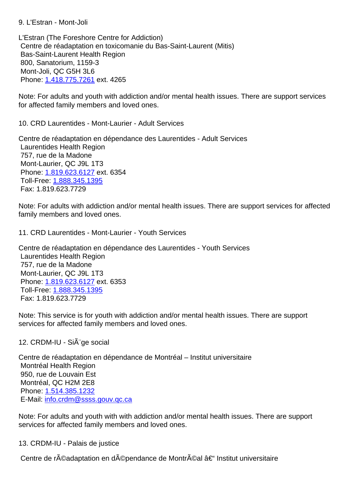L'Estran (The Foreshore Centre for Addiction) Centre de réadaptation en toxicomanie du Bas-Saint-Laurent (Mitis) Bas-Saint-Laurent Health Region 800, Sanatorium, 1159-3 Mont-Joli, QC G5H 3L6 Phone: 1.418.775.7261 ext. 4265 Note: For adults and youth with addiction and/or mental health issues. There are support services for affec[ted family memb](tel:1.418.775.7261)ers and loved ones. 10. CRD Laurentides - Mont-Laurier - Adult Services 10. CRD Laurentides - Mont-Laurier - Adult Services Centre de réadaptation en dépendance des Laurentides - Adult Services Laurentides Health Region 757, rue de la Madone Mont-Laurier, QC J9L 1T3 Phone: 1.819.623.6127 ext. 6354 Toll-Free: 1.888.345.1395 Fax: 1.819.623.7729 Note: F[or adults with add](tel:1.819.623.6127)iction and/or mental health issues. There are support services for affected family me[mbers and loved](tel:1.888.345.1395) ones. 11. CRD Laurentides - Mont-Laurier - Youth Services 11. CRD Laurentides - Mont-Laurier - Youth Services Centre de réadaptation en dépendance des Laurentides - Youth Services Laurentides Health Region 757, rue de la Madone Mont-Laurier, QC J9L 1T3 Phone: 1.819.623.6127 ext. 6353 Toll-Free: 1.888.345.1395 Fax: 1.819.623.7729 Note: T[his service is for](tel:1.819.623.6127) youth with addiction and/or mental health issues. There are support services fo[r affected family](tel:1.888.345.1395) members and loved ones. 12. CRDM-IU - Si $\tilde{A}$ "ge social 12 Centre de réadaptation en dépendance de Montréal – Institut universitaire Montréal Health Region 950, rue de Louvain Est Montréal, QC H2M 2E8 Phone: 1.514.385.1232 E-Mail: info.crdm@ssss.gouv.qc.ca Note: For adults and youth with with addiction and/or mental health issues. There are support service[s](mailto:info.crdm@ssss.gouv.qc.ca) [for affected fa](tel:1.514.385.1232)[mily members](mailto:info.crdm@ssss.gouv.qc.ca) and loved ones.

13. CRDM-IU - Palais de justice 13. CRDM-IU - Palais de justice

Centre de réadaptation en dépendance de Montréal – Institut universitaire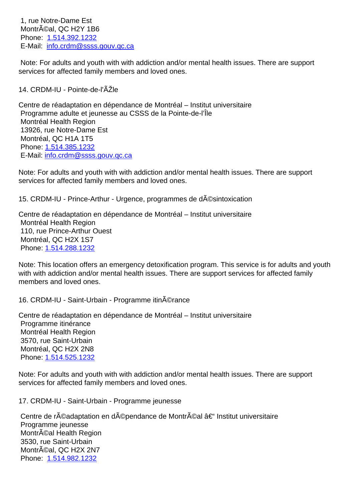$M$ Phone: 1.514.392.1232 E-Mail: <u>info.crdm@ssss.gouv.qc.ca</u>

 Note: For adults and youth with with addiction and/or mental health issues. There are support services [for affected fam](tel:1.514.392.1232)[ily members](mailto:info.crdm@ssss.gouv.qc.ca) and loved ones.

| 14. CRDM-IU - Pointe-de-l'ÂŽle                                                                                                                                                                                                                                                       | 14 |
|--------------------------------------------------------------------------------------------------------------------------------------------------------------------------------------------------------------------------------------------------------------------------------------|----|
| Centre de réadaptation en dépendance de Montréal - Institut universitaire<br>Programme adulte et jeunesse au CSSS de la Pointe-de-l'Île<br>Montréal Health Region<br>13926, rue Notre-Dame Est<br>Montréal, QC H1A 1T5<br>Phone: 1.514.385.1232<br>E-Mail: info.crdm@ssss.gouv.gc.ca |    |
| Note: For adults and youth with with addiction and/or mental health issues. There are support<br>services for affected family members and loved ones.                                                                                                                                |    |
| 15. CRDM-IU - Prince-Arthur - Urgence, programmes de d©sintoxication                                                                                                                                                                                                                 | 15 |
| Centre de réadaptation en dépendance de Montréal - Institut universitaire<br>Montréal Health Region<br>110, rue Prince-Arthur Ouest<br>Montréal, QC H2X 1S7<br>Phone: 1.514.288.1232                                                                                                 |    |
| Note: This location offers an emergency detoxification program. This service is for adults and youth<br>with with addiction and/or mental health issues. There are support services for affected family<br>members and loved ones.                                                   |    |
| 16. CRDM-IU - Saint-Urbain - Programme itin©rance                                                                                                                                                                                                                                    | 16 |
| Centre de réadaptation en dépendance de Montréal - Institut universitaire<br>Programme itinérance<br>Montréal Health Region<br>3570, rue Saint-Urbain<br>Montréal, QC H2X 2N8<br>Phone: 1.514.525.1232                                                                               |    |
| Note: For adults and youth with with addiction and/or mental health issues. There are support<br>services for affected family members and loved ones.                                                                                                                                |    |
| 17. CRDM-IU - Saint-Urbain - Programme jeunesse                                                                                                                                                                                                                                      | 17 |
| Centre de réadaptation en dépendance de Montréal – Institut universitaire<br>Programme jeunesse<br>Montrĩal Health Region<br>3530, rue Saint-Urbain<br>Montréal, QC H2X 2N7<br>Phone: 1.514.982.1232                                                                                 |    |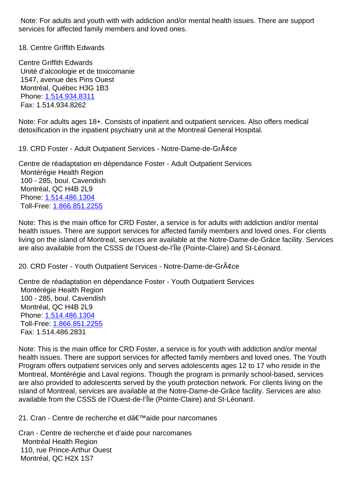services for affected family members and loved ones.

18. Centre Griffith Edwards 18. Centre Griffith Edwards

Centre Griffith Edwards Unité d'alcoologie et de toxicomanie 1547, avenue des Pins Ouest Montréal, Québec H3G 1B3 Phone: 1.514.934.8311 Fax: 1.514.934.8262

Note: For adults ages 18+. Consists of inpatient and outpatient services. Also offers medical detoxific[ation in the inpa](tel:1.514.934.8311)tient psychiatry unit at the Montreal General Hospital.

19. CRD Foster - Adult Outpatient Services - Notre-Dame-de-Gr¢ce 19. CRD Foster - Adult Outpatient Services -

Centre de réadaptation en dépendance Foster - Adult Outpatient Services Montérégie Health Region 100 - 285, boul. Cavendish Montréal, QC H4B 2L9 Phone: 1.514.486.1304 Toll-Free: 1.866.851.2255

Note: This is the main office for CRD Foster, a service is for adults with addiction and/or mental health is[sues. There are](tel:1.514.486.1304) support services for affected family members and loved ones. For clients living on th[e island of Mont](tel:1.866.851.2255)real, services are available at the Notre-Dame-de-Grâce facility. Services are also available from the CSSS de l'Ouest-de-l'Île (Pointe-Claire) and St-Léonard.

20. CRD Foster - Youth Outpatient Services - Notre-Dame-de-Grâce 20. CRD Foster - Youth Outpatient Services - Notre-Dame-de-Grâce

Centre de réadaptation en dépendance Foster - Youth Outpatient Services Montérégie Health Region 100 - 285, boul. Cavendish Montréal, QC H4B 2L9 Phone: 1.514.486.1304 Toll-Free: 1.866.851.2255 Fax: 1.514.486.2831

Note: T[his is the main of](tel:1.514.486.1304)fice for CRD Foster, a service is for youth with addiction and/or mental health issu[es. There are su](tel:1.866.851.2255)pport services for affected family members and loved ones. The Youth Program offers outpatient services only and serves adolescents ages 12 to 17 who reside in the Montreal, Montérégie and Laval regions. Though the program is primarily school-based, services are also provided to adolescents served by the youth protection network. For clients living on the island of Montreal, services are available at the Notre-Dame-de-Grâce facility. Services are also available from the CSSS de l'Ouest-de-l'Île (Pointe-Claire) and St-Léonard.

21. Cran - Centre de recherche et dâ€<sup>™</sup>aide pour narcomanes 21. Cran - Centre de recherche et dâ€<sup>™</sup>aide pour narcomanes

Cran - Centre de recherche et d'aide pour narcomanes Montréal Health Region 110, rue Prince-Arthur Ouest Montréal, QC H2X 1S7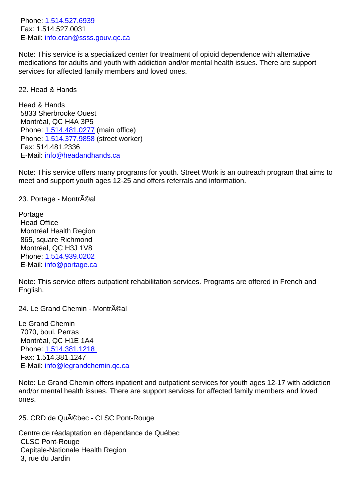Fax: 1.514.527.0031 E-Mail: info.cran@ssss.gouv.qc.ca

Note: T[his service is a sp](tel:1.514.527.6939)ecialized center for treatment of opioid dependence with alternative medications for adults and youth with addiction and/or mental health issues. There are support service[s for affected family member](mailto:info.cran@ssss.gouv.qc.ca)s and loved ones.

22. Head & Hands 22. Head & Hands

Head & Hands 5833 Sherbrooke Ouest Montréal, QC H4A 3P5 Phone: 1.514.481.0277 (main office) Phone: 1.514.377.9858 (street worker) Fax: 514.481.2336 E-Mail: [info@headandh](tel:1.514.481.0277)ands.ca

Note: T[his service offers](tel:1.514.377.9858) many programs for youth. Street Work is an outreach program that aims to meet an[d support youth ages 12](mailto:info@headandhands.ca)-25 and offers referrals and information.

23. Portage - Montréal 23

Portage Head Office Montréal Health Region 865, square Richmond Montréal, QC H3J 1V8 Phone: 1.514.939.0202 E-Mail: info@portage.ca

Note: T[his service offers](tel:1.514.939.0202) outpatient rehabilitation services. Programs are offered in French and English.

24. Le Grand Chemin - Montréal 24

Le Grand Chemin 7070, boul. Perras Montréal, QC H1E 1A4 Phone: 1.514.381.1218 Fax: 1.514.381.1247 E-Mail: info@legrandchemin.qc.ca

Note: L[e Grand Chemin o](tel:1.514.381.1218)ffers inpatient and outpatient services for youth ages 12-17 with addiction and/or [mental health issues. There](mailto:info@legrandchemin.qc.ca) are support services for affected family members and loved ones.

25. CRD de Québec - CLSC Pont-Rouge 25. CRD de Québec - CLSC Pont-Rouge

Centre de réadaptation en dépendance de Québec CLSC Pont-Rouge Capitale-Nationale Health Region 3, rue du Jardin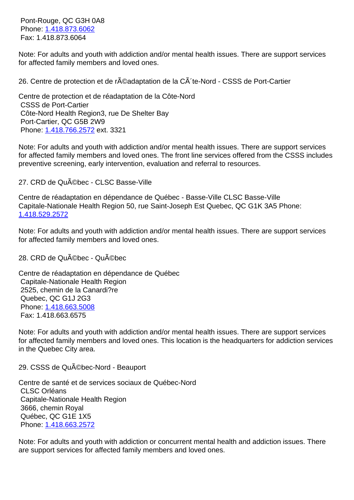$P$ Phone: 1.410.073.0002 Fax: 1.418.873.6064

Note: For adults and youth with addiction and/or mental health issues. There are support services for affec[ted family memb](tel:1.418.873.6062)ers and loved ones.

26. Centre de protection et de réadaptation de la CÃ te-Nord - CSSS de Port-Cartier 26. Centre de protection et de réadaptation de la Côte-Nord CSSS de Port-Cartier Côte-Nord Health Region3, rue De Shelter Bay Port-Cartier, QC G5B 2W9 Phone: 1.418.766.2572 ext. 3321 Note: For adults and youth with addiction and/or mental health issues. There are support services for affected family members and loved ones. The front line services offered from the CSSS includes preventi[ve screening, ea](tel:1.418.766.2572)rly intervention, evaluation and referral to resources. 27. CRD de Québec - CLSC Basse-Ville 27. CRD de Québec - CLSC Basse-Ville Centre de réadaptation en dépendance de Québec - Basse-Ville CLSC Basse-Ville Capitale-Nationale Health Region 50, rue Saint-Joseph Est Quebec, QC G1K 3A5 Phone: 1.418.529.2572 Note: For adults and youth with addiction and/or mental health issues. There are support services [for affected fami](tel:1.418.529.2572)ly members and loved ones. 28. CRD de Québec - Québec 28. CRD de Québec - Québec Centre de réadaptation en dépendance de Québec Capitale-Nationale Health Region 2525, chemin de la Canardi?re Quebec, QC G1J 2G3 Phone: 1.418.663.5008 Fax: 1.418.663.6575 Note: For adults and youth with addiction and/or mental health issues. There are support services for affec[ted family memb](tel:1.418.663.5008)ers and loved ones. This location is the headquarters for addiction services in the Quebec City area.

Centre de santé et de services sociaux de Québec-Nord CLSC Orléans Capitale-Nationale Health Region 3666, chemin Royal Québec, QC G1E 1X5 Phone: 1.418.663.2572

Note: For adults and youth with addiction or concurrent mental health and addiction issues. There are sup[port services for](tel:1.418.663.2572) affected family members and loved ones.

29. CSSS de Québec-Nord - Beauport 29. CSSS de Québec-Nord - Beauport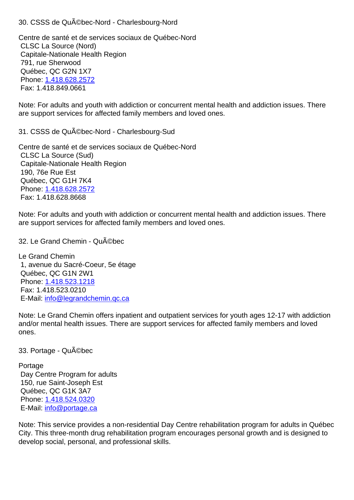Centre de santé et de services sociaux de Québec-Nord CLSC La Source (Nord) Capitale-Nationale Health Region 791, rue Sherwood Québec, QC G2N 1X7 Phone: 1.418.628.2572 Fax: 1.418.849.0661

Note: For adults and youth with addiction or concurrent mental health and addiction issues. There are sup[port services for](tel:1.418.628.2572) affected family members and loved ones.

31. CSSS de Québec-Nord - Charlesbourg-Sud 31. CSSS de Québec-Nord - Charlesbourg-Sud

Centre de santé et de services sociaux de Québec-Nord CLSC La Source (Sud) Capitale-Nationale Health Region 190, 76e Rue Est Québec, QC G1H 7K4 Phone: 1.418.628.2572 Fax: 1.418.628.8668

Note: For adults and youth with addiction or concurrent mental health and addiction issues. There are sup[port services for](tel:1.418.628.2572) affected family members and loved ones.

32. Le Grand Chemin - Québec 32. Le Grand Chemin - Québec

Le Grand Chemin 1, avenue du Sacré-Coeur, 5e étage Québec, QC G1N 2W1 Phone: 1.418.523.1218 Fax: 1.418.523.0210 E-Mail: info@legrandchemin.qc.ca

Note: L[e Grand Chemin](tel:1.418.523.1218) offers inpatient and outpatient services for youth ages 12-17 with addiction and/or [mental health issues. There](mailto:info@legrandchemin.qc.ca) are support services for affected family members and loved ones.

33. Portage - Québec 33. Portage - Québec

## Portage

 Day Centre Program for adults 150, rue Saint-Joseph Est Québec, QC G1K 3A7 Phone: 1.418.524.0320 E-Mail: info@portage.ca

Note: This service provides a non-residential Day Centre rehabilitation program for adults in Québec City. Thi[s three-month d](tel:1.418.524.0320)rug rehabilitation program encourages personal growth and is designed to develop [social, personal,](mailto:info@portage.ca) and professional skills.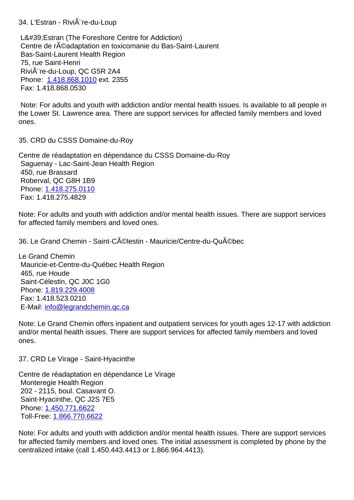L'Estran (The Foreshore Centre for Addiction) Centre de r©adaptation en toxicomanie du Bas-Saint-Laurent Bas-Saint-Laurent Health Region 75, rue Saint-Henri Rivi re-du-Loup, QC G5R 2A4 Phone: 1.418.868.1010 ext. 2355 Fax: 1.418.868.0530

 Note: For adults and youth with addiction and/or mental health issues. Is available to all people in the Low[er St. Lawrence a](tel:1.418.868.1010)rea. There are support services for affected family members and loved ones.

35. CRD du CSSS Domaine-du-Roy 35. CRD du CSSS Domaine-du-Roy

Centre de réadaptation en dépendance du CSSS Domaine-du-Roy Saguenay - Lac-Saint-Jean Health Region 450, rue Brassard Roberval, QC G8H 1B9 Phone: 1.418.275.0110 Fax: 1.418.275.4829

Note: For adults and youth with addiction and/or mental health issues. There are support services for affec[ted family memb](tel:1.418.275.0110)ers and loved ones.

36. Le Grand Chemin - Saint-Célestin - Mauricie/Centre-du-Québec<br>36. Le Grand Chemin - Saint-Célestin - Mauricie/Centre-du-Québec

Le Grand Chemin Mauricie-et-Centre-du-Québec Health Region 465, rue Houde Saint-Célestin, QC J0C 1G0 Phone: 1.819.229.4008 Fax: 1.418.523.0210 E-Mail: info@legrandchemin.qc.ca

Note: L[e Grand Chemin](tel:1.819.229.4008) offers inpatient and outpatient services for youth ages 12-17 with addiction and/or [mental health issues. There](mailto:info@legrandchemin.qc.ca) are support services for affected family members and loved ones.

37. CRD Le Virage - Saint-Hyacinthe 37. CRD Le Virage - Saint-Hyacinthe

Centre de réadaptation en dépendance Le Virage Monteregie Health Region 202 - 2115, boul. Casavant O. Saint-Hyacinthe, QC J2S 7E5 Phone: 1.450.771.6622 Toll-Free: 1.866.770.6622

Note: For adults and youth with addiction and/or mental health issues. There are support services for affec[ted family memb](tel:1.450.771.6622)ers and loved ones. The initial assessment is completed by phone by the centralize[d intake \(call 1.45](tel:1.866.770.6622)0.443.4413 or 1.866.964.4413).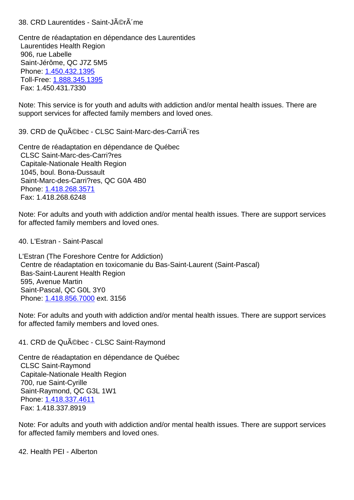Centre de réadaptation en dépendance des Laurentides Laurentides Health Region 906, rue Labelle Saint-Jérôme, QC J7Z 5M5 Phone: 1.450.432.1395 Toll-Free: 1.888.345.1395 Fax: 1.450.431.7330 Note: T[his service is for](tel:1.450.432.1395) youth and adults with addiction and/or mental health issues. There are support se[rvices for affecte](tel:1.888.345.1395)d family members and loved ones. 39. CRD de Québec - CLSC Saint-Marc-des-Carrières 39. CRD de Québec - CLSC Saint-Marc-des-Carrières Centre de réadaptation en dépendance de Québec CLSC Saint-Marc-des-Carri?res Capitale-Nationale Health Region 1045, boul. Bona-Dussault Saint-Marc-des-Carri?res, QC G0A 4B0 Phone: 1.418.268.3571 Fax: 1.418.268.6248 Note: For adults and youth with addiction and/or mental health issues. There are support services for affec[ted family memb](tel:1.418.268.3571)ers and loved ones. 40. L'Estran - Saint-Pascal 40. L'Estran - Saint-Pascal L'Estran (The Foreshore Centre for Addiction) Centre de réadaptation en toxicomanie du Bas-Saint-Laurent (Saint-Pascal) Bas-Saint-Laurent Health Region 595, Avenue Martin Saint-Pascal, QC G0L 3Y0 Phone: 1.418.856.7000 ext. 3156 Note: For adults and youth with addiction and/or mental health issues. There are support services for affec[ted family memb](tel:1.418.856.7000)ers and loved ones.

Centre de réadaptation en dépendance de Québec CLSC Saint-Raymond Capitale-Nationale Health Region 700, rue Saint-Cyrille Saint-Raymond, QC G3L 1W1 Phone: 1.418.337.4611 Fax: 1.418.337.8919

Note: For adults and youth with addiction and/or mental health issues. There are support services for affec[ted family memb](tel:1.418.337.4611)ers and loved ones.

41. CRD de Québec - CLSC Saint-Raymond 41. CRD de Québec - CLSC Saint-Raymond

42. Health PEI - Alberton 42. Health PEI - Alberton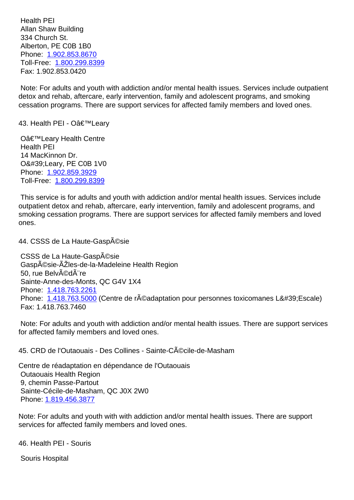Allan Shaw Building 334 Church St. Alberton, PE C0B 1B0 Phone: 1.902.853.8670 Toll-Free: 1.800.299.8399 Fax: 1.902.853.0420

 Note: F[or adults and you](tel:1.902.853.8670)th with addiction and/or mental health issues. Services include outpatient detox and r[ehab, aftercare,](tel:1.800.299.8399) early intervention, family and adolescent programs, and smoking cessation programs. There are support services for affected family members and loved ones.

43. Health PEI - O'Leary 43. Annual and the set of the set of the set of the set of the set of the set of the set of the set of the set of the set of the set of the set of the set of the set of the set of the set of the

O'Leary Health Centre Health PEI 14 MacKinnon Dr. O' Leary, PE C0B 1V0 Phone: 1.902.859.3929 Toll-Free: 1.800.299.8399

 This service is for adults and youth with addiction and/or mental health issues. Services include outpatie[nt detox and reha](tel:1.902.859.3929)b, aftercare, early intervention, family and adolescent programs, and smoking ce[ssation program](tel:1.800.299.8399)s. There are support services for affected family members and loved ones.

44. CSSS de La Haute-Gaspésie 44. CSSS de La Haute-Gaspésie

CSSS de La Haute-Gaspésie Gaspésie-ÃŽles-de-la-Madeleine Health Region 50, rue Belvédà re Sainte-Anne-des-Monts, QC G4V 1X4 Phone: 1.418.763.2261 Phone: 1.418.763.5000 (Centre de réadaptation pour personnes toxicomanes L'Escale) Fax: 1.418.763.7460

 Note: F[or adults and you](tel:1.418.763.2261)th with addiction and/or mental health issues. There are support services for affect[ed family membe](tel:1.418.763.5000)rs and loved ones.

45. CRD de l'Outaouais - Des Collines - Sainte-Cécile-de-Masham 45. CRD de l'Outaouais - Des Collines - Sainte-Cécile-de-Masham

Centre de réadaptation en dépendance de l'Outaouais Outaouais Health Region 9, chemin Passe-Partout Sainte-Cécile-de-Masham, QC J0X 2W0 Phone: 1.819.456.3877

Note: For adults and youth with with addiction and/or mental health issues. There are support services [for affected fam](tel:1.819.456.3877)ily members and loved ones.

46. Health PEI - Souris 46. Health PEI - Souris

 Souris Hospital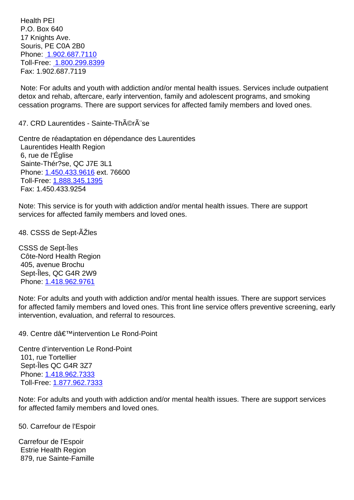P.O. Box 640 17 Knights Ave. Souris, PE C0A 2B0 Phone: 1.902.687.7110 Toll-Free: 1.800.299.8399 Fax: 1.902.687.7119

 Note: [For adults and you](tel:1.902.687.7110)th with addiction and/or mental health issues. Services include outpatient detox and [rehab, aftercare,](tel:1.800.299.8399) early intervention, family and adolescent programs, and smoking cessation programs. There are support services for affected family members and loved ones.

47. CRD Laurentides - Sainte-Thérèse 47. CRD Laurentides - Sainte-Thérèse

Centre de réadaptation en dépendance des Laurentides Laurentides Health Region 6, rue de l'Église Sainte-Thér?se, QC J7E 3L1 Phone: 1.450.433.9616 ext. 76600 Toll-Free: 1.888.345.1395 Fax: 1.450.433.9254

Note: T[his service is for](tel:1.450.433.9616) youth with addiction and/or mental health issues. There are support services fo[r affected family](tel:1.888.345.1395) members and loved ones.

48. CSSS de Sept-ÃŽles 48. CSSS de Sept-ÃŽles

CSSS de Sept-Îles Côte-Nord Health Region 405, avenue Brochu Sept-Îles, QC G4R 2W9 Phone: 1.418.962.9761

Note: For adults and youth with addiction and/or mental health issues. There are support services for affected family members and loved ones. This front line service offers preventive screening, early interven[tion, evaluation,](tel:1.418.962.9761) and referral to resources.

Centre d'intervention Le Rond-Point 101, rue Tortellier Sept-Îles QC G4R 3Z7 Phone: 1.418.962.7333

Toll-Free: 1.877.962.7333

Note: For adults and youth with addiction and/or mental health issues. There are support services for affec[ted family mem](tel:1.418.962.7333)[ber](tel:1.877.962.7333)s and loved ones.

50. Carrefour de l'Espoir 50. Carrefour de l'Espoir

Carrefour de l'Espoir Estrie Health Region 879, rue Sainte-Famille

49. Centre d'intervention Le Rond-Point 49. Centre de intervention 49. Centre dé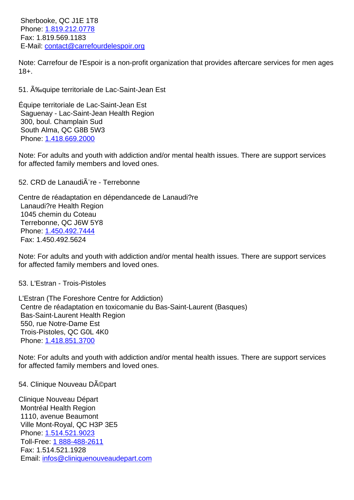Phone: 1.819.212.0778 Fax: 1.819.569.1183 E-Mail: contact@carrefourdelespoir.org

1110, avenue Beaumont

Phone: 1.514.521.9023 Toll-Free: 1 888-488-2611 Fax: 1.514.521.1928

Ville Mont-Royal, QC H3P 3E5

Email: i[nfos@cliniqueno](tel:1.514.521.9023)uveaudepart.com

Note: C[arrefour de l'Esp](tel:1.819.212.0778)oir is a non-profit organization that provides aftercare services for men ages 18+.

| 51. A‰quipe territoriale de Lac-Saint-Jean Est                                                                                                                                                                                             | 51 |
|--------------------------------------------------------------------------------------------------------------------------------------------------------------------------------------------------------------------------------------------|----|
| Équipe territoriale de Lac-Saint-Jean Est<br>Saguenay - Lac-Saint-Jean Health Region<br>300, boul. Champlain Sud<br>South Alma, QC G8B 5W3<br>Phone: 1.418.669.2000                                                                        |    |
| Note: For adults and youth with addiction and/or mental health issues. There are support services<br>for affected family members and loved ones.                                                                                           |    |
| 52. CRD de Lanaudi re - Terrebonne                                                                                                                                                                                                         | 52 |
| Centre de réadaptation en dépendancede de Lanaudi?re<br>Lanaudi?re Health Region<br>1045 chemin du Coteau<br>Terrebonne, QC J6W 5Y8<br>Phone: 1.450.492.7444<br>Fax: 1.450.492.5624                                                        |    |
| Note: For adults and youth with addiction and/or mental health issues. There are support services<br>for affected family members and loved ones.                                                                                           |    |
| 53. L'Estran - Trois-Pistoles                                                                                                                                                                                                              | 53 |
| L'Estran (The Foreshore Centre for Addiction)<br>Centre de réadaptation en toxicomanie du Bas-Saint-Laurent (Basques)<br>Bas-Saint-Laurent Health Region<br>550, rue Notre-Dame Est<br>Trois-Pistoles, QC G0L 4K0<br>Phone: 1.418.851.3700 |    |
| Note: For adults and youth with addiction and/or mental health issues. There are support services<br>for affected family members and loved ones.                                                                                           |    |
| 54. Clinique Nouveau Départ                                                                                                                                                                                                                | 54 |
| Clinique Nouveau Départ<br>Montréal Health Region                                                                                                                                                                                          |    |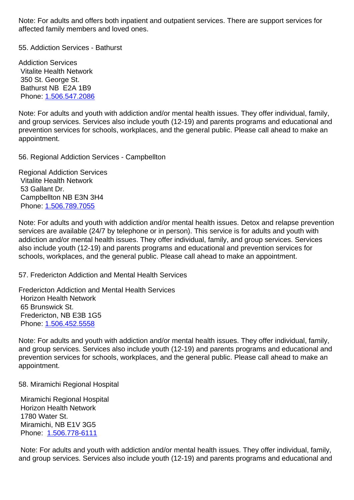affected family members and loved ones.

55. Addiction Services - Bathurst 55. Addiction Services - Bathurst

Addiction Services Vitalite Health Network 350 St. George St. Bathurst NB E2A 1B9 Phone: 1.506.547.2086

Note: For adults and youth with addiction and/or mental health issues. They offer individual, family, and group services. Services also include youth (12-19) and parents programs and educational and preventi[on services for s](tel:1.506.547.2086)chools, workplaces, and the general public. Please call ahead to make an appointment.

56. Regional Addiction Services - Campbellton 56. Regional Addiction Services - Campbellton

Regional Addiction Services Vitalite Health Network 53 Gallant Dr. Campbellton NB E3N 3H4 Phone: 1.506.789.7055

Note: For adults and youth with addiction and/or mental health issues. Detox and relapse prevention services are available (24/7 by telephone or in person). This service is for adults and youth with addictio[n and/or mental](tel:1.506.789.7055) health issues. They offer individual, family, and group services. Services also include youth (12-19) and parents programs and educational and prevention services for schools, workplaces, and the general public. Please call ahead to make an appointment.

57. Fredericton Addiction and Mental Health Services 57. Fredericton Addiction and Mental Health Services

Fredericton Addiction and Mental Health Services Horizon Health Network 65 Brunswick St. Fredericton, NB E3B 1G5 Phone: 1.506.452.5558

Note: For adults and youth with addiction and/or mental health issues. They offer individual, family, and group services. Services also include youth (12-19) and parents programs and educational and preventi[on services for s](tel:1.506.452.5558)chools, workplaces, and the general public. Please call ahead to make an appointment.

58. Miramichi Regional Hospital 58. Miramichi Regional Hospital

 Miramichi Regional Hospital Horizon Health Network 1780 Water St. Miramichi, NB E1V 3G5 Phone: 1.506.778-6111

 Note: For adults and youth with addiction and/or mental health issues. They offer individual, family, and grou[p services. Serv](tel:1.506.778-6111)ices also include youth (12-19) and parents programs and educational and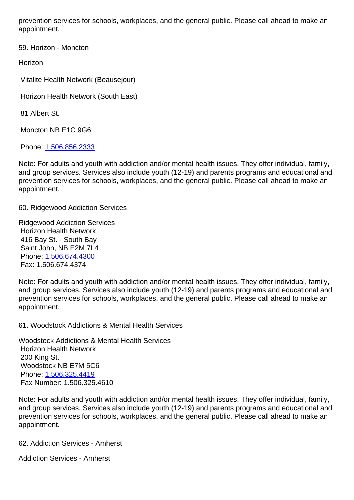appointment.

59. Horizon - Moncton 59. Horizon - Moncton

Horizon

Vitalite Health Network (Beausejour)

Horizon Health Network (South East)

81 Albert St.

Moncton NB E1C 9G6

Phone: 1.506.856.2333

Note: For adults and youth with addiction and/or mental health issues. They offer individual, family, and group services. Services also include youth (12-19) and parents programs and educational and preventi[on services for s](tel:1.506.856.2333)chools, workplaces, and the general public. Please call ahead to make an appointment.

60. Ridgewood Addiction Services 60. Ridgewood Addiction Services

Ridgewood Addiction Services Horizon Health Network 416 Bay St. - South Bay Saint John, NB E2M 7L4 Phone: 1.506.674.4300 Fax: 1.506.674.4374

Note: For adults and youth with addiction and/or mental health issues. They offer individual, family, and gro[up services. Serv](tel:1.506.674.4300)ices also include youth (12-19) and parents programs and educational and prevention services for schools, workplaces, and the general public. Please call ahead to make an appointment.

61. Woodstock Addictions & Mental Health Services 61. Woodstock Addictions & Mental Health Services

Woodstock Addictions & Mental Health Services Horizon Health Network 200 King St. Woodstock NB E7M 5C6 Phone: 1.506.325.4419 Fax Number: 1.506.325.4610

Note: For adults and youth with addiction and/or mental health issues. They offer individual, family, and gro[up services. Serv](tel:1.506.325.4419)ices also include youth (12-19) and parents programs and educational and prevention services for schools, workplaces, and the general public. Please call ahead to make an appointment.

62. Addiction Services - Amherst 62. Addiction Services - Amherst

Addiction Services - Amherst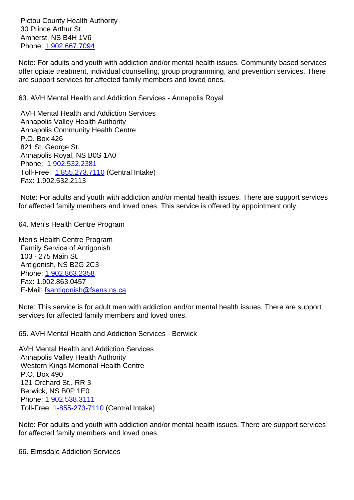30 Prince Arthur St. Amherst, NS B4H 1V6 Phone: 1.902.667.7094

Note: For adults and youth with addiction and/or mental health issues. Community based services offer opiate treatment, individual counselling, group programming, and prevention services. There are sup[port services for](tel:1.902.667.7094) affected family members and loved ones.

63. AVH Mental Health and Addiction Services - Annapolis Royal 63. AVH Mental Health and Addiction Services - Annapolis Royal

 AVH Mental Health and Addiction Services Annapolis Valley Health Authority Annapolis Community Health Centre P.O. Box 426 821 St. George St. Annapolis Royal, NS B0S 1A0 Phone: 1.902.532.2381 Toll-Free: 1.855.273.7110 (Central Intake) Fax: 1.902.532.2113

 Note: F[or adults and you](tel:1.902.532.2381)th with addiction and/or mental health issues. There are support services for affected [family members](tel:1.855.273.7110) and loved ones. This service is offered by appointment only.

64. Men's Health Centre Program 64. Men's Health Centre Program

Men's Health Centre Program Family Service of Antigonish 103 - 275 Main St. Antigonish, NS B2G 2C3 Phone: 1.902.863.2358 Fax: 1.902.863.0457 E-Mail: fsantigonish@fsens.ns.ca

Note: T[his service is for](tel:1.902.863.2358) adult men with addiction and/or mental health issues. There are support service[s for affected family membe](mailto:fsantigonish@fsens.ns.ca)rs and loved ones.

65. AVH Mental Health and Addiction Services - Berwick 65. AVH Mental Health and Addiction Services - Berwick

AVH Mental Health and Addiction Services Annapolis Valley Health Authority Western Kings Memorial Health Centre P.O. Box 490 121 Orchard St., RR 3 Berwick, NS B0P 1E0 Phone: 1.902.538.3111 Toll-Free: 1-855-273-7110 (Central Intake)

Note: For adults and youth with addiction and/or mental health issues. There are support services for affec[ted family mem](tel:1.902.538.3111)[bers](tel:1-855-273-7110) and loved ones.

66. Elmsdale Addiction Services 66. Elmsdale Addiction Services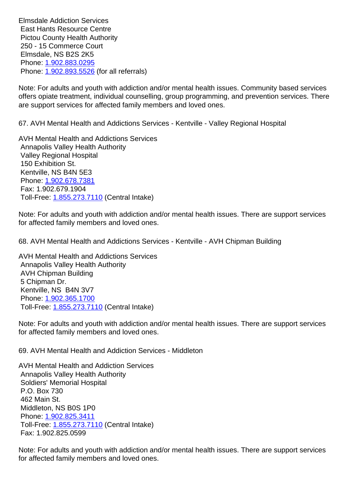East Hants Resource Centre Pictou County Health Authority 250 - 15 Commerce Court Elmsdale, NS B2S 2K5 Phone: 1.902.883.0295 Phone: 1.902.893.5526 (for all referrals)

Note: For adults and youth with addiction and/or mental health issues. Community based services offers o[piate treatment, i](tel:1.902.883.0295)ndividual counselling, group programming, and prevention services. There are sup[port services for](tel:1.902.893.5526) affected family members and loved ones.

67. AVH Mental Health and Addictions Services - Kentville - Valley Regional Hospital 67. AVH Mental Health and Addictions Services - Kentville - Valley Regional Hospital

AVH Mental Health and Addictions Services Annapolis Valley Health Authority Valley Regional Hospital 150 Exhibition St. Kentville, NS B4N 5E3 Phone: 1.902.678.7381 Fax: 1.902.679.1904 Toll-Free: 1.855.273.7110 (Central Intake)

Note: F[or adults and you](tel:1.902.678.7381)th with addiction and/or mental health issues. There are support services for affecte[d family member](tel:1.855.273.7110)s and loved ones.

68. AVH Mental Health and Addictions Services - Kentville - AVH Chipman Building 68. AVH Mental Health and Addictions Services - Kentville - AVH Chipman Building

AVH Mental Health and Addictions Services Annapolis Valley Health Authority AVH Chipman Building 5 Chipman Dr. Kentville, NS B4N 3V7 Phone: 1.902.365.1700 Toll-Free: 1.855.273.7110 (Central Intake)

Note: For adults and youth with addiction and/or mental health issues. There are support services for affec[ted family mem](tel:1.902.365.1700)[ber](tel:1.855.273.7110)s and loved ones.

69. AVH Mental Health and Addiction Services - Middleton 69. AVH Mental Health and Addiction Services - Middleton

AVH Mental Health and Addiction Services Annapolis Valley Health Authority Soldiers' Memorial Hospital P.O. Box 730 462 Main St. Middleton, NS B0S 1P0 Phone: 1.902.825.3411 Toll-Free: 1.855.273.7110 (Central Intake) Fax: 1.902.825.0599

Note: F[or adults and you](tel:1.902.825.3411)th with addiction and/or mental health issues. There are support services for affecte[d family member](tel:1.855.273.7110)s and loved ones.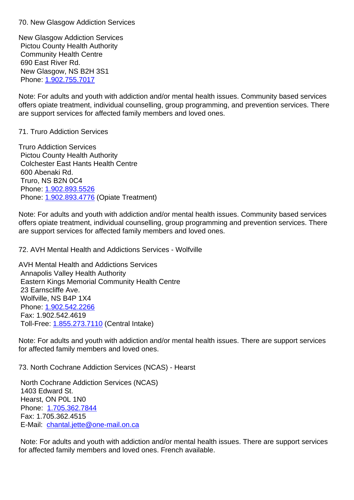New Glasgow Addiction Services Pictou County Health Authority Community Health Centre 690 East River Rd. New Glasgow, NS B2H 3S1 Phone: 1.902.755.7017

Note: For adults and youth with addiction and/or mental health issues. Community based services offers opiate treatment, individual counselling, group programming, and prevention services. There are sup[port services for](tel:1.902.755.7017) affected family members and loved ones.

## 71. Truro Addiction Services 71. Truro Addiction Services

Truro Addiction Services Pictou County Health Authority Colchester East Hants Health Centre 600 Abenaki Rd. Truro, NS B2N 0C4 Phone: 1.902.893.5526 Phone: 1.902.893.4776 (Opiate Treatment)

Note: For adults and youth with addiction and/or mental health issues. Community based services offers o[piate treatment, i](tel:1.902.893.5526)ndividual counselling, group programming and prevention services. There are sup[port services for](tel:1.902.893.4776) affected family members and loved ones.

72. AVH Mental Health and Addictions Services - Wolfville 72. AVH Mental Health and Addictions Services - Wolfville

AVH Mental Health and Addictions Services Annapolis Valley Health Authority Eastern Kings Memorial Community Health Centre 23 Earnscliffe Ave. Wolfville, NS B4P 1X4 Phone: 1.902.542.2266 Fax: 1.902.542.4619 Toll-Free: 1.855.273.7110 (Central Intake)

Note: F[or adults and you](tel:1.902.542.2266)th with addiction and/or mental health issues. There are support services for affecte[d family member](tel:1.855.273.7110)s and loved ones.

73. North Cochrane Addiction Services (NCAS) - Hearst 73. North Cochrane Addiction Services (NCAS) - Hearst

 North Cochrane Addiction Services (NCAS) 1403 Edward St. Hearst, ON P0L 1N0 Phone: 1.705.362.7844 Fax: 1.705.362.4515 E-Mail: chantal.jette@one-mail.on.ca

 Note: F[or adults and you](tel:1.705.362.7844)th with addiction and/or mental health issues. There are support services for affect[ed family members and loved](mailto:chantal.jette@one-mail.on.ca) ones. French available.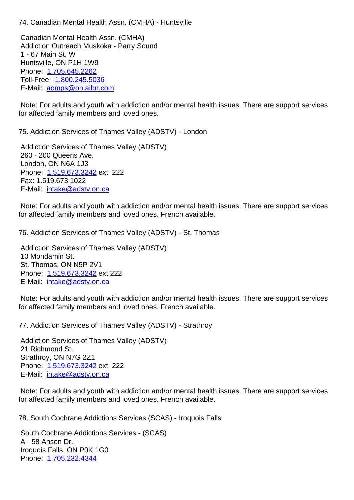Canadian Mental Health Assn. (CMHA) Addiction Outreach Muskoka - Parry Sound 1 - 67 Main St. W Huntsville, ON P1H 1W9 Phone: 1.705.645.2262 Toll-Free: 1.800.245.5036 E-Mail: aomps@on.aibn.com

 Note: F[or adults and you](tel:1.705.645.2262)th with addiction and/or mental health issues. There are support services for affect[ed](mailto:aomps@on.aibn.com) [family member](tel:1.800.245.5036)[s an](mailto:aomps@on.aibn.com)d loved ones.

75. Addiction Services of Thames Valley (ADSTV) - London 75. Addiction Services of Thames Valley (ADSTV) - London

 Addiction Services of Thames Valley (ADSTV) 260 - 200 Queens Ave. London, ON N6A 1J3 Phone: 1.519.673.3242 ext. 222 Fax: 1.519.673.1022 E-Mail: intake@adstv.on.ca

 Note: F[or adults and you](tel:1.519.673.3242)th with addiction and/or mental health issues. There are support services for affect[ed family members a](mailto:intake@adstv.on.ca)nd loved ones. French available.

76. Addiction Services of Thames Valley (ADSTV) - St. Thomas 76. Addiction Services of Thames Valley (ADSTV) - St. Thomas

 Addiction Services of Thames Valley (ADSTV) 10 Mondamin St. St. Thomas, ON N5P 2V1 Phone: 1.519.673.3242 ext.222 E-Mail: intake@adstv.on.ca

 Note: For adults and youth with addiction and/or mental health issues. There are support services for affect[ed family memb](tel:1.519.673.3242)[ers a](mailto:intake@adstv.on.ca)nd loved ones. French available.

77. Addiction Services of Thames Valley (ADSTV) - Strathroy 77.

 Addiction Services of Thames Valley (ADSTV) 21 Richmond St. Strathroy, ON N7G 2Z1 Phone: 1.519.673.3242 ext. 222 E-Mail: intake@adstv.on.ca

 Note: For adults and youth with addiction and/or mental health issues. There are support services for affect[ed family memb](tel:1.519.673.3242)[ers a](mailto:intake@adstv.on.ca)nd loved ones. French available.

78. South Cochrane Addictions Services (SCAS) - Iroquois Falls 78. South Cochrane Addictions Services (SCAS) - Iroquois Falls

 South Cochrane Addictions Services - (SCAS) A - 58 Anson Dr. Iroquois Falls, ON P0K 1G0 Phone: 1.705.232.4344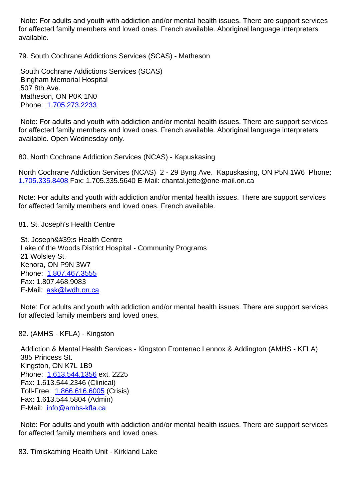for affected family members and loved ones. French available. Aboriginal language interpreters available.

| 79. South Cochrane Addictions Services (SCAS) - Matheson                                                                                                                                                                                                                                                    | 79 |
|-------------------------------------------------------------------------------------------------------------------------------------------------------------------------------------------------------------------------------------------------------------------------------------------------------------|----|
| South Cochrane Addictions Services (SCAS)<br><b>Bingham Memorial Hospital</b><br>507 8th Ave.<br>Matheson, ON P0K 1N0<br>Phone: 1.705.273.2233                                                                                                                                                              |    |
| Note: For adults and youth with addiction and/or mental health issues. There are support services<br>for affected family members and loved ones. French available. Aboriginal language interpreters<br>available. Open Wednesday only.                                                                      |    |
| 80. North Cochrane Addiction Services (NCAS) - Kapuskasing                                                                                                                                                                                                                                                  | 80 |
| North Cochrane Addiction Services (NCAS) 2 - 29 Byng Ave. Kapuskasing, ON P5N 1W6 Phone:<br>1.705.335.8408 Fax: 1.705.335.5640 E-Mail: chantal.jette@one-mail.on.ca                                                                                                                                         |    |
| Note: For adults and youth with addiction and/or mental health issues. There are support services<br>for affected family members and loved ones. French available.                                                                                                                                          |    |
| 81. St. Joseph's Health Centre                                                                                                                                                                                                                                                                              | 81 |
| St. Joseph's Health Centre<br>Lake of the Woods District Hospital - Community Programs<br>21 Wolsley St.<br>Kenora, ON P9N 3W7<br>Phone: 1.807.467.3555<br>Fax: 1.807.468.9083<br>E-Mail: ask@lwdh.on.ca                                                                                                    |    |
| Note: For adults and youth with addiction and/or mental health issues. There are support services<br>for affected family members and loved ones.                                                                                                                                                            |    |
| 82. (AMHS - KFLA) - Kingston                                                                                                                                                                                                                                                                                | 82 |
| Addiction & Mental Health Services - Kingston Frontenac Lennox & Addington (AMHS - KFLA)<br>385 Princess St.<br>Kingston, ON K7L 1B9<br>Phone: 1.613.544.1356 ext. 2225<br>Fax: 1.613.544.2346 (Clinical)<br>Toll-Free: 1.866.616.6005 (Crisis)<br>Fax: 1.613.544.5804 (Admin)<br>E-Mail: info@amhs-kfla.ca |    |
| Note: For adults and youth with addiction and/or mental health issues. There are support services<br>for affected family members and loved ones.                                                                                                                                                            |    |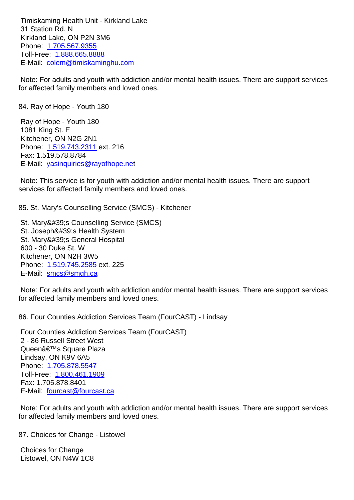31 Station Rd. N Kirkland Lake, ON P2N 3M6 Phone: 1.705.567.9355 Toll-Free: 1.888.665.8888 E-Mail: colem@timiskaminghu.com

 Note: F[or adults and you](tel:1.705.567.9355)th with addiction and/or mental health issues. There are support services for affect[ed](mailto:colem@timiskaminghu.com) [family member](tel:1.888.665.8888)[s and love](mailto:colem@timiskaminghu.com)d ones.

| 84. Ray of Hope - Youth 180                                                                                                                                                                                                                                                                                                 | 84 |
|-----------------------------------------------------------------------------------------------------------------------------------------------------------------------------------------------------------------------------------------------------------------------------------------------------------------------------|----|
| Ray of Hope - Youth 180<br>1081 King St. E<br>Kitchener, ON N2G 2N1<br>Phone: 1.519.743.2311 ext. 216<br>Fax: 1.519.578.8784<br>E-Mail: yasinquiries@rayofhope.net<br>Note: This service is for youth with addiction and/or mental health issues. There are support<br>services for affected family members and loved ones. |    |
| 85. St. Mary's Counselling Service (SMCS) - Kitchener                                                                                                                                                                                                                                                                       | 85 |
| St. Mary's Counselling Service (SMCS)<br>St. Joseph's Health System<br>St. Mary's General Hospital<br>600 - 30 Duke St. W<br>Kitchener, ON N2H 3W5<br>Phone: 1.519.745.2585 ext. 225<br>E-Mail: smcs@smgh.ca                                                                                                                |    |
| Note: For adults and youth with addiction and/or mental health issues. There are support services<br>for affected family members and loved ones.                                                                                                                                                                            |    |
| 86. Four Counties Addiction Services Team (FourCAST) - Lindsay                                                                                                                                                                                                                                                              | 86 |
| Four Counties Addiction Services Team (FourCAST)<br>2 - 86 Russell Street West<br>Queen's Square Plaza<br>Lindsay, ON K9V 6A5<br>Phone: 1.705.878.5547<br>Toll-Free: 1.800.461.1909<br>Fax: 1.705.878.8401<br>E-Mail: fourcast@fourcast.ca                                                                                  |    |

 Note: For [adults and youth](tel:1.800.461.1909) with addiction and/or mental health issues. There are support services for affect[ed family members an](mailto:fourcast@fourcast.ca)d loved ones.

87. Choices for Change - Listowel 87. Choices for Change - Listowel 87.

 Choices for Change Listowel, ON N4W 1C8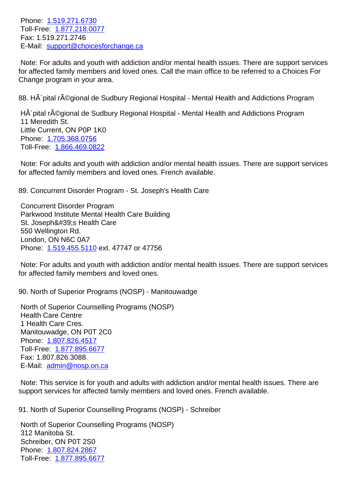TOLL-FREE: 1.077.210.0077 Fax: 1.519.271.2746 E-Mail: [support@choice](tel:1.519.271.6730)sforchange.ca

 Note: For [adults and youth](tel:1.877.218.0077) with addiction and/or mental health issues. There are support services for affect[ed family members and loved o](mailto:support@choicesforchange.ca)nes. Call the main office to be referred to a Choices For Change program in your area.

| 88. Hà pital régional de Sudbury Regional Hospital - Mental Health and Addictions Program                                                                                                                                                                                                                                                                                                                                    | 88 |
|------------------------------------------------------------------------------------------------------------------------------------------------------------------------------------------------------------------------------------------------------------------------------------------------------------------------------------------------------------------------------------------------------------------------------|----|
| HA pital rA©gional de Sudbury Regional Hospital - Mental Health and Addictions Program<br>11 Meredith St.<br>Little Current, ON P0P 1K0<br>Phone: 1.705.368.0756<br>Toll-Free: 1.866.469.0822                                                                                                                                                                                                                                |    |
| Note: For adults and youth with addiction and/or mental health issues. There are support services<br>for affected family members and loved ones. French available.                                                                                                                                                                                                                                                           |    |
| 89. Concurrent Disorder Program - St. Joseph's Health Care                                                                                                                                                                                                                                                                                                                                                                   | 89 |
| <b>Concurrent Disorder Program</b><br>Parkwood Institute Mental Health Care Building<br>St. Joseph's Health Care<br>550 Wellington Rd.<br>London, ON N6C 0A7<br>Phone: 1.519.455.5110 ext. 47747 or 47756                                                                                                                                                                                                                    |    |
| Note: For adults and youth with addiction and/or mental health issues. There are support services<br>for affected family members and loved ones.                                                                                                                                                                                                                                                                             |    |
| 90. North of Superior Programs (NOSP) - Manitouwadge                                                                                                                                                                                                                                                                                                                                                                         | 90 |
| North of Superior Counselling Programs (NOSP)<br><b>Health Care Centre</b><br>1 Health Care Cres.<br>Manitouwadge, ON P0T 2C0<br>Phone: 1.807.826.4517<br>Toll-Free: 1.877.895.6677<br>Fax: 1.807.826.3088<br>E-Mail: admin@nosp.on.ca<br>Note: This service is for youth and adults with addiction and/or mental health issues. There are<br>support services for affected family members and loved ones. French available. |    |
|                                                                                                                                                                                                                                                                                                                                                                                                                              |    |

91. North of Superior Counselling Programs (NOSP) - Schreiber 91. North of Superior Counselling Programs (NOSP) - Schreiber

 North of Superior Counselling Programs (NOSP) 312 Manitoba St. Schreiber, ON P0T 2S0 Phone: 1.807.824.2867 Toll-Free: 1.877.895.6677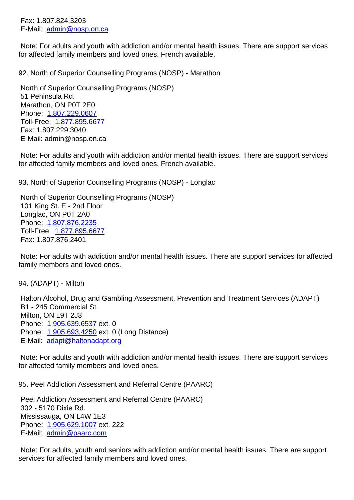E-Mail: admin@nosp.on.ca

 Note: For adults and youth with addiction and/or mental health issues. There are support services for affect[ed family members](mailto:admin@nosp.on.ca) and loved ones. French available.

92. North of Superior Counselling Programs (NOSP) - Marathon 92. North of Superior Counselling Programs (NOSP) - Marathon North of Superior Counselling Programs (NOSP) 51 Peninsula Rd.

 Marathon, ON P0T 2E0 Phone: 1.807.229.0607 Toll-Free: 1.877.895.6677 Fax: 1.807.229.3040 E-Mail: [admin@nosp.on](tel:1.807.229.0607).ca

 Note: For [adults and youth](tel:1.877.895.6677) with addiction and/or mental health issues. There are support services for affected family members and loved ones. French available.

93. North of Superior Counselling Programs (NOSP) - Longlac 93. North of Superior Counselling Programs (NOSP) - Longlac

 North of Superior Counselling Programs (NOSP) 101 King St. E - 2nd Floor Longlac, ON P0T 2A0 Phone: 1.807.876.2235 Toll-Free: 1.877.895.6677 Fax: 1.807.876.2401

 Note: F[or adults with ad](tel:1.807.876.2235)diction and/or mental health issues. There are support services for affected family mem[bers and loved o](tel:1.877.895.6677)nes.

94. (ADAPT) - Milton 94. (ADAPT) - Milton

 Halton Alcohol, Drug and Gambling Assessment, Prevention and Treatment Services (ADAPT) B1 - 245 Commercial St. Milton, ON L9T 2J3 Phone: 1.905.639.6537 ext. 0 Phone: 1.905.693.4250 ext. 0 (Long Distance) E-Mail: adapt@haltonadapt.org

 Note: F[or adults and you](tel:1.905.639.6537)th with addiction and/or mental health issues. There are support services for affect[ed family memb](tel:1.905.693.4250)[ers and](mailto:adapt@haltonadapt.org) loved ones.

95. Peel Addiction Assessment and Referral Centre (PAARC) 95. Peel Addiction Assessment and Referral Centre (PAARC)

 Peel Addiction Assessment and Referral Centre (PAARC) 302 - 5170 Dixie Rd. Mississauga, ON L4W 1E3 Phone: 1.905.629.1007 ext. 222 E-Mail: admin@paarc.com

 Note: For adults, youth and seniors with addiction and/or mental health issues. There are support services [for affected fam](tel:1.905.629.1007)[ily m](tel:admin@paarc.com)embers and loved ones.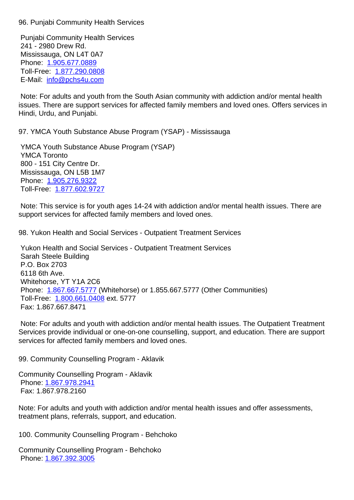Punjabi Community Health Services 241 - 2980 Drew Rd. Mississauga, ON L4T 0A7 Phone: 1.905.677.0889 Toll-Free: 1.877.290.0808 E-Mail: info@pchs4u.com

 Note: F[or adults and you](tel:1.905.677.0889)th from the South Asian community with addiction and/or mental health issues. The[re are support s](tel:1.877.290.0808)ervices for affected family members and loved ones. Offers services in Hindi, Ur[du, and Punjabi.](mailto:info@pchs4u.com)

97. YMCA Youth Substance Abuse Program (YSAP) - Mississauga 97. YMCA Youth Substance Abuse Program (YSAP) - Mississauga

 YMCA Youth Substance Abuse Program (YSAP) YMCA Toronto 800 - 151 City Centre Dr. Mississauga, ON L5B 1M7 Phone: 1.905.276.9322 Toll-Free: 1.877.602.9727

 Note: This service is for youth ages 14-24 with addiction and/or mental health issues. There are support [services for affe](tel:1.905.276.9322)[cted](tel:1.877.602.9727) family members and loved ones.

98. Yukon Health and Social Services - Outpatient Treatment Services 98. Yukon Health and Social Services - Outpatient Treatment Services

 Yukon Health and Social Services - Outpatient Treatment Services Sarah Steele Building P.O. Box 2703 6118 6th Ave. Whitehorse, YT Y1A 2C6 Phone: 1.867.667.5777 (Whitehorse) or 1.855.667.5777 (Other Communities) Toll-Free: 1.800.661.0408 ext. 5777 Fax: 1.867.667.8471

 Note: F[or adults and you](tel:1.867.667.5777)th with addiction and/or mental health issues. The Outpatient Treatment Services pr[ovide individual](tel:1.800.661.0408) or one-on-one counselling, support, and education. There are support services for affected family members and loved ones.

99. Community Counselling Program - Aklavik 99. Community Counselling Program - Aklavik

Community Counselling Program - Aklavik Phone: 1.867.978.2941 Fax: 1.867.978.2160

Note: For adults and youth with addiction and/or mental health issues and offer assessments, treatme[nt plans, referrals](tel:1.867.978.2941), support, and education.

100. Community Counselling Program - Behchoko 100. Community Counselling Program - Behchoko

Community Counselling Program - Behchoko Phone: 1.867.392.3005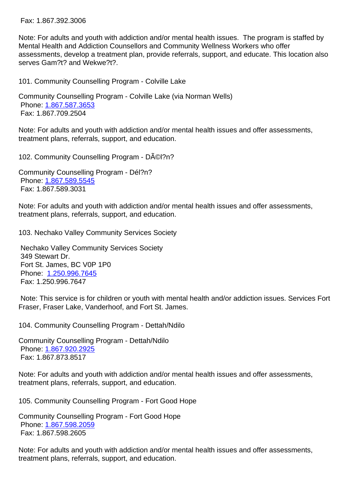| Note: For adults and youth with addiction and/or mental health issues. The program is staffed by<br>Mental Health and Addiction Counsellors and Community Wellness Workers who offer<br>assessments, develop a treatment plan, provide referrals, support, and educate. This location also<br>serves Gam?t? and Wekwe?t?. |                 |
|---------------------------------------------------------------------------------------------------------------------------------------------------------------------------------------------------------------------------------------------------------------------------------------------------------------------------|-----------------|
| 101. Community Counselling Program - Colville Lake                                                                                                                                                                                                                                                                        | 10              |
| Community Counselling Program - Colville Lake (via Norman Wells)<br>Phone: 1.867.587.3653<br>Fax: 1.867.709.2504                                                                                                                                                                                                          |                 |
| Note: For adults and youth with addiction and/or mental health issues and offer assessments,<br>treatment plans, referrals, support, and education.                                                                                                                                                                       |                 |
| 102. Community Counselling Program - D©I?n?                                                                                                                                                                                                                                                                               | 10              |
| Community Counselling Program - Dél?n?<br>Phone: 1.867.589.5545<br>Fax: 1.867.589.3031                                                                                                                                                                                                                                    |                 |
| Note: For adults and youth with addiction and/or mental health issues and offer assessments,<br>treatment plans, referrals, support, and education.                                                                                                                                                                       |                 |
| 103. Nechako Valley Community Services Society                                                                                                                                                                                                                                                                            | 10 <sub>1</sub> |
| <b>Nechako Valley Community Services Society</b><br>349 Stewart Dr.<br>Fort St. James, BC V0P 1P0<br>Phone: 1.250.996.7645<br>Fax: 1.250.996.7647                                                                                                                                                                         |                 |
| Note: This service is for children or youth with mental health and/or addiction issues. Services Fort<br>Fraser, Fraser Lake, Vanderhoof, and Fort St. James.                                                                                                                                                             |                 |
| 104. Community Counselling Program - Dettah/Ndilo                                                                                                                                                                                                                                                                         | 10 <sub>1</sub> |
| <b>Community Counselling Program - Dettah/Ndilo</b><br>Phone: 1.867.920.2925<br>Fax: 1.867.873.8517                                                                                                                                                                                                                       |                 |
| Note: For adults and youth with addiction and/or mental health issues and offer assessments,<br>treatment plans, referrals, support, and education.                                                                                                                                                                       |                 |
| 105. Community Counselling Program - Fort Good Hope                                                                                                                                                                                                                                                                       | 10 <sub>1</sub> |
| <b>Community Counselling Program - Fort Good Hope</b><br>Phone: 1.867.598.2059<br>Fax: 1.867.598.2605                                                                                                                                                                                                                     |                 |
| Note: For adults and youth with addiction and/or mental health issues and offer assessments,                                                                                                                                                                                                                              |                 |

treatme[nt plans, referrals](tel:1.867.598.2059), support, and education.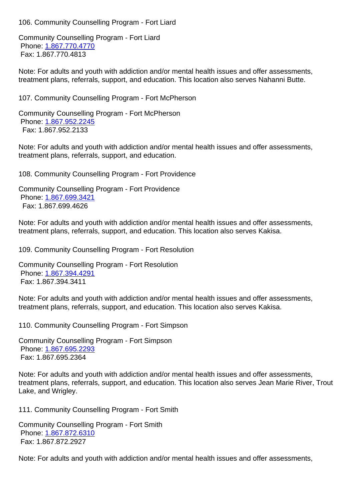Community Counselling Program - Fort Liard Phone: 1.867.770.4770 Fax: 1.867.770.4813

Note: For adults and youth with addiction and/or mental health issues and offer assessments, treatme[nt plans, referrals](tel:1.867.770.4770), support, and education. This location also serves Nahanni Butte.

| 107. Community Counselling Program - Fort McPherson                                                                                                                                                                         | 10 <sup>1</sup> |  |
|-----------------------------------------------------------------------------------------------------------------------------------------------------------------------------------------------------------------------------|-----------------|--|
| Community Counselling Program - Fort McPherson<br>Phone: 1.867.952.2245<br>Fax: 1.867.952.2133                                                                                                                              |                 |  |
| Note: For adults and youth with addiction and/or mental health issues and offer assessments,<br>treatment plans, referrals, support, and education.                                                                         |                 |  |
| 108. Community Counselling Program - Fort Providence                                                                                                                                                                        | 10 <sub>l</sub> |  |
| <b>Community Counselling Program - Fort Providence</b><br>Phone: 1.867.699.3421<br>Fax: 1.867.699.4626                                                                                                                      |                 |  |
| Note: For adults and youth with addiction and/or mental health issues and offer assessments,<br>treatment plans, referrals, support, and education. This location also serves Kakisa.                                       |                 |  |
| 109. Community Counselling Program - Fort Resolution                                                                                                                                                                        | 10 <sub>l</sub> |  |
| <b>Community Counselling Program - Fort Resolution</b><br>Phone: 1.867.394.4291<br>Fax: 1.867.394.3411                                                                                                                      |                 |  |
| Note: For adults and youth with addiction and/or mental health issues and offer assessments,<br>treatment plans, referrals, support, and education. This location also serves Kakisa.                                       |                 |  |
| 110. Community Counselling Program - Fort Simpson                                                                                                                                                                           | 11              |  |
| <b>Community Counselling Program - Fort Simpson</b><br>Phone: 1.867.695.2293<br>Fax: 1.867.695.2364                                                                                                                         |                 |  |
| Note: For adults and youth with addiction and/or mental health issues and offer assessments,<br>treatment plans, referrals, support, and education. This location also serves Jean Marie River, Trout<br>Lake, and Wrigley. |                 |  |
| 111. Community Counselling Program - Fort Smith                                                                                                                                                                             | 11              |  |
| <b>Community Counselling Program - Fort Smith</b><br>Phone: 1.867.872.6310<br>Fax: 1.867.872.2927                                                                                                                           |                 |  |
|                                                                                                                                                                                                                             |                 |  |

Note: F[or adults and you](tel:1.867.872.6310)th with addiction and/or mental health issues and offer assessments,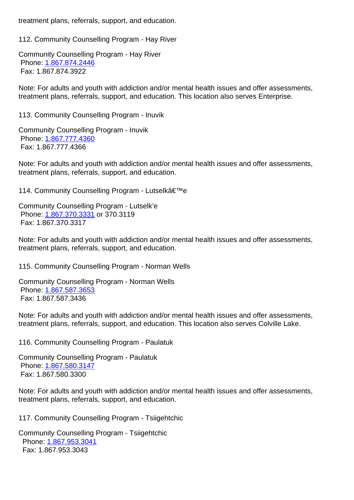| 112. Community Counselling Program - Hay River                                                                                                                                               | 11              |
|----------------------------------------------------------------------------------------------------------------------------------------------------------------------------------------------|-----------------|
| <b>Community Counselling Program - Hay River</b><br>Phone: 1.867.874.2446<br>Fax: 1.867.874.3922                                                                                             |                 |
| Note: For adults and youth with addiction and/or mental health issues and offer assessments,<br>treatment plans, referrals, support, and education. This location also serves Enterprise.    |                 |
| 113. Community Counselling Program - Inuvik                                                                                                                                                  | 11              |
| <b>Community Counselling Program - Inuvik</b><br>Phone: 1.867.777.4360<br>Fax: 1.867.777.4366                                                                                                |                 |
| Note: For adults and youth with addiction and/or mental health issues and offer assessments,<br>treatment plans, referrals, support, and education.                                          |                 |
| 114. Community Counselling Program - Lutselk'e                                                                                                                                               | 11 <sub>1</sub> |
| Community Counselling Program - Lutselk'e<br>Phone: 1.867.370.3331 or 370.3119<br>Fax: 1.867.370.3317                                                                                        |                 |
| Note: For adults and youth with addiction and/or mental health issues and offer assessments,<br>treatment plans, referrals, support, and education.                                          |                 |
| 115. Community Counselling Program - Norman Wells                                                                                                                                            | 11              |
| <b>Community Counselling Program - Norman Wells</b><br>Phone: 1.867.587.3653<br>Fax: 1.867.587.3436                                                                                          |                 |
| Note: For adults and youth with addiction and/or mental health issues and offer assessments,<br>treatment plans, referrals, support, and education. This location also serves Colville Lake. |                 |
| 116. Community Counselling Program - Paulatuk                                                                                                                                                | 11              |
| <b>Community Counselling Program - Paulatuk</b><br>Phone: 1.867.580.3147<br>Fax: 1.867.580.3300                                                                                              |                 |
| Note: For adults and youth with addiction and/or mental health issues and offer assessments,<br>treatment plans, referrals, support, and education.                                          |                 |
| 117. Community Counselling Program - Tsiigehtchic                                                                                                                                            | 11              |
| <b>Community Counselling Program - Tsiigehtchic</b><br>Phone: 1.867.953.3041<br>Fax: 1.867.953.3043                                                                                          |                 |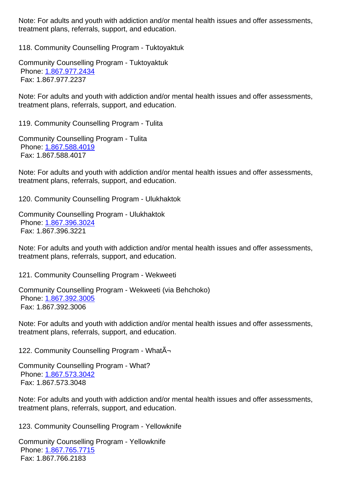| τισαιπιστι μιατιο, τσισιταιο, δύμμυτι, από συμβαικήτι.                                                                                              |    |
|-----------------------------------------------------------------------------------------------------------------------------------------------------|----|
| 118. Community Counselling Program - Tuktoyaktuk                                                                                                    | 11 |
| <b>Community Counselling Program - Tuktoyaktuk</b><br>Phone: 1.867.977.2434<br>Fax: 1.867.977.2237                                                  |    |
| Note: For adults and youth with addiction and/or mental health issues and offer assessments,<br>treatment plans, referrals, support, and education. |    |
| 119. Community Counselling Program - Tulita                                                                                                         | 11 |
| <b>Community Counselling Program - Tulita</b><br>Phone: 1.867.588.4019<br>Fax: 1.867.588.4017                                                       |    |
| Note: For adults and youth with addiction and/or mental health issues and offer assessments,<br>treatment plans, referrals, support, and education. |    |
| 120. Community Counselling Program - Ulukhaktok                                                                                                     | 12 |
| <b>Community Counselling Program - Ulukhaktok</b><br>Phone: 1.867.396.3024<br>Fax: 1.867.396.3221                                                   |    |
| Note: For adults and youth with addiction and/or mental health issues and offer assessments,<br>treatment plans, referrals, support, and education. |    |
| 121. Community Counselling Program - Wekweeti                                                                                                       | 12 |
| Community Counselling Program - Wekweeti (via Behchoko)<br>Phone: 1.867.392.3005<br>Fax: 1.867.392.3006                                             |    |
| Note: For adults and youth with addiction and/or mental health issues and offer assessments,<br>treatment plans, referrals, support, and education. |    |
| 122. Community Counselling Program - WhatA-                                                                                                         | 12 |
| <b>Community Counselling Program - What?</b><br>Phone: 1.867.573.3042<br>Fax: 1.867.573.3048                                                        |    |
| Note: For adults and youth with addiction and/or mental health issues and offer assessments,<br>treatment plans, referrals, support, and education. |    |
| 123. Community Counselling Program - Yellowknife                                                                                                    | 12 |
| <b>Community Counselling Program - Yellowknife</b><br>Phone: 1.867.765.7715<br>Fax: 1.867.766.2183                                                  |    |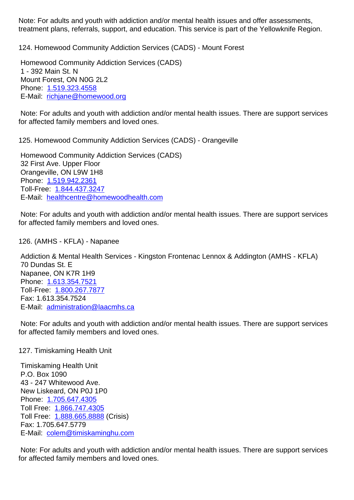| <u>treatment plans, referrals, support, and education. This service is part of the Tellowkhile Region.</u>                                                                                                                                           |    |
|------------------------------------------------------------------------------------------------------------------------------------------------------------------------------------------------------------------------------------------------------|----|
| 124. Homewood Community Addiction Services (CADS) - Mount Forest                                                                                                                                                                                     | 12 |
| Homewood Community Addiction Services (CADS)<br>1 - 392 Main St. N<br>Mount Forest, ON N0G 2L2<br>Phone: 1.519.323.4558                                                                                                                              |    |
| E-Mail: richjane@homewood.org                                                                                                                                                                                                                        |    |
| Note: For adults and youth with addiction and/or mental health issues. There are support services<br>for affected family members and loved ones.                                                                                                     |    |
| 125. Homewood Community Addiction Services (CADS) - Orangeville                                                                                                                                                                                      | 12 |
| Homewood Community Addiction Services (CADS)<br>32 First Ave. Upper Floor<br>Orangeville, ON L9W 1H8<br>Phone: 1.519.942.2361<br>Toll-Free: 1.844.437.3247<br>E-Mail: healthcentre@homewoodhealth.com                                                |    |
| Note: For adults and youth with addiction and/or mental health issues. There are support services<br>for affected family members and loved ones.                                                                                                     |    |
| 126. (AMHS - KFLA) - Napanee                                                                                                                                                                                                                         | 12 |
| Addiction & Mental Health Services - Kingston Frontenac Lennox & Addington (AMHS - KFLA)<br>70 Dundas St. E<br>Napanee, ON K7R 1H9<br>Phone: 1.613.354.7521<br>Toll-Free: 1.800.267.7877<br>Fax: 1.613.354.7524<br>E-Mail: administration@laacmhs.ca |    |
| Note: For adults and youth with addiction and/or mental health issues. There are support services<br>for affected family members and loved ones.                                                                                                     |    |
| 127. Timiskaming Health Unit                                                                                                                                                                                                                         | 12 |
|                                                                                                                                                                                                                                                      |    |

 Timiskaming Health Unit P.O. Box 1090 43 - 247 Whitewood Ave. New Liskeard, ON P0J 1P0 Phone: 1.705.647.4305 Toll Free: 1.866.747.4305 Toll Free: 1.888.665.8888 (Crisis) Fax: 1.705.647.5779 E-Mail: [colem@timiska](tel:1.705.647.4305)[min](tel:1.866.747.4305)ghu.com

 Note: For [adults and youth](tel:1.888.665.8888) with addiction and/or mental health issues. There are support services for affect[ed family members and love](mailto:colem@timiskaminghu.com)d ones.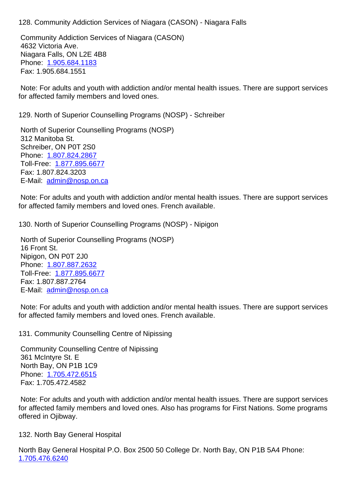Community Addiction Services of Niagara (CASON) 4632 Victoria Ave. Niagara Falls, ON L2E 4B8 Phone: 1.905.684.1183 Fax: 1.905.684.1551

 Note: For adults and youth with addiction and/or mental health issues. There are support services for affect[ed family membe](tel:1.905.684.1183)rs and loved ones.

129. North of Superior Counselling Programs (NOSP) - Schreiber 129. North of Superior Counselling Programs (NOSP) - Schreiber

 North of Superior Counselling Programs (NOSP) 312 Manitoba St. Schreiber, ON P0T 2S0 Phone: 1.807.824.2867 Toll-Free: 1.877.895.6677 Fax: 1.807.824.3203 E-Mail: [admin@nosp.on](tel:1.807.824.2867).ca

 Note: For [adults and youth](tel:1.877.895.6677) with addiction and/or mental health issues. There are support services for affect[ed family members](mailto:admin@nosp.on.ca) and loved ones. French available.

130. North of Superior Counselling Programs (NOSP) - Nipigon 130. North of Superior Counselling Programs (NOSP) - Nipigon

 North of Superior Counselling Programs (NOSP) 16 Front St. Nipigon, ON P0T 2J0 Phone: 1.807.887.2632 Toll-Free: 1.877.895.6677 Fax: 1.807.887.2764 E-Mail: [admin@nosp.on](tel:1.807.887.2632).ca

 Note: For [adults and youth](tel:1.877.895.6677) with addiction and/or mental health issues. There are support services for affect[ed family members](mailto:admin@nosp.on.ca) and loved ones. French available.

131. Community Counselling Centre of Nipissing 131. Community Counselling Centre of Nipissing

 Community Counselling Centre of Nipissing 361 McIntyre St. E North Bay, ON P1B 1C9 Phone: 1.705.472.6515 Fax: 1.705.472.4582

 Note: For adults and youth with addiction and/or mental health issues. There are support services for affect[ed family membe](tel:1.705.472.6515)rs and loved ones. Also has programs for First Nations. Some programs offered in Ojibway.

132. North Bay General Hospital 132. North Bay General Hospital

North Bay General Hospital P.O. Box 2500 50 College Dr. North Bay, ON P1B 5A4 Phone: 1.705.476.6240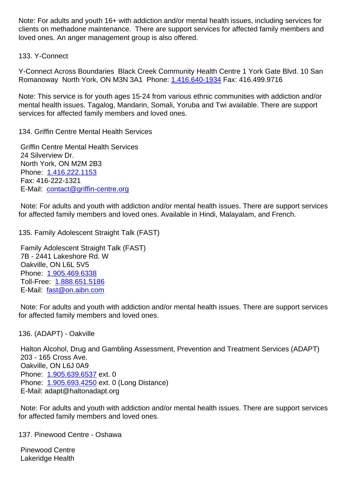clients on methadone maintenance. There are support services for affected family members and loved ones. An anger management group is also offered.

133. Y-Connect 133. Y-Connect

Y-Connect Across Boundaries Black Creek Community Health Centre 1 York Gate Blvd. 10 San Romanoway North York, ON M3N 3A1 Phone: 1.416.640-1934 Fax: 416.499.9716

Note: This service is for youth ages 15-24 from various ethnic communities with addiction and/or mental health issues. Tagalog, Mandarin, Somal[i, Yoruba and Tw](tel:1.416.640-1934)i available. There are support services for affected family members and loved ones.

134. Griffin Centre Mental Health Services 134. Griffin Centre Mental Health Services

 Griffin Centre Mental Health Services 24 Silverview Dr. North York, ON M2M 2B3 Phone: 1.416.222.1153 Fax: 416-222-1321 E-Mail: contact@griffin-centre.org

 Note: F[or adults and you](tel:1.416.222.1153)th with addiction and/or mental health issues. There are support services for affect[ed family members and lov](mailto:contact@griffin-centre.org)ed ones. Available in Hindi, Malayalam, and French.

135. Family Adolescent Straight Talk (FAST) 135. Family Adolescent Straight Talk (FAST)

 Family Adolescent Straight Talk (FAST) 7B - 2441 Lakeshore Rd. W Oakville, ON L6L 5V5 Phone: 1.905.469.6338 Toll-Free: 1.888.651.5186 E-Mail: fast@on.aibn.com

 Note: F[or adults and you](tel:1.905.469.6338)th with addiction and/or mental health issues. There are support services for affect[ed](mailto:fast@on.aibn.com) [family members](tel:1.888.651.5186) and loved ones.

 Halton Alcohol, Drug and Gambling Assessment, Prevention and Treatment Services (ADAPT) 203 - 165 Cross Ave. Oakville, ON L6J 0A9 Phone: 1.905.639.6537 ext. 0 Phone: 1.905.693.4250 ext. 0 (Long Distance) E-Mail: adapt@haltonadapt.org

 Note: F[or adults and you](tel:1.905.639.6537)th with addiction and/or mental health issues. There are support services for affect[ed family membe](tel:1.905.693.4250)rs and loved ones.

137. Pinewood Centre - Oshawa 137. Pinewood Centre - Oshawa

 Pinewood Centre Lakeridge Health

136. (ADAPT) - Oakville 136. (ADAPT) - Oakville 136. (ADAPT) - Oakville 136. (ADAPT) - Oakville 136. (ADAPT) - Oakville 136. (ADAPT) - Oakville 136. (ADAPT) - Oakville 136. (ADAPT) - Oakville 136. (ADAPT) - Oakville 136. (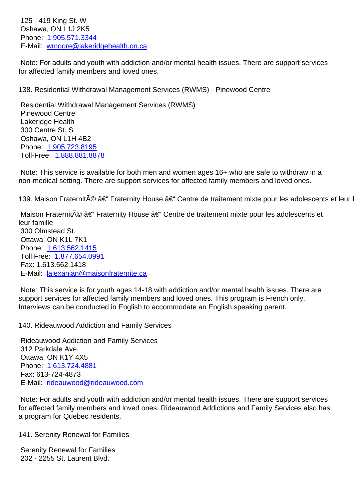Oshawa, ON L1J 2K5 Phone: 1.905.571.3344 E-Mail: wmoore@lakeridgehealth.on.ca

 Note: For adults and youth with addiction and/or mental health issues. There are support services for affect[ed family memb](tel:1.905.571.3344)[ers and loved on](mailto:wmoore@lakeridgehealth.on.ca)es.

138. Residential Withdrawal Management Services (RWMS) - Pinewood Centre 138. Residential Withdrawal Management Services (RWMS) - Pinewood Centre

 Residential Withdrawal Management Services (RWMS) Pinewood Centre Lakeridge Health 300 Centre St. S Oshawa, ON L1H 4B2 Phone: 1.905.723.8195 Toll-Free: 1.888.881.8878

 Note: This service is available for both men and women ages 16+ who are safe to withdraw in a non-med[ical setting. The](tel:1.905.723.8195)[re](tel:1.888.881.8878) are support services for affected family members and loved ones.

139. Maison Fraternit© – Fraternity House – Centre de traitement mixte pour les adolescents et leur famil

Maison Fraternité – Fraternity House – Centre de traitement mixte pour les adolescents et leur famille 300 Olmstead St. Ottawa, ON K1L 7K1 Phone: 1.613.562.1415 Toll Free: 1.877.654.0991

 E-Mail: [lalexanian@mai](tel:1.613.562.1415)sonfraternite.ca Note: Thi[s service is for yo](tel:1.877.654.0991)uth ages 14-18 with addiction and/or mental health issues. There are support services for affected family members and loved ones. This program is French only. Intervie[ws can be conducted in English to](mailto:lalexanian@maisonfraternite.ca) accommodate an English speaking parent.

140. Rideauwood Addiction and Family Services 140. Rideauwood Addiction and Family Services

 Fax: 1.613.562.1418

 Rideauwood Addiction and Family Services 312 Parkdale Ave. Ottawa, ON K1Y 4X5 Phone: 1.613.724.4881 Fax: 613-724-4873 E-Mail: rideauwood@rideauwood.com

 Note: F[or adults and you](tel:1.613.724.4881)th with addiction and/or mental health issues. There are support services for affect[ed family members and loved o](mailto:rideauwood@rideauwood.com)nes. Rideauwood Addictions and Family Services also has a program for Quebec residents.

141. Serenity Renewal for Families 141. Serenity Renewal for Families 14

 Serenity Renewal for Families 202 - 2255 St. Laurent Blvd.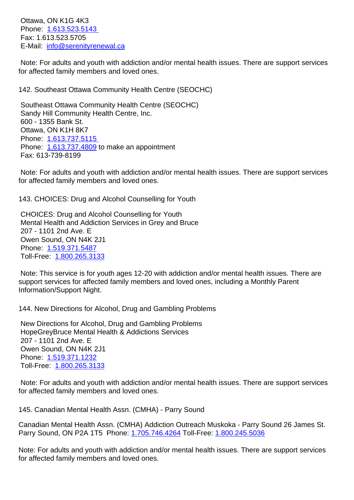PHONE: **1.013.523.5143**  Fax: 1.613.523.5705 E-Mail: info@serenityrenewal.ca

 Note: F[or adults and you](tel:1.613.523.5143)th with addiction and/or mental health issues. There are support services for affect[ed family members and lo](mailto:info@serenityrenewal.ca)ved ones.

| 142. Southeast Ottawa Community Health Centre (SEOCHC)                                                                                                                                                                                   | 14              |
|------------------------------------------------------------------------------------------------------------------------------------------------------------------------------------------------------------------------------------------|-----------------|
| Southeast Ottawa Community Health Centre (SEOCHC)<br>Sandy Hill Community Health Centre, Inc.<br>600 - 1355 Bank St.<br>Ottawa, ON K1H 8K7<br>Phone: 1.613.737.5115<br>Phone: 1.613.737.4809 to make an appointment<br>Fax: 613-739-8199 |                 |
| Note: For adults and youth with addiction and/or mental health issues. There are support services<br>for affected family members and loved ones.                                                                                         |                 |
| 143. CHOICES: Drug and Alcohol Counselling for Youth                                                                                                                                                                                     | 14              |
| <b>CHOICES: Drug and Alcohol Counselling for Youth</b><br>Mental Health and Addiction Services in Grey and Bruce<br>207 - 1101 2nd Ave. E<br>Owen Sound, ON N4K 2J1<br>Phone: 1.519.371.5487<br>Toll-Free: 1.800.265.3133                |                 |
| Note: This service is for youth ages 12-20 with addiction and/or mental health issues. There are<br>support services for affected family members and loved ones, including a Monthly Parent<br>Information/Support Night.                |                 |
| 144. New Directions for Alcohol, Drug and Gambling Problems                                                                                                                                                                              | 14 <sub>1</sub> |
| New Directions for Alcohol, Drug and Gambling Problems<br>HopeGreyBruce Mental Health & Addictions Services<br>207 - 1101 2nd Ave. E<br>Owen Sound, ON N4K 2J1<br>Phone: 1.519.371.1232<br>Toll-Free: 1.800.265.3133                     |                 |
| Note: For adults and youth with addiction and/or mental health issues. There are support services<br>for affected family members and loved ones.                                                                                         |                 |
| 145. Canadian Mental Health Assn. (CMHA) - Parry Sound                                                                                                                                                                                   | 14              |
| Canadian Mental Health Assn. (CMHA) Addiction Outreach Muskoka - Parry Sound 26 James St.<br>Parry Sound, ON P2A 1T5 Phone: 1.705.746.4264 Toll-Free: 1.800.245.5036                                                                     |                 |
| Note: For adults and youth with addiction and/or mental health issues. There are support services<br>for affected family members and loved ones.                                                                                         |                 |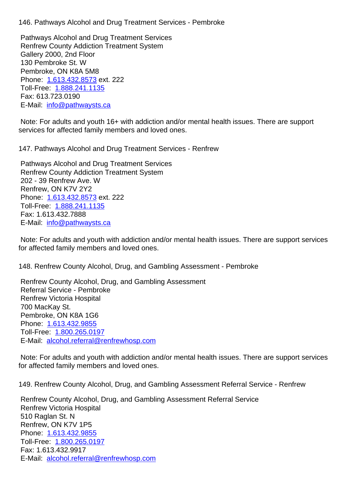Pathways Alcohol and Drug Treatment Services Renfrew County Addiction Treatment System Gallery 2000, 2nd Floor 130 Pembroke St. W Pembroke, ON K8A 5M8 Phone: 1.613.432.8573 ext. 222 Toll-Free: 1.888.241.1135 Fax: 613.723.0190 E-Mail: [info@pathwayst](tel:1.613.432.8573)s.ca

Note: For [adults and youth](tel:1.888.241.1135) 16+ with addiction and/or mental health issues. There are support services [for affected family m](mailto:info@pathwaysts.ca)embers and loved ones.

147. Pathways Alcohol and Drug Treatment Services - Renfrew 147. Pathways Alcohol and Drug Treatment Services - Renfrew

 Pathways Alcohol and Drug Treatment Services Renfrew County Addiction Treatment System 202 - 39 Renfrew Ave. W Renfrew, ON K7V 2Y2 Phone: 1.613.432.8573 ext. 222 Toll-Free: 1.888.241.1135 Fax: 1.613.432.7888 E-Mail: [info@pathwayst](tel:1.613.432.8573)s.ca

 Note: For [adults and youth](tel:1.888.241.1135) with addiction and/or mental health issues. There are support services for affect[ed family members a](mailto:info@pathwaysts.ca)nd loved ones.

148. Renfrew County Alcohol, Drug, and Gambling Assessment - Pembroke 148. Renfrew County Alcohol, Drug, and Gambling Assessment - Pembroke

 Renfrew County Alcohol, Drug, and Gambling Assessment Referral Service - Pembroke Renfrew Victoria Hospital 700 MacKay St. Pembroke, ON K8A 1G6 Phone: 1.613.432.9855 Toll-Free: 1.800.265.0197 E-Mail: alcohol.referral@renfrewhosp.com

 Note: F[or adults and you](tel:1.613.432.9855)th with addiction and/or mental health issues. There are support services for affect[ed](mailto:alcohol.referral@renfrewhosp.com) [family member](tel:1.800.265.0197)[s and loved ones](mailto:alcohol.referral@renfrewhosp.com).

149. Renfrew County Alcohol, Drug, and Gambling Assessment Referral Service - Renfrew 2004.

 Renfrew County Alcohol, Drug, and Gambling Assessment Referral Service Renfrew Victoria Hospital 510 Raglan St. N Renfrew, ON K7V 1P5 Phone: 1.613.432.9855 Toll-Free: 1.800.265.0197 Fax: 1.613.432.9917 E-Mail: [alcohol.referral@](tel:1.613.432.9855)renfrewhosp.com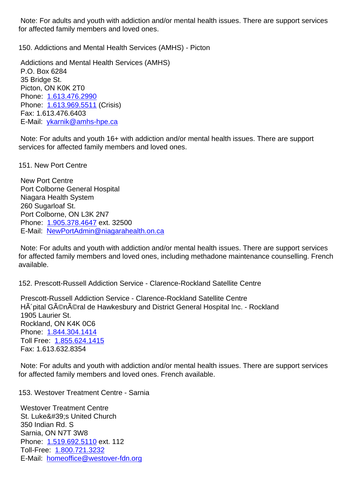for affected family members and loved ones.

## 150. Addictions and Mental Health Services (AMHS) - Picton 150. Addictions and Mental Health Services (AMHS) - Picton

 Addictions and Mental Health Services (AMHS) P.O. Box 6284 35 Bridge St. Picton, ON K0K 2T0 Phone: 1.613.476.2990 Phone: 1.613.969.5511 (Crisis) Fax: 1.613.476.6403 E-Mail: [ykarnik@amhs-h](tel:1.613.476.2990)pe.ca

Note: F[or adults and you](tel:1.613.969.5511)th 16+ with addiction and/or mental health issues. There are support services [for affected family mem](mailto:ykarnik@amhs-hpe.ca)bers and loved ones.

151. New Port Centre 151. New Port Centre

 New Port Centre Port Colborne General Hospital Niagara Health System 260 Sugarloaf St. Port Colborne, ON L3K 2N7 Phone: 1.905.378.4647 ext. 32500 E-Mail: NewPortAdmin@niagarahealth.on.ca

 Note: For adults and youth with addiction and/or mental health issues. There are support services for affect[ed family memb](tel:1.905.378.4647)[ers and loved ones, in](mailto:NewPortAdmin@niagarahealth.on.ca)cluding methadone maintenance counselling. French available.

152. Prescott-Russell Addiction Service - Clarence-Rockland Satellite Centre 152. Prescott-Russell Addiction Service - Clarence-Rockland Satellite Centre

 Prescott-Russell Addiction Service - Clarence-Rockland Satellite Centre HÂ' pital Général de Hawkesbury and District General Hospital Inc. - Rockland 1905 Laurier St. Rockland, ON K4K 0C6 Phone: 1.844.304.1414 Toll Free: 1.855.624.1415 Fax: 1.613.632.8354

 Note: F[or adults and you](tel:1.844.304.1414)th with addiction and/or mental health issues. There are support services for affected [family members](tel:1.855.624.1415) and loved ones. French available.

153. Westover Treatment Centre - Sarnia 153. Westover Treatment Centre - Sarnia

 Westover Treatment Centre St. Luke's United Church 350 Indian Rd. S Sarnia, ON N7T 3W8 Phone: 1.519.692.5110 ext. 112 Toll-Free: 1.800.721.3232 E-Mail: homeoffice@westover-fdn.org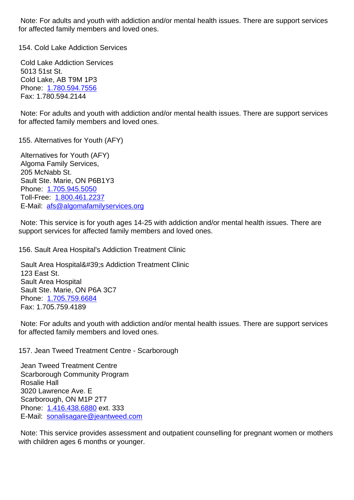for affected family members and loved ones.

154. Cold Lake Addiction Services 154. Cold Lake Addiction Services

 Cold Lake Addiction Services 5013 51st St. Cold Lake, AB T9M 1P3 Phone: 1.780.594.7556 Fax: 1.780.594.2144

 Note: For adults and youth with addiction and/or mental health issues. There are support services for affect[ed family membe](tel:1.780.594.7556)rs and loved ones.

155. Alternatives for Youth (AFY) 155. Alternatives for Youth (AFY)

 Alternatives for Youth (AFY) Algoma Family Services, 205 McNabb St. Sault Ste. Marie, ON P6B1Y3 Phone: 1.705.945.5050 Toll-Free: 1.800.461.2237 E-Mail: afs@algomafamilyservices.org

 Note: T[his service is for](tel:1.705.945.5050) youth ages 14-25 with addiction and/or mental health issues. There are support [serv](mailto:afs@algomafamilyservices.org)[ices for affecte](tel:1.800.461.2237)[d family mem](mailto:afs@algomafamilyservices.org)bers and loved ones.

156. Sault Area Hospital's Addiction Treatment Clinic 156. Sault Area Hospital's Addiction Treatment Clinic

Sault Area Hospital's Addiction Treatment Clinic 123 East St. Sault Area Hospital Sault Ste. Marie, ON P6A 3C7 Phone: 1.705.759.6684 Fax: 1.705.759.4189

 Note: For adults and youth with addiction and/or mental health issues. There are support services for affect[ed family membe](tel:1.705.759.6684)rs and loved ones.

157. Jean Tweed Treatment Centre - Scarborough 157. Jean Tweed Treatment Centre - Scarborough

 Jean Tweed Treatment Centre Scarborough Community Program Rosalie Hall 3020 Lawrence Ave. E Scarborough, ON M1P 2T7 Phone: 1.416.438.6880 ext. 333 E-Mail: sonalisagare@jeantweed.com

 Note: This service provides assessment and outpatient counselling for pregnant women or mothers with chil[dren ages 6 mon](tel:1.416.438.6880)[ths or younger](mailto:sonalisagare@jeantweed.com).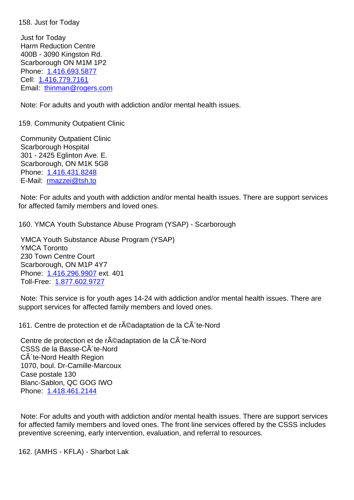Just for Today Harm Reduction Centre 400B - 3090 Kingston Rd. Scarborough ON M1M 1P2 Phone: 1.416.693.5877 Cell: 1.416.779.7161 Email: thinman@rogers.com Note[: F](tel:1.416.779.7161)[or adults and you](tel:1.416.693.5877)th with addiction and/or mental health issues. 159. Co[mmunity Outpatient C](mailto:thinman@rogers.com)linic 159. Community Outpatient Clinic Community Outpatient Clinic Scarborough Hospital 301 - 2425 Eglinton Ave. E. Scarborough, ON M1K 5G8 Phone: 1.416.431.8248 E-Mail: rmazzei@tsh.to Note: For adults and youth with addiction and/or mental health issues. There are support services for affect[ed family membe](tel:1.416.431.8248)rs and loved ones. 160. YMCA Youth Substance Abuse Program (YSAP) - Scarborough 160. YMCA Youth Substance Abuse Program (YSAP) - Scarborough YMCA Youth Substance Abuse Program (YSAP) YMCA Toronto 230 Town Centre Court Scarborough, ON M1P 4Y7 Phone: 1.416.296.9907 ext. 401 Toll-Free: 1.877.602.9727 Note: This service is for youth ages 14-24 with addiction and/or mental health issues. There are support [services for affe](tel:1.416.296.9907)[cted](mailto:1.877.602.9727) family members and loved ones. 161. Centre de protection et de r©adaptation de la C´te-Nord 16 Centre de protection et de réadaptation de la CÃ te-Nord CSSS de la Basse-CÂ te-Nord CÂ'te-Nord Health Region 1070, boul. Dr-Camille-Marcoux Case postale 130 Blanc-Sablon, QC GOG IWO Phone: 1.418.461.2144

 Note: For adults and youth with addiction and/or mental health issues. There are support services for affect[ed family membe](tel:1.418.461.2144)rs and loved ones. The front line services offered by the CSSS includes preventive screening, early intervention, evaluation, and referral to resources.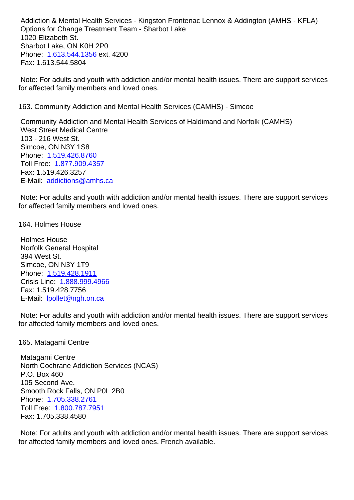Options for Change Treatment Team - Sharbot Lake 1020 Elizabeth St. Sharbot Lake, ON K0H 2P0 Phone: 1.613.544.1356 ext. 4200 Fax: 1.613.544.5804

 Note: For adults and youth with addiction and/or mental health issues. There are support services for affect[ed family membe](tel:1.613.544.1356)rs and loved ones.

163. Community Addiction and Mental Health Services (CAMHS) - Simcoe 163. Community Addiction and Mental Health Services (CAMHS) - Simcoe Community Addiction and Mental Health Services of Haldimand and Norfolk (CAMHS)

 West Street Medical Centre 103 - 216 West St. Simcoe, ON N3Y 1S8 Phone: 1.519.426.8760 Toll Free: 1.877.909.4357 Fax: 1.519.426.3257 E-Mail: [addictions@amh](tel:1.519.426.8760)s.ca

 Note: For [adults and youth](tel:1.877.909.4357) with addiction and/or mental health issues. There are support services for affect[ed family members an](mailto:addictions@amhs.ca)d loved ones.

164. Holmes House 164. Holmes House

 Holmes House Norfolk General Hospital 394 West St. Simcoe, ON N3Y 1T9 Phone: 1.519.428.1911 Crisis Line: 1.888.999.4966 Fax: 1.519.428.7756 E-Mail: [lpollet@ngh.on.c](tel:1.519.428.1911)a

 Note: For a[dults and youth w](tel:1.888.999.4966)ith addiction and/or mental health issues. There are support services for affect[ed family members](mailto:lpollet@ngh.on.ca) and loved ones.

165. Matagami Centre 165. Matagami Centre

 Matagami Centre North Cochrane Addiction Services (NCAS) P.O. Box 460 105 Second Ave. Smooth Rock Falls, ON P0L 2B0 Phone: 1.705.338.2761 Toll Free: 1.800.787.7951 Fax: 1.705.338.4580

 Note: F[or adults and you](tel:1.705.338.2761)th with addiction and/or mental health issues. There are support services for affected [family members](tel:1.800.787.7951) and loved ones. French available.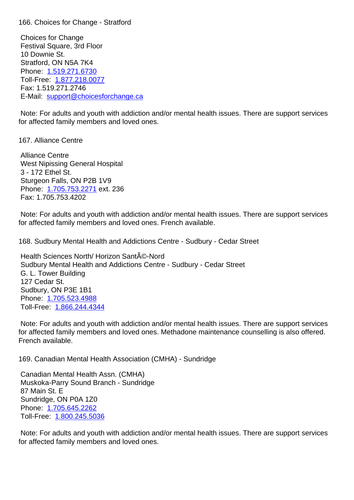Choices for Change Festival Square, 3rd Floor 10 Downie St. Stratford, ON N5A 7K4 Phone: 1.519.271.6730 Toll-Free: 1.877.218.0077 Fax: 1.519.271.2746 E-Mail: [support@choice](tel:1.519.271.6730)sforchange.ca

 Note: For [adults and youth](tel:1.877.218.0077) with addiction and/or mental health issues. There are support services for affect[ed family members and loved o](mailto:support@choicesforchange.ca)nes.

167. Alliance Centre 167. Alliance Centre

 Alliance Centre West Nipissing General Hospital 3 - 172 Ethel St. Sturgeon Falls, ON P2B 1V9 Phone: 1.705.753.2271 ext. 236 Fax: 1.705.753.4202

 Note: For adults and youth with addiction and/or mental health issues. There are support services for affect[ed family membe](tel:1.705.753.2271)rs and loved ones. French available.

168. Sudbury Mental Health and Addictions Centre - Sudbury - Cedar Street 168. Sudbury Mental Health and Addictions Centre - Sudbury - Cedar Street

Health Sciences North/ Horizon Santé-Nord Sudbury Mental Health and Addictions Centre - Sudbury - Cedar Street G. L. Tower Building 127 Cedar St. Sudbury, ON P3E 1B1 Phone: 1.705.523.4988 Toll-Free: 1.866.244.4344

 Note: For adults and youth with addiction and/or mental health issues. There are support services for affect[ed family memb](tel:1.705.523.4988)[ers](tel:1.866.244.4344) and loved ones. Methadone maintenance counselling is also offered. French available.

169. Canadian Mental Health Association (CMHA) - Sundridge 169. Canadian Mental Health Association (CMHA) - Sundridge

 Canadian Mental Health Assn. (CMHA) Muskoka-Parry Sound Branch - Sundridge 87 Main St. E Sundridge, ON P0A 1Z0 Phone: 1.705.645.2262 Toll-Free: 1.800.245.5036

 Note: For adults and youth with addiction and/or mental health issues. There are support services for affect[ed family memb](tel:1.705.645.2262)[ers](tel:1.800.245.5036) and loved ones.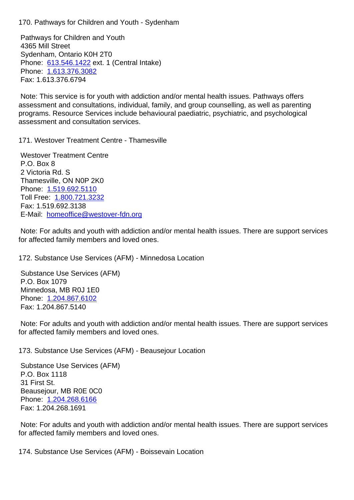Pathways for Children and Youth 4365 Mill Street Sydenham, Ontario K0H 2T0 Phone: 613.546.1422 ext. 1 (Central Intake) Phone: 1.613.376.3082 Fax: 1.613.376.6794

 Note: T[his service is fo](tel:613.546.1422)r youth with addiction and/or mental health issues. Pathways offers assessm[ent and consulta](tel:1.613.376.3082)tions, individual, family, and group counselling, as well as parenting programs. Resource Services include behavioural paediatric, psychiatric, and psychological assessment and consultation services.

171. Westover Treatment Centre - Thamesville 171. Westover Treatment Centre - Thamesville

 Westover Treatment Centre P.O. Box 8 2 Victoria Rd. S Thamesville, ON N0P 2K0 Phone: 1.519.692.5110 Toll Free: 1.800.721.3232 Fax: 1.519.692.3138 E-Mail: [homeoffice@we](tel:1.519.692.5110)stover-fdn.org

 Note: For [adults and youth](tel:1.800.721.3232) with addiction and/or mental health issues. There are support services for affect[ed family members and loved o](mailto:homeoffice@westover-fdn.org)nes.

172. Substance Use Services (AFM) - Minnedosa Location 172. Substance Use Services (AFM) - Minnedosa Location

 Substance Use Services (AFM) P.O. Box 1079 Minnedosa, MB R0J 1E0 Phone: 1.204.867.6102 Fax: 1.204.867.5140

 Note: For adults and youth with addiction and/or mental health issues. There are support services for affect[ed family membe](tel:1.204.867.6102)rs and loved ones.

173. Substance Use Services (AFM) - Beausejour Location 173. Substance Use Services (AFM) - Beausejour Location

 Substance Use Services (AFM) P.O. Box 1118 31 First St. Beausejour, MB R0E 0C0 Phone: 1.204.268.6166 Fax: 1.204.268.1691

 Note: For adults and youth with addiction and/or mental health issues. There are support services for affect[ed family membe](tel:1.204.268.6166)rs and loved ones.

174. Substance Use Services (AFM) - Boissevain Location 174. Substance Use Services (AFM) - Boissevain Location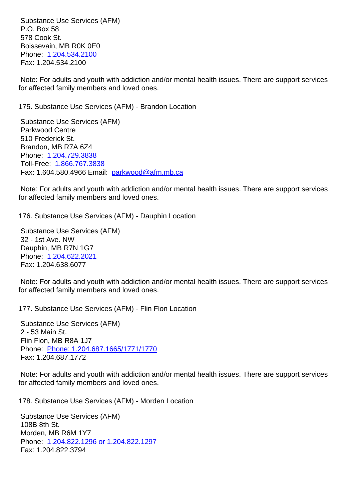$P.$  Box 50 578 Cook St. Boissevain, MB R0K 0E0 Phone: 1.204.534.2100 Fax: 1.204.534.2100

 Note: For adults and youth with addiction and/or mental health issues. There are support services for affect[ed family membe](tel:1.204.534.2100)rs and loved ones.

| 175. Substance Use Services (AFM) - Brandon Location                                                                                                                                                                                                                                                                                       | 17 |
|--------------------------------------------------------------------------------------------------------------------------------------------------------------------------------------------------------------------------------------------------------------------------------------------------------------------------------------------|----|
| <b>Substance Use Services (AFM)</b><br><b>Parkwood Centre</b><br>510 Frederick St.<br>Brandon, MB R7A 6Z4<br>Phone: 1.204.729.3838<br>Toll-Free: 1.866.767.3838<br>Fax: 1.604.580.4966 Email: parkwood@afm.mb.ca                                                                                                                           |    |
| Note: For adults and youth with addiction and/or mental health issues. There are support services<br>for affected family members and loved ones.                                                                                                                                                                                           |    |
| 176. Substance Use Services (AFM) - Dauphin Location<br><b>Substance Use Services (AFM)</b><br>32 - 1st Ave. NW<br>Dauphin, MB R7N 1G7<br>Phone: 1.204.622.2021<br>Fax: 1.204.638.6077<br>Note: For adults and youth with addiction and/or mental health issues. There are support services<br>for affected family members and loved ones. | 17 |
| 177. Substance Use Services (AFM) - Flin Flon Location<br><b>Substance Use Services (AFM)</b><br>2 - 53 Main St.<br>Flin Flon, MB R8A 1J7<br>Phone: Phone: 1.204.687.1665/1771/1770<br>Fax: 1.204.687.1772<br>Note: For adults and youth with addiction and/or mental health issues. There are support services                            | 17 |
| for affected family members and loved ones.<br>178. Substance Use Services (AFM) - Morden Location<br><b>Substance Use Services (AFM)</b>                                                                                                                                                                                                  | 17 |
| 108B 8th St.<br>Morden, MB R6M 1Y7<br>Phone: 1.204.822.1296 or 1.204.822.1297<br>Fax: 1.204.822.3794                                                                                                                                                                                                                                       |    |
|                                                                                                                                                                                                                                                                                                                                            |    |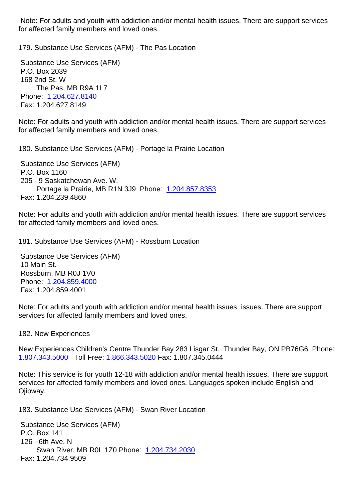for affected family members and loved ones.

 Substance Use Services (AFM) P.O. Box 2039 168 2nd St. W The Pas, MB R9A 1L7 Phone: 1.204.627.8140 Fax: 1.204.627.8149

Note: For adults and youth with addiction and/or mental health issues. There are support services for affect[ed family membe](tel:1.204.627.8140)rs and loved ones.

180. Substance Use Services (AFM) - Portage la Prairie Location 180. Substance Use Services (AFM) - Portage la Prairie Location

 Substance Use Services (AFM) P.O. Box 1160 205 - 9 Saskatchewan Ave. W. Portage la Prairie, MB R1N 3J9 Phone: 1.204.857.8353 Fax: 1.204.239.4860

Note: For adults and youth with addiction and/[or mental health](tel:1.204.857.8353) issues. There are support services for affected family members and loved ones.

181. Substance Use Services (AFM) - Rossburn Location 181. Substance Use Services (AFM) - Rossburn Location

 Substance Use Services (AFM) 10 Main St. Rossburn, MB R0J 1V0 Phone: 1.204.859.4000 Fax: 1.204.859.4001

Note: For adults and youth with addiction and/or mental health issues. issues. There are support services [for affected fami](tel:1.204.859.4000)ly members and loved ones.

182. New Experiences 182. New Experiences New Experiences Children's Centre Thunder Bay 283 Lisgar St. Thunder Bay, ON PB76G6 Phone: 1.807.343.5000 Toll Free: 1.866.343.5020 Fax: 1.807.345.0444 Note: This service is for youth 12-18 with addiction and/or mental health issues. There are support [services for affe](tel:1.807.343.5000)cted family [members and lo](tel:1.866.343.5020)ved ones. Languages spoken include English and Ojibway. 183. Substance Use Services (AFM) - Swan River Location 183. Substance Use Services (AFM) - Swan River Location Substance Use Services (AFM) P.O. Box 141 126 - 6th Ave. N Swan River, MB R0L 1Z0 Phone: 1.204.734.2030 Fax: 1.204.734.9509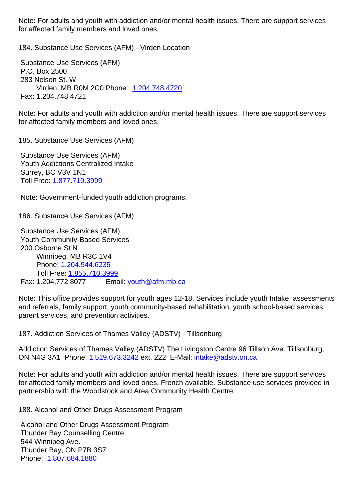for affected family members and loved ones.

184. Substance Use Services (AFM) - Virden Location 184. Substance Use Services (AFM) - Virden Location Substance Use Services (AFM) P.O. Box 2500 283 Nelson St. W Virden, MB R0M 2C0 Phone: 1.204.748.4720 Fax: 1.204.748.4721 Note: For adults and youth with add[iction and/or men](tel:1.204.748.4720)tal health issues. There are support services for affected family members and loved ones. 185. Substance Use Services (AFM) 185. Substance Use Services (AFM) Substance Use Services (AFM) Youth Addictions Centralized Intake Surrey, BC V3V 1N1 Toll Free:1.877.710.3999 Note: Government-funded youth addiction programs. 186. Subst[ance Use Servic](tel:1.877.710.3999)es (AFM) 186. Substance Use Services (AFM)

 Substance Use Services (AFM) Youth Community-Based Services 200 Osborne St N Winnipeg, MB R3C 1V4 Phone: 1.204.944.6235 Toll Free: 1.855.710.3999 Fax: 1.204.772.8077 Email: youth@afm.mb.ca

 Thunder Bay, ON P7B 3S7 Phone: 1.807.684.1880

Note: This off[ice provides sup](tel:1.204.944.6235)port for youth ages 12-18. Services include youth Intake, assessments and referrals, f[amily support, yo](tel:1.855.710.3999)ut[h community-based](mailto:youth@afm.mb.ca) rehabilitation, youth school-based services, parent services, and prevention activities.

| 187. Addiction Services of Thames Valley (ADSTV) - Tillsonburg                                                                                                                                                                                                            | 181 |
|---------------------------------------------------------------------------------------------------------------------------------------------------------------------------------------------------------------------------------------------------------------------------|-----|
| Addiction Services of Thames Valley (ADSTV) The Livingston Centre 96 Tillson Ave. Tillsonburg,<br>ON N4G 3A1 Phone: 1.519.673.3242 ext. 222 E-Mail: intake@adstv.on.ca                                                                                                    |     |
| Note: For adults and youth with addiction and/or mental health issues. There are support services<br>for affected family members and loved ones. French available. Substance use services provided in<br>partnership with the Woodstock and Area Community Health Centre. |     |
| 188. Alcohol and Other Drugs Assessment Program                                                                                                                                                                                                                           | 18  |
| Alcohol and Other Drugs Assessment Program<br><b>Thunder Bay Counselling Centre</b><br>544 Winnipeg Ave.                                                                                                                                                                  |     |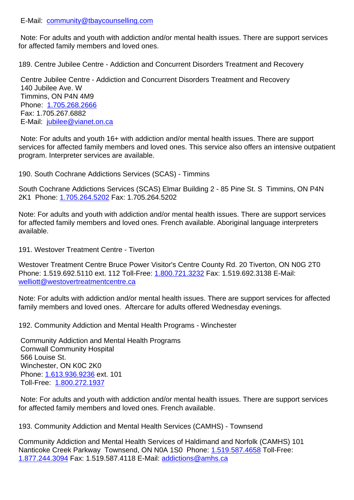| Note: For adults and youth with addiction and/or mental health issues. There are support services<br>for affected family members and loved ones.                                                                                                      |     |
|-------------------------------------------------------------------------------------------------------------------------------------------------------------------------------------------------------------------------------------------------------|-----|
| 189. Centre Jubilee Centre - Addiction and Concurrent Disorders Treatment and Recovery                                                                                                                                                                | 181 |
| Centre Jubilee Centre - Addiction and Concurrent Disorders Treatment and Recovery<br>140 Jubilee Ave. W<br>Timmins, ON P4N 4M9<br>Phone: 1.705.268.2666<br>Fax: 1.705.267.6882<br>E-Mail: jubilee@vianet.on.ca                                        |     |
| Note: For adults and youth 16+ with addiction and/or mental health issues. There are support<br>services for affected family members and loved ones. This service also offers an intensive outpatient<br>program. Interpreter services are available. |     |
| 190. South Cochrane Addictions Services (SCAS) - Timmins                                                                                                                                                                                              |     |
| South Cochrane Addictions Services (SCAS) Elmar Building 2 - 85 Pine St. S Timmins, ON P4N<br>2K1 Phone: 1.705.264.5202 Fax: 1.705.264.5202                                                                                                           |     |
| Note: For adults and youth with addiction and/or mental health issues. There are support services<br>for affected family members and loved ones. French available. Aboriginal language interpreters<br>available.                                     |     |
| 191. Westover Treatment Centre - Tiverton                                                                                                                                                                                                             | 19  |
| Westover Treatment Centre Bruce Power Visitor's Centre County Rd. 20 Tiverton, ON N0G 2T0<br>Phone: 1.519.692.5110 ext. 112 Toll-Free: 1.800.721.3232 Fax: 1.519.692.3138 E-Mail:<br>welliott@westovertreatmentcentre.ca                              |     |
| Note: For adults with addiction and/or mental health issues. There are support services for affected<br>family members and loved ones. Aftercare for adults offered Wednesday evenings.                                                               |     |
| 192. Community Addiction and Mental Health Programs - Winchester                                                                                                                                                                                      | 19  |
| <b>Community Addiction and Mental Health Programs</b><br><b>Cornwall Community Hospital</b><br>566 Louise St.<br>Winchester, ON K0C 2K0<br>Phone: 1.613.936.9236 ext. 101<br>Toll-Free: 1.800.272.1937                                                |     |
| Note: For adults and youth with addiction and/or mental health issues. There are support services<br>for affected family members and loved ones. French available.                                                                                    |     |
| 193. Community Addiction and Mental Health Services (CAMHS) - Townsend                                                                                                                                                                                | 19  |
| Community Addiction and Mental Health Services of Haldimand and Norfolk (CAMHS) 101<br>Nanticoke Creek Parkway Townsend, ON N0A 1S0 Phone: 1.519.587.4658 Toll-Free:<br>1.877.244.3094 Fax: 1.519.587.4118 E-Mail: addictions@amhs.ca                 |     |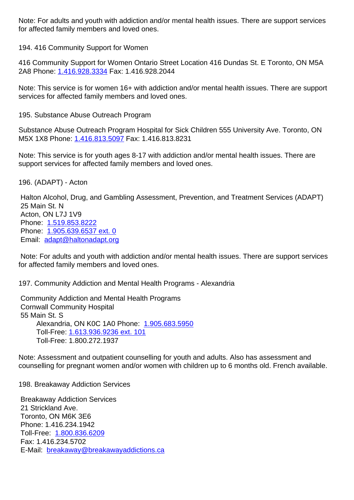| <u>ioi aliecteu family members anu loveu ones.</u>                                                                                                                                                                              |    |
|---------------------------------------------------------------------------------------------------------------------------------------------------------------------------------------------------------------------------------|----|
| 194. 416 Community Support for Women                                                                                                                                                                                            | 19 |
| 416 Community Support for Women Ontario Street Location 416 Dundas St. E Toronto, ON M5A<br>2A8 Phone: 1.416.928.3334 Fax: 1.416.928.2044                                                                                       |    |
| Note: This service is for women 16+ with addiction and/or mental health issues. There are support<br>services for affected family members and loved ones.                                                                       |    |
| 195. Substance Abuse Outreach Program                                                                                                                                                                                           | 19 |
| Substance Abuse Outreach Program Hospital for Sick Children 555 University Ave. Toronto, ON<br>M5X 1X8 Phone: 1.416.813.5097 Fax: 1.416.813.8231                                                                                |    |
| Note: This service is for youth ages 8-17 with addiction and/or mental health issues. There are<br>support services for affected family members and loved ones.                                                                 |    |
| 196. (ADAPT) - Acton                                                                                                                                                                                                            | 19 |
| Halton Alcohol, Drug, and Gambling Assessment, Prevention, and Treatment Services (ADAPT)<br>25 Main St. N<br>Acton, ON L7J 1V9<br>Phone: 1.519.853.8222<br>Phone: 1.905.639.6537 ext. 0<br>Email: adapt@haltonadapt.org        |    |
| Note: For adults and youth with addiction and/or mental health issues. There are support services<br>for affected family members and loved ones.                                                                                |    |
| 197. Community Addiction and Mental Health Programs - Alexandria                                                                                                                                                                | 19 |
| <b>Community Addiction and Mental Health Programs</b><br><b>Cornwall Community Hospital</b><br>55 Main St. S<br>Alexandria, ON K0C 1A0 Phone: 1.905.683.5950<br>Toll-Free: 1.613.936.9236 ext. 101<br>Toll-Free: 1.800.272.1937 |    |
| Note: Assessment and outpatient counselling for youth and adults. Also has assessment and<br>counselling for pregnant women and/or women with children up to 6 months old. French available.                                    |    |
| 198. Breakaway Addiction Services                                                                                                                                                                                               | 19 |
|                                                                                                                                                                                                                                 |    |

 Breakaway Addiction Services 21 Strickland Ave. Toronto, ON M6K 3E6 Phone: 1.416.234.1942 Toll-Free: 1.800.836.6209 Fax: 1.416.234.5702 E-Mail: breakaway@breakawayaddictions.ca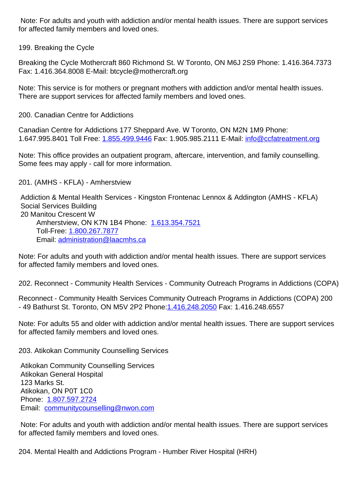for affected family members and loved ones.

| ior ancolog raminy mombors and loved ones.                                                                                                                                                                                                                             |    |
|------------------------------------------------------------------------------------------------------------------------------------------------------------------------------------------------------------------------------------------------------------------------|----|
| 199. Breaking the Cycle                                                                                                                                                                                                                                                |    |
| Breaking the Cycle Mothercraft 860 Richmond St. W Toronto, ON M6J 2S9 Phone: 1.416.364.7373<br>Fax: 1.416.364.8008 E-Mail: btcycle@mothercraft.org                                                                                                                     |    |
| Note: This service is for mothers or pregnant mothers with addiction and/or mental health issues.<br>There are support services for affected family members and loved ones.                                                                                            |    |
| 200. Canadian Centre for Addictions                                                                                                                                                                                                                                    | 20 |
| Canadian Centre for Addictions 177 Sheppard Ave. W Toronto, ON M2N 1M9 Phone:<br>1.647.995.8401 Toll Free: 1.855.499.9446 Fax: 1.905.985.2111 E-Mail: info@ccfatreatment.org                                                                                           |    |
| Note: This office provides an outpatient program, aftercare, intervention, and family counselling.<br>Some fees may apply - call for more information.                                                                                                                 |    |
| 201. (AMHS - KFLA) - Amherstview                                                                                                                                                                                                                                       | 20 |
| Addiction & Mental Health Services - Kingston Frontenac Lennox & Addington (AMHS - KFLA)<br><b>Social Services Building</b><br>20 Manitou Crescent W<br>Amherstview, ON K7N 1B4 Phone: 1.613.354.7521<br>Toll-Free: 1.800.267.7877<br>Email: administration@laacmhs.ca |    |
| Note: For adults and youth with addiction and/or mental health issues. There are support services<br>for affected family members and loved ones.                                                                                                                       |    |
| 202. Reconnect - Community Health Services - Community Outreach Programs in Addictions (COPA)                                                                                                                                                                          | 20 |
| Reconnect - Community Health Services Community Outreach Programs in Addictions (COPA) 200<br>- 49 Bathurst St. Toronto, ON M5V 2P2 Phone: 1.416.248.2050 Fax: 1.416.248.6557                                                                                          |    |
| Note: For adults 55 and older with addiction and/or mental health issues. There are support services<br>for affected family members and loved ones.                                                                                                                    |    |
| 203. Atikokan Community Counselling Services                                                                                                                                                                                                                           | 20 |
| Atikokan Community Counselling Services                                                                                                                                                                                                                                |    |

 Atikokan Community Counselling Services Atikokan General Hospital 123 Marks St. Atikokan, ON P0T 1C0 Phone: 1.807.597.2724 Email: communitycounselling@nwon.com

 Note: For adults and youth with addiction and/or mental health issues. There are support services for affec[t](mailto:communitycounselling@nwon.com)[ed family memb](tel:1.807.597.2724)[ers and loved ones](mailto:communitycounselling@nwon.com).

204. Mental Health and Addictions Program - Humber River Hospital (HRH) 204. Mental Health and Addictions Program - Humber River Hospital (HRH)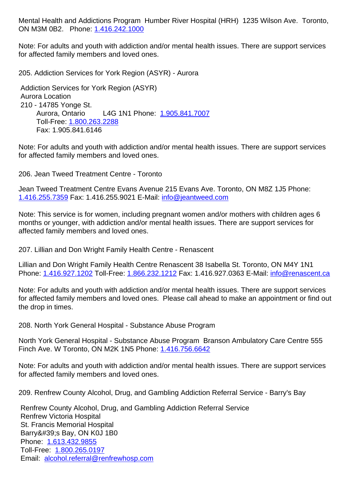ON MUN MUZ. **Phone:** 1.410.242.1000

Note: For adults and youth with addiction and/or mental health issues. There are support services for affected family mem[bers and loved o](tel:1.416.242.1000)nes.

| 205. Addiction Services for York Region (ASYR) - Aurora                                                                                                                                               | 20 |
|-------------------------------------------------------------------------------------------------------------------------------------------------------------------------------------------------------|----|
| Addiction Services for York Region (ASYR)                                                                                                                                                             |    |
| <b>Aurora Location</b><br>210 - 14785 Yonge St.                                                                                                                                                       |    |
| L4G 1N1 Phone: 1.905.841.7007<br>Aurora, Ontario                                                                                                                                                      |    |
| Toll-Free: 1.800.263.2288<br>Fax: 1.905.841.6146                                                                                                                                                      |    |
|                                                                                                                                                                                                       |    |
| Note: For adults and youth with addiction and/or mental health issues. There are support services<br>for affected family members and loved ones.                                                      |    |
| 206. Jean Tweed Treatment Centre - Toronto                                                                                                                                                            | 20 |
| Jean Tweed Treatment Centre Evans Avenue 215 Evans Ave. Toronto, ON M8Z 1J5 Phone:<br>1.416.255.7359 Fax: 1.416.255.9021 E-Mail: info@jeantweed.com                                                   |    |
| Note: This service is for women, including pregnant women and/or mothers with children ages 6                                                                                                         |    |
| months or younger, with addiction and/or mental health issues. There are support services for<br>affected family members and loved ones.                                                              |    |
|                                                                                                                                                                                                       |    |
| 207. Lillian and Don Wright Family Health Centre - Renascent                                                                                                                                          | 20 |
| Lillian and Don Wright Family Health Centre Renascent 38 Isabella St. Toronto, ON M4Y 1N1<br>Phone: 1.416.927.1202 Toll-Free: 1.866.232.1212 Fax: 1.416.927.0363 E-Mail: info@renascent.ca            |    |
|                                                                                                                                                                                                       |    |
| Note: For adults and youth with addiction and/or mental health issues. There are support services<br>for affected family members and loved ones. Please call ahead to make an appointment or find out |    |
| the drop in times.                                                                                                                                                                                    |    |
| 208. North York General Hospital - Substance Abuse Program                                                                                                                                            | 20 |
| North York General Hospital - Substance Abuse Program Branson Ambulatory Care Centre 555                                                                                                              |    |
| Finch Ave. W Toronto, ON M2K 1N5 Phone: 1.416.756.6642                                                                                                                                                |    |
| Note: For adults and youth with addiction and/or mental health issues. There are support services                                                                                                     |    |
| for affected family members and loved ones.                                                                                                                                                           |    |
| 209. Renfrew County Alcohol, Drug, and Gambling Addiction Referral Service - Barry's Bay                                                                                                              | 20 |
| Renfrew County Alcohol, Drug, and Gambling Addiction Referral Service                                                                                                                                 |    |
| <b>Renfrew Victoria Hospital</b>                                                                                                                                                                      |    |
| St. Francis Memorial Hospital                                                                                                                                                                         |    |
| Barry's Bay, ON K0J 1B0<br>Phone: 1.613.432.9855                                                                                                                                                      |    |
| Toll-Free: 1.800.265.0197                                                                                                                                                                             |    |
| Email: alcohol.referral@renfrewhosp.com                                                                                                                                                               |    |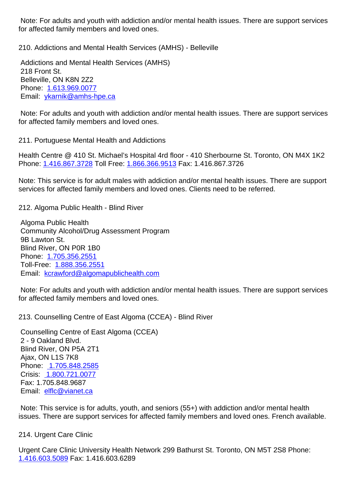| <u>ioi aliecteu iarmiy members anu loveu ones.</u>                                                                                                                                       |    |
|------------------------------------------------------------------------------------------------------------------------------------------------------------------------------------------|----|
| 210. Addictions and Mental Health Services (AMHS) - Belleville                                                                                                                           | 21 |
| Addictions and Mental Health Services (AMHS)<br>218 Front St.                                                                                                                            |    |
| Belleville, ON K8N 2Z2<br>Phone: 1.613.969.0077                                                                                                                                          |    |
| Email: ykarnik@amhs-hpe.ca                                                                                                                                                               |    |
| Note: For adults and youth with addiction and/or mental health issues. There are support services<br>for affected family members and loved ones.                                         |    |
| 211. Portuguese Mental Health and Addictions                                                                                                                                             | 21 |
| Health Centre @ 410 St. Michael's Hospital 4rd floor - 410 Sherbourne St. Toronto, ON M4X 1K2<br>Phone: 1.416.867.3728 Toll Free: 1.866.366.9513 Fax: 1.416.867.3726                     |    |
| Note: This service is for adult males with addiction and/or mental health issues. There are support<br>services for affected family members and loved ones. Clients need to be referred. |    |
| 212. Algoma Public Health - Blind River                                                                                                                                                  | 21 |
| Algoma Public Health<br><b>Community Alcohol/Drug Assessment Program</b>                                                                                                                 |    |
| 9B Lawton St.                                                                                                                                                                            |    |
| Blind River, ON P0R 1B0<br>Phone: 1.705.356.2551                                                                                                                                         |    |
| Toll-Free: 1.888.356.2551                                                                                                                                                                |    |
| Email: kcrawford@algomapublichealth.com                                                                                                                                                  |    |
| Note: For adults and youth with addiction and/or mental health issues. There are support services<br>for affected family members and loved ones.                                         |    |
| 213. Counselling Centre of East Algoma (CCEA) - Blind River                                                                                                                              | 21 |

 Counselling Centre of East Algoma (CCEA) 2 - 9 Oakland Blvd. Blind River, ON P5A 2T1 Ajax, ON L1S 7K8 Phone: 1.705.848.2585 Crisis: 1.800.721.0077 Fax: 1.705.848.9687 Email: [elflc@vianet.ca](tel:)

 Note: [This service is for](tel:) adults, youth, and seniors (55+) with addiction and/or mental health issues. [There are suppo](mailto:elflc@vianet.ca)rt services for affected family members and loved ones. French available.

214. Urgent Care Clinic 214. Urgent Care Clinic

Urgent Care Clinic University Health Network 299 Bathurst St. Toronto, ON M5T 2S8 Phone: 1.416.603.5089 Fax: 1.416.603.6289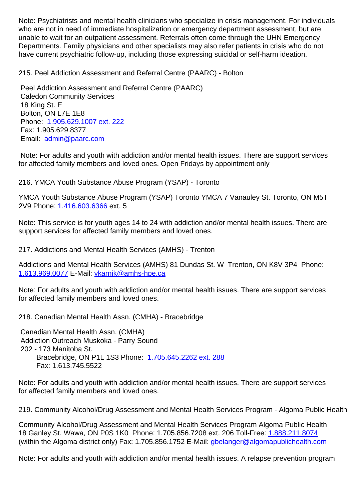who are not in need of immediate hospitalization or emergency department assessment, but are unable to wait for an outpatient assessment. Referrals often come through the UHN Emergency Departments. Family physicians and other specialists may also refer patients in crisis who do not have current psychiatric follow-up, including those expressing suicidal or self-harm ideation.

| 215. Peel Addiction Assessment and Referral Centre (PAARC) - Bolton                                                                                                                                                  | 21 |  |
|----------------------------------------------------------------------------------------------------------------------------------------------------------------------------------------------------------------------|----|--|
| Peel Addiction Assessment and Referral Centre (PAARC)<br><b>Caledon Community Services</b><br>18 King St. E<br>Bolton, ON L7E 1E8<br>Phone: 1.905.629.1007 ext. 222<br>Fax: 1.905.629.8377<br>Email: admin@paarc.com |    |  |
| Note: For adults and youth with addiction and/or mental health issues. There are support services<br>for affected family members and loved ones. Open Fridays by appointment only                                    |    |  |
| 216. YMCA Youth Substance Abuse Program (YSAP) - Toronto                                                                                                                                                             | 21 |  |
| YMCA Youth Substance Abuse Program (YSAP) Toronto YMCA 7 Vanauley St. Toronto, ON M5T<br>2V9 Phone: 1.416.603.6366 ext. 5                                                                                            |    |  |
| Note: This service is for youth ages 14 to 24 with addiction and/or mental health issues. There are<br>support services for affected family members and loved ones.                                                  |    |  |
| 217. Addictions and Mental Health Services (AMHS) - Trenton                                                                                                                                                          | 21 |  |
| Addictions and Mental Health Services (AMHS) 81 Dundas St. W Trenton, ON K8V 3P4 Phone:<br>1.613.969.0077 E-Mail: ykarnik@amhs-hpe.ca                                                                                |    |  |
| Note: For adults and youth with addiction and/or mental health issues. There are support services<br>for affected family members and loved ones.                                                                     |    |  |
| 218. Canadian Mental Health Assn. (CMHA) - Bracebridge                                                                                                                                                               | 21 |  |
| Canadian Mental Health Assn. (CMHA)<br>Addiction Outreach Muskoka - Parry Sound<br>202 - 173 Manitoba St.<br>Bracebridge, ON P1L 1S3 Phone: 1.705.645.2262 ext. 288<br>Fax: 1.613.745.5522                           |    |  |
| Note: For adults and youth with addiction and/or mental health issues. There are support services<br>for affected family members and loved ones.                                                                     |    |  |
| 219. Community Alcohol/Drug Assessment and Mental Health Services Program - Algoma Public Health 21                                                                                                                  |    |  |

Community Alcohol/Drug Assessment and Mental Health Services Program Algoma Public Health 18 Ganley St. Wawa, ON P0S 1K0 Phone: 1.705.856.7208 ext. 206 Toll-Free: 1.888.211.8074 (within the Algoma district only) Fax: 1.705.856.1752 E-Mail: gbelanger@algomapublichealth.com

Note: For adults and youth with addiction and/or mental health issues. A relaps[e prevention pro](tel:1.888.211.8074)gram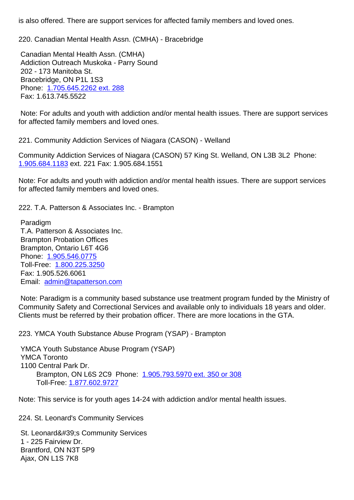| 220. Canadian Mental Health Assn. (CMHA) - Bracebridge                                                                                                                                                                                                                                         | 22 |
|------------------------------------------------------------------------------------------------------------------------------------------------------------------------------------------------------------------------------------------------------------------------------------------------|----|
| Canadian Mental Health Assn. (CMHA)<br>Addiction Outreach Muskoka - Parry Sound<br>202 - 173 Manitoba St.<br>Bracebridge, ON P1L 1S3<br>Phone: 1.705.645.2262 ext. 288<br>Fax: 1.613.745.5522                                                                                                  |    |
| Note: For adults and youth with addiction and/or mental health issues. There are support services<br>for affected family members and loved ones.                                                                                                                                               |    |
| 221. Community Addiction Services of Niagara (CASON) - Welland                                                                                                                                                                                                                                 | 22 |
| Community Addiction Services of Niagara (CASON) 57 King St. Welland, ON L3B 3L2 Phone:<br>1.905.684.1183 ext. 221 Fax: 1.905.684.1551                                                                                                                                                          |    |
| Note: For adults and youth with addiction and/or mental health issues. There are support services<br>for affected family members and loved ones.                                                                                                                                               |    |
| 222. T.A. Patterson & Associates Inc. - Brampton                                                                                                                                                                                                                                               | 22 |
| Paradigm<br>T.A. Patterson & Associates Inc.<br><b>Brampton Probation Offices</b><br>Brampton, Ontario L6T 4G6<br>Phone: 1.905.546.0775<br>Toll-Free: 1.800.225.3250<br>Fax: 1.905.526.6061<br>Email: admin@tapatterson.com                                                                    |    |
| Note: Paradigm is a community based substance use treatment program funded by the Ministry of<br>Community Safety and Correctional Services and available only to individuals 18 years and older.<br>Clients must be referred by their probation officer. There are more locations in the GTA. |    |
| 223. YMCA Youth Substance Abuse Program (YSAP) - Brampton                                                                                                                                                                                                                                      | 22 |

 YMCA Youth Substance Abuse Program (YSAP) YMCA Toronto 1100 Central Park Dr. Brampton, ON L6S 2C9 Phone: 1.905.793.5970 ext. 350 or 308 Toll-Free: 1.877.602.9727 

Note: This service is for youth ages 14[-24 with addiction and/or mental](tel:1.905.793.5970) health issues.

224. St. Leonar[d's Community S](tel:1.877.602.9727)ervices 224. St. Leonard's Community Services St. Leonard's Community Services 1 - 225 Fairview Dr. Brantford, ON N3T 5P9

 Ajax, ON L1S 7K8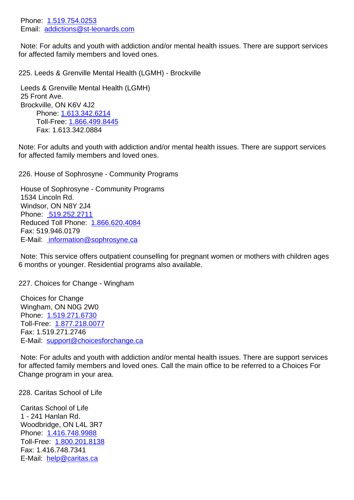Email: **addictions@st-leonards.com** 

 Note: For adults and youth with addiction and/or mental health issues. There are support services for affec[t](mailto:addictions@st-leonards.com)[ed family memb](tel:1.519.754.0253)[ers and love](mailto:addictions@st-leonards.com)d ones.

225. Leeds & Grenville Mental Health (LGMH) - Brockville 225. Leeds & Grenville Mental Health (LGMH) - Brockville Leeds & Grenville Mental Health (LGMH) 25 Front Ave. Brockville, ON K6V 4J2 Phone: 1.613.342.6214 Toll-Free: 1.866.499.8445 Fax: 1.613.342.0884 Note: For ad[ults and youth wi](tel:1.613.342.6214)th addiction and/or mental health issues. There are support services for affected fam[ily members and](tel:1.866.499.8445) loved ones. 226. House of Sophrosyne - Community Programs 226. House of Sophrosyne - Community Programs House of Sophrosyne - Community Programs 1534 Lincoln Rd. Windsor, ON N8Y 2J4 Phone: 519.252.2711 Reduced Toll Phone: 1.866.620.4084 Fax: 519.946.0179 E-Mail: [information@s](tel:)ophrosyne.ca Note: This service off[ers outpatient co](tel:)unselling for pregnant women or mothers with children ages 6 month[s or younger. Residential prog](mailto:)rams also available.

227. Choices for Change - Wingham 227. Choices for Change - Wingham

 Choices for Change Wingham, ON N0G 2W0 Phone: 1.519.271.6730 Toll-Free: 1.877.218.0077 Fax: 1.519.271.2746 E-Mail: [support@choice](tel:1.519.271.6730)sforchange.ca

 Note: For [adults and youth](tel:1.877.218.0077) with addiction and/or mental health issues. There are support services for affect[ed family members and loved o](mailto:support@choicesforchange.ca)nes. Call the main office to be referred to a Choices For Change program in your area.

228. Caritas School of Life 228. Caritas School of Life

 Caritas School of Life 1 - 241 Hanlan Rd. Woodbridge, ON L4L 3R7 Phone: 1.416.748.9988 Toll-Free: 1.800.201.8138 Fax: 1.416.748.7341 E-Mail: [help@caritas.ca](tel:1.416.748.9988)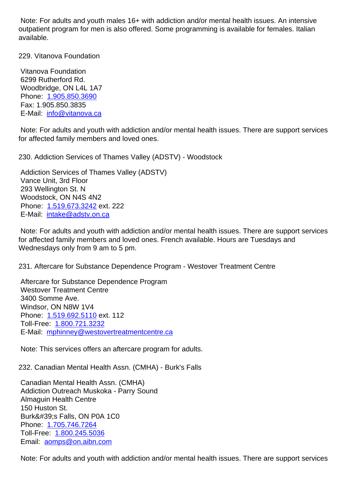outpatient program for men is also offered. Some programming is available for females. Italian available.

229. Vitanova Foundation 229. Vitanova Foundation

 Vitanova Foundation 6299 Rutherford Rd. Woodbridge, ON L4L 1A7 Phone: 1.905.850.3690 Fax: 1.905.850.3835 E-Mail: info@vitanova.ca

 Note: F[or adults and you](tel:1.905.850.3690)th with addiction and/or mental health issues. There are support services for affect[ed family member](mailto:info@vitanova.ca)s and loved ones.

| 230. Addiction Services of Thames Valley (ADSTV) - Woodstock                                                                                                                                                                                     | 23 |
|--------------------------------------------------------------------------------------------------------------------------------------------------------------------------------------------------------------------------------------------------|----|
| Addiction Services of Thames Valley (ADSTV)<br>Vance Unit, 3rd Floor<br>293 Wellington St. N<br>Woodstock, ON N4S 4N2<br>Phone: 1.519.673.3242 ext. 222<br>E-Mail: intake@adstv.on.ca                                                            |    |
| Note: For adults and youth with addiction and/or mental health issues. There are support services<br>for affected family members and loved ones. French available. Hours are Tuesdays and<br>Wednesdays only from 9 am to 5 pm.                  |    |
| 231. Aftercare for Substance Dependence Program - Westover Treatment Centre                                                                                                                                                                      | 23 |
| Aftercare for Substance Dependence Program<br><b>Westover Treatment Centre</b><br>3400 Somme Ave.<br>Windsor, ON N8W 1V4<br>Phone: 1.519.692.5110 ext. 112<br>Toll-Free: 1.800.721.3232<br>E-Mail: mphinney@westovertreatmentcentre.ca           |    |
| Note: This services offers an aftercare program for adults.                                                                                                                                                                                      |    |
| 232. Canadian Mental Health Assn. (CMHA) - Burk's Falls                                                                                                                                                                                          | 23 |
| Canadian Mental Health Assn. (CMHA)<br>Addiction Outreach Muskoka - Parry Sound<br><b>Almaguin Health Centre</b><br>150 Huston St.<br>Burk's Falls, ON P0A 1C0<br>Phone: 1.705.746.7264<br>Toll-Free: 1.800.245.5036<br>Email: aomps@on.aibn.com |    |

 Note: F[or adults and yo](tel:1.705.746.7264)[uth](tel:1.800.245.5036) with addiction and/or mental health issues. There are support services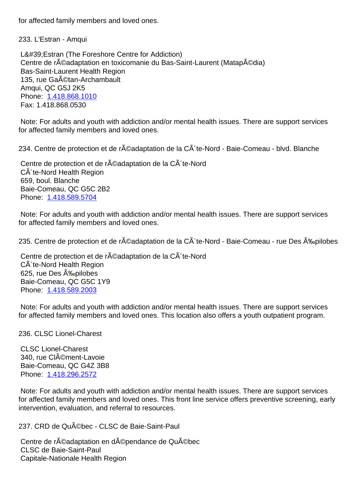233. L'Estran - Amqui 233. L'Estran - Amqui

L' Estran (The Foreshore Centre for Addiction) Centre de réadaptation en toxicomanie du Bas-Saint-Laurent (Matapédia) Bas-Saint-Laurent Health Region 135, rue GaA ©tan-Archambault Amqui, QC G5J 2K5 Phone: 1.418.868.1010 Fax: 1.418.868.0530

 Note: For adults and youth with addiction and/or mental health issues. There are support services for affect[ed family membe](tel:1.418.868.1010)rs and loved ones.

234. Centre de protection et de r©adaptation de la C´te-Nord - Baie-Comeau - blvd. Blanche 23

Centre de protection et de réadaptation de la CÃ te-Nord CÂ'te-Nord Health Region 659, boul. Blanche Baie-Comeau, QC G5C 2B2 Phone: 1.418.589.5704

 Note: For adults and youth with addiction and/or mental health issues. There are support services for affect[ed family membe](tel:1.418.589.5704)rs and loved ones.

235. Centre de protection et de réadaptation de la Cà te-Nord - Baie-Comeau - rue Des Épilobes 23

Centre de protection et de r©adaptation de la CÂ'te-Nord CÂ'te-Nord Health Region 625, rue Des Épilobes Baie-Comeau, QC G5C 1Y9 Phone: 1.418.589.2003

 Note: For adults and youth with addiction and/or mental health issues. There are support services for affect[ed family membe](tel:1.418.589.2003)rs and loved ones. This location also offers a youth outpatient program.

## 236. CLSC Lionel-Charest 236. CLSC Lionel-Charest

 CLSC Lionel-Charest 340, rue CIément-Lavoie Baie-Comeau, QC G4Z 3B8 Phone: 1.418.296.2572

 Note: For adults and youth with addiction and/or mental health issues. There are support services for affected family members and loved ones. This front line service offers preventive screening, early intervent[ion, evaluation, a](tel:1.418.296.2572)nd referral to resources.

237. CRD de Québec - CLSC de Baie-Saint-Paul 237. CRD de Québec - CLSC de Baie-Saint-Paul

Centre de réadaptation en dépendance de Québec CLSC de Baie-Saint-Paul Capitale-Nationale Health Region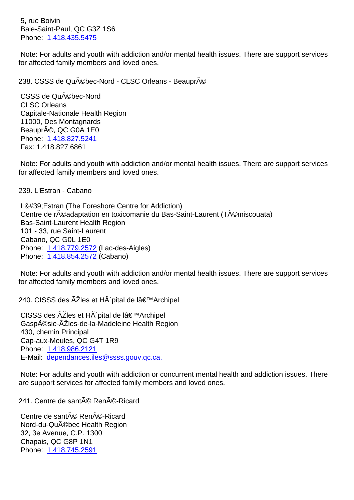$B$ ald $B$ -Saliff-Paul, QC G3Z 1S6 Phone: 1.418.435.5475

 Note: For adults and youth with addiction and/or mental health issues. There are support services for affect[ed family membe](tel:1.418.435.5475)rs and loved ones.

| 238. CSSS de Québec-Nord - CLSC Orleans - Beaupré                                                                                                                                                                                                                                             | 23 |
|-----------------------------------------------------------------------------------------------------------------------------------------------------------------------------------------------------------------------------------------------------------------------------------------------|----|
| CSSS de Qu©bec-Nord<br><b>CLSC Orleans</b><br>Capitale-Nationale Health Region<br>11000, Des Montagnards<br>Beaupré, QC G0A 1E0<br>Phone: 1.418.827.5241<br>Fax: 1.418.827.6861                                                                                                               |    |
| Note: For adults and youth with addiction and/or mental health issues. There are support services<br>for affected family members and loved ones.                                                                                                                                              |    |
| 239. L'Estran - Cabano                                                                                                                                                                                                                                                                        | 23 |
| L'Estran (The Foreshore Centre for Addiction)<br>Centre de r©adaptation en toxicomanie du Bas-Saint-Laurent (T©miscouata)<br>Bas-Saint-Laurent Health Region<br>101 - 33, rue Saint-Laurent<br>Cabano, QC G0L 1E0<br>Phone: 1.418.779.2572 (Lac-des-Aigles)<br>Phone: 1.418.854.2572 (Cabano) |    |
| Note: For adults and youth with addiction and/or mental health issues. There are support services<br>for affected family members and loved ones.                                                                                                                                              |    |
| 240. CISSS des Îles et Hà pital de l'Archipel                                                                                                                                                                                                                                                 | 24 |
| CISSS des ÂZIes et HÂ'pital de l'Archipel<br>Gaspésie-Îles-de-la-Madeleine Health Region<br>430, chemin Principal<br>Cap-aux-Meules, QC G4T 1R9<br>Phone: 1.418.986.2121<br>E-Mail: dependances.iles@ssss.gouv.gc.ca.                                                                         |    |
| Note: For adults and youth with addiction or concurrent mental health and addiction issues. There<br>are support services for affected family members and loved ones.                                                                                                                         |    |
| 241. Centre de santé René-Ricard                                                                                                                                                                                                                                                              | 24 |
| Centre de santé René-Ricard<br>Nord-du-QuACbec Health Region<br>32, 3e Avenue, C.P. 1300<br>Chapais, QC G8P 1N1<br>Phone: 1.418.745.2591                                                                                                                                                      |    |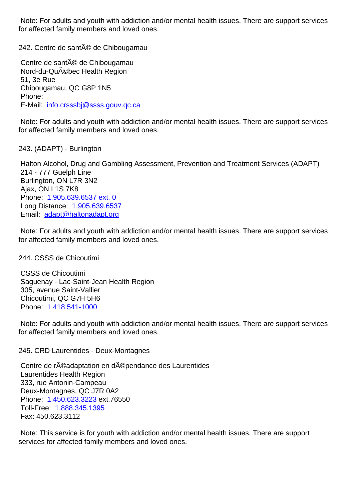for affected family members and loved ones.

242. Centre de santé de Chibougamau 242. Centre de santé de Chibougamau

Centre de santé de Chibougamau Nord-du-Québec Health Region 51, 3e Rue Chibougamau, QC G8P 1N5 Phone: E-Mail: info.crsssbj@ssss.gouv.qc.ca

 Note: For adults and youth with addiction and/or mental health issues. There are support services for affect[ed family members and loved](mailto:info.crsssbj@ssss.gouv.qc.ca) ones.

243. (ADAPT) - Burlington 243. (ADAPT) - Burlington

 Halton Alcohol, Drug and Gambling Assessment, Prevention and Treatment Services (ADAPT) 214 - 777 Guelph Line Burlington, ON L7R 3N2 Ajax, ON L1S 7K8 Phone: 1.905.639.6537 ext. 0 Long Distance: 1.905.639.6537 Email: adapt@haltonadapt.org

 Note: F[or adults and youth wit](tel:1.905.639.6537)h addiction and/or mental health issues. There are support services for affec[ted famil](mailto:adapt@haltonadapt.org)[y members and](tel:1.905.639.6537) loved ones.

## 244. CSSS de Chicoutimi 244. CSSS de Chicoutimi

 CSSS de Chicoutimi Saguenay - Lac-Saint-Jean Health Region 305, avenue Saint-Vallier Chicoutimi, QC G7H 5H6 Phone: 1.418 541-1000

 Note: For adults and youth with addiction and/or mental health issues. There are support services for affect[ed family membe](tel:1.418)rs and loved ones.

245. CRD Laurentides - Deux-Montagnes 245. CRD Laurentides - Deux-Montagnes Centre de réadaptation en dépendance des Laurentides Laurentides Health Region 333, rue Antonin-Campeau Deux-Montagnes, QC J7R 0A2 Phone: 1.450.623.3223 ext.76550 Toll-Free: 1.888.345.1395 Fax: 450.623.3112

 Note: T[his service is for](tel:1.450.623.3223) youth with addiction and/or mental health issues. There are support services for [affected family](tel:1.888.345.1395) members and loved ones.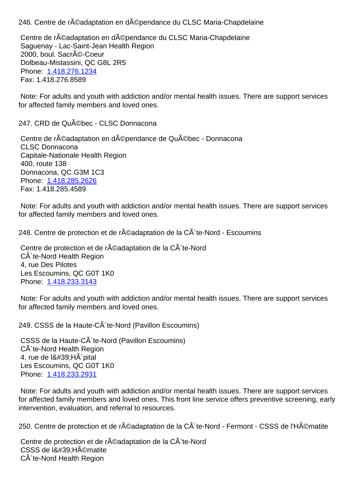Centre de réadaptation en dépendance du CLSC Maria-Chapdelaine Saguenay - Lac-Saint-Jean Health Region 2000, boul. Sacré-Coeur Dolbeau-Mistassini, QC G8L 2R5 Phone: 1.418.276.1234 Fax: 1.418.276.8589 Note: For adults and youth with addiction and/or mental health issues. There are support services for affect[ed family membe](tel:1.418.276.1234)rs and loved ones. 247. CRD de Québec - CLSC Donnacona 247. CRD de Québec - CLSC Donnacona Centre de réadaptation en dépendance de Québec - Donnacona CLSC Donnacona Capitale-Nationale Health Region 400, route 138 Donnacona, QC G3M 1C3 Phone: 1.418.285.2626 Fax: 1.418.285.4589 Note: For adults and youth with addiction and/or mental health issues. There are support services for affect[ed family membe](tel:1.418.285.2626)rs and loved ones. 248. Centre de protection et de r $\tilde{A}$ ©adaptation de la C $\tilde{A}$ 'te-Nord - Escoumins 24 Centre de protection et de réadaptation de la CÃ 'te-Nord CÂ'te-Nord Health Region 4, rue Des Pilotes Les Escoumins, QC G0T 1K0 Phone: 1.418.233.3143 Note: For adults and youth with addiction and/or mental health issues. There are support services for affect[ed family membe](tel:1.418.233.3143)rs and loved ones. 249. CSSS de la Haute-C´te-Nord (Pavillon Escoumins) 24 CSSS de la Haute-CÃ 'te-Nord (Pavillon Escoumins) CÂ'te-Nord Health Region 4, rue de  $18#39$ ; H $\tilde{A}$  pital Les Escoumins, QC G0T 1K0 Phone: 1.418.233.2931 Note: For adults and youth with addiction and/or mental health issues. There are support services

for affected family members and loved ones. This front line service offers preventive screening, early intervent[ion, evaluation, a](tel:1.418.233.2931)nd referral to resources.

250. Centre de protection et de r©adaptation de la C´te-Nord - Fermont - CSSS de l'Hématite 25

Centre de protection et de réadaptation de la CÃ te-Nord CSSS de l'Hématite CÃ 'te-Nord Health Region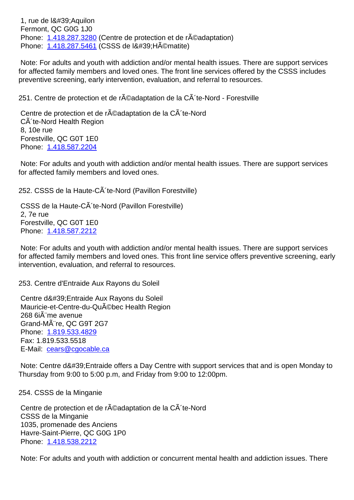Fermont, QC G0G 1J0 Phone: 1.418.287.3280 (Centre de protection et de réadaptation) Phone: 1.418.287.5461 (CSSS de l'H©matite)

 Note: For adults and youth with addiction and/or mental health issues. There are support services for affect[ed family membe](tel:1.418.287.3280)rs and loved ones. The front line services offered by the CSSS includes preventi[ve screening, ear](tel:1.418.287.5461)ly intervention, evaluation, and referral to resources.

251. Centre de protection et de r©adaptation de la CÂ te-Nord - Forestville 25

Centre de protection et de réadaptation de la CÃ te-Nord CÃ 'te-Nord Health Region 8, 10e rue Forestville, QC G0T 1E0 Phone: 1.418.587.2204

 Note: For adults and youth with addiction and/or mental health issues. There are support services for affect[ed family membe](tel:1.418.587.2204)rs and loved ones.

252. CSSS de la Haute-CÂ'te-Nord (Pavillon Forestville) 25

CSSS de la Haute-CÂ 'te-Nord (Pavillon Forestville) 2, 7e rue Forestville, QC G0T 1E0 Phone: 1.418.587.2212

 Note: For adults and youth with addiction and/or mental health issues. There are support services for affected family members and loved ones. This front line service offers preventive screening, early intervent[ion, evaluation, a](tel:1.418.587.2212)nd referral to resources.

253. Centre d'Entraide Aux Rayons du Soleil 253. Centre d'Entraide Aux Rayons du Soleil

Centre d' Entraide Aux Rayons du Soleil Mauricie-et-Centre-du-Qu©bec Health Region 268 6i me avenue Grand-MA<sup>T</sup>re, QC G9T 2G7 Phone: 1.819.533.4829 Fax: 1.819.533.5518 E-Mail: cears@cgocable.ca

Note: Centre d' Entraide offers a Day Centre with support services that and is open Monday to Thursda[y from 9:00 to 5:00 p](mailto:cears@cgocable.ca).m, and Friday from 9:00 to 12:00pm.

254. CSSS de la Minganie 254. CSSS de la Minganie

Centre de protection et de r©adaptation de la C´te-Nord CSSS de la Minganie 1035, promenade des Anciens Havre-Saint-Pierre, QC G0G 1P0 Phone: 1.418.538.2212

 Note: For adults and youth with addiction or concurrent mental health and addiction issues. There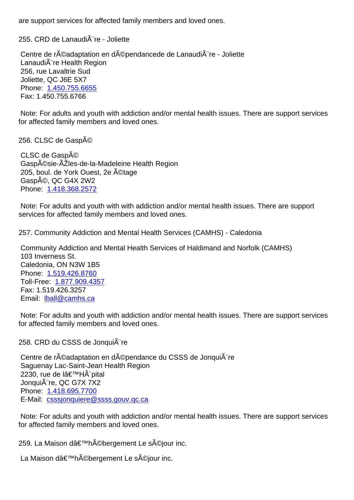## 255. CRD de Lanaudière - Joliette 255. CRD de Lanaudière - Joliette

Centre de réadaptation en dépendancede de Lanaudià re - Joliette LanaudiA re Health Region 256, rue Lavaltrie Sud Joliette, QC J6E 5X7 Phone: 1.450.755.6655 Fax: 1.450.755.6766

 Note: For adults and youth with addiction and/or mental health issues. There are support services for affect[ed family membe](tel:1.450.755.6655)rs and loved ones.

256. CLSC de Gaspé 256. CLSC de Gaspé

CLSC de Gaspé Gaspésie-ÃŽles-de-la-Madeleine Health Region 205, boul. de York Ouest, 2e ©tage Gaspé, QC G4X 2W2 Phone: 1.418.368.2572

 Note: For adults and youth with with addiction and/or mental health issues. There are support services [for affected fami](tel:1.418.368.2572)ly members and loved ones.

257. Community Addiction and Mental Health Services (CAMHS) - Caledonia 257. Community Addiction and Mental Health Services (CAMHS) - Caledonia

 Community Addiction and Mental Health Services of Haldimand and Norfolk (CAMHS) 103 Inverness St. Caledonia, ON N3W 1B5 Phone: 1.519.426.8760 Toll-Free: 1.877.909.4357 Fax: 1.519.426.3257 Email: l[ball@camhs.ca](tel:1.519.426.8760)

 Note: For [adults and youth](tel:1.877.909.4357) with addiction and/or mental health issues. There are support services for affec[ted family memb](mailto:lball@camhs.ca)ers and loved ones.

258. CRD du CSSS de Jonqui $\tilde{A}$ "re 258. CRD du CSSS de Jonqui $\tilde{A}$ "re Centre de réadaptation en dépendance du CSSS de Jonquià re Saguenay Lac-Saint-Jean Health Region 2230, rue de l'HÃ pital JonquiA re, QC G7X 7X2 Phone: 1.418.695.7700 E-Mail: csssjonquiere@ssss.gouv.qc.ca

 Note: For adults and youth with addiction and/or mental health issues. There are support services for affect[ed family memb](tel:1.418.695.7700)[ers and loved on](mailto:csssjonquiere@ssss.gouv.qc.ca)es.

259. La Maison dâ€<sup>™</sup>hébergement Le séjour inc. 259. La Maison dâ€<sup>™h</sup>ébergement Le séjour inc.

La Maison d'hébergement Le séjour inc.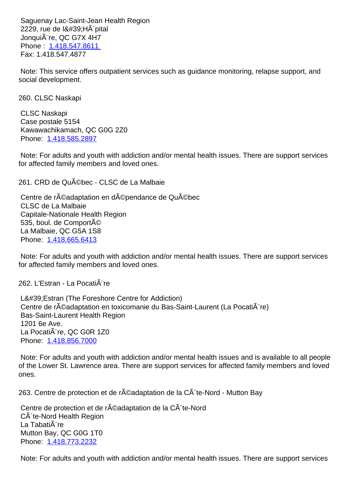$222$ 9, rue de l $\alpha$  $\pi$ 09, ri $\pi$  pital JonquiA re, QC G7X 4H7 Phone : 1.418.547.8611 Fax: 1.418.547.4877

 Note: T[his service offers](tel:1.418.547.8611) outpatient services such as guidance monitoring, relapse support, and social development.

| 260. CLSC Naskapi                                                                                                                                                                                                                   | 26 |
|-------------------------------------------------------------------------------------------------------------------------------------------------------------------------------------------------------------------------------------|----|
| <b>CLSC Naskapi</b><br>Case postale 5154<br>Kawawachikamach, QC G0G 2Z0<br>Phone: 1.418.585.2897                                                                                                                                    |    |
| Note: For adults and youth with addiction and/or mental health issues. There are support services<br>for affected family members and loved ones.                                                                                    |    |
| 261. CRD de Québec - CLSC de La Malbaie                                                                                                                                                                                             | 26 |
| Centre de réadaptation en dépendance de Québec<br>CLSC de La Malbaie<br>Capitale-Nationale Health Region<br>535, boul. de Comporté<br>La Malbaie, QC G5A 1S8<br>Phone: 1.418.665.6413                                               |    |
| Note: For adults and youth with addiction and/or mental health issues. There are support services<br>for affected family members and loved ones.                                                                                    |    |
| 262. L'Estran - La Pocati¨re                                                                                                                                                                                                        | 26 |
| L'Estran (The Foreshore Centre for Addiction)<br>Centre de r©adaptation en toxicomanie du Bas-Saint-Laurent (La Pocati re)<br>Bas-Saint-Laurent Health Region<br>1201 6e Ave.<br>La PocatiA re, QC G0R 1Z0<br>Phone: 1.418.856.7000 |    |

 Note: For adults and youth with addiction and/or mental health issues and is available to all people of the Lo[wer St. Lawrenc](tel:1.418.856.7000)e area. There are support services for affected family members and loved ones.

263. Centre de protection et de réadaptation de la CÃ te-Nord - Mutton Bay 263.

Centre de protection et de réadaptation de la CÃ te-Nord CÂ'te-Nord Health Region La Tabati $\tilde{A}$ "re Mutton Bay, QC G0G 1T0 Phone: 1.418.773.2232

 Note: For adults and youth with addiction and/or mental health issues. There are support services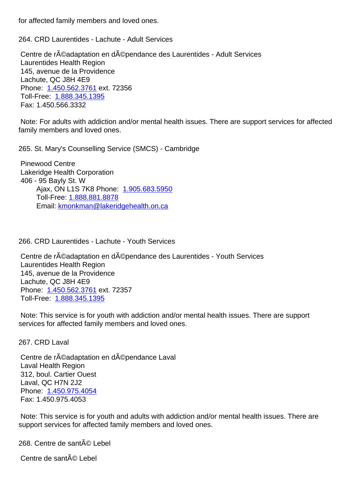264. CRD Laurentides - Lachute - Adult Services 264. CRD Laurentides - Lachute - Adult Services

Centre de r©adaptation en d©pendance des Laurentides - Adult Services Laurentides Health Region 145, avenue de la Providence Lachute, QC J8H 4E9 Phone: 1.450.562.3761 ext. 72356 Toll-Free: 1.888.345.1395 Fax: 1.450.566.3332

 Note: F[or adults with ad](tel:1.450.562.3761)diction and/or mental health issues. There are support services for affected family mem[bers and loved o](tel:1.888.345.1395)nes.

265. St. Mary's Counselling Service (SMCS) - Cambridge 265. St. Mary's Counselling Service (SMCS) - Cambridge

 Pinewood Centre Lakeridge Health Corporation 406 - 95 Bayly St. W Ajax, ON L1S 7K8 Phone: 1.905.683.5950 Toll-Free: 1.888.881.8878 Email: kmonkman@lakeridgehealth.on.ca 

266. CRD L[aurentides - Lachute - Youth Service](mailto:kmonkman@lakeridgehealth.on.ca)s 266. CRD Laurentides - Lachute - Youth Services

Centre de réadaptation en dépendance des Laurentides - Youth Services Laurentides Health Region 145, avenue de la Providence Lachute, QC J8H 4E9 Phone: 1.450.562.3761 ext. 72357 Toll-Free: 1.888.345.1395

 Note: This service is for youth with addiction and/or mental health issues. There are support services [for affected fam](tel:1.450.562.3761)[ily](tel:1.888.345.1395) members and loved ones.

267. CRD Laval 267. CRD Laval Centre de réadaptation en dépendance Laval Laval Health Region 312, boul. Cartier Ouest Laval, QC H7N 2J2 Phone: 1.450.975.4054 Fax: 1.450.975.4053 Note: This service is for youth and adults with addiction and/or mental health issues. There are support [services for affec](tel:1.450.975.4054)ted family members and loved ones.

268. Centre de santé Lebel 268. Centre de santé Lebel

Centre de santé Lebel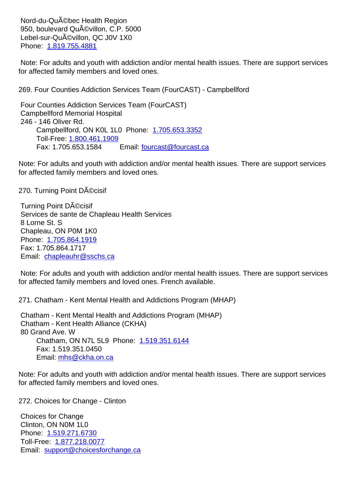950, boulevard Quévillon, C.P. 5000 Lebel-sur-Qu©villon, QC J0V 1X0 Phone: 1.819.755.4881

 Note: For adults and youth with addiction and/or mental health issues. There are support services for affect[ed family membe](tel:1.819.755.4881)rs and loved ones.

269. Four Counties Addiction Services Team (FourCAST) - Campbellford 269. Four Counties Addiction Services Team (FourCAST) - Campbellford

 Four Counties Addiction Services Team (FourCAST) Campbellford Memorial Hospital 246 - 146 Oliver Rd. Campbellford, ON K0L 1L0 Phone: 1.705.653.3352 Toll-Free: 1.800.461.1909 Fax: 1.705.653.1584 Email: fourcast@fourcast.ca 

Note: For adults and youth with addiction [and/or mental he](tel:1.705.653.3352)alth issues. There are support services for affected fam[ily members and](tel:1.800.461.1909) loved [ones.](mailto:fourcast@fourcast.ca)

270. Turning Point Décisif 270. Turning Point Décisif

Turning Point DAOcisif Services de sante de Chapleau Health Services 8 Lorne St. S Chapleau, ON P0M 1K0 Phone: 1.705.864.1919 Fax: 1.705.864.1717 Email: chapleauhr@sschs.ca

 Note: F[or adults and you](tel:1.705.864.1919)th with addiction and/or mental health issues. There are support services for affec[ted family members an](mailto:chapleauhr@sschs.ca)d loved ones. French available.

271. Chatham - Kent Mental Health and Addictions Program (MHAP) 271. Chatham - Kent Mental Health and Addictions Program (MHAP)

 Chatham - Kent Mental Health and Addictions Program (MHAP) Chatham - Kent Health Alliance (CKHA) 80 Grand Ave. W Chatham, ON N7L 5L9 Phone: 1.519.351.6144 Fax: 1.519.351.0450 Email: mhs@ckha.on.ca 

Note: For adults and youth with addict[ion and/or menta](tel:1.519.351.6144)l health issues. There are support services for affected f[amily members an](mailto:mhs@ckha.on.ca)d loved ones.

272. Choices for Change - Clinton 272. Choices for Change - Clinton

 Choices for Change Clinton, ON N0M 1L0 Phone: 1.519.271.6730 Toll-Free: 1.877.218.0077 Email: support@choicesforchange.ca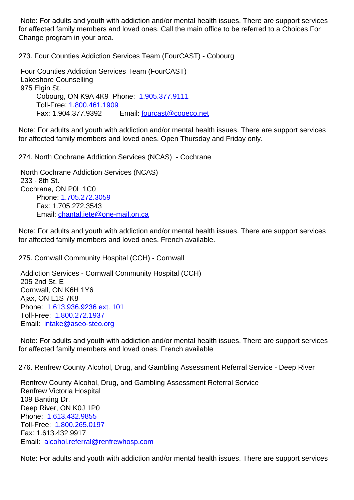for affected family members and loved ones. Call the main office to be referred to a Choices For Change program in your area.

| Change program in your area.                                                                                                                                                                                                                                                                                                                  |    |  |
|-----------------------------------------------------------------------------------------------------------------------------------------------------------------------------------------------------------------------------------------------------------------------------------------------------------------------------------------------|----|--|
| 273. Four Counties Addiction Services Team (FourCAST) - Cobourg                                                                                                                                                                                                                                                                               | 27 |  |
| Four Counties Addiction Services Team (FourCAST)<br><b>Lakeshore Counselling</b><br>975 Elgin St.<br>Cobourg, ON K9A 4K9 Phone: 1.905.377.9111<br>Toll-Free: 1.800.461.1909<br>Fax: 1.904.377.9392<br>Email: fourcast@cogeco.net                                                                                                              |    |  |
| Note: For adults and youth with addiction and/or mental health issues. There are support services<br>for affected family members and loved ones. Open Thursday and Friday only.                                                                                                                                                               |    |  |
| 274. North Cochrane Addiction Services (NCAS) - Cochrane                                                                                                                                                                                                                                                                                      | 27 |  |
| North Cochrane Addiction Services (NCAS)<br>233 - 8th St.<br>Cochrane, ON P0L 1C0<br>Phone: 1.705.272.3059<br>Fax: 1.705.272.3543<br>Email: chantal.jete@one-mail.on.ca<br>Note: For adults and youth with addiction and/or mental health issues. There are support services<br>for affected family members and loved ones. French available. |    |  |
| 275. Cornwall Community Hospital (CCH) - Cornwall                                                                                                                                                                                                                                                                                             | 27 |  |
| Addiction Services - Cornwall Community Hospital (CCH)<br>205 2nd St. E<br>Cornwall, ON K6H 1Y6<br>Ajax, ON L1S 7K8<br>Phone: 1.613.936.9236 ext. 101<br>Toll-Free: 1.800.272.1937<br>Email: intake@aseo-steo.org                                                                                                                             |    |  |
| Note: For adults and youth with addiction and/or mental health issues. There are support services<br>for affected family members and loved ones. French available                                                                                                                                                                             |    |  |
| 276. Renfrew County Alcohol, Drug, and Gambling Assessment Referral Service - Deep River                                                                                                                                                                                                                                                      | 27 |  |
| Renfrew County Alcohol, Drug, and Gambling Assessment Referral Service<br><b>Renfrew Victoria Hospital</b><br>109 Banting Dr.<br>Deep River, ON K0J 1P0<br>Phone: 1.613.432.9855<br>Toll-Free: 1.800.265.0197<br>Fax: 1.613.432.9917<br>Email: alcohol.referral@renfrewhosp.com                                                               |    |  |

 Note: For [adults and youth](tel:1.800.265.0197) with addiction and/or mental health issues. There are support services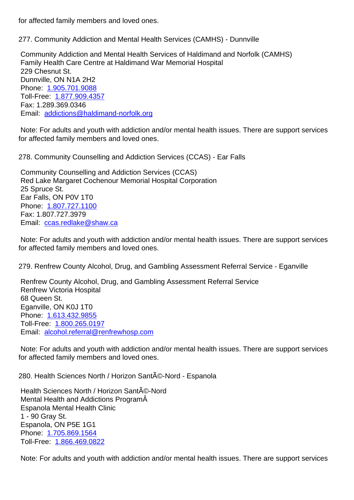277. Community Addiction and Mental Health Services (CAMHS) - Dunnville 277. Community Addiction and Mental Health Services (CAMHS) - Dunnville Community Addiction and Mental Health Services of Haldimand and Norfolk (CAMHS) Family Health Care Centre at Haldimand War Memorial Hospital 229 Chesnut St. Dunnville, ON N1A 2H2 Phone: 1.905.701.9088 Toll-Free: 1.877.909.4357 Fax: 1.289.369.0346 Email: [addictions@hald](tel:1.905.701.9088)imand-norfolk.org Note: For [adults and youth](tel:1.877.909.4357) with addiction and/or mental health issues. There are support services for affec[ted family members and loved one](mailto:addictions@haldimand-norfolk.org)s. 278. Community Counselling and Addiction Services (CCAS) - Ear Falls 278. Community Counselling and Addiction Services (CCAS) - Ear Falls Community Counselling and Addiction Services (CCAS) Red Lake Margaret Cochenour Memorial Hospital Corporation 25 Spruce St. Ear Falls, ON P0V 1T0 Phone: 1.807.727.1100 Fax: 1.807.727.3979 Email: ccas.redlake@shaw.ca Note: F[or adults and you](tel:1.807.727.1100)th with addiction and/or mental health issues. There are support services for affec[ted family members and](mailto:ccas.redlake@shaw.ca) loved ones. 279. Renfrew County Alcohol, Drug, and Gambling Assessment Referral Service - Eganville 27 Renfrew County Alcohol, Drug, and Gambling Assessment Referral Service Renfrew Victoria Hospital 68 Queen St. Eganville, ON K0J 1T0 Phone: 1.613.432.9855 Toll-Free: 1.800.265.0197 Email: alcohol.referral@renfrewhosp.com Note: F[or adults and you](tel:1.613.432.9855)th with addiction and/or mental health issues. There are support services for affec[ted](mailto:alcohol.referral@renfrewhosp.com) [family member](tel:1.800.265.0197)[s and loved ones](mailto:alcohol.referral@renfrewhosp.com). 280. Health Sciences North / Horizon Santé-Nord - Espanola 28 Health Sciences North / Horizon Santé-Nord Mental Health and Addictions Program Espanola Mental Health Clinic 1 - 90 Gray St. Espanola, ON P5E 1G1 Phone: 1.705.869.1564 Toll-Free: 1.866.469.0822 Note: F[or adults and you](tel:1.705.869.1564)th with addiction and/or mental health issues. There are support services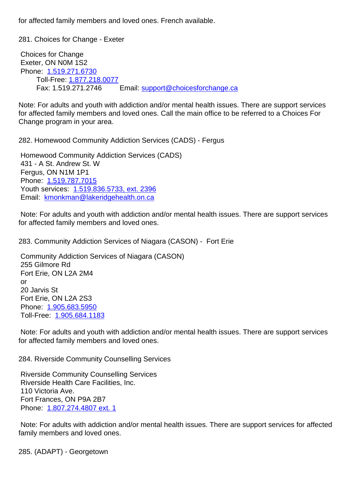281. Choices for Change - Exeter 281. Choices for Change - Exeter

 Choices for Change Exeter, ON N0M 1S2 Phone: 1.519.271.6730 Toll-Free: 1.877.218.0077 Fax: 1.519.271.2746 Email: support@choicesforchange.ca

Note: Fo[r adults and yout](tel:1.519.271.6730)h with addiction and/or mental health issues. There are support services for affected fam[ily members and](tel:1.877.218.0077) loved [ones. Call the main office to be](mailto:support@choicesforchange.ca) referred to a Choices For Change program in your area.

| 282. Homewood Community Addiction Services (CADS) - Fergus                                                                                       | 28 |
|--------------------------------------------------------------------------------------------------------------------------------------------------|----|
| Homewood Community Addiction Services (CADS)<br>431 - A St. Andrew St. W                                                                         |    |
| Fergus, ON N1M 1P1<br>Phone: 1.519.787.7015<br>Youth services: 1.519.836.5733, ext. 2396<br>Email: kmonkman@lakeridgehealth.on.ca                |    |
| Note: For adults and youth with addiction and/or mental health issues. There are support services<br>for affected family members and loved ones. |    |
| 283. Community Addiction Services of Niagara (CASON) - Fort Erie                                                                                 | 28 |

 Community Addiction Services of Niagara (CASON) 255 Gilmore Rd Fort Erie, ON L2A 2M4 or 20 Jarvis St Fort Erie, ON L2A 2S3 Phone: 1.905.683.5950 Toll-Free: 1.905.684.1183

 Note: For adults and youth with addiction and/or mental health issues. There are support services for affect[ed family memb](tel:1.905.683.5950)[ers](tel:1.905.684.1183) and loved ones.

284. Riverside Community Counselling Services 284. Riverside Community Counselling Services

 Riverside Community Counselling Services Riverside Health Care Facilities, Inc. 110 Victoria Ave. Fort Frances, ON P9A 2B7 Phone: 1.807.274.4807 ext. 1

 Note: For adults with addiction and/or mental health issues. There are support services for affected family m[embers and loved ones](tel:1.807.274.4807).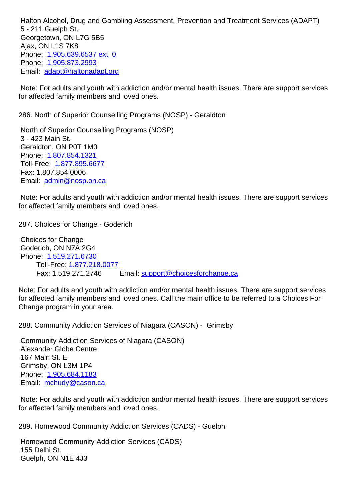$5 - 211$  Outipit St. Georgetown, ON L7G 5B5 Ajax, ON L1S 7K8 Phone: 1.905.639.6537 ext. 0 Phone: 1.905.873.2993 Email: adapt@haltonadapt.org

 Note: F[or adults and youth wit](tel:1.905.639.6537)h addiction and/or mental health issues. There are support services for affec[t](mailto:adapt@haltonadapt.org)[ed family memb](tel:1.905.873.2993)[ers and](mailto:adapt@haltonadapt.org) loved ones.

286. North of Superior Counselling Programs (NOSP) - Geraldton 286. North of Superior Counselling Programs (NOSP) - Geraldton

 North of Superior Counselling Programs (NOSP) 3 - 423 Main St. Geraldton, ON P0T 1M0 Phone: 1.807.854.1321 Toll-Free: 1.877.895.6677 Fax: 1.807.854.0006 Email: [admin@nosp.on.](tel:1.807.854.1321)ca Note: For [adults and youth](tel:1.877.895.6677) with addiction and/or mental health issues. There are support services for affec[ted family members](mailto:admin@nosp.on.ca) and loved ones. 287. Choices for Change - Goderich 287. Choices for Change - Goderich Choices for Change Goderich, ON N7A 2G4 Phone: 1.519.271.6730

Note: Fo[r adults and yout](tel:1.519.271.6730)h with addiction and/or mental health issues. There are support services for affected fam[ily members and](tel:1.877.218.0077) loved [ones. Call the main office to be](mailto:support@choicesforchange.ca) referred to a Choices For Change program in your area.

288. Community Addiction Services of Niagara (CASON) - Grimsby 288. Community Addiction Services of Niagara (CASON) - Grimsby

Fax: 1.519.271.2746 Email: support@choicesforchange.ca 

 Community Addiction Services of Niagara (CASON) Alexander Globe Centre 167 Main St. E Grimsby, ON L3M 1P4 Phone: 1.905.684.1183 Email: mchudy@cason.ca

Toll-Free: 1.877.218.0077

 Note: For adults and youth with addiction and/or mental health issues. There are support services for affec[t](mailto:mchudy@cason.ca)[ed family memb](tel:1.905.684.1183)[ers](mailto:mchudy@cason.ca) and loved ones.

289. Homewood Community Addiction Services (CADS) - Guelph 289. Homewood Community Addiction Services (CADS) - Guelph Homewood Community Addiction Services (CADS) 155 Delhi St. Guelph, ON N1E 4J3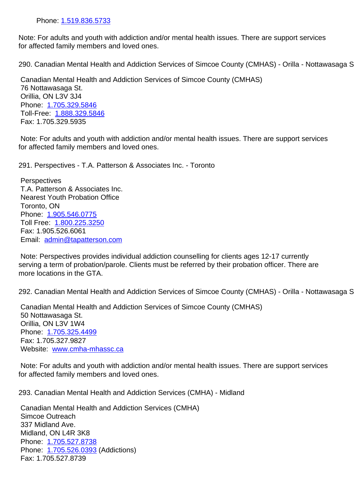Note: For adults and youth with addiction and/or mental health issues. There are support services for affected f[amily members a](tel:1.519.836.5733)nd loved ones.

290. Canadian Mental Health and Addiction Services of Simcoe County (CMHAS) - Orilla - Nottawasaga St20.

 Canadian Mental Health and Addiction Services of Simcoe County (CMHAS) 76 Nottawasaga St. Orillia, ON L3V 3J4 Phone: 1.705.329.5846 Toll-Free: 1.888.329.5846 Fax: 1.705.329.5935

 Note: F[or adults and you](tel:1.705.329.5846)th with addiction and/or mental health issues. There are support services for affected [family members](tel:1.888.329.5846) and loved ones.

291. Perspectives - T.A. Patterson & Associates Inc. - Toronto 291. Perspectives - T.A. Patterson & Associates Inc. - Toronto

**Perspectives**  T.A. Patterson & Associates Inc. Nearest Youth Probation Office Toronto, ON Phone: 1.905.546.0775 Toll Free: 1.800.225.3250 Fax: 1.905.526.6061 Email: [admin@tapatters](tel:1.905.546.0775)on.com

 Note: Per[spectives provide](tel:1.800.225.3250)s individual addiction counselling for clients ages 12-17 currently serving [a term of probation/parole](mailto:admin@tapatterson.com). Clients must be referred by their probation officer. There are more locations in the GTA.

292. Canadian Mental Health and Addiction Services of Simcoe County (CMHAS) - Orilla - Nottawasaga St29.

 Canadian Mental Health and Addiction Services of Simcoe County (CMHAS) 50 Nottawasaga St. Orillia, ON L3V 1W4 Phone: 1.705.325.4499 Fax: 1.705.327.9827 Website: www.cmha-mhassc.ca

 Note: F[or adults and you](tel:1.705.325.4499)th with addiction and/or mental health issues. There are support services for affecte[d family members and l](mailto:www.cmha-mhassc.ca)oved ones.

293. Canadian Mental Health and Addiction Services (CMHA) - Midland 293. Canadian Mental Health and Addiction Services (CMHA) - Midland

 Canadian Mental Health and Addiction Services (CMHA) Simcoe Outreach 337 Midland Ave. Midland, ON L4R 3K8 Phone: 1.705.527.8738 Phone: 1.705.526.0393 (Addictions) Fax: 1.705.527.8739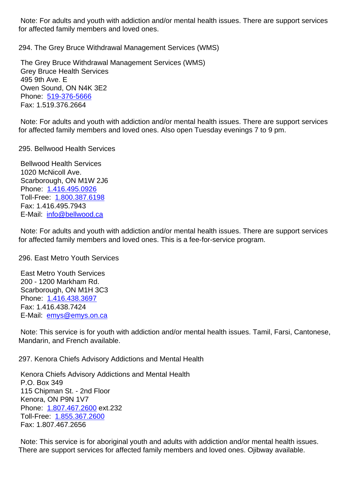for affected family members and loved ones.

294. The Grey Bruce Withdrawal Management Services (WMS) 294. The Grey Bruce Withdrawal Management Services (WMS)

 The Grey Bruce Withdrawal Management Services (WMS) Grey Bruce Health Services 495 9th Ave. E Owen Sound, ON N4K 3E2 Phone: 519-376-5666 Fax: 1.519.376.2664

 Note: For adults and youth with addiction and/or mental health issues. There are support services for affect[ed family mem](tel:519-376-5666)bers and loved ones. Also open Tuesday evenings 7 to 9 pm.

295. Bellwood Health Services 295. Bellwood Health Services

 Bellwood Health Services 1020 McNicoll Ave. Scarborough, ON M1W 2J6 Phone: 1.416.495.0926 Toll-Free: 1.800.387.6198 Fax: 1.416.495.7943 E-Mail: [info@bellwood.c](tel:1.416.495.0926)a

 Note: For [adults and youth](tel:1.800.387.6198) with addiction and/or mental health issues. There are support services for affect[ed family member](mailto:info@bellwood.ca)s and loved ones. This is a fee-for-service program.

296. East Metro Youth Services 296. East Metro Youth Services

 East Metro Youth Services 200 - 1200 Markham Rd. Scarborough, ON M1H 3C3 Phone: 1.416.438.3697 Fax: 1.416.438.7424 E-Mail: emys@emys.on.ca

 Note: T[his service is for](tel:1.416.438.3697) youth with addiction and/or mental health issues. Tamil, Farsi, Cantonese, Mandari[n, and French availa](mailto:emys@emys.on.ca)ble.

297. Kenora Chiefs Advisory Addictions and Mental Health 297. Kenora Chiefs Advisory Addictions and Mental Health

 Kenora Chiefs Advisory Addictions and Mental Health P.O. Box 349 115 Chipman St. - 2nd Floor Kenora, ON P9N 1V7 Phone: 1.807.467.2600 ext.232 Toll-Free: 1.855.367.2600 Fax: 1.807.467.2656

 Note: T[his service is for](tel:18074672600) aboriginal youth and adults with addiction and/or mental health issues. There are s[upport services](tel:18553672600) for affected family members and loved ones. Ojibway available.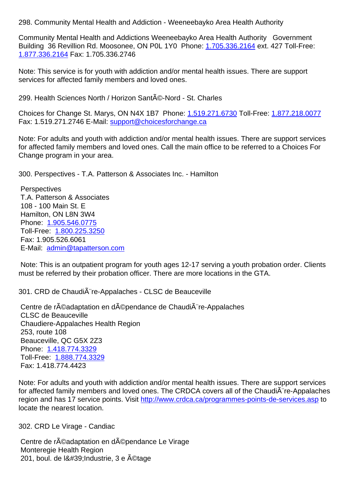Community Mental Health and Addictions Weeneebayko Area Health Authority Government Building 36 Revillion Rd. Moosonee, ON P0L 1Y0 Phone: 1.705.336.2164 ext. 427 Toll-Free: 1.877.336.2164 Fax: 1.705.336.2746

Note: This service is for youth with addiction and/or mental [health issues. T](tel:1.705.336.2164)here are support [services for affe](tel:1.877.336.2164)cted family members and loved ones.

| services for affected family members and loved ones.                                                                                                                                                                                  |    |
|---------------------------------------------------------------------------------------------------------------------------------------------------------------------------------------------------------------------------------------|----|
| 299. Health Sciences North / Horizon Santé-Nord - St. Charles                                                                                                                                                                         | 29 |
| Choices for Change St. Marys, ON N4X 1B7 Phone: 1.519.271.6730 Toll-Free: 1.877.218.0077<br>Fax: 1.519.271.2746 E-Mail: support@choicesforchange.ca                                                                                   |    |
| Note: For adults and youth with addiction and/or mental health issues. There are support services<br>for affected family members and loved ones. Call the main office to be referred to a Choices For<br>Change program in your area. |    |
| 300. Perspectives - T.A. Patterson & Associates Inc. - Hamilton                                                                                                                                                                       | 30 |
| Perspectives                                                                                                                                                                                                                          |    |
| T.A. Patterson & Associates                                                                                                                                                                                                           |    |
| 108 - 100 Main St. E                                                                                                                                                                                                                  |    |
| Hamilton, ON L8N 3W4<br>Phone: 1.905.546.0775                                                                                                                                                                                         |    |
| Toll-Free: 1.800.225.3250                                                                                                                                                                                                             |    |
| Fax: 1.905.526.6061                                                                                                                                                                                                                   |    |
| E-Mail: admin@tapatterson.com                                                                                                                                                                                                         |    |
| Note: This is an outpatient program for youth ages 12-17 serving a youth probation order. Clients                                                                                                                                     |    |
| must be referred by their probation officer. There are more locations in the GTA.                                                                                                                                                     |    |
| 301. CRD de Chaudià re-Appalaches - CLSC de Beauceville                                                                                                                                                                               | 30 |

Centre de r©adaptation en d©pendance de Chaudi re-Appalaches CLSC de Beauceville Chaudiere-Appalaches Health Region 253, route 108 Beauceville, QC G5X 2Z3 Phone: 1.418.774.3329 Toll-Free: 1.888.774.3329 Fax: 1.418.774.4423

Note: Fo[r adults and yout](tel:1.418.774.3329)h with addiction and/or mental health issues. There are support services for affected [family members](tel:1.888.774.3329) and loved ones. The CRDCA covers all of the ChaudiA re-Appalaches region and has 17 service points. Visit http://www.crdca.ca/programmes-points-de-services.asp to locate the nearest location.

302. CRD Le Virage - Candiac 302. CRD Le Virage - Candiac

Centre de réadaptation en dépendance Le Virage Monteregie Health Region 201, boul. de l' Industrie, 3 e étage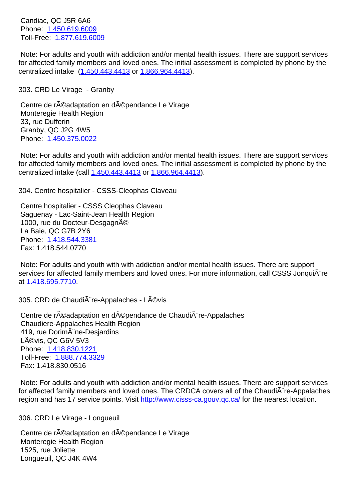Phone: 1.450.619.6009 Toll-Free: 1.877.619.6009

 Note: For adults and youth with addiction and/or mental health issues. There are support services for affect[ed family membe](tel:1.450.619.6009)rs and loved ones. The initial assessment is completed by phone by the centralized [intake \(1.450.44](tel:1.877.619.6009)3.4413 or 1.866.964.4413).

303. CRD Le Virage - Granby 303. CRD Le Virage - Granby

Centre de r©adaptation en d©pen[dance Le Virage](tel:1.866.964.4413) Monteregie Health Region 33, rue Dufferin Granby, QC J2G 4W5 Phone: 1.450.375.0022

 Note: For adults and youth with addiction and/or mental health issues. There are support services for affected family members and loved ones. The initial assessment is completed by phone by the centraliz[ed intake \(call 1.](tel:1.450.375.0022)450.443.4413 or 1.866.964.4413).

304. Centre hospitalier - CSSS-Cleophas Claveau 304. Centre hospitalier - CSSS-Cleophas Claveau

 Centre hospitalier - C[SSS Cleophas C](tel:1.450.443.4413)la[veau](tel:1.866.964.4413) Saguenay - Lac-Saint-Jean Health Region 1000, rue du Docteur-Desgagné La Baie, QC G7B 2Y6 Phone: 1.418.544.3381 Fax: 1.418.544.0770

 Note: For adults and youth with with addiction and/or mental health issues. There are support services [for affected fami](tel:1.418.544.3381)ly members and loved ones. For more information, call CSSS JonquiA re at 1.418.695.7710.

305. CRD de Chaudi $\tilde{A}$ "re-Appalaches - L $\tilde{A}$ ©vis 305. CRD de Chaudi $\tilde{A}$ "re-Appalaches - L $\tilde{A}$ ©vis

Centre de r©adaptation en d©pendance de Chaudi re-Appalaches Chaudiere-Appalaches Health Region 419, rue DorimA ne-Desjardins Lévis, QC G6V 5V3 Phone: 1.418.830.1221 Toll-Free: 1.888.774.3329 Fax: 1.418.830.0516

 Note: F[or adults and you](tel:1.418.830.1221)th with addiction and/or mental health issues. There are support services for affected [family members](tel:1.888.774.3329) and loved ones. The CRDCA covers all of the ChaudiA re-Appalaches region and has 17 service points. Visit http://www.cisss-ca.gouv.qc.ca/ for the nearest location.

306. CRD Le Virage - Longueuil 306. CRD Le Virage - Longueuil

Centre de réadaptation en dépen[dance Le Virage](http://www.cisss-ca.gouv.qc.ca/) Monteregie Health Region 1525, rue Joliette Longueuil, QC J4K 4W4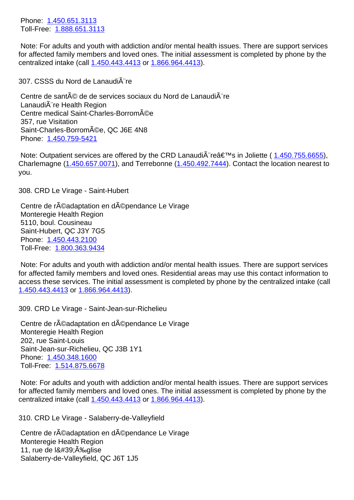Toll-Free: 1.888.651.3113

 Note: For adults and youth with addiction and/or mental health issues. There are support services for affect[ed family membe](tel:1.450.651.3113)rs and loved ones. The initial assessment is completed by phone by the centralized [intake \(call 1.45](tel:1.888.651.3113)0.443.4413 or 1.866.964.4413).

307. CSSS du Nord de Lanaudière 307. CSSS du Nord de Lanaudière

Centre de santé de [de services soci](tel:1.450.443.4413)au[x du Nord de La](tel:1.866.964.4413)naudià re LanaudiA re Health Region Centre medical Saint-Charles-Borromée 357, rue Visitation Saint-Charles-Borromée, QC J6E 4N8 Phone: 1.450.759-5421

Note: Outpatient services are offered by the CRD Lanaudi $\tilde{A}$  reâ $\epsilon$ <sup>TM</sup>s in Joliette (1.450.755.6655), Charlem[agne \(1.450.657](tel:1.450.759-5421).0071), and Terrebonne (1.450.492.7444). Contact the location nearest to you.

308. CRD Le [Virage - Saint-Hu](tel:1.450.657.0071)bert 308. CRD Le Virage - Saint-Hubert

Centre de réadaptation en dépendance Le Virage Monteregie Health Region 5110, boul. Cousineau Saint-Hubert, QC J3Y 7G5 Phone: 1.450.443.2100 Toll-Free: 1.800.363.9434

 Note: For adults and youth with addiction and/or mental health issues. There are support services for affect[ed family membe](tel:1.450.443.2100)rs and loved ones. Residential areas may use this contact information to access the[se services. The](tel:1.800.363.9434) initial assessment is completed by phone by the centralized intake (call 1.450.443.4413 or 1.866.964.4413).

309. CRD Le Virage - Saint-Jean-sur-Richelieu 309. CRD Le Virage - Saint-Jean-sur-Richelieu

Centre de réad[aptation en dép](tel:1.866.964.4413)endance Le Virage Monteregie Health Region 202, rue Saint-Louis Saint-Jean-sur-Richelieu, QC J3B 1Y1 Phone: 1.450.348.1600 Toll-Free: 1.514.875.6678

 Note: For adults and youth with addiction and/or mental health issues. There are support services for affect[ed family membe](tel:1.450.348.1600)rs and loved ones. The initial assessment is completed by phone by the centralized [intake \(call 1.45](tel:1.514.875.6678)0.443.4413 or 1.866.964.4413).

310. CRD Le Virage - Salaberry-de-Valleyfield 310. CRD Le Virage - Salaberry-de-Valleyfield

Centre de r©adaptation en d©penda[nce Le Virage](tel:1.866.964.4413) Monteregie Health Region 11, rue de  $18#39$ ; A<sup>‰glise</sup> Salaberry-de-Valleyfield, QC J6T 1J5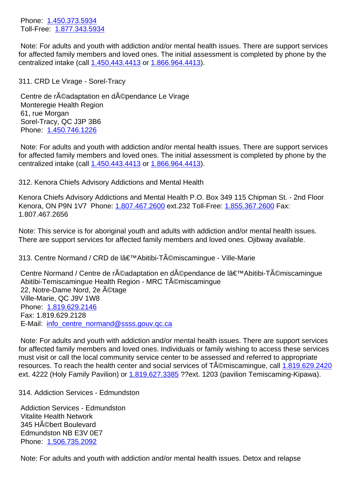TULL TOO. <u>T.OT L.JHJ.JJJH</u>

 Note: For adults and youth with addiction and/or mental health issues. There are support services for affect[ed family membe](tel:1.450.373.5934)rs and loved ones. The initial assessment is completed by phone by the centralized [intake \(call 1.45](tel:1.877.343.5934)0.443.4413 or 1.866.964.4413).

311. CRD Le Virage - Sorel-Tracy 311. CRD Le Virage - Sorel-Tracy Centre de réadapta[tion en dépend](tel:1.450.443.4413)a[nce Le Virage](tel:1.866.964.4413) Monteregie Health Region 61, rue Morgan Sorel-Tracy, QC J3P 3B6 Phone: 1.450.746.1226 Note: For adults and youth with addiction and/or mental health issues. There are support services for affected family members and loved ones. The initial assessment is completed by phone by the centraliz[ed intake \(call 1.](tel:1.450.746.1226)450.443.4413 or 1.866.964.4413). 312. Kenora Chiefs Advisory Addictions and Mental Health 312. Kenora Chiefs Advisory Addictions and Mental Health Kenora Chiefs Advisor[y Addictions and](tel:1.450.443.4413) M[ental Health P.O](tel:1.866.964.4413). Box 349 115 Chipman St. - 2nd Floor Kenora, ON P9N 1V7 Phone: 1.807.467.2600 ext.232 Toll-Free: 1.855.367.2600 Fax: 1.807.467.2656 Note: This service is for aboriginal youth and adults with addiction and/or mental health issues. There are support services for [affected family m](tel:1.807.467.2600)embers and love[d ones. Ojibway](tel:1.855.367.2600) available. 313. Centre Normand / CRD de lâ€<sup>™</sup>Abitibi-Témiscamingue - Ville-Marie **and an abitibitivity** 31 Centre Normand / Centre de réadaptation en dépendance de l'Abitibi-Témiscamingue Abitibi-Temiscamingue Health Region - MRC Témiscamingue 22, Notre-Dame Nord, 2e A©tage Ville-Marie, QC J9V 1W8 Phone: 1.819.629.2146 Fax: 1.819.629.2128 E-Mail: info\_centre\_normand@ssss.gouv.qc.ca

 Note: F[or adults and you](tel:1.819.629.2146)th with addiction and/or mental health issues. There are support services for affected family members and loved ones. Individuals or family wishing to access these services must visi[t or call the local community service cen](mailto:info_centre_normand@ssss.gouv.qc.ca)ter to be assessed and referred to appropriate resources. To reach the health center and social services of  $T\text{\AA}$ Cmiscamingue, call 1.819.629.2420 ext. 4222 (Holy Family Pavilion) or 1.819.627.3385 ??ext. 1203 (pavilion Temiscaming-Kipawa).

314. Addiction Services - Edmundston 314. Addiction Services - Edmundston

 Addiction Services - Edmundston Vitalite Health Network 345 HAO bert Boulevard Edmundston NB E3V 0E7 Phone: 1.506.735.2092

 Note: For adults and youth with addiction and/or mental health issues. Detox and relapse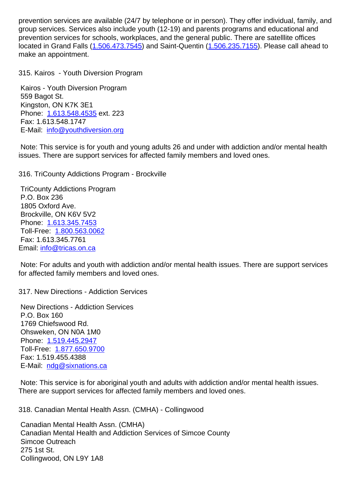group services. Services also include youth (12-19) and parents programs and educational and prevention services for schools, workplaces, and the general public. There are satelllite offices located in Grand Falls (1.506.473.7545) and Saint-Quentin (1.506.235.7155). Please call ahead to make an appointment.

315. Kairos - Youth Di[version Program](tel:1.506.473.7545) 315. Kairos - Youth Diversion Program Kairos - Youth Diversion Program 559 Bagot St. Kingston, ON K7K 3E1 Phone: 1.613.548.4535 ext. 223 Fax: 1.613.548.1747 E-Mail: info@youthdiversion.org Note: T[his service is for](tel:1.613.548.4535) youth and young adults 26 and under with addiction and/or mental health issues. [There are support service](mailto:info@youthdiversion.org)s for affected family members and loved ones. 316. TriCounty Addictions Program - Brockville 316. TriCounty Addictions Program - Brockville

 TriCounty Addictions Program P.O. Box 236 1805 Oxford Ave. Brockville, ON K6V 5V2 Phone: 1.613.345.7453 Toll-Free: 1.800.563.0062 Fax: 1.613.345.7761 Email: in[fo@tricas.on.ca](tel:1.613.345.7453)

 Note: For [adults and youth](tel:1.800.563.0062) with addiction and/or mental health issues. There are support services for aff[ected family memb](mailto:info@tricas.on.ca)ers and loved ones.

317. New Directions - Addiction Services 317. New Directions - Addiction Services

 New Directions - Addiction Services P.O. Box 160 1769 Chiefswood Rd. Ohsweken, ON N0A 1M0 Phone: 1.519.445.2947 Toll-Free: 1.877.650.9700 Fax: 1.519.455.4388 E-Mail: [ndg@sixnations](tel:1.519.445.2947).ca

 Note: This [service is for ab](tel:1.877.650.9700)original youth and adults with addiction and/or mental health issues. There ar[e support services f](mailto:ndg@sixnations.ca)or affected family members and loved ones.

318. Canadian Mental Health Assn. (CMHA) - Collingwood 318. Canadian Mental Health Assn. (CMHA) - Collingwood Canadian Mental Health Assn. (CMHA) Canadian Mental Health and Addiction Services of Simcoe County Simcoe Outreach 275 1st St. Collingwood, ON L9Y 1A8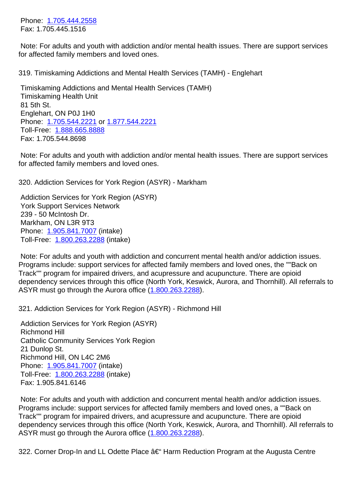Note: For adults and youth with addiction and/or mental health issues. There are support services for affect[ed family membe](tel:1.705.444.2558)rs and loved ones.

319. Timiskaming Addictions and Mental Health Services (TAMH) - Englehart 319. Timiskaming Addictions and Mental Health Services (TAMH) - Englehart

 Timiskaming Addictions and Mental Health Services (TAMH) Timiskaming Health Unit 81 5th St. Englehart, ON P0J 1H0 Phone: 1.705.544.2221 or 1.877.544.2221 Toll-Free: 1.888.665.8888 Fax: 1.705.544.8698

 Note: F[or adults and you](tel:1.705.544.2221)th [with addiction a](tel:1.877.544.2221)nd/or mental health issues. There are support services for affected [family members](tel:1.888.665.8888) and loved ones.

320. Addiction Services for York Region (ASYR) - Markham 320. Addiction Services for York Region (ASYR) - Markham

 Addiction Services for York Region (ASYR) York Support Services Network 239 - 50 McIntosh Dr. Markham, ON L3R 9T3 Phone: 1.905.841.7007 (intake) Toll-Free: 1.800.263.2288 (intake)

 Note: For adults and youth with addiction and concurrent mental health and/or addiction issues. Program[s include: suppo](tel:1.905.841.7007)rt services for affected family members and loved ones, the ""Back on Track"" pro[gram for impaire](tel:1.800.263.2288)d drivers, and acupressure and acupuncture. There are opioid dependency services through this office (North York, Keswick, Aurora, and Thornhill). All referrals to ASYR must go through the Aurora office (1.800.263.2288).

321. Addiction Services for York Region (ASYR) - Richmond Hill 321. Addiction Services for York Region (ASYR) - Richmond Hill

 Addiction Services for York Region (AS[YR\)](tel:1.800.263.2288) Richmond Hill Catholic Community Services York Region 21 Dunlop St. Richmond Hill, ON L4C 2M6 Phone: 1.905.841.7007 (intake) Toll-Free: 1.800.263.2288 (intake) Fax: 1.905.841.6146

 Note: F[or adults and you](tel:1.905.841.7007)th with addiction and concurrent mental health and/or addiction issues. Programs i[nclude: support s](tel:1.800.263.2288)ervices for affected family members and loved ones, a ""Back on Track"" program for impaired drivers, and acupressure and acupuncture. There are opioid dependency services through this office (North York, Keswick, Aurora, and Thornhill). All referrals to ASYR must go through the Aurora office (1.800.263.2288).

322. Corner Drop-In and LL Odette Place  $\hat{a} \in H$  Harm Reduction Program at the Augusta Centre  $\frac{32}{2}$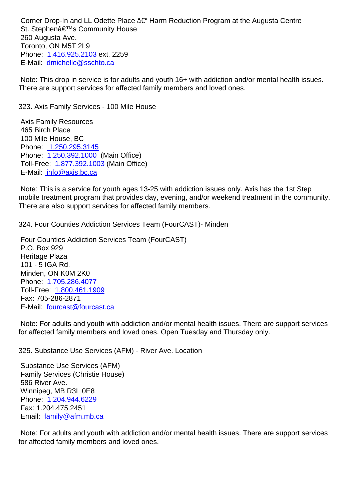St. Stephenae SCommunity House 260 Augusta Ave. Toronto, ON M5T 2L9 Phone: 1.416.925.2103 ext. 2259 E-Mail: dmichelle@sschto.ca

 Note: This drop in service is for adults and youth 16+ with addiction and/or mental health issues. There ar[e support servic](tel:1.416.925.2103)[es for](mailto:dmichelle@sschto.ca) affected family members and loved ones.

323. Axis Family Services - 100 Mile House 323. Axis Family Services - 100 Mile House

 Axis Family Resources 465 Birch Place 100 Mile House, BC Phone: 1.250.295.3145 Phone: 1.250.392.1000 (Main Office) Toll-Free: 1.877.392.1003 (Main Office) E-Mail: [info@axis.bc.ca](tel:)

 Note: [This is a service fo](tel:12503921000)r youth ages 13-25 with addiction issues only. Axis has the 1st Step mobile tre[atment program th](tel:18773921003)at provides day, evening, and/or weekend treatment in the community. There a[re also support se](mailto:info@axis.bc.ca)rvices for affected family members.

324. Four Counties Addiction Services Team (FourCAST)- Minden 324. Four Counties Addiction Services Team (FourCAST)- Minden

 Four Counties Addiction Services Team (FourCAST) P.O. Box 929 Heritage Plaza 101 - 5 IGA Rd. Minden, ON K0M 2K0 Phone: 1.705.286.4077 Toll-Free: 1.800.461.1909 Fax: 705-286-2871 E-Mail: [fourcast@fourca](tel:17052864077)st.ca

 Note: For [adults and youth](tel:18004611909) with addiction and/or mental health issues. There are support services for affect[ed family members an](mailto:fourcast@fourcast.ca)d loved ones. Open Tuesday and Thursday only.

325. Substance Use Services (AFM) - River Ave. Location 325. Substance Use Services (AFM) - River Ave. Location

 Substance Use Services (AFM) Family Services (Christie House) 586 River Ave. Winnipeg, MB R3L 0E8 Phone: 1.204.944.6229 Fax: 1.204.475.2451 Email: family@afm.mb.ca

 Note: F[or adults and you](tel:1.204.944.6229)th with addiction and/or mental health issues. There are support services for affec[ted family members](mailto:family@afm.mb.ca) and loved ones.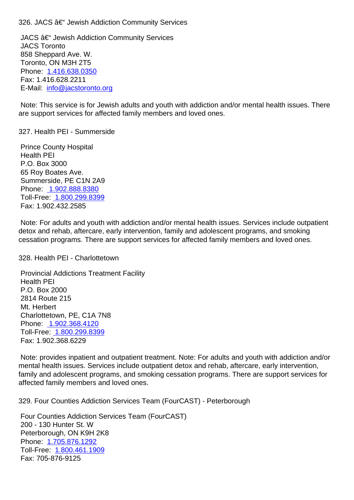JACS – Jewish Addiction Community Services JACS Toronto 858 Sheppard Ave. W. Toronto, ON M3H 2T5 Phone: 1.416.638.0350 Fax: 1.416.628.2211 E-Mail: info@jacstoronto.org

 Note: T[his service is for](tel:1.416.638.0350) Jewish adults and youth with addiction and/or mental health issues. There are supp[ort services for affect](mailto:info@jacstoronto.org)ed family members and loved ones.

327. Health PEI - Summerside 327. Health PEI - Summerside

 Prince County Hospital Health PEI P.O. Box 3000 65 Roy Boates Ave. Summerside, PE C1N 2A9 Phone: 1.902.888.8380 Toll-Free: 1.800.299.8399 Fax: 1.902.432.2585

 Note: F[or adults and you](tel:1.902.888.8380)th with addiction and/or mental health issues. Services include outpatient detox and [rehab, aftercare,](tel:1.800.299.8399) early intervention, family and adolescent programs, and smoking cessation programs. There are support services for affected family members and loved ones.

328. Health PEI - Charlottetown 328. Health PEI - Charlottetown

 Provincial Addictions Treatment Facility Health PEI P.O. Box 2000 2814 Route 215 Mt. Herbert Charlottetown, PE, C1A 7N8 Phone: 1.902.368.4120 Toll-Free: 1.800.299.8399 Fax: 1.902.368.6229

 Note: p[rovides inpatient](tel:1.902.368.4120) and outpatient treatment. Note: For adults and youth with addiction and/or mental he[alth issues. Servic](tel:1.800.299.8399)es include outpatient detox and rehab, aftercare, early intervention, family and adolescent programs, and smoking cessation programs. There are support services for affected family members and loved ones.

329. Four Counties Addiction Services Team (FourCAST) - Peterborough 329. Four Counties Addiction Services Team (FourCAST) - Peterborough

 Four Counties Addiction Services Team (FourCAST) 200 - 130 Hunter St. W Peterborough, ON K9H 2K8 Phone: 1.705.876.1292 Toll-Free: 1.800.461.1909 Fax: 705-876-9125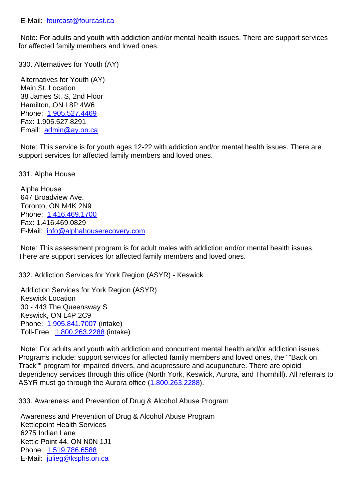Note: For adults and youth with addiction and/or mental health issues. There are support services for affect[ed family members an](mailto:fourcast@fourcast.ca)d loved ones.

330. Alternatives for Youth (AY) 330. Alternatives for Youth (AY)

 Alternatives for Youth (AY) Main St. Location 38 James St. S, 2nd Floor Hamilton, ON L8P 4W6 Phone: 1.905.527.4469 Fax: 1.905.527.8291 Email: admin@ay.on.ca

 Note: T[his service is for](tel:1.905.527.4469) youth ages 12-22 with addiction and/or mental health issues. There are support [services for affec](mailto:admin@ay.on.ca)ted family members and loved ones.

331. Alpha House 331. Alpha House

 Alpha House 647 Broadview Ave. Toronto, ON M4K 2N9 Phone: 1.416.469.1700 Fax: 1.416.469.0829 E-Mail: info@alphahouserecovery.com

 Note: T[his assessment](tel:1.416.469.1700) program is for adult males with addiction and/or mental health issues. There ar[e support services for affected fa](mailto:info@alphahouserecovery.com)mily members and loved ones.

332. Addiction Services for York Region (ASYR) - Keswick 332. Addiction Services for York Region (ASYR) - Keswick

 Addiction Services for York Region (ASYR) Keswick Location 30 - 443 The Queensway S Keswick, ON L4P 2C9 Phone: 1.905.841.7007 (intake) Toll-Free: 1.800.263.2288 (intake)

 Note: For adults and youth with addiction and concurrent mental health and/or addiction issues. Program[s include: suppo](tel:1.905.841.7007)rt services for affected family members and loved ones, the ""Back on Track"" pro[gram for impaire](tel:1.800.263.2288)d drivers, and acupressure and acupuncture. There are opioid dependency services through this office (North York, Keswick, Aurora, and Thornhill). All referrals to ASYR must go through the Aurora office (1.800.263.2288).

333. Awareness and Prevention of Drug & Alcohol Abuse Program 333. Awareness and Prevention of Drug & Alcohol Abuse Program

 Awareness and Prevention of Drug & Al[cohol Abuse Pro](tel:18002632288)gram Kettlepoint Health Services 6275 Indian Lane Kettle Point 44, ON N0N 1J1 Phone: 1.519.786.6588 E-Mail: julieg@ksphs.on.ca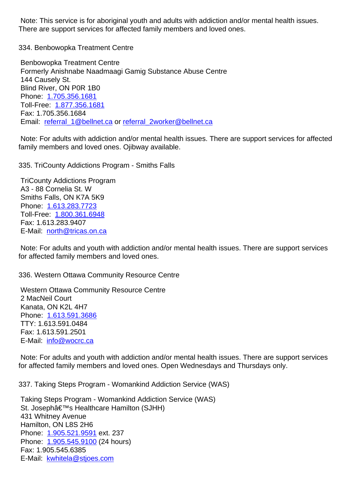There are support services for affected family members and loved ones.

334. Benbowopka Treatment Centre 334. Benbowopka Treatment Centre

 Benbowopka Treatment Centre Formerly Anishnabe Naadmaagi Gamig Substance Abuse Centre 144 Causely St. Blind River, ON P0R 1B0 Phone: 1.705.356.1681 Toll-Free: 1.877.356.1681 Fax: 1.705.356.1684 Email: r[eferral\\_1@belln](tel:1.705.356.1681)et.ca or referral\_2worker@bellnet.ca

 Note: For [adults with addic](tel:1.877.356.1681)tion and/or mental health issues. There are support services for affected family [members and loved one](mailto:referral_1@bellnet.ca)s. [Ojibway available.](mailto:referral_2worker@bellnet.ca)

335. TriCounty Addictions Program - Smiths Falls 335. TriCounty Addictions Program - Smiths Falls

 TriCounty Addictions Program A3 - 88 Cornelia St. W Smiths Falls, ON K7A 5K9 Phone: 1.613.283.7723 Toll-Free: 1.800.361.6948 Fax: 1.613.283.9407 E-Mail: [north@tricas.on](tel:1.613.283.7723).ca

 Note: For [adults and youth](tel:1.800.361.6948) with addiction and/or mental health issues. There are support services for affect[ed family members](mailto:north@tricas.on.ca) and loved ones.

336. Western Ottawa Community Resource Centre 336. Western Ottawa Community Resource Centre

 Western Ottawa Community Resource Centre 2 MacNeil Court Kanata, ON K2L 4H7 Phone: 1.613.591.3686 TTY: 1.613.591.0484 Fax: 1.613.591.2501 E-Mail: [info@wocrc.ca](tel:1.613.591.3686)

 Note: For adults and youth with addiction and/or mental health issues. There are support services for affect[ed family memb](mailto:info@wocrc.ca)ers and loved ones. Open Wednesdays and Thursdays only.

337. Taking Steps Program - Womankind Addiction Service (WAS) 337. Taking Steps Program - Womankind Addiction Service (WAS)

 Taking Steps Program - Womankind Addiction Service (WAS) St. Joseph's Healthcare Hamilton (SJHH) 431 Whitney Avenue Hamilton, ON L8S 2H6 Phone: 1.905.521.9591 ext. 237 Phone: 1.905.545.9100 (24 hours) Fax: 1.905.545.6385 E-Mail: [kwhitela@stjoes](tel:1.905.521.9591).com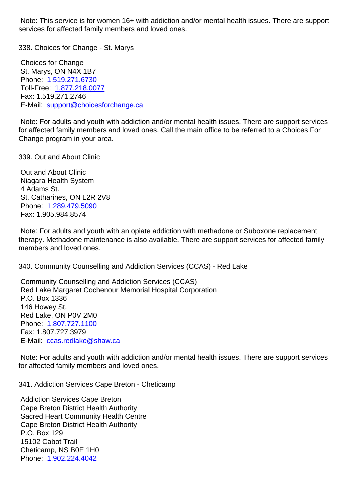services for affected family members and loved ones.

338. Choices for Change - St. Marys 338. Choices for Change - St. Marys

 Choices for Change St. Marys, ON N4X 1B7 Phone: 1.519.271.6730 Toll-Free: 1.877.218.0077 Fax: 1.519.271.2746 E-Mail: [support@choice](tel:1.519.271.6730)sforchange.ca

 Note: For [adults and youth](tel:1.877.218.0077) with addiction and/or mental health issues. There are support services for affect[ed family members and loved o](mailto:support@choicesforchange.ca)nes. Call the main office to be referred to a Choices For Change program in your area.

339. Out and About Clinic 339. Out and About Clinic

 Out and About Clinic Niagara Health System 4 Adams St. St. Catharines, ON L2R 2V8 Phone: 1.289.479.5090 Fax: 1.905.984.8574

 Note: For adults and youth with an opiate addiction with methadone or Suboxone replacement therapy. [Methadone main](tel:1.289.479.5090)tenance is also available. There are support services for affected family members and loved ones.

340. Community Counselling and Addiction Services (CCAS) - Red Lake 340. Community Counselling and Addiction Services (CCAS) - Red Lake

 Community Counselling and Addiction Services (CCAS) Red Lake Margaret Cochenour Memorial Hospital Corporation P.O. Box 1336 146 Howey St. Red Lake, ON P0V 2M0 Phone: 1.807.727.1100 Fax: 1.807.727.3979 E-Mail: ccas.redlake@shaw.ca

 Note: F[or adults and you](tel:1.807.727.1100)th with addiction and/or mental health issues. There are support services for affect[ed family members and](mailto:ccas.redlake@shaw.ca) loved ones.

341. Addiction Services Cape Breton - Cheticamp 341. Addiction Services Cape Breton - Cheticamp

 Addiction Services Cape Breton Cape Breton District Health Authority Sacred Heart Community Health Centre Cape Breton District Health Authority P.O. Box 129 15102 Cabot Trail Cheticamp, NS B0E 1H0 Phone: 1.902.224.4042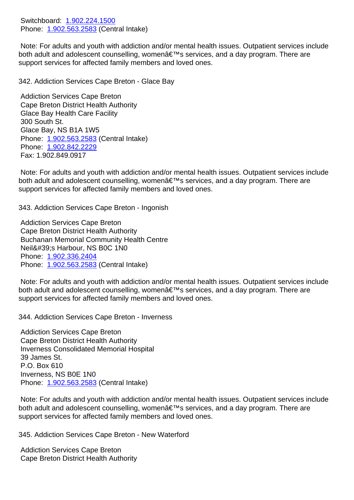Phone: <u>1.902.563.2563</u> (Central Intake)

 Note: For adults and youth with addiction and/or mental health issues. Outpatient services include both adult and [adolescent coun](tel:1.902.224.1500)selling, women's services, and a day program. There are support [services for affec](tel:1.902.563.2583)ted family members and loved ones.

342. Addiction Services Cape Breton - Glace Bay 342. Addiction Services Cape Breton - Glace Bay

 Addiction Services Cape Breton Cape Breton District Health Authority Glace Bay Health Care Facility 300 South St. Glace Bay, NS B1A 1W5 Phone: 1.902.563.2583 (Central Intake) Phone: 1.902.842.2229 Fax: 1.902.849.0917

 Note: F[or adults and you](tel:1.902.563.2583)th with addiction and/or mental health issues. Outpatient services include both adu[lt and adolescen](tel:1.902.842.2229)t counselling, womenâ€<sup>™</sup>s services, and a day program. There are support services for affected family members and loved ones.

343. Addiction Services Cape Breton - Ingonish 343. Addiction Services Cape Breton - Ingonish

 Addiction Services Cape Breton Cape Breton District Health Authority Buchanan Memorial Community Health Centre Neil's Harbour, NS B0C 1N0 Phone: 1.902.336.2404 Phone: 1.902.563.2583 (Central Intake)

 Note: For adults and youth with addiction and/or mental health issues. Outpatient services include both adu[lt and adolescen](tel:1.902.336.2404)t counselling, women's services, and a day program. There are support [services for affec](tel:1.902.563.2583)ted family members and loved ones.

344. Addiction Services Cape Breton - Inverness 344. Addiction Services Cape Breton - Inverness

 Addiction Services Cape Breton Cape Breton District Health Authority Inverness Consolidated Memorial Hospital 39 James St. P.O. Box 610 Inverness, NS B0E 1N0 Phone: 1.902.563.2583 (Central Intake)

 Note: For adults and youth with addiction and/or mental health issues. Outpatient services include both adult and adolescent counselling, womenâ€<sup>™</sup>s services, and a day program. There are support [services for affec](tel:1.902.563.2583)ted family members and loved ones.

345. Addiction Services Cape Breton - New Waterford 345. Addiction Services Cape Breton - New Waterford

 Addiction Services Cape Breton Cape Breton District Health Authority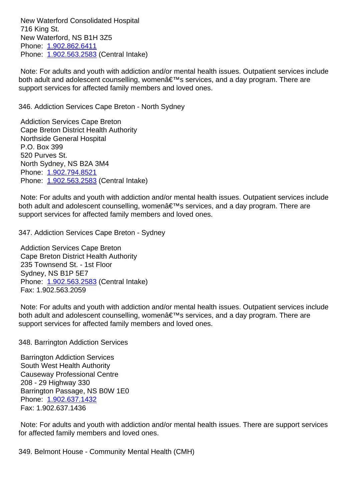$\overline{r}$  To rung ou New Waterford, NS B1H 3Z5 Phone: 1.902.862.6411 Phone: 1.902.563.2583 (Central Intake)

 Note: For adults and youth with addiction and/or mental health issues. Outpatient services include both adu[lt and adolescen](tel:1.902.862.6411)t counselling, women's services, and a day program. There are support [services for affec](tel:1.902.563.2583)ted family members and loved ones.

346. Addiction Services Cape Breton - North Sydney 346. Addiction Services Cape Breton - North Sydney

 Addiction Services Cape Breton Cape Breton District Health Authority Northside General Hospital P.O. Box 399 520 Purves St. North Sydney, NS B2A 3M4 Phone: 1.902.794.8521 Phone: 1.902.563.2583 (Central Intake)

 Note: For adults and youth with addiction and/or mental health issues. Outpatient services include both adu[lt and adolescen](tel:1.902.794.8521)t counselling, women's services, and a day program. There are support [services for affec](tel:1.902.563.2583)ted family members and loved ones.

347. Addiction Services Cape Breton - Sydney 347. Addiction Services Cape Breton - Sydney

 Addiction Services Cape Breton Cape Breton District Health Authority 235 Townsend St. - 1st Floor Sydney, NS B1P 5E7 Phone: 1.902.563.2583 (Central Intake) Fax: 1.902.563.2059

 Note: For adults and youth with addiction and/or mental health issues. Outpatient services include both adu[lt and adolescen](tel:1.902.563.2583)t counselling, women's services, and a day program. There are support services for affected family members and loved ones.

348. Barrington Addiction Services 348. Barrington Addiction Services

 Barrington Addiction Services South West Health Authority Causeway Professional Centre 208 - 29 Highway 330 Barrington Passage, NS B0W 1E0 Phone: 1.902.637.1432 Fax: 1.902.637.1436

 Note: For adults and youth with addiction and/or mental health issues. There are support services for affect[ed family membe](tel:1.902.637.1432)rs and loved ones.

349. Belmont House - Community Mental Health (CMH) 349. Belmont House - Community Mental Health (CMH)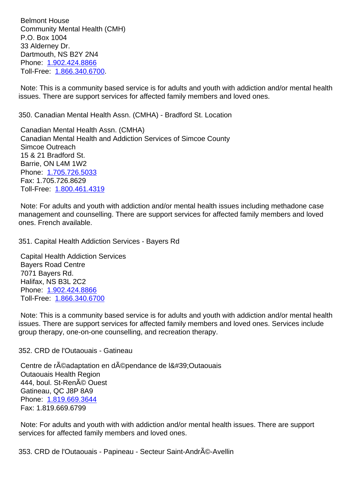Community Mental Health (CMH) P.O. Box 1004 33 Alderney Dr. Dartmouth, NS B2Y 2N4 Phone: 1.902.424.8866 Toll-Free: 1.866.340.6700.

 Note: This is a community based service is for adults and youth with addiction and/or mental health issues. [There are suppo](tel:1.902.424.8866)[rt s](tel:1.866.340.6700)ervices for affected family members and loved ones.

350. Canadian Mental Health Assn. (CMHA) - Bradford St. Location 350. Canadian Mental Health Assn. (CMHA) - Bradford St. Location

 Canadian Mental Health Assn. (CMHA) Canadian Mental Health and Addiction Services of Simcoe County Simcoe Outreach 15 & 21 Bradford St. Barrie, ON L4M 1W2 Phone: 1.705.726.5033 Fax: 1.705.726.8629 Toll-Free: 1.800.461.4319

 Note: F[or adults and you](tel:1.705.726.5033)th with addiction and/or mental health issues including methadone case manageme[nt and counsellin](tel:1.800.461.4319)g. There are support services for affected family members and loved ones. French available.

351. Capital Health Addiction Services - Bayers Rd 351. Capital Health Addiction Services - Bayers Rd

 Capital Health Addiction Services Bayers Road Centre 7071 Bayers Rd. Halifax, NS B3L 2C2 Phone: 1.902.424.8866 Toll-Free: 1.866.340.6700

 Note: This is a community based service is for adults and youth with addiction and/or mental health issues. [There are suppor](tel:1.902.424.8866)t services for affected family members and loved ones. Services include group thera[py, one-on-one](tel:1.866.340.6700) counselling, and recreation therapy.

352. CRD de l'Outaouais - Gatineau 352. CRD de l'Outaouais - Gatineau

Centre de r©adaptation en d©pendance de l'Outaouais Outaouais Health Region 444, boul. St-RenAO Ouest Gatineau, QC J8P 8A9 Phone: 1.819.669.3644 Fax: 1.819.669.6799

 Note: For adults and youth with with addiction and/or mental health issues. There are support services [for affected fami](tel:1.819.669.3644)ly members and loved ones.

353. CRD de l'Outaouais - Papineau - Secteur Saint-André-Avellin 35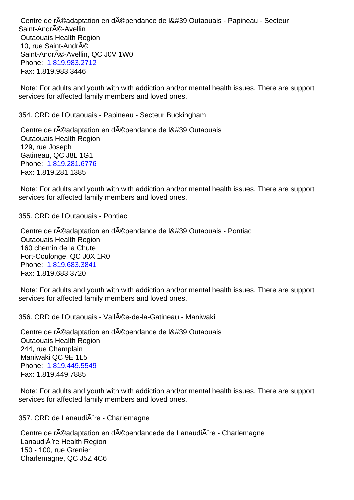Saint-André-Avellin Outaouais Health Region 10, rue Saint-AndrA© Saint-AndrA©-Avellin, QC J0V 1W0 Phone: 1.819.983.2712 Fax: 1.819.983.3446

 Note: For adults and youth with with addiction and/or mental health issues. There are support services [for affected fami](tel:1.819.983.2712)ly members and loved ones.

| 354. CRD de l'Outaouais - Papineau - Secteur Buckingham                                                                                                                                                | 35 <sub>5</sub> |
|--------------------------------------------------------------------------------------------------------------------------------------------------------------------------------------------------------|-----------------|
| Centre de r©adaptation en d©pendance de l'Outaouais<br><b>Outaouais Health Region</b><br>129, rue Joseph<br>Gatineau, QC J8L 1G1<br>Phone: 1.819.281.6776<br>Fax: 1.819.281.1385                       |                 |
| Note: For adults and youth with with addiction and/or mental health issues. There are support<br>services for affected family members and loved ones.                                                  |                 |
| 355. CRD de l'Outaouais - Pontiac                                                                                                                                                                      | 35              |
| Centre de r©adaptation en d©pendance de l'Outaouais - Pontiac<br><b>Outaouais Health Region</b><br>160 chemin de la Chute<br>Fort-Coulonge, QC J0X 1R0<br>Phone: 1.819.683.3841<br>Fax: 1.819.683.3720 |                 |
| Note: For adults and youth with with addiction and/or mental health issues. There are support<br>services for affected family members and loved ones.                                                  |                 |
| 356. CRD de l'Outaouais - Vall©e-de-la-Gatineau - Maniwaki                                                                                                                                             | 35              |
| Centre de r©adaptation en d©pendance de l'Outaouais<br><b>Outaouais Health Region</b><br>244, rue Champlain<br>Maniwaki QC 9E 1L5<br>Phone: 1.819.449.5549<br>Fax: 1.819.449.7885                      |                 |
| Note: For adults and youth with with addiction and/or mental health issues. There are support<br>services for affected family members and loved ones.                                                  |                 |
| 357. CRD de Lanaudià re - Charlemagne                                                                                                                                                                  | 35              |
| Centre de r©adaptation en d©pendancede de Lanaudi re - Charlemagne<br>LanaudiA"re Health Region<br>150 - 100, rue Grenier<br>Charlemagne, QC J5Z 4C6                                                   |                 |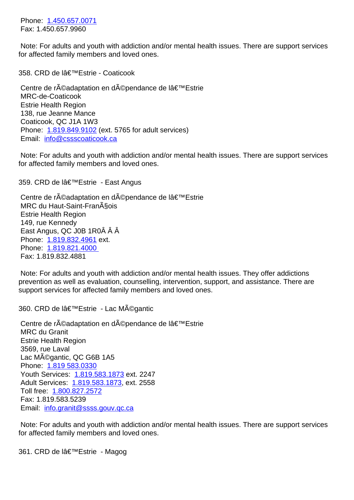Note: For adults and youth with addiction and/or mental health issues. There are support services for affect[ed family membe](tel:1.450.657.0071)rs and loved ones.

358. CRD de l'Estrie - Coaticook 358. CRD de la Strie - Striedward and Striedward and Striedward and String

Centre de réadaptation en dépendance de l'Estrie MRC-de-Coaticook Estrie Health Region 138, rue Jeanne Mance Coaticook, QC J1A 1W3 Phone: 1.819.849.9102 (ext. 5765 for adult services) Email: info@cssscoaticook.ca

 Note: For adults and youth with addiction and/or mental health issues. There are support services for affec[t](mailto:info@cssscoaticook.ca)[ed family memb](tel:1.819.849.9102)[ers and](mailto:info@cssscoaticook.ca) loved ones.

359. CRD de l'Estrie - East Angus 35

Centre de réadaptation en dépendance de l'Estrie MRC du Haut-Saint-Fran§ois Estrie Health Region 149, rue Kennedy East Angus, QC J0B 1R0Â Â Â Phone: 1.819.832.4961 ext. Phone: 1.819.821.4000 Fax: 1.819.832.4881

 Note: F[or adults and you](tel:1.819.832.4961)th with addiction and/or mental health issues. They offer addictions preventi[on as well as eval](tel:1.819.821.4000)uation, counselling, intervention, support, and assistance. There are support services for affected family members and loved ones.

360. CRD de l'Estrie - Lac Mĩgantic 360. CRD de la estrelle 36

Centre de réadaptation en dépendance de l'Estrie MRC du Granit Estrie Health Region 3569, rue Laval Lac Mégantic, QC G6B 1A5 Phone: 1.819 583.0330 Youth Services: 1.819.583.1873 ext. 2247 Adult Services: 1.819.583.1873, ext. 2558 Toll free: 1.800.827.2572 Fax: 1.[819.583.5239](tel:1.819) Email: info.gra[nit@ssss.gouv.qc.](tel:1.819.583.1873)ca

 Note: For [adults and yout](tel:1.800.827.2572)h with addiction and/or mental health issues. There are support services for affec[ted family members and love](mailto:info.granit@ssss.gouv.qc.ca)d ones.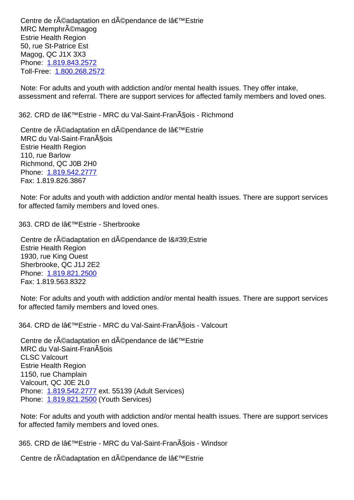MRC Memphrémagog Estrie Health Region 50, rue St-Patrice Est Magog, QC J1X 3X3 Phone: 1.819.843.2572 Toll-Free: 1.800.268.2572

 Note: For adults and youth with addiction and/or mental health issues. They offer intake, assessm[ent and referral.](tel:1.819.843.2572) [Th](tel:1.800.268.2572)ere are support services for affected family members and loved ones.

362. CRD de lâ€<sup>™</sup>Estrie - MRC du Val-Saint-François - Richmond 36

Centre de r©adaptation en d©pendance de l'Estrie MRC du Val-Saint-Fran§ois Estrie Health Region 110, rue Barlow Richmond, QC J0B 2H0 Phone: 1.819.542.2777 Fax: 1.819.826.3867

 Note: For adults and youth with addiction and/or mental health issues. There are support services for affect[ed family membe](tel:1.819.542.2777)rs and loved ones.

363. CRD de l'Estrie - Sherbrooke 363. CRD de la Sherbrooke 363. CRD de la Sherbrooke

Centre de réadaptation en dépendance de l'Estrie Estrie Health Region 1930, rue King Ouest Sherbrooke, QC J1J 2E2 Phone: 1.819.821.2500 Fax: 1.819.563.8322

 Note: For adults and youth with addiction and/or mental health issues. There are support services for affect[ed family membe](tel:1.819.821.2500)rs and loved ones.

364. CRD de lâ€<sup>™</sup>Estrie - MRC du Val-Saint-François - Valcourt 364. CRD de lâ€<sup>™</sup>Estrie - MRC du Val-Saint-François - Valcourt

Centre de réadaptation en dépendance de l'Estrie MRC du Val-Saint-Fran§ois CLSC Valcourt Estrie Health Region 1150, rue Champlain Valcourt, QC J0E 2L0 Phone: 1.819.542.2777 ext. 55139 (Adult Services) Phone: 1.819.821.2500 (Youth Services)

 Note: For adults and youth with addiction and/or mental health issues. There are support services for affect[ed family membe](tel:1.819.542.2777)rs and loved ones.

365. CRD de lâ€<sup>™</sup>Estrie - MRC du Val-Saint-François - Windsor 365. CRD de lâ€<sup>™</sup>Estrie - MRC du Val-Saint-François - Windsor

Centre de réadaptation en dépendance de l'Estrie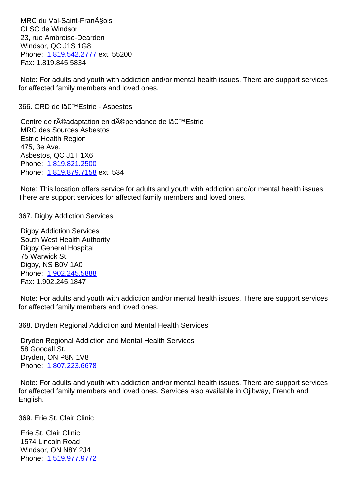CLSC de Windsor 23, rue Ambroise-Dearden Windsor, QC J1S 1G8 Phone: 1.819.542.2777 ext. 55200 Fax: 1.819.845.5834

 Note: For adults and youth with addiction and/or mental health issues. There are support services for affect[ed family membe](tel:1.819.542.2777)rs and loved ones.

366. CRD de l'Estrie - Asbestos 366 animatic estrelle estrelle estrelle estrelle estrelle estrelle estrelle e

Centre de réadaptation en dépendance de l'Estrie MRC des Sources Asbestos Estrie Health Region 475, 3e Ave. Asbestos, QC J1T 1X6 Phone: 1.819.821.2500 Phone: 1.819.879.7158 ext. 534

 Note: This location offers service for adults and youth with addiction and/or mental health issues. There ar[e support service](tel:1.819.821.2500)s for affected family members and loved ones.

367. Digby Addiction Services 367. Digby Addiction Services

 Digby Addiction Services South West Health Authority Digby General Hospital 75 Warwick St. Digby, NS B0V 1A0 Phone: 1.902.245.5888 Fax: 1.902.245.1847

 Note: For adults and youth with addiction and/or mental health issues. There are support services for affect[ed family membe](tel:1.902.245.5888)rs and loved ones.

368. Dryden Regional Addiction and Mental Health Services 368. Dryden Regional Addiction and Mental Health Services

 Dryden Regional Addiction and Mental Health Services 58 Goodall St. Dryden, ON P8N 1V8 Phone: 1.807.223.6678

 Note: For adults and youth with addiction and/or mental health issues. There are support services for affect[ed family membe](tel:1.807.223.6678)rs and loved ones. Services also available in Ojibway, French and English.

369. Erie St. Clair Clinic 369. Erie St. Clair Clinic

 Erie St. Clair Clinic 1574 Lincoln Road Windsor, ON N8Y 2J4 Phone: 1.519.977.9772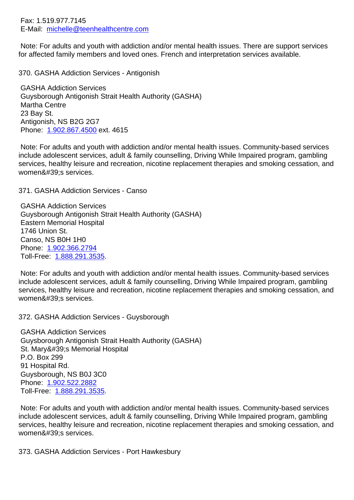E-Mail: michelle@teenhealthcentre.com

 Note: For adults and youth with addiction and/or mental health issues. There are support services for affect[ed family members and loved on](mailto:michelle@teenhealthcentre.com)es. French and interpretation services available.

370. GASHA Addiction Services - Antigonish 370. GASHA Addiction Services - Antigonish

 GASHA Addiction Services Guysborough Antigonish Strait Health Authority (GASHA) Martha Centre 23 Bay St. Antigonish, NS B2G 2G7 Phone: 1.902.867.4500 ext. 4615

 Note: For adults and youth with addiction and/or mental health issues. Community-based services include adolescent services, adult & family counselling, Driving While Impaired program, gambling services, [healthy leisure a](tel:1.902.867.4500)nd recreation, nicotine replacement therapies and smoking cessation, and women's services.

371. GASHA Addiction Services - Canso 371. GASHA Addiction Services - Canso

 GASHA Addiction Services Guysborough Antigonish Strait Health Authority (GASHA) Eastern Memorial Hospital 1746 Union St. Canso, NS B0H 1H0 Phone: 1.902.366.2794 Toll-Free: 1.888.291.3535.

 Note: For adults and youth with addiction and/or mental health issues. Community-based services include [adolescent servic](tel:1.902.366.2794)es, adult & family counselling, Driving While Impaired program, gambling services, h[ealthy leisure and](tel:1.888.291.3535) recreation, nicotine replacement therapies and smoking cessation, and women's services.

372. GASHA Addiction Services - Guysborough 372. GASHA Addiction Services - Guysborough

 GASHA Addiction Services Guysborough Antigonish Strait Health Authority (GASHA) St. Mary's Memorial Hospital P.O. Box 299 91 Hospital Rd. Guysborough, NS B0J 3C0 Phone: 1.902.522.2882 Toll-Free: 1.888.291.3535.

 Note: For adults and youth with addiction and/or mental health issues. Community-based services include [adolescent servic](tel:1.902.522.2882)es, adult & family counselling, Driving While Impaired program, gambling services, h[ealthy leisure and](tel:1.888.291.3535) recreation, nicotine replacement therapies and smoking cessation, and women's services.

373. GASHA Addiction Services - Port Hawkesbury 373. GASHA Addiction Services - Port Hawkesbury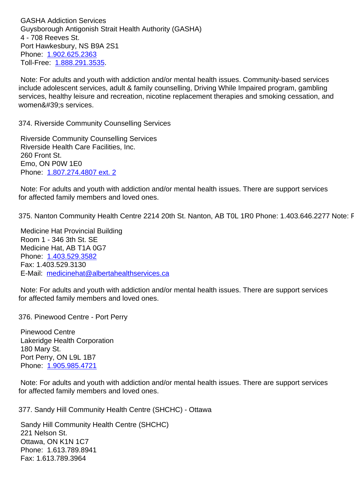Guysborough Antigonish Strait Health Authority (GASHA) 4 - 708 Reeves St. Port Hawkesbury, NS B9A 2S1 Phone: 1.902.625.2363 Toll-Free: 1.888.291.3535.

 Note: For adults and youth with addiction and/or mental health issues. Community-based services include [adolescent servic](tel:1.902.625.2363)es, adult & family counselling, Driving While Impaired program, gambling services, h[ealthy leisure and](tel:1.888.291.3535) recreation, nicotine replacement therapies and smoking cessation, and women's services.

374. Riverside Community Counselling Services 374. Riverside Community Counselling Services

 Riverside Community Counselling Services Riverside Health Care Facilities, Inc. 260 Front St. Emo, ON P0W 1E0 Phone: 1.807.274.4807 ext. 2

 Note: For adults and youth with addiction and/or mental health issues. There are support services for affect[ed family members an](tel:1.807.274.4807)d loved ones.

375. Nanton Community Health Centre 2214 20th St. Nanton, AB TOL 1R0 Phone: 1.403.646.2277 Note: F67

 Medicine Hat Provincial Building Room 1 - 346 3th St. SE Medicine Hat, AB T1A 0G7 Phone: 1.403.529.3582 Fax: 1.403.529.3130 E-Mail: medicinehat@albertahealthservices.ca

 Note: F[or adults and you](tel:1.403.529.3582)th with addiction and/or mental health issues. There are support services for affect[ed family members and loved ones.](mailto:medicinehat@albertahealthservices.ca)

376. Pinewood Centre - Port Perry 376. Pinewood Centre - Port Perry

 Pinewood Centre Lakeridge Health Corporation 180 Mary St. Port Perry, ON L9L 1B7 Phone: 1.905.985.4721

 Note: For adults and youth with addiction and/or mental health issues. There are support services for affect[ed family membe](tel:1.905.985.4721)rs and loved ones.

377. Sandy Hill Community Health Centre (SHCHC) - Ottawa 377. Sandy Hill Community Health Centre (SHCHC) - Ottawa

 Sandy Hill Community Health Centre (SHCHC) 221 Nelson St. Ottawa, ON K1N 1C7 Phone: 1.613.789.8941 Fax: 1.613.789.3964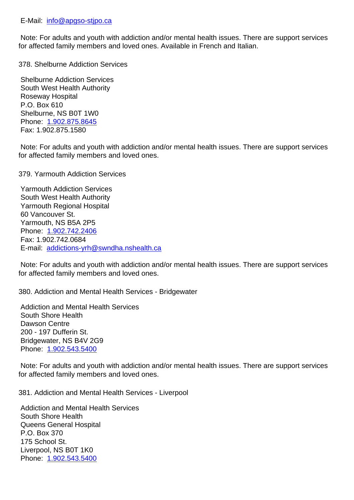Note: For adults and youth with addiction and/or mental health issues. There are support services for affect[ed family members a](mailto:info@apgso-stjpo.ca)nd loved ones. Available in French and Italian.

378. Shelburne Addiction Services 378. Shelburne Addiction Services

 Shelburne Addiction Services South West Health Authority Roseway Hospital P.O. Box 610 Shelburne, NS B0T 1W0 Phone: 1.902.875.8645 Fax: 1.902.875.1580

 Note: For adults and youth with addiction and/or mental health issues. There are support services for affect[ed family membe](tel:1.902.875.8645)rs and loved ones.

379. Yarmouth Addiction Services 379. Yarmouth Addiction Services

 Yarmouth Addiction Services South West Health Authority Yarmouth Regional Hospital 60 Vancouver St. Yarmouth, NS B5A 2P5 Phone: 1.902.742.2406 Fax: 1.902.742.0684 E-mail: addictions-yrh@swndha.nshealth.ca

 Note: F[or adults and you](tel:1.902.742.2406)th with addiction and/or mental health issues. There are support services for affect[ed family members and loved ones.](mailto:addictions-yrh@swndha.nshealth.ca)

380. Addiction and Mental Health Services - Bridgewater 380. Addiction and Mental Health Services - Bridgewater

 Addiction and Mental Health Services South Shore Health Dawson Centre 200 - 197 Dufferin St. Bridgewater, NS B4V 2G9 Phone: 1.902.543.5400

 Note: For adults and youth with addiction and/or mental health issues. There are support services for affect[ed family membe](tel:1.902.543.5400)rs and loved ones.

381. Addiction and Mental Health Services - Liverpool 381. Addiction and Mental Health Services - Liverpool

 Addiction and Mental Health Services South Shore Health Queens General Hospital P.O. Box 370 175 School St. Liverpool, NS B0T 1K0 Phone: 1.902.543.5400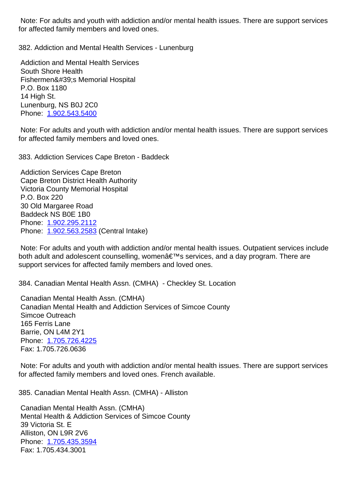for affected family members and loved ones.

382. Addiction and Mental Health Services - Lunenburg 382. Addiction and Mental Health Services - Lunenburg

 Addiction and Mental Health Services South Shore Health Fishermen's Memorial Hospital P.O. Box 1180 14 High St. Lunenburg, NS B0J 2C0 Phone: 1.902.543.5400

 Note: For adults and youth with addiction and/or mental health issues. There are support services for affect[ed family membe](tel:1.902.543.5400)rs and loved ones.

383. Addiction Services Cape Breton - Baddeck 383. Addiction Services Cape Breton - Baddeck

 Addiction Services Cape Breton Cape Breton District Health Authority Victoria County Memorial Hospital P.O. Box 220 30 Old Margaree Road Baddeck NS B0E 1B0 Phone: 1.902.295.2112 Phone: 1.902.563.2583 (Central Intake)

 Note: For adults and youth with addiction and/or mental health issues. Outpatient services include both adu[lt and adolescen](tel:1.902.295.2112)t counselling, women's services, and a day program. There are support [services for affec](tel:1.902.563.2583)ted family members and loved ones.

384. Canadian Mental Health Assn. (CMHA) - Checkley St. Location 384. Canadian Mental Health Assn. (CMHA) - Checkley St. Location

 Canadian Mental Health Assn. (CMHA) Canadian Mental Health and Addiction Services of Simcoe County Simcoe Outreach 165 Ferris Lane Barrie, ON L4M 2Y1 Phone: 1.705.726.4225 Fax: 1.705.726.0636

 Note: For adults and youth with addiction and/or mental health issues. There are support services for affect[ed family membe](tel:1.705.726.4225)rs and loved ones. French available.

385. Canadian Mental Health Assn. (CMHA) - Alliston 385. Canadian Mental Health Assn. (CMHA) - Alliston

 Canadian Mental Health Assn. (CMHA) Mental Health & Addiction Services of Simcoe County 39 Victoria St. E Alliston, ON L9R 2V6 Phone: 1.705.435.3594 Fax: 1.705.434.3001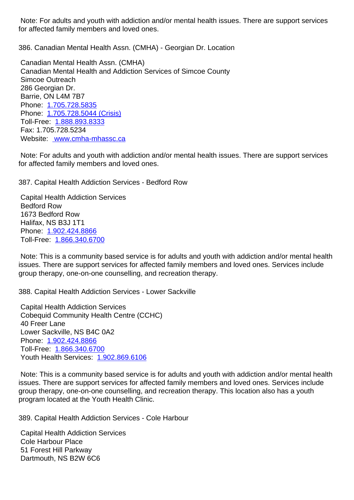for affected family members and loved ones.

386. Canadian Mental Health Assn. (CMHA) - Georgian Dr. Location 386. Canadian Mental Health Assn. (CMHA) - Georgian Dr. Location

 Canadian Mental Health Assn. (CMHA) Canadian Mental Health and Addiction Services of Simcoe County Simcoe Outreach 286 Georgian Dr. Barrie, ON L4M 7B7 Phone: 1.705.728.5835 Phone: 1.705.728.5044 (Crisis) Toll-Free: 1.888.893.8333 Fax: 1.705.728.5234 Websit[e: www.cmha-](tel:1.705.728.5835)[mhassc.c](tel:1.705.728.5044)a

 Note: For [adults and youth](tel:1.888.893.8333) with addiction and/or mental health issues. There are support services for affecte[d family members and lo](http://cmhastarttalking.ca/)ved ones.

387. Capital Health Addiction Services - Bedford Row 387. Capital Health Addiction Services - Bedford Row

 Capital Health Addiction Services Bedford Row 1673 Bedford Row Halifax, NS B3J 1T1 Phone: 1.902.424.8866 Toll-Free: 1.866.340.6700

 Note: This is a community based service is for adults and youth with addiction and/or mental health issues. [There are suppor](tel:1.902.424.8866)t services for affected family members and loved ones. Services include group thera[py, one-on-one](tel:1.866.340.6700) counselling, and recreation therapy.

388. Capital Health Addiction Services - Lower Sackville 388. Capital Health Addiction Services - Lower Sackville

 Capital Health Addiction Services Cobequid Community Health Centre (CCHC) 40 Freer Lane Lower Sackville, NS B4C 0A2 Phone: 1.902.424.8866 Toll-Free: 1.866.340.6700 Youth Health Services: 1.902.869.6106

 Note: T[his is a commun](tel:1.902.424.8866)ity based service is for adults and youth with addiction and/or mental health issues. The[re are support s](tel:1.866.340.6700)ervices for affected family members and loved ones. Services include group therapy, one-on-o[ne counselling, a](tel:1.902.869.6106)nd recreation therapy. This location also has a youth program located at the Youth Health Clinic.

389. Capital Health Addiction Services - Cole Harbour 389. Capital Health Addiction Services - Cole Harbour

 Capital Health Addiction Services Cole Harbour Place 51 Forest Hill Parkway Dartmouth, NS B2W 6C6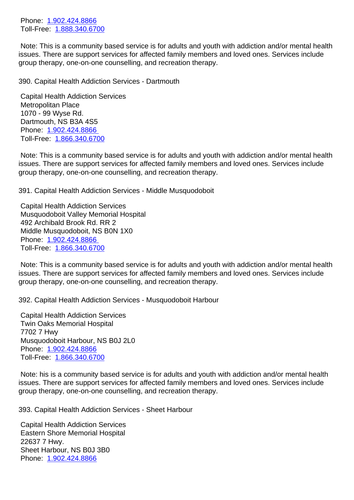Toll-Free: 1.888.340.6700

 Note: This is a community based service is for adults and youth with addiction and/or mental health issues. [There are suppor](tel:1.902.424.8866)t services for affected family members and loved ones. Services include group thera[py, one-on-one](tel:1.888.340.6700) counselling, and recreation therapy.

390. Capital Health Addiction Services - Dartmouth 390. Capital Health Addiction Services - Dartmouth

 Capital Health Addiction Services Metropolitan Place 1070 - 99 Wyse Rd. Dartmouth, NS B3A 4S5 Phone: 1.902.424.8866 Toll-Free: 1.866.340.6700

 Note: This is a community based service is for adults and youth with addiction and/or mental health issues. [There are support](tel:1.902.424.8866) services for affected family members and loved ones. Services include group thera[py, one-on-one](tel:1.866.340.6700) counselling, and recreation therapy.

391. Capital Health Addiction Services - Middle Musquodoboit 391. Capital Health Addiction Services - Middle Musquodoboit

 Capital Health Addiction Services Musquodoboit Valley Memorial Hospital 492 Archibald Brook Rd. RR 2 Middle Musquodoboit, NS B0N 1X0 Phone: 1.902.424.8866 Toll-Free: 1.866.340.6700

 Note: This is a community based service is for adults and youth with addiction and/or mental health issues. [There are support](tel:1.902.424.8866) services for affected family members and loved ones. Services include group thera[py, one-on-one](tel:1.866.340.6700) counselling, and recreation therapy.

392. Capital Health Addiction Services - Musquodoboit Harbour 392. Capital Health Addiction Services - Musquodoboit Harbour

 Capital Health Addiction Services Twin Oaks Memorial Hospital 7702 7 Hwy Musquodoboit Harbour, NS B0J 2L0 Phone: 1.902.424.8866 Toll-Free: 1.866.340.6700

 Note: his is a community based service is for adults and youth with addiction and/or mental health issues. [There are suppor](tel:1.902.424.8866)t services for affected family members and loved ones. Services include group thera[py, one-on-one](tel:1.866.340.6700) counselling, and recreation therapy.

393. Capital Health Addiction Services - Sheet Harbour 393. Capital Health Addiction Services - Sheet Harbour

 Capital Health Addiction Services Eastern Shore Memorial Hospital 22637 7 Hwy. Sheet Harbour, NS B0J 3B0 Phone: 1.902.424.8866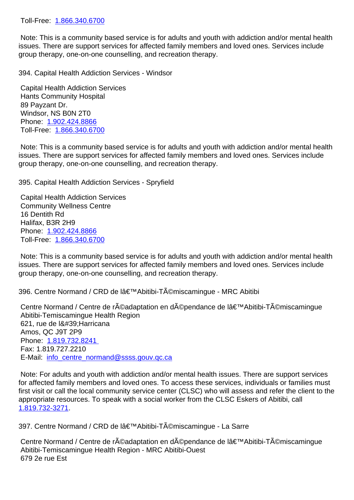Note: This is a community based service is for adults and youth with addiction and/or mental health issues. There are support services for affected family members and loved ones. Services include group thera[py, one-on-one](tel:1.866.340.6700) counselling, and recreation therapy.

394. Capital Health Addiction Services - Windsor 394. Capital Health Addiction Services - Windsor

 Capital Health Addiction Services Hants Community Hospital 89 Payzant Dr. Windsor, NS B0N 2T0 Phone: 1.902.424.8866 Toll-Free: 1.866.340.6700

 Note: This is a community based service is for adults and youth with addiction and/or mental health issues. [There are suppor](tel:1.902.424.8866)t services for affected family members and loved ones. Services include group thera[py, one-on-one](tel:1.866.340.6700) counselling, and recreation therapy.

395. Capital Health Addiction Services - Spryfield 395. Capital Health Addiction Services - Spryfield

 Capital Health Addiction Services Community Wellness Centre 16 Dentith Rd Halifax, B3R 2H9 Phone: 1.902.424.8866 Toll-Free: 1.866.340.6700

 Note: This is a community based service is for adults and youth with addiction and/or mental health issues. [There are suppor](tel:1.902.424.8866)t services for affected family members and loved ones. Services include group thera[py, one-on-one](tel:1.866.340.6700) counselling, and recreation therapy.

396. Centre Normand / CRD de lâ€<sup>™</sup>Abitibi-Témiscamingue - MRC Abitibi

Centre Normand / Centre de réadaptation en dépendance de l'Abitibi-Témiscamingue Abitibi-Temiscamingue Health Region 621, rue de l' Harricana Amos, QC J9T 2P9 Phone: 1.819.732.8241 Fax: 1.819.727.2210 E-Mail: info\_centre\_normand@ssss.gouv.qc.ca

 Note: F[or adults and you](tel:1.819.732.8241)th with addiction and/or mental health issues. There are support services for affected family members and loved ones. To access these services, individuals or families must first visit [or call the local community service cente](mailto:info_centre_normand@ssss.gouv.qc.ca)r (CLSC) who will assess and refer the client to the appropriate resources. To speak with a social worker from the CLSC Eskers of Abitibi, call 1.819.732-3271.

397. Centre Normand / CRD de lâ€<sup>™</sup>Abitibi-Témiscamingue - La Sarre 397. Centre Normand / CRD de lâ€<sup>™</sup>Abitibi-Témiscamingue - La Sarre

Centre Normand / Centre de réadaptation en dépendance de l'Abitibi-Témiscamingue Abitibi-Temiscamingue Health Region - MRC Abitibi-Ouest 679 2e rue Est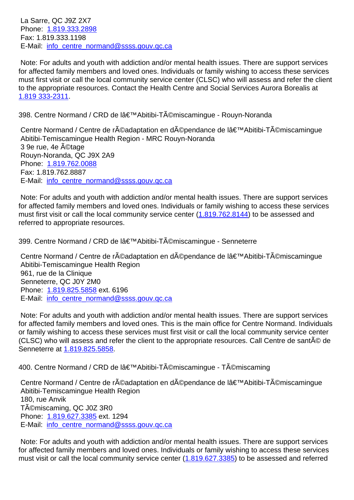Phone: 1.819.333.2898 Fax: 1.819.333.1198 E-Mail: info\_centre\_normand@ssss.gouv.qc.ca

 Note: F[or adults and you](tel:1.819.333.2898)th with addiction and/or mental health issues. There are support services for affected family members and loved ones. Individuals or family wishing to access these services must firs[t visit or call the local community service](mailto:info_centre_normand@ssss.gouv.qc.ca) center (CLSC) who will assess and refer the client to the appropriate resources. Contact the Health Centre and Social Services Aurora Borealis at 1.819 333-2311.

398. Centre Normand / CRD de lâ€<sup>™</sup>Abitibi-Témiscamingue - Rouyn-Noranda and and abitibi-Témiscamingue - Rouyn-Noranda

Centre Normand / Centre de réadaptation en dépendance de l'Abitibi-Témiscamingue Abitibi-Temiscamingue Health Region - MRC Rouyn-Noranda 3 9e rue, 4e ©tage Rouyn-Noranda, QC J9X 2A9 Phone: 1.819.762.0088 Fax: 1.819.762.8887 E-Mail: info\_centre\_normand@ssss.gouv.qc.ca

 Note: F[or adults and you](tel:1.819.762.0088)th with addiction and/or mental health issues. There are support services for affected family members and loved ones. Individuals or family wishing to access these services must firs[t visit or call the local community service](mailto:info_centre_normand@ssss.gouv.qc.ca) center  $(1.819.762.8144)$  to be assessed and referred to appropriate resources.

399. Centre Normand / CRD de lâ€<sup>™</sup>Abitibi-Témisca[mingue - Sennete](tel:1.819.762.8144)rre 39

Centre Normand / Centre de réadaptation en dépendance de l'Abitibi-Témiscamingue Abitibi-Temiscamingue Health Region 961, rue de la Clinique Senneterre, QC J0Y 2M0 Phone: 1.819.825.5858 ext. 6196 E-Mail: info\_centre\_normand@ssss.gouv.qc.ca

 Note: For adults and youth with addiction and/or mental health issues. There are support services for affect[ed family membe](tel:1.819.825.5858)rs and loved ones. This is the main office for Centre Normand. Individuals or family [wishing to access these services must f](mailto:info_centre_normand@ssss.gouv.qc.ca)irst visit or call the local community service center (CLSC) who will assess and refer the client to the appropriate resources. Call Centre de santé de Senneterre at 1.819.825.5858.

400. Centre Normand / CRD de lâ€<sup>™</sup>Abitibi-Témiscamingue - Témiscaming<br>40

Centre Norm[and / Centre de](tel:1.819.825.5858) réadaptation en dépendance de lâ€<sup>™</sup>Abitibi-Témiscamingue Abitibi-Temiscamingue Health Region 180, rue Anvik Témiscaming, QC J0Z 3R0 Phone: 1.819.627.3385 ext. 1294 E-Mail: info\_centre\_normand@ssss.gouv.qc.ca

 Note: For adults and youth with addiction and/or mental health issues. There are support services for affect[ed family membe](tel:1.819.627.3385)rs and loved ones. Individuals or family wishing to access these services must visi[t or call the local community service cen](mailto:info_centre_normand@ssss.gouv.qc.ca)ter (1.819.627.3385) to be assessed and referred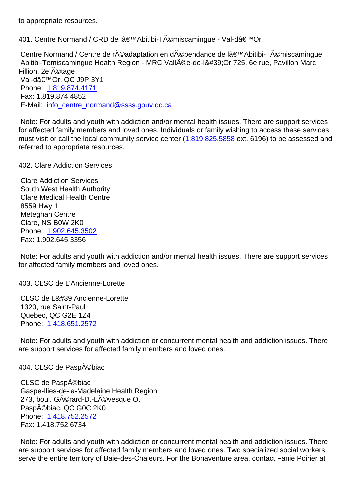401. Centre Normand / CRD de lâ€<sup>™</sup>Abitibi-Témiscamingue - Val-dâ€<sup>™</sup>Or 40

Centre Normand / Centre de réadaptation en dépendance de l'Abitibi-Témiscamingue Abitibi-Temiscamingue Health Region - MRC Vallée-de-l'Or 725, 6e rue, Pavillon Marc Fillion, 2e ©tage Val-d'Or, QC J9P 3Y1 Phone: 1.819.874.4171 Fax: 1.819.874.4852 E-Mail: info\_centre\_normand@ssss.gouv.qc.ca

 Note: F[or adults and you](tel:1.819.874.4171)th with addiction and/or mental health issues. There are support services for affected family members and loved ones. Individuals or family wishing to access these services must visi[t or call the local community service cen](mailto:info_centre_normand@ssss.gouv.qc.ca)ter (1.819.825.5858 ext. 6196) to be assessed and referred to appropriate resources.

402. Clare Addiction Services 402. Clare Addiction Services

 Clare Addiction Services South West Health Authority Clare Medical Health Centre 8559 Hwy 1 Meteghan Centre Clare, NS B0W 2K0 Phone: 1.902.645.3502 Fax: 1.902.645.3356

 Note: For adults and youth with addiction and/or mental health issues. There are support services for affect[ed family membe](tel:1.902.645.3502)rs and loved ones.

403. CLSC de L'Ancienne-Lorette 403. CLSC de L'Ancienne-Lorette

CLSC de L&#39: Ancienne-Lorette 1320, rue Saint-Paul Quebec, QC G2E 1Z4 Phone: 1.418.651.2572

 Note: For adults and youth with addiction or concurrent mental health and addiction issues. There are supp[ort services for a](tel:1.418.651.2572)ffected family members and loved ones.

404. CLSC de Paspébiac 404. CLSC de Paspébiac

CLSC de Paspébiac Gaspe-Ilies-de-la-Madelaine Health Region 273, boul. Gérard-D.-Lévesque O. Paspébiac, QC G0C 2K0 Phone: 1.418.752.2572 Fax: 1.418.752.6734

 Note: For adults and youth with addiction or concurrent mental health and addiction issues. There are supp[ort services for a](tel:1.418.752.2572)ffected family members and loved ones. Two specialized social workers serve the entire territory of Baie-des-Chaleurs. For the Bonaventure area, contact Fanie Poirier at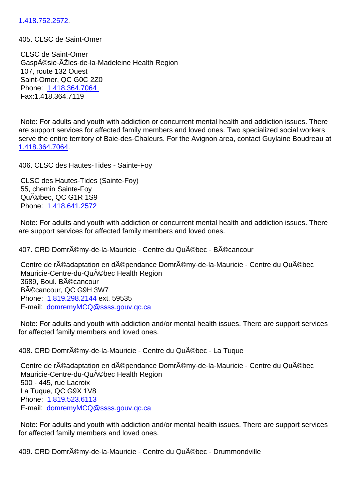## 405. CLSC de Saint-Omer 405. CLSC de Saint-Omer

 [CLSC de Saint](tel:1.418.752.2572)-Omer Gaspésie-ÃŽles-de-la-Madeleine Health Region 107, route 132 Ouest Saint-Omer, QC G0C 2Z0 Phone: 1.418.364.7064 Fax:1.418.364.7119

 Note: F[or adults and you](tel:1.418.364.7064)th with addiction or concurrent mental health and addiction issues. There are support services for affected family members and loved ones. Two specialized social workers serve the entire territory of Baie-des-Chaleurs. For the Avignon area, contact Guylaine Boudreau at 1.418.364.7064.

| 406. CLSC des Hautes-Tides - Sainte-Foy                                                                                                                                                                           | 40 |
|-------------------------------------------------------------------------------------------------------------------------------------------------------------------------------------------------------------------|----|
| CLSC des Hautes-Tides (Sainte-Foy)<br>55, chemin Sainte-Foy<br>Québec, QC G1R 1S9<br>Phone: 1.418.641.2572                                                                                                        |    |
| Note: For adults and youth with addiction or concurrent mental health and addiction issues. There<br>are support services for affected family members and loved ones.                                             |    |
| 407. CRD Domrémy-de-la-Mauricie - Centre du Québec - Bécancour                                                                                                                                                    | 40 |
| Centre de réadaptation en dépendance Domrémy-de-la-Mauricie - Centre du Québec<br>Mauricie-Centre-du-Québec Health Region<br>3689, Boul. BA©cancour<br>BA©cancour, QC G9H 3W7<br>Phone: 1.819.298.2144 ext. 59535 |    |

 E-mail: domremyMCQ@ssss.gouv.qc.ca

 Note: For adults and youth with addiction and/or mental health issues. There are support services for affect[ed family memb](tel:1.819.298.2144)[ers and loved one](mailto:domremyMCQ@ssss.gouv.qc.ca)s.

| Centre de réadaptation en dépendance Domrémy-de-la-Mauricie - Centre du Québec<br>Mauricie-Centre-du-Qu©bec Health Region<br>500 - 445, rue Lacroix<br>La Tuque, QC G9X 1V8<br>Phone: 1.819.523.6113<br>E-mail: domremyMCQ@ssss.gouv.gc.ca |  |
|--------------------------------------------------------------------------------------------------------------------------------------------------------------------------------------------------------------------------------------------|--|

 Note: For adults and youth with addiction and/or mental health issues. There are support services for affect[ed family memb](tel:1.819.523.6113)[ers and loved one](mailto:domremyMCQ@ssss.gouv.qc.ca)s.

409. CRD Domrémy-de-la-Mauricie - Centre du Québec - Drummondville 40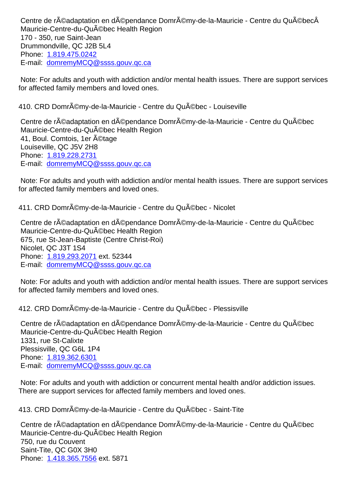Mauricie-Centre-du-Québec Health Region 170 - 350, rue Saint-Jean Drummondville, QC J2B 5L4 Phone: 1.819.475.0242 E-mail: domremyMCQ@ssss.gouv.qc.ca

 Note: For adults and youth with addiction and/or mental health issues. There are support services for affect[ed family memb](tel:1.819.475.0242)[ers and loved one](mailto:domremyMCQ@ssss.gouv.qc.ca)s.

| 410. CRD Domr©my-de-la-Mauricie - Centre du Qu©bec - Louiseville                                                                                                                                                                                                            | 41 |
|-----------------------------------------------------------------------------------------------------------------------------------------------------------------------------------------------------------------------------------------------------------------------------|----|
| Centre de r©adaptation en d©pendance Domrémy-de-la-Mauricie - Centre du Qu©bec<br>Mauricie-Centre-du-Qu©bec Health Region<br>41, Boul. Comtois, 1er A©tage<br>Louiseville, QC J5V 2H8<br>Phone: 1.819.228.2731<br>E-mail: domremyMCQ@ssss.gouv.gc.ca                        |    |
| Note: For adults and youth with addiction and/or mental health issues. There are support services<br>for affected family members and loved ones.                                                                                                                            |    |
| 411. CRD Domrémy-de-la-Mauricie - Centre du Québec - Nicolet                                                                                                                                                                                                                | 41 |
| Centre de r©adaptation en d©pendance Domrémy-de-la-Mauricie - Centre du Qu©bec<br>Mauricie-Centre-du-Qu©bec Health Region<br>675, rue St-Jean-Baptiste (Centre Christ-Roi)<br>Nicolet, QC J3T 1S4<br>Phone: 1.819.293.2071 ext. 52344<br>E-mail: domremyMCQ@ssss.gouv.gc.ca |    |
| Note: For adults and youth with addiction and/or mental health issues. There are support services<br>for affected family members and loved ones.                                                                                                                            |    |
| 412. CRD Domrémy-de-la-Mauricie - Centre du Québec - Plessisville                                                                                                                                                                                                           | 41 |
| Centre de réadaptation en dépendance Domrémy-de-la-Mauricie - Centre du Québec<br>Mauricie-Centre-du-Qu©bec Health Region<br>1331, rue St-Calixte<br>Plessisville, QC G6L 1P4<br>Phone: 1.819.362.6301<br>E-mail: domremyMCQ@ssss.gouv.gc.ca                                |    |
| Note: For adults and youth with addiction or concurrent mental health and/or addiction issues.<br>There are support services for affected family members and loved ones.                                                                                                    |    |
| 413. CRD Domrémy-de-la-Mauricie - Centre du Québec - Saint-Tite                                                                                                                                                                                                             | 41 |
| Centre de réadaptation en dépendance Domrémy-de-la-Mauricie - Centre du Québec<br>Mauricie-Centre-du-Qu©bec Health Region<br>750, rue du Couvent<br>Saint-Tite, QC G0X 3H0                                                                                                  |    |

Phone: 1.418.365.7556 ext. 5871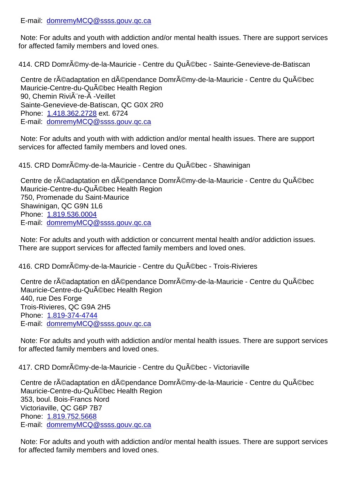| Note: For adults and youth with addiction and/or mental health issues. There are support services<br>for affected family members and loved ones.                                                                                                                                  |    |
|-----------------------------------------------------------------------------------------------------------------------------------------------------------------------------------------------------------------------------------------------------------------------------------|----|
| 414. CRD Domrémy-de-la-Mauricie - Centre du Québec - Sainte-Genevieve-de-Batiscan                                                                                                                                                                                                 | 41 |
| Centre de r©adaptation en d©pendance Domrémy-de-la-Mauricie - Centre du Qu©bec<br>Mauricie-Centre-du-Qu©bec Health Region<br>90, Chemin Rivià re-à - Veillet<br>Sainte-Genevieve-de-Batiscan, QC G0X 2R0<br>Phone: 1.418.362.2728 ext. 6724<br>E-mail: domremyMCQ@ssss.gouv.qc.ca |    |
| Note: For adults and youth with with addiction and/or mental health issues. There are support<br>services for affected family members and loved ones.                                                                                                                             |    |
| 415. CRD Domrémy-de-la-Mauricie - Centre du Québec - Shawinigan                                                                                                                                                                                                                   | 41 |
| Centre de réadaptation en dépendance Domrémy-de-la-Mauricie - Centre du Québec<br>Mauricie-Centre-du-Qu©bec Health Region<br>750, Promenade du Saint-Maurice<br>Shawinigan, QC G9N 1L6<br>Phone: 1.819.536.0004<br>E-mail: domremyMCQ@ssss.gouv.gc.ca                             |    |
| Note: For adults and youth with addiction or concurrent mental health and/or addiction issues.<br>There are support services for affected family members and loved ones.                                                                                                          |    |
| 416. CRD Domrémy-de-la-Mauricie - Centre du Québec - Trois-Rivieres                                                                                                                                                                                                               | 41 |
| Centre de r©adaptation en d©pendance Domrémy-de-la-Mauricie - Centre du Qu©bec<br>Mauricie-Centre-du-Qu©bec Health Region<br>440, rue Des Forge<br>Trois-Rivieres, QC G9A 2H5<br>Phone: 1.819-374-4744<br>E-mail: domremyMCQ@ssss.gouv.gc.ca                                      |    |
| Note: For adults and youth with addiction and/or mental health issues. There are support services<br>for affected family members and loved ones.                                                                                                                                  |    |
| 417. CRD Domrémy-de-la-Mauricie - Centre du Québec - Victoriaville                                                                                                                                                                                                                | 41 |
| Centre de r©adaptation en d©pendance Domrémy-de-la-Mauricie - Centre du Qu©bec<br>Mauricie-Centre-du-QuA ©bec Health Region<br>353, boul. Bois-Francs Nord<br>Victoriaville, QC G6P 7B7<br>Phone: 1.819.752.5668<br>E-mail: domremyMCQ@ssss.gouv.gc.ca                            |    |
|                                                                                                                                                                                                                                                                                   |    |

 Note: For adults and youth with addiction and/or mental health issues. There are support services for affect[ed family memb](tel:1.819.752.5668)[ers and loved one](mailto:domremyMCQ@ssss.gouv.qc.ca)s.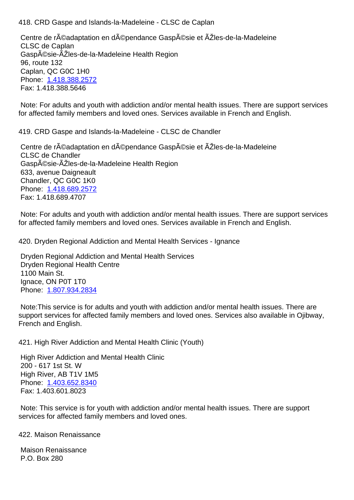Centre de réadaptation en dépendance Gaspésie et ÃŽles-de-la-Madeleine CLSC de Caplan Gaspésie-ÃŽles-de-la-Madeleine Health Region 96, route 132 Caplan, QC G0C 1H0 Phone: 1.418.388.2572 Fax: 1.418.388.5646

 Note: For adults and youth with addiction and/or mental health issues. There are support services for affect[ed family membe](tel:1.418.388.2572)rs and loved ones. Services available in French and English.

419. CRD Gaspe and Islands-la-Madeleine - CLSC de Chandler 419. CRD Gaspe and Islands-la-Madeleine - CLSC de Chandler

Centre de réadaptation en dépendance Gaspésie et ÃŽles-de-la-Madeleine CLSC de Chandler Gaspésie-ÃŽles-de-la-Madeleine Health Region 633, avenue Daigneault Chandler, QC G0C 1K0 Phone: 1.418.689.2572 Fax: 1.418.689.4707

 Note: For adults and youth with addiction and/or mental health issues. There are support services for affect[ed family membe](tel:1.418.689.2572)rs and loved ones. Services available in French and English.

420. Dryden Regional Addiction and Mental Health Services - Ignance 420. Dryden Regional Addiction and Mental Health Services - Ignance

 Dryden Regional Addiction and Mental Health Services Dryden Regional Health Centre 1100 Main St. Ignace, ON P0T 1T0 Phone: 1.807.934.2834

 Note:This service is for adults and youth with addiction and/or mental health issues. There are support [services for affec](tel:1.807.934.2834)ted family members and loved ones. Services also available in Ojibway, French and English.

421. High River Addiction and Mental Health Clinic (Youth) 421. High River Addiction and Mental Health Clinic (Youth)

 High River Addiction and Mental Health Clinic 200 - 617 1st St. W High River, AB T1V 1M5 Phone: 1.403.652.8340 Fax: 1.403.601.8023

 Note: This service is for youth with addiction and/or mental health issues. There are support services [for affected fami](tel:1.403.652.8340)ly members and loved ones.

422. Maison Renaissance 422. Maison Renaissance

 Maison Renaissance P.O. Box 280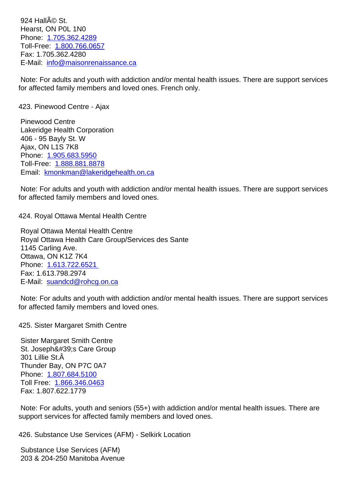$H$ Figust, ON POL 1190 Phone: 1.705.362.4289 Toll-Free: 1.800.766.0657 Fax: 1.705.362.4280 E-Mail: [info@maisonren](tel:1.705.362.4289)aissance.ca

 Note: For [adults and youth](tel:1.800.766.0657) with addiction and/or mental health issues. There are support services for affect[ed family members and loved](mailto:info@maisonrenaissance.ca) ones. French only.

| 423. Pinewood Centre - Ajax                                                                                                                      | 42 |
|--------------------------------------------------------------------------------------------------------------------------------------------------|----|
| <b>Pinewood Centre</b>                                                                                                                           |    |
| Lakeridge Health Corporation                                                                                                                     |    |
| 406 - 95 Bayly St. W                                                                                                                             |    |
| Ajax, ON L1S 7K8                                                                                                                                 |    |
| Phone: 1.905.683.5950                                                                                                                            |    |
| Toll-Free: 1.888.881.8878                                                                                                                        |    |
| Email: kmonkman@lakeridgehealth.on.ca                                                                                                            |    |
| Note: For adults and youth with addiction and/or mental health issues. There are support services<br>for affected family members and loved ones. |    |
| 424. Royal Ottawa Mental Health Centre                                                                                                           | 42 |
| Royal Ottawa Mental Health Centre                                                                                                                |    |
| Royal Ottawa Health Care Group/Services des Sante                                                                                                |    |
| 1145 Carling Ave.                                                                                                                                |    |
| Ottawa, ON K1Z 7K4                                                                                                                               |    |
| Phone: 1.613.722.6521                                                                                                                            |    |
| Fax: 1.613.798.2974                                                                                                                              |    |

 Note: F[or adults and you](tel:1.613.722.6521)th with addiction and/or mental health issues. There are support services for affect[ed family members and](mailto:suandcd@rohcg.on.ca) loved ones.

425. Sister Margaret Smith Centre 425. Sister Margaret Smith Centre

 E-Mail: suandcd@rohcg.on.ca

 Sister Margaret Smith Centre St. Joseph's Care Group  $301$  Lillie St. $\hat{A}$  Thunder Bay, ON P7C 0A7 Phone: 1.807.684.5100 Toll Free: 1.866.346.0463 Fax: 1.807.622.1779

 Note: F[or adults, youth a](tel:1.807.684.5100)nd seniors (55+) with addiction and/or mental health issues. There are support ser[vices for affecte](tel:1.866.346.0463)d family members and loved ones.

426. Substance Use Services (AFM) - Selkirk Location 426. Substance Use Services (AFM) - Selkirk Location

 Substance Use Services (AFM) 203 & 204-250 Manitoba Avenue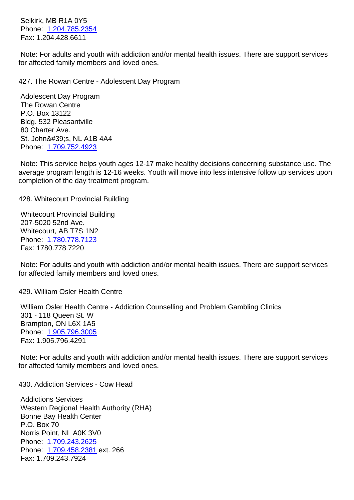<u>PLOS.CJ31.785.1</u> Fax: 1.204.428.6611

 Note: For adults and youth with addiction and/or mental health issues. There are support services for affect[ed family membe](tel:1.204.785.2354)rs and loved ones.

427. The Rowan Centre - Adolescent Day Program 427. The Rowan Centre - Adolescent Day Program

 Adolescent Day Program The Rowan Centre P.O. Box 13122 Bldg. 532 Pleasantville 80 Charter Ave. St. John's, NL A1B 4A4 Phone: 1.709.752.4923

 Phone: 1.709.243.2625

 Fax: 1.709.243.7924

 Phone: 1.709.458.2381 ext. 266

 Note: This service helps youth ages 12-17 make healthy decisions concerning substance use. The average program length is 12-16 weeks. Youth will move into less intensive follow up services upon completi[on of the day trea](tel:1.709.752.4923)tment program.

| 428. Whitecourt Provincial Building                                                                                                                                               | 42 |
|-----------------------------------------------------------------------------------------------------------------------------------------------------------------------------------|----|
| <b>Whitecourt Provincial Building</b><br>207-5020 52nd Ave.<br>Whitecourt, AB T7S 1N2<br>Phone: 1.780.778.7123<br>Fax: 1780.778.7220                                              |    |
| Note: For adults and youth with addiction and/or mental health issues. There are support services<br>for affected family members and loved ones.                                  |    |
| 429. William Osler Health Centre                                                                                                                                                  | 42 |
| William Osler Health Centre - Addiction Counselling and Problem Gambling Clinics<br>301 - 118 Queen St. W<br>Brampton, ON L6X 1A5<br>Phone: 1.905.796.3005<br>Fax: 1.905.796.4291 |    |
| Note: For adults and youth with addiction and/or mental health issues. There are support services<br>for affected family members and loved ones.                                  |    |
| 430. Addiction Services - Cow Head                                                                                                                                                | 43 |
| <b>Addictions Services</b><br>Western Regional Health Authority (RHA)<br><b>Bonne Bay Health Center</b><br>P.O. Box 70<br>Norris Point, NL A0K 3V0                                |    |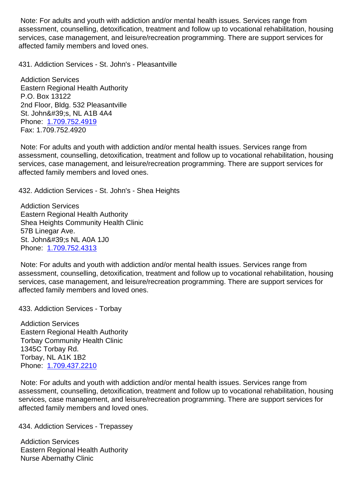assessment, counselling, detoxification, treatment and follow up to vocational rehabilitation, housing services, case management, and leisure/recreation programming. There are support services for affected family members and loved ones.

431. Addiction Services - St. John's - Pleasantville 431. Addiction Services - St. John's - Pleasantville

 Addiction Services Eastern Regional Health Authority P.O. Box 13122 2nd Floor, Bldg. 532 Pleasantville St. John's, NL A1B 4A4 Phone: 1.709.752.4919 Fax: 1.709.752.4920

 Note: For adults and youth with addiction and/or mental health issues. Services range from assessm[ent, counselling,](tel:1.709.752.4919) detoxification, treatment and follow up to vocational rehabilitation, housing services, case management, and leisure/recreation programming. There are support services for affected family members and loved ones.

432. Addiction Services - St. John's - Shea Heights 432. Addiction Services - St. John's - Shea Heights

 Addiction Services Eastern Regional Health Authority Shea Heights Community Health Clinic 57B Linegar Ave. St. John's NL A0A 1J0 Phone: 1.709.752.4313

 Note: For adults and youth with addiction and/or mental health issues. Services range from assessment, counselling, detoxification, treatment and follow up to vocational rehabilitation, housing services, [case managem](tel:1.709.752.4313)ent, and leisure/recreation programming. There are support services for affected family members and loved ones.

433. Addiction Services - Torbay 433. Addiction Services - Torbay

 Addiction Services Eastern Regional Health Authority Torbay Community Health Clinic 1345C Torbay Rd. Torbay, NL A1K 1B2 Phone: 1.709.437.2210

 Note: For adults and youth with addiction and/or mental health issues. Services range from assessment, counselling, detoxification, treatment and follow up to vocational rehabilitation, housing services, [case managem](tel:1.709.437.2210)ent, and leisure/recreation programming. There are support services for affected family members and loved ones.

434. Addiction Services - Trepassey 434. Addiction Services - Trepassey

 Addiction Services Eastern Regional Health Authority Nurse Abernathy Clinic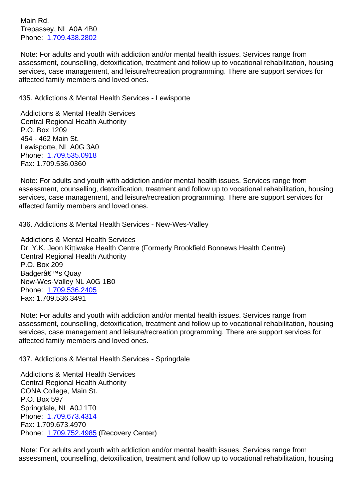Trepassey, NL A0A 4B0 Phone: 1.709.438.2802

 Note: For adults and youth with addiction and/or mental health issues. Services range from assessment, counselling, detoxification, treatment and follow up to vocational rehabilitation, housing services, [case managem](tel:1.709.438.2802)ent, and leisure/recreation programming. There are support services for affected family members and loved ones.

435. Addictions & Mental Health Services - Lewisporte 435. Addictions & Mental Health Services - Lewisporte

 Addictions & Mental Health Services Central Regional Health Authority P.O. Box 1209 454 - 462 Main St. Lewisporte, NL A0G 3A0 Phone: 1.709.535.0918 Fax: 1.709.536.0360

 Note: For adults and youth with addiction and/or mental health issues. Services range from assessm[ent, counselling,](tel:1.709.535.0918) detoxification, treatment and follow up to vocational rehabilitation, housing services, case management, and leisure/recreation programming. There are support services for affected family members and loved ones.

436. Addictions & Mental Health Services - New-Wes-Valley 436. Addictions & Mental Health Services - New-Wes-Valley

 Addictions & Mental Health Services Dr. Y.K. Jeon Kittiwake Health Centre (Formerly Brookfield Bonnews Health Centre) Central Regional Health Authority P.O. Box 209 Badger's Quay New-Wes-Valley NL A0G 1B0 Phone: 1.709.536.2405 Fax: 1.709.536.3491

 Note: For adults and youth with addiction and/or mental health issues. Services range from assessm[ent, counselling,](tel:1.709.536.2405) detoxification, treatment and follow up to vocational rehabilitation, housing services, case management and leisure/recreation programming. There are support services for affected family members and loved ones.

437. Addictions & Mental Health Services - Springdale 437. Addictions & Mental Health Services - Springdale

 Addictions & Mental Health Services Central Regional Health Authority CONA College, Main St. P.O. Box 597 Springdale, NL A0J 1T0 Phone: 1.709.673.4314 Fax: 1.709.673.4970 Phone: 1.709.752.4985 (Recovery Center)

 Note: F[or adults and you](tel:1.709.673.4314)th with addiction and/or mental health issues. Services range from assessm[ent, counselling,](tel:1.709.752.4985) detoxification, treatment and follow up to vocational rehabilitation, housing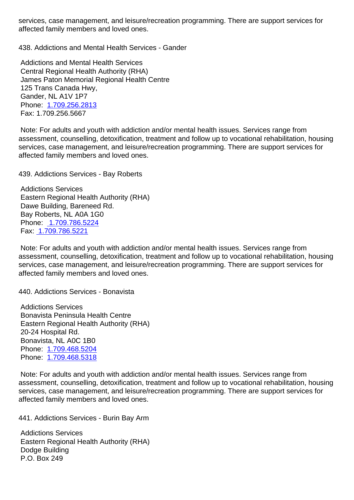affected family members and loved ones.

438. Addictions and Mental Health Services - Gander 438. Addictions and Mental Health Services - Gander

 Addictions and Mental Health Services Central Regional Health Authority (RHA) James Paton Memorial Regional Health Centre 125 Trans Canada Hwy, Gander, NL A1V 1P7 Phone: 1.709.256.2813 Fax: 1.709.256.5667

 Note: For adults and youth with addiction and/or mental health issues. Services range from assessm[ent, counselling,](tel:1.709.256.2813) detoxification, treatment and follow up to vocational rehabilitation, housing services, case management, and leisure/recreation programming. There are support services for affected family members and loved ones.

439. Addictions Services - Bay Roberts 439. Addictions Services - Bay Roberts

 Addictions Services Eastern Regional Health Authority (RHA) Dawe Building, Bareneed Rd. Bay Roberts, NL A0A 1G0 Phone: 1.709.786.5224 Fax: 1.709.786.5221

 Note: For adults and youth with addiction and/or mental health issues. Services range from assessm[ent, counselling,](tel:1.709.786.5224) detoxification, treatment and follow up to vocational rehabilitation, housing servi[ces, case manage](tel:1.709.786.5221)ment, and leisure/recreation programming. There are support services for affected family members and loved ones.

440. Addictions Services - Bonavista 440. Addictions Services - Bonavista

 Addictions Services Bonavista Peninsula Health Centre Eastern Regional Health Authority (RHA) 20-24 Hospital Rd. Bonavista, NL A0C 1B0 Phone: 1.709.468.5204 Phone: 1.709.468.5318

 Note: For adults and youth with addiction and/or mental health issues. Services range from assessm[ent, counselling,](tel:1.709.468.5204) detoxification, treatment and follow up to vocational rehabilitation, housing services, [case managem](tel:1.709.468.5318)ent, and leisure/recreation programming. There are support services for affected family members and loved ones.

441. Addictions Services - Burin Bay Arm 441. Addictions Services - Burin Bay Arm

 Addictions Services Eastern Regional Health Authority (RHA) Dodge Building P.O. Box 249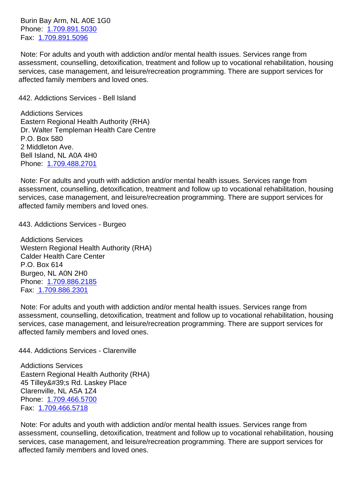Phone: 1.709.891.5030 Fax: 1.709.891.5096

 Note: For adults and youth with addiction and/or mental health issues. Services range from assessm[ent, counselling,](tel:1.709.891.5030) detoxification, treatment and follow up to vocational rehabilitation, housing servic[es, case manage](tel:1.709.891.5096)ment, and leisure/recreation programming. There are support services for affected family members and loved ones.

442. Addictions Services - Bell Island 442. Addictions Services - Bell Island

 Addictions Services Eastern Regional Health Authority (RHA) Dr. Walter Templeman Health Care Centre P.O. Box 580 2 Middleton Ave. Bell Island, NL A0A 4H0 Phone: 1.709.488.2701

 Note: For adults and youth with addiction and/or mental health issues. Services range from assessment, counselling, detoxification, treatment and follow up to vocational rehabilitation, housing services, [case managem](tel:1.709.488.2701)ent, and leisure/recreation programming. There are support services for affected family members and loved ones.

443. Addictions Services - Burgeo 443. Addictions Services - Burgeo

 Addictions Services Western Regional Health Authority (RHA) Calder Health Care Center P.O. Box 614 Burgeo, NL A0N 2H0 Phone: 1.709.886.2185 Fax: 1.709.886.2301

 Note: For adults and youth with addiction and/or mental health issues. Services range from assessm[ent, counselling,](tel:1.709.886.2185) detoxification, treatment and follow up to vocational rehabilitation, housing servi[ces, case manage](tel:1.709.886.2301)ment, and leisure/recreation programming. There are support services for affected family members and loved ones.

444. Addictions Services - Clarenville 444. Addictions Services - Clarenville

 Addictions Services Eastern Regional Health Authority (RHA) 45 Tilley's Rd. Laskey Place Clarenville, NL A5A 1Z4 Phone: 1.709.466.5700 Fax: 1.709.466.5718

 Note: For adults and youth with addiction and/or mental health issues. Services range from assessm[ent, counselling,](tel:1.709.466.5700) detoxification, treatment and follow up to vocational rehabilitation, housing servic[es, case manage](tel:1.709.466.5718)ment, and leisure/recreation programming. There are support services for affected family members and loved ones.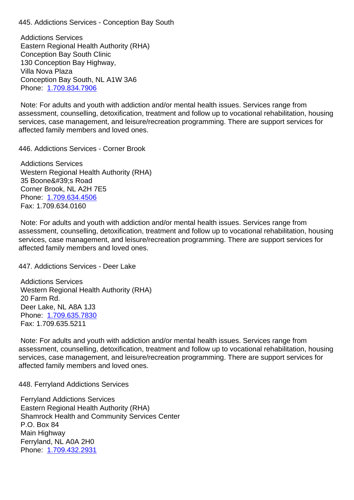Addictions Services Eastern Regional Health Authority (RHA) Conception Bay South Clinic 130 Conception Bay Highway, Villa Nova Plaza Conception Bay South, NL A1W 3A6 Phone: 1.709.834.7906

 Note: For adults and youth with addiction and/or mental health issues. Services range from assessment, counselling, detoxification, treatment and follow up to vocational rehabilitation, housing services, [case managem](tel:1.709.834.7906)ent, and leisure/recreation programming. There are support services for affected family members and loved ones.

446. Addictions Services - Corner Brook 446. Addictions Services - Corner Brook

 Addictions Services Western Regional Health Authority (RHA) 35 Boone's Road Corner Brook, NL A2H 7E5 Phone: 1.709.634.4506 Fax: 1.709.634.0160

 Note: For adults and youth with addiction and/or mental health issues. Services range from assessm[ent, counselling,](tel:1.709.634.4506) detoxification, treatment and follow up to vocational rehabilitation, housing services, case management, and leisure/recreation programming. There are support services for affected family members and loved ones.

447. Addictions Services - Deer Lake 447. Addictions Services - Deer Lake

 Addictions Services Western Regional Health Authority (RHA) 20 Farm Rd. Deer Lake, NL A8A 1J3 Phone: 1.709.635.7830 Fax: 1.709.635.5211

 Note: For adults and youth with addiction and/or mental health issues. Services range from assessm[ent, counselling,](tel:1.709.635.7830) detoxification, treatment and follow up to vocational rehabilitation, housing services, case management, and leisure/recreation programming. There are support services for affected family members and loved ones.

448. Ferryland Addictions Services 448. Ferryland Addictions Services

 Ferryland Addictions Services Eastern Regional Health Authority (RHA) Shamrock Health and Community Services Center P.O. Box 84 Main Highway Ferryland, NL A0A 2H0 Phone: 1.709.432.2931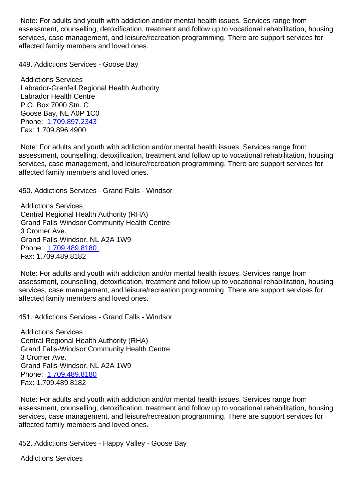assessment, counselling, detoxification, treatment and follow up to vocational rehabilitation, housing services, case management, and leisure/recreation programming. There are support services for affected family members and loved ones.

449. Addictions Services - Goose Bay 449. Addictions Services - Goose Bay

 Addictions Services Labrador-Grenfell Regional Health Authority Labrador Health Centre P.O. Box 7000 Stn. C Goose Bay, NL A0P 1C0 Phone: 1.709.897.2343 Fax: 1.709.896.4900

 Note: For adults and youth with addiction and/or mental health issues. Services range from assessm[ent, counselling,](tel:1.709.897.2343) detoxification, treatment and follow up to vocational rehabilitation, housing services, case management, and leisure/recreation programming. There are support services for affected family members and loved ones.

450. Addictions Services - Grand Falls - Windsor 450. Addictions Services - Grand Falls - Windsor

 Addictions Services Central Regional Health Authority (RHA) Grand Falls-Windsor Community Health Centre 3 Cromer Ave. Grand Falls-Windsor, NL A2A 1W9 Phone: 1.709.489.8180 Fax: 1.709.489.8182

 Note: For adults and youth with addiction and/or mental health issues. Services range from assessm[ent, counselling,](tel:1.709.489.8180) detoxification, treatment and follow up to vocational rehabilitation, housing services, case management, and leisure/recreation programming. There are support services for affected family members and loved ones.

451. Addictions Services - Grand Falls - Windsor 451. Addictions Services - Grand Falls - Windsor

 Addictions Services Central Regional Health Authority (RHA) Grand Falls-Windsor Community Health Centre 3 Cromer Ave. Grand Falls-Windsor, NL A2A 1W9 Phone: 1.709.489.8180 Fax: 1.709.489.8182

 Note: For adults and youth with addiction and/or mental health issues. Services range from assessm[ent, counselling,](tel:1.709.489.8180) detoxification, treatment and follow up to vocational rehabilitation, housing services, case management, and leisure/recreation programming. There are support services for affected family members and loved ones.

452. Addictions Services - Happy Valley - Goose Bay 452. Addictions Services - Happy Valley - Goose Bay

 Addictions Services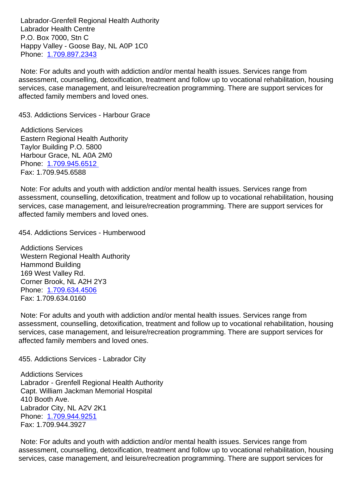Labrador Health Centre P.O. Box 7000, Stn C Happy Valley - Goose Bay, NL A0P 1C0 Phone: 1.709.897.2343

 Note: For adults and youth with addiction and/or mental health issues. Services range from assessment, counselling, detoxification, treatment and follow up to vocational rehabilitation, housing services, [case managem](tel:1.709.897.2343)ent, and leisure/recreation programming. There are support services for affected family members and loved ones.

453. Addictions Services - Harbour Grace 453. Addictions Services - Harbour Grace

 Addictions Services Eastern Regional Health Authority Taylor Building P.O. 5800 Harbour Grace, NL A0A 2M0 Phone: 1.709.945.6512 Fax: 1.709.945.6588

 Note: For adults and youth with addiction and/or mental health issues. Services range from assessm[ent, counselling,](tel:1.709.945.6512) detoxification, treatment and follow up to vocational rehabilitation, housing services, case management, and leisure/recreation programming. There are support services for affected family members and loved ones.

454. Addictions Services - Humberwood 454. Addictions Services - Humberwood

 Addictions Services Western Regional Health Authority Hammond Building 169 West Valley Rd. Corner Brook, NL A2H 2Y3 Phone: 1.709.634.4506 Fax: 1.709.634.0160

 Note: For adults and youth with addiction and/or mental health issues. Services range from assessm[ent, counselling,](tel:1.709.634.4506) detoxification, treatment and follow up to vocational rehabilitation, housing services, case management, and leisure/recreation programming. There are support services for affected family members and loved ones.

455. Addictions Services - Labrador City 455. Addictions Services - Labrador City

 Addictions Services Labrador - Grenfell Regional Health Authority Capt. William Jackman Memorial Hospital 410 Booth Ave. Labrador City, NL A2V 2K1 Phone: 1.709.944.9251 Fax: 1.709.944.3927

 Note: For adults and youth with addiction and/or mental health issues. Services range from assessm[ent, counselling,](tel:1.709.944.9251) detoxification, treatment and follow up to vocational rehabilitation, housing services, case management, and leisure/recreation programming. There are support services for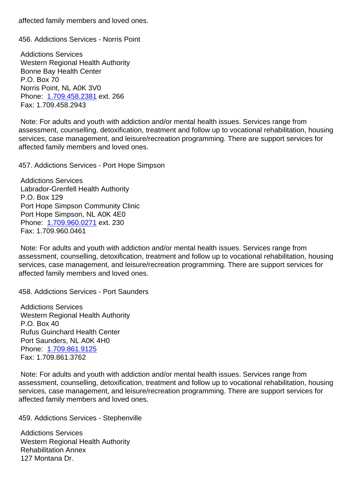456. Addictions Services - Norris Point 456. Addictions Services - Norris Point

 Addictions Services Western Regional Health Authority Bonne Bay Health Center P.O. Box 70 Norris Point, NL A0K 3V0 Phone: 1.709.458.2381 ext. 266 Fax: 1.709.458.2943

 Note: For adults and youth with addiction and/or mental health issues. Services range from assessm[ent, counselling,](tel:1.709.458.2381) detoxification, treatment and follow up to vocational rehabilitation, housing services, case management, and leisure/recreation programming. There are support services for affected family members and loved ones.

457. Addictions Services - Port Hope Simpson 457. Addictions Services - Port Hope Simpson

 Addictions Services Labrador-Grenfell Health Authority P.O. Box 129 Port Hope Simpson Community Clinic Port Hope Simpson, NL A0K 4E0 Phone: 1.709.960.0271 ext. 230 Fax: 1.709.960.0461

 Note: For adults and youth with addiction and/or mental health issues. Services range from assessm[ent, counselling,](tel:1.709.960.0271) detoxification, treatment and follow up to vocational rehabilitation, housing services, case management, and leisure/recreation programming. There are support services for affected family members and loved ones.

458. Addictions Services - Port Saunders 458. Addictions Services - Port Saunders

 Addictions Services Western Regional Health Authority P.O. Box 40 Rufus Guinchard Health Center Port Saunders, NL A0K 4H0 Phone: 1.709.861.9125 Fax: 1.709.861.3762

 Note: For adults and youth with addiction and/or mental health issues. Services range from assessm[ent, counselling,](tel:1.709.861.9125) detoxification, treatment and follow up to vocational rehabilitation, housing services, case management, and leisure/recreation programming. There are support services for affected family members and loved ones.

459. Addictions Services - Stephenville 459. Addictions Services - Stephenville

 Addictions Services Western Regional Health Authority Rehabilitation Annex 127 Montana Dr.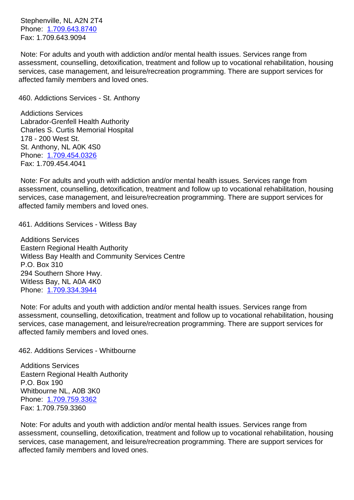Phone: 1.709.643.8740 Fax: 1.709.643.9094

 Note: For adults and youth with addiction and/or mental health issues. Services range from assessm[ent, counselling,](tel:1.709.643.8740) detoxification, treatment and follow up to vocational rehabilitation, housing services, case management, and leisure/recreation programming. There are support services for affected family members and loved ones.

460. Addictions Services - St. Anthony 460. Addictions Services - St. Anthony

 Addictions Services Labrador-Grenfell Health Authority Charles S. Curtis Memorial Hospital 178 - 200 West St. St. Anthony, NL A0K 4S0 Phone: 1.709.454.0326 Fax: 1.709.454.4041

 Note: For adults and youth with addiction and/or mental health issues. Services range from assessm[ent, counselling,](tel:1.709.454.0326) detoxification, treatment and follow up to vocational rehabilitation, housing services, case management, and leisure/recreation programming. There are support services for affected family members and loved ones.

461. Additions Services - Witless Bay 461. Additions Services - Witless Bay

 Additions Services Eastern Regional Health Authority Witless Bay Health and Community Services Centre P.O. Box 310 294 Southern Shore Hwy. Witless Bay, NL A0A 4K0 Phone: 1.709.334.3944

 Note: For adults and youth with addiction and/or mental health issues. Services range from assessment, counselling, detoxification, treatment and follow up to vocational rehabilitation, housing services, [case managem](tel:1.709.334.3944)ent, and leisure/recreation programming. There are support services for affected family members and loved ones.

462. Additions Services - Whitbourne 462. Additions Services - Whitbourne

 Additions Services Eastern Regional Health Authority P.O. Box 190 Whitbourne NL, A0B 3K0 Phone: 1.709.759.3362 Fax: 1.709.759.3360

 Note: For adults and youth with addiction and/or mental health issues. Services range from assessm[ent, counselling,](tel:1.709.759.3362) detoxification, treatment and follow up to vocational rehabilitation, housing services, case management, and leisure/recreation programming. There are support services for affected family members and loved ones.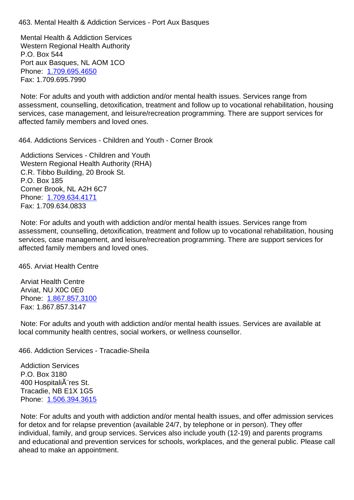Mental Health & Addiction Services Western Regional Health Authority P.O. Box 544 Port aux Basques, NL AOM 1CO Phone: 1.709.695.4650 Fax: 1.709.695.7990

 Note: For adults and youth with addiction and/or mental health issues. Services range from assessm[ent, counselling,](tel:1.709.695.4650) detoxification, treatment and follow up to vocational rehabilitation, housing services, case management, and leisure/recreation programming. There are support services for affected family members and loved ones.

464. Addictions Services - Children and Youth - Corner Brook 464. Addictions Services - Children and Youth - Corner Brook

 Addictions Services - Children and Youth Western Regional Health Authority (RHA) C.R. Tibbo Building, 20 Brook St. P.O. Box 185 Corner Brook, NL A2H 6C7 Phone: 1.709.634.4171 Fax: 1.709.634.0833

 Note: For adults and youth with addiction and/or mental health issues. Services range from assessm[ent, counselling,](tel:1.709.634.4171) detoxification, treatment and follow up to vocational rehabilitation, housing services, case management, and leisure/recreation programming. There are support services for affected family members and loved ones.

465. Arviat Health Centre 465. Arviat Health Centre

 Arviat Health Centre Arviat, NU X0C 0E0 Phone: 1.867.857.3100 Fax: 1.867.857.3147

 Note: For adults and youth with addiction and/or mental health issues. Services are available at local co[mmunity health ce](tel:1.867.857.3100)ntres, social workers, or wellness counsellor.

466. Addiction Services - Tracadie-Sheila 466. Addiction Services - Tracadie-Sheila

 Addiction Services P.O. Box 3180 400 Hospitali $\tilde{A}$  res St. Tracadie, NB E1X 1G5 Phone: 1.506.394.3615

 Note: For adults and youth with addiction and/or mental health issues, and offer admission services for detox and for relapse prevention (available 24/7, by telephone or in person). They offer individua[l, family, and gro](tel:1.506.394.3615)up services. Services also include youth (12-19) and parents programs and educational and prevention services for schools, workplaces, and the general public. Please call ahead to make an appointment.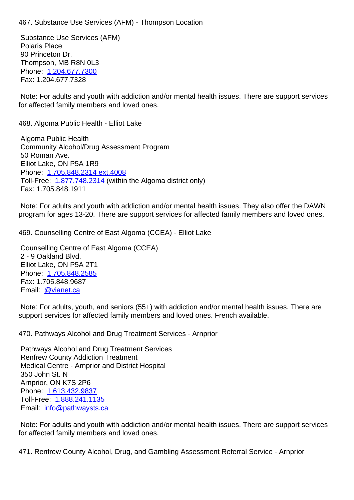Substance Use Services (AFM) Polaris Place 90 Princeton Dr. Thompson, MB R8N 0L3 Phone: 1.204.677.7300 Fax: 1.204.677.7328

 Note: For adults and youth with addiction and/or mental health issues. There are support services for affect[ed family membe](tel:1.204.677.7300)rs and loved ones.

468. Algoma Public Health - Elliot Lake 468. Algoma Public Health - Elliot Lake

 Algoma Public Health Community Alcohol/Drug Assessment Program 50 Roman Ave. Elliot Lake, ON P5A 1R9 Phone: 1.705.848.2314 ext.4008 Toll-Free: 1.877.748.2314 (within the Algoma district only) Fax: 1.705.848.1911

 Note: F[or adults and youth with a](tel:1.705.848.2314)ddiction and/or mental health issues. They also offer the DAWN program fo[r ages 13-20. Th](tel:1.877.748.2314)ere are support services for affected family members and loved ones.

469. Counselling Centre of East Algoma (CCEA) - Elliot Lake 469. Counselling Centre of East Algoma (CCEA) - Elliot Lake

 Counselling Centre of East Algoma (CCEA) 2 - 9 Oakland Blvd. Elliot Lake, ON P5A 2T1 Phone: 1.705.848.2585 Fax: 1.705.848.9687 Email: @vianet.ca

 Note: F[or adults, youth,](tel:1.705.848.2585) and seniors (55+) with addiction and/or mental health issues. There are support [services for](mailto:ccea@vianet.ca) affected family members and loved ones. French available.

470. Pathways Alcohol and Drug Treatment Services - Arnprior 470. Pathways Alcohol and Drug Treatment Services - Arnprior

 Pathways Alcohol and Drug Treatment Services Renfrew County Addiction Treatment Medical Centre - Arnprior and District Hospital 350 John St. N Arnprior, ON K7S 2P6 Phone: 1.613.432.9837 Toll-Free: 1.888.241.1135 Email: info@pathwaysts.ca

 Note: F[or adults and you](tel:1.613.432.9837)th with addiction and/or mental health issues. There are support services for affec[ted](mailto:info@pathwaysts.ca) [family member](tel:1.888.241.1135)[s](mailto:info@pathwaysts.ca) and loved ones.

471. Renfrew County Alcohol, Drug, and Gambling Assessment Referral Service - Arnprior 471. Renfrew County Alcohol, Drug, and Gambling Assessment Referral Service - Arnprior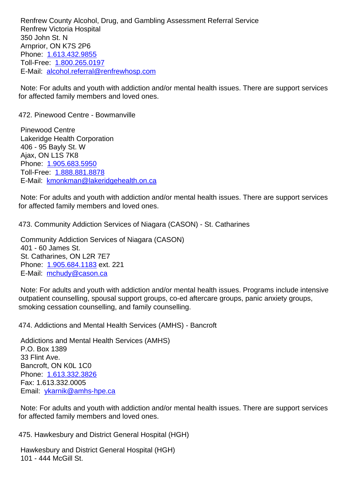Renfrew Victoria Hospital 350 John St. N Arnprior, ON K7S 2P6 Phone: 1.613.432.9855 Toll-Free: 1.800.265.0197 E-Mail: alcohol.referral@renfrewhosp.com

 Note: F[or adults and you](tel:1.613.432.9855)th with addiction and/or mental health issues. There are support services for affect[ed](mailto:alcohol.referral@renfrewhosp.com) [family member](tel:1.800.265.0197)[s and loved ones](mailto:alcohol.referral@renfrewhosp.com).

472. Pinewood Centre - Bowmanville 472. Pinewood Centre - Bowmanville

 Pinewood Centre Lakeridge Health Corporation 406 - 95 Bayly St. W Ajax, ON L1S 7K8 Phone: 1.905.683.5950 Toll-Free: 1.888.881.8878 E-Mail: kmonkman@lakeridgehealth.on.ca

 Note: F[or adults and you](tel:1.905.683.5950)th with addiction and/or mental health issues. There are support services for affect[ed](mailto:kmonkman@lakeridgehealth.on.ca) [family member](tel:1.888.881.8878)[s and loved ones](mailto:kmonkman@lakeridgehealth.on.ca).

473. Community Addiction Services of Niagara (CASON) - St. Catharines 473. Community Addiction Services of Niagara (CASON) - St. Catharines

 Community Addiction Services of Niagara (CASON) 401 - 60 James St. St. Catharines, ON L2R 7E7 Phone: 1.905.684.1183 ext. 221 E-Mail: mchudy@cason.ca

 Note: For adults and youth with addiction and/or mental health issues. Programs include intensive outpatie[nt counselling, sp](tel:1.905.684.1183)ousal support groups, co-ed aftercare groups, panic anxiety groups, smoking [cessation counsellin](mailto:mchudy@cason.ca)g, and family counselling.

474. Addictions and Mental Health Services (AMHS) - Bancroft 474. Addictions and Mental Health Services (AMHS) - Bancroft

 Addictions and Mental Health Services (AMHS) P.O. Box 1389 33 Flint Ave. Bancroft, ON K0L 1C0 Phone: 1.613.332.3826 Fax: 1.613.332.0005 Email: ykarnik@amhs-hpe.ca

 Note: F[or adults and you](tel:1.613.332.3826)th with addiction and/or mental health issues. There are support services for affec[ted family members an](mailto:ykarnik@amhs-hpe.ca)d loved ones.

475. Hawkesbury and District General Hospital (HGH) 475. Hawkesbury and District General Hospital (HGH)

 Hawkesbury and District General Hospital (HGH) 101 - 444 McGill St.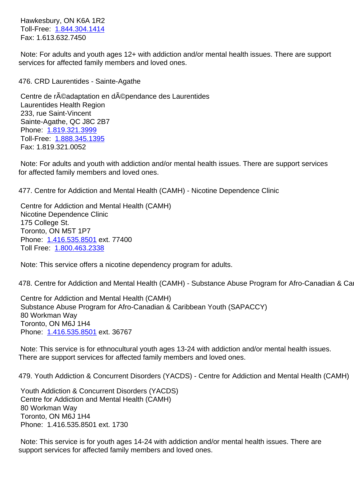Toll-Free: 1.844.304.1414 Fax: 1.613.632.7450

 Note: For adults and youth ages 12+ with addiction and/or mental health issues. There are support services for [affected family](tel:1.844.304.1414) members and loved ones.

476. CRD Laurentides - Sainte-Agathe 476. CRD Laurentides - Sainte-Agathe Centre de réadaptation en dépendance des Laurentides Laurentides Health Region 233, rue Saint-Vincent Sainte-Agathe, QC J8C 2B7 Phone: 1.819.321.3999 Toll-Free: 1.888.345.1395 Fax: 1.819.321.0052 Note: F[or adults and you](tel:1.819.321.3999)th with addiction and/or mental health issues. There are support services for affected [family members](tel:1.888.345.1395) and loved ones. 477. Centre for Addiction and Mental Health (CAMH) - Nicotine Dependence Clinic 477. Centre for Addiction and Mental Health (CAMH) - Nicotine Dependence Clinic Centre for Addiction and Mental Health (CAMH) Nicotine Dependence Clinic 175 College St. Toronto, ON M5T 1P7 Phone: 1.416.535.8501 ext. 77400 Toll Free: 1.800.463.2338 Note: T[his service offers](tel:1.416.535.8501) a nicotine dependency program for adults. 478. Centr[e for Addiction an](tel:1.800.463.2338)d Mental Health (CAMH) - Substance Abuse Program for Afro-Canadian & Carn<sup>1</sup>

 Centre for Addiction and Mental Health (CAMH) Substance Abuse Program for Afro-Canadian & Caribbean Youth (SAPACCY) 80 Workman Way Toronto, ON M6J 1H4 Phone: 1.416.535.8501 ext. 36767

 Note: This service is for ethnocultural youth ages 13-24 with addiction and/or mental health issues. There ar[e support service](tel:1.416.535.8501)s for affected family members and loved ones.

479. Youth Addiction & Concurrent Disorders (YACDS) - Centre for Addiction and Mental Health (CAMH) 47

 Youth Addiction & Concurrent Disorders (YACDS) Centre for Addiction and Mental Health (CAMH) 80 Workman Way Toronto, ON M6J 1H4 Phone: 1.416.535.8501 ext. 1730

 Note: This service is for youth ages 14-24 with addiction and/or mental health issues. There are support services for affected family members and loved ones.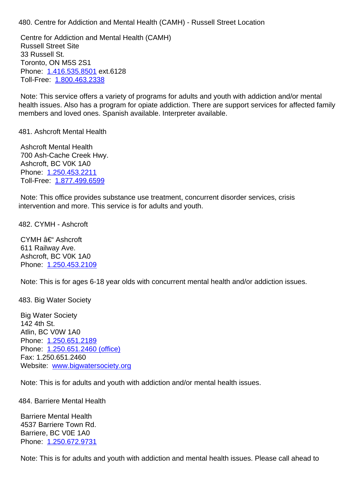Centre for Addiction and Mental Health (CAMH) Russell Street Site 33 Russell St. Toronto, ON M5S 2S1 Phone: 1.416.535.8501 ext.6128 Toll-Free: 1.800.463.2338

 Note: This service offers a variety of programs for adults and youth with addiction and/or mental health is[sues. Also has a](tel:1.416.535.8501) program for opiate addiction. There are support services for affected family members a[nd loved ones. S](tel:1.800.463.2338)panish available. Interpreter available.

## 481. Ashcroft Mental Health 481. Ashcroft Mental Health

 Ashcroft Mental Health 700 Ash-Cache Creek Hwy. Ashcroft, BC V0K 1A0 Phone: 1.250.453.2211 Toll-Free: 1.877.499.6599

 Note: This office provides substance use treatment, concurrent disorder services, crisis intervent[ion and more. T](tel:12504532211)[his](tel:18774996599) service is for adults and youth.

482. CYMH - Ashcroft 482. CYMH - Ashcroft

CYMH  $\hat{a}\in$  Ashcroft 611 Railway Ave. Ashcroft, BC V0K 1A0 Phone: 1.250.453.2109

 Note: This is for ages 6-18 year olds with concurrent mental health and/or addiction issues.

483. Big [Water Society](tel:12504532109) 483. Big Water Society

 Big Water Society 142 4th St. Atlin, BC V0W 1A0 Phone: 1.250.651.2189 Phone: 1.250.651.2460 (office) Fax: 1.250.651.2460 Websit[e: www.bigwaters](tel:12506512189)ociety.org

 Note: T[his is for adults and you](tel:12506512460)th with addiction and/or mental health issues.

## 484. Barri[ere Mental Health](https://www.bigwatersociety.org) 484. Barriere Mental Health

 Barriere Mental Health 4537 Barriere Town Rd. Barriere, BC V0E 1A0 Phone: 1.250.672.9731

 Note: This is for adults and youth with addiction and mental health issues. Please call ahead to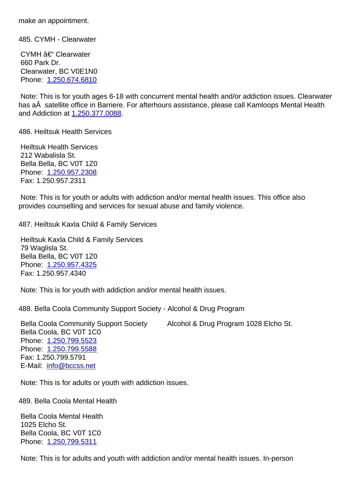485. CYMH - Clearwater 485. CYMH - Clearwater

CYMH – Clearwater 660 Park Dr. Clearwater, BC V0E1N0 Phone: 1.250.674.6810

 Bella Coola, BC V0T 1C0 Phone: 1.250.799.5311

 Note: This is for youth ages 6-18 with concurrent mental health and/or addiction issues. Clearwater has a satellite office in Barriere. For afterhours assistance, please call Kamloops Mental Health and Addi[ction at 1.250.37](tel:12506746810)7.0088.

| 486. Heiltsuk Health Services                                                                                                                                                                                       | 48 |
|---------------------------------------------------------------------------------------------------------------------------------------------------------------------------------------------------------------------|----|
| <b>Heiltsuk Health Services</b><br>212 Wabalisla St.<br>Bella Bella, BC V0T 1Z0<br>Phone: 1.250.957.2308<br>Fax: 1.250.957.2311                                                                                     |    |
| Note: This is for youth or adults with addiction and/or mental health issues. This office also<br>provides counselling and services for sexual abuse and family violence.                                           |    |
| 487. Heiltsuk Kaxla Child & Family Services                                                                                                                                                                         | 48 |
| Heiltsuk Kaxla Child & Family Services<br>79 Waglisla St.<br>Bella Bella, BC V0T 1Z0<br>Phone: 1.250.957.4325<br>Fax: 1.250.957.4340                                                                                |    |
| Note: This is for youth with addiction and/or mental health issues.                                                                                                                                                 |    |
| 488. Bella Coola Community Support Society - Alcohol & Drug Program                                                                                                                                                 | 48 |
| <b>Bella Coola Community Support Society</b><br>Alcohol & Drug Program 1028 Elcho St.<br>Bella Coola, BC V0T 1C0<br>Phone: 1.250.799.5523<br>Phone: 1.250.799.5588<br>Fax: 1.250.799.5791<br>E-Mail: info@bccss.net |    |
| Note: This is for adults or youth with addiction issues.                                                                                                                                                            |    |
| 489. Bella Coola Mental Health                                                                                                                                                                                      | 48 |
| <b>Bella Coola Mental Health</b><br>1025 Elcho St.                                                                                                                                                                  |    |

 Note: This is for adults and youth with addiction and/or mental health issues. In-person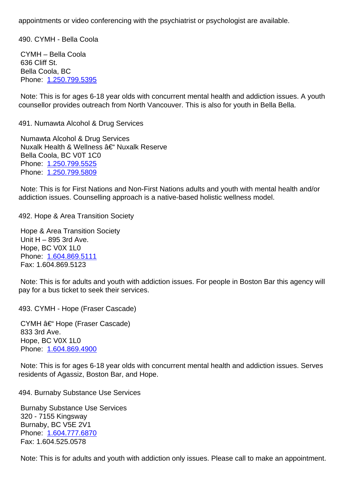490. CYMH - Bella Coola 490. CYMH - Bella Coola

 CYMH – Bella Coola 636 Cliff St. Bella Coola, BC Phone: 1.250.799.5395

 Note: This is for ages 6-18 year olds with concurrent mental health and addiction issues. A youth counsell[or provides outre](tel:12507995395)ach from North Vancouver. This is also for youth in Bella Bella.

| 491. Numawta Alcohol & Drug Services                                                                                                                                                  | 49 |
|---------------------------------------------------------------------------------------------------------------------------------------------------------------------------------------|----|
| Numawta Alcohol & Drug Services<br>Nuxalk Health & Wellness – Nuxalk Reserve<br>Bella Coola, BC V0T 1C0<br>Phone: 1.250.799.5525<br>Phone: 1.250.799.5809                             |    |
| Note: This is for First Nations and Non-First Nations adults and youth with mental health and/or<br>addiction issues. Counselling approach is a native-based holistic wellness model. |    |
| 492. Hope & Area Transition Society                                                                                                                                                   | 49 |
| <b>Hope &amp; Area Transition Society</b><br>Unit $H - 895$ 3rd Ave.<br>Hope, BC V0X 1L0<br>Phone: 1.604.869.5111<br>Fax: 1.604.869.5123                                              |    |
| Note: This is for adults and youth with addiction issues. For people in Boston Bar this agency will<br>pay for a bus ticket to seek their services.                                   |    |
| 493. CYMH - Hope (Fraser Cascade)                                                                                                                                                     | 49 |
| CYMH – Hope (Fraser Cascade)<br>833 3rd Ave.<br>Hope, BC V0X 1L0<br>Phone: 1.604.869.4900                                                                                             |    |
| Note: This is for ages 6-18 year olds with concurrent mental health and addiction issues. Serves<br>residents of Agassiz, Boston Bar, and Hope.                                       |    |
|                                                                                                                                                                                       |    |

494. Burnaby Substance Use Services 494. Burnaby Substance Use Services

 Burnaby Substance Use Services 320 - 7155 Kingsway Burnaby, BC V5E 2V1 Phone: 1.604.777.6870 Fax: 1.604.525.0578

 Note: T[his is for adults a](tel:16047776870)nd youth with addiction only issues. Please call to make an appointment.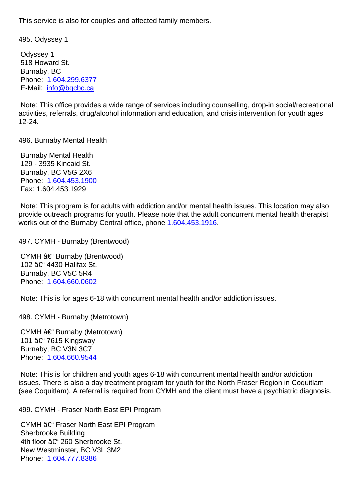495. Odyssey 1 495. Odyssey 1

 Odyssey 1 518 Howard St. Burnaby, BC Phone: 1.604.299.6377 E-Mail: info@bgcbc.ca

 Note: This office provides a wide range of services including counselling, drop-in social/recreational activities[, referrals, drug/a](tel:16042996377)lcohol information and education, and crisis intervention for youth ages 12-24.

496. Burnaby Mental Health 496. Burnaby Mental Health

 Burnaby Mental Health 129 - 3935 Kincaid St. Burnaby, BC V5G 2X6 Phone: 1.604.453.1900 Fax: 1.604.453.1929

 Note: This program is for adults with addiction and/or mental health issues. This location may also provide [outreach program](tel:16044531900)s for youth. Please note that the adult concurrent mental health therapist works out of the Burnaby Central office, phone 1.604.453.1916.

497. CYMH - Burnaby (Brentwood) 497. CYMH - Burnaby (Brentwood)

CYMH – Burnaby (Brentwood) 102 – 4430 Halifax St. Burnaby, BC V5C 5R4 Phone: 1.604.660.0602

 Note: This is for ages 6-18 with concurrent mental health and/or addiction issues.

498. CY[MH - Burnaby \(M](tel:16046600602)etrotown) 498. CYMH - Burnaby (Metrotown)

CYMH  $\hat{a} \in \mathscr{C}$  Burnaby (Metrotown) 101 – 7615 Kingsway Burnaby, BC V3N 3C7 Phone: 1.604.660.9544

 Note: This is for children and youth ages 6-18 with concurrent mental health and/or addiction issues. There is also a day treatment program for youth for the North Fraser Region in Coquitlam (see Co[quitlam\). A referra](tel:16046609544)l is required from CYMH and the client must have a psychiatric diagnosis.

499. CYMH - Fraser North East EPI Program 499. CYMH - Fraser North East EPI Program

CYMH  $\hat{a} \in \hat{F}$  Fraser North East EPI Program Sherbrooke Building 4th floor – 260 Sherbrooke St. New Westminster, BC V3L 3M2 Phone: 1.604.777.8386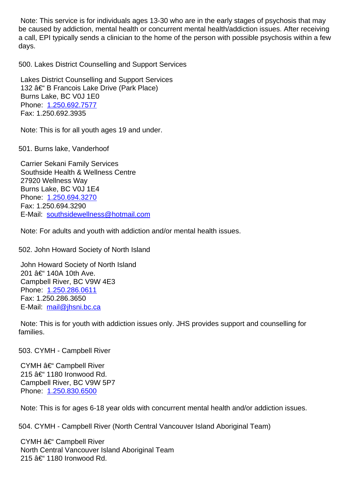| <u>iyo causou iyy auuloligin montar noaltri or concurrent montar noaltri/auuloligin issuos. Altor roodiving</u><br>a call, EPI typically sends a clinician to the home of the person with possible psychosis within a few<br>days. |    |
|------------------------------------------------------------------------------------------------------------------------------------------------------------------------------------------------------------------------------------|----|
| 500. Lakes District Counselling and Support Services                                                                                                                                                                               | 50 |
| Lakes District Counselling and Support Services<br>132 – B Francois Lake Drive (Park Place)<br>Burns Lake, BC V0J 1E0<br>Phone: 1.250.692.7577<br>Fax: 1.250.692.3935                                                              |    |
| Note: This is for all youth ages 19 and under.                                                                                                                                                                                     |    |
| 501. Burns lake, Vanderhoof                                                                                                                                                                                                        | 50 |
| <b>Carrier Sekani Family Services</b><br>Southside Health & Wellness Centre<br>27920 Wellness Way<br>Burns Lake, BC V0J 1E4<br>Phone: 1.250.694.3270<br>Fax: 1.250.694.3290<br>E-Mail: southsidewellness@hotmail.com               |    |
| Note: For adults and youth with addiction and/or mental health issues.                                                                                                                                                             |    |
| 502. John Howard Society of North Island                                                                                                                                                                                           | 50 |
| John Howard Society of North Island<br>201 †140A 10th Ave.<br>Campbell River, BC V9W 4E3<br>Phone: 1.250.286.0611<br>Fax: 1.250.286.3650<br>E-Mail: mail@jhsni.bc.ca                                                               |    |
| Note: This is for youth with addiction issues only. JHS provides support and counselling for<br>families.                                                                                                                          |    |
| 503. CYMH - Campbell River                                                                                                                                                                                                         | 50 |
| CYMH – Campbell River<br>215 – 1180 Ironwood Rd.<br>Campbell River, BC V9W 5P7<br>Phone: 1.250.830.6500                                                                                                                            |    |
| Note: This is for ages 6-18 year olds with concurrent mental health and/or addiction issues.                                                                                                                                       |    |
| 504. CYMH - Campbell River (North Central Vancouver Island Aboriginal Team)                                                                                                                                                        | 50 |
| CYMH – Campbell River<br>North Central Vancouver Island Aboriginal Team<br>215 – 1180 Ironwood Rd.                                                                                                                                 |    |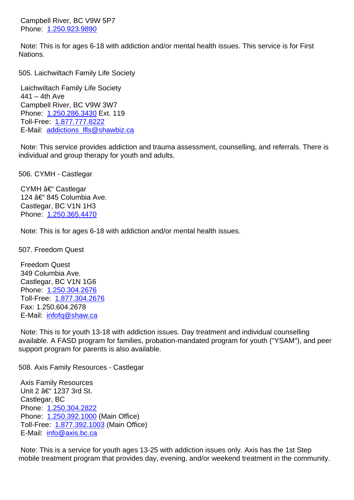Phone: 1.250.925.9890

 Note: This is for ages 6-18 with addiction and/or mental health issues. This service is for First Nations.

| 505. Laichwiltach Family Life Society                                                                                                                   | 50 |
|---------------------------------------------------------------------------------------------------------------------------------------------------------|----|
| Laichwiltach Family Life Society                                                                                                                        |    |
| $441 - 4th$ Ave                                                                                                                                         |    |
| Campbell River, BC V9W 3W7<br>Phone: 1.250.286.3430 Ext. 119                                                                                            |    |
| Toll-Free: 1.877.777.8222                                                                                                                               |    |
| E-Mail: addictions_lfls@shawbiz.ca                                                                                                                      |    |
| Note: This service provides addiction and trauma assessment, counselling, and referrals. There is<br>individual and group therapy for youth and adults. |    |
| 506. CYMH - Castlegar                                                                                                                                   | 50 |
| CYMH – Castlegar                                                                                                                                        |    |
| 124 – 845 Columbia Ave.                                                                                                                                 |    |
| Castlegar, BC V1N 1H3                                                                                                                                   |    |
| Phone: 1.250.365.4470                                                                                                                                   |    |
| Note: This is for ages 6-18 with addiction and/or mental health issues.                                                                                 |    |
| 507. Freedom Quest                                                                                                                                      | 50 |
| <b>Freedom Quest</b>                                                                                                                                    |    |
| 349 Columbia Ave.                                                                                                                                       |    |
| Castlegar, BC V1N 1G6                                                                                                                                   |    |
| Phone: 1.250.304.2676                                                                                                                                   |    |
| Toll-Free: 1.877.304.2676<br>Fax: 1.250.604.2678                                                                                                        |    |
| E-Mail: infofg@shaw.ca                                                                                                                                  |    |
|                                                                                                                                                         |    |
| Note: This is for youth 13-18 with addiction issues. Day treatment and individual counselling                                                           |    |
| available. A FASD program for families, probation-mandated program for youth ("YSAM"), and peer                                                         |    |

508. Axis Family Resources - Castlegar 508. Axis Family Resources - Castlegar

support [program for paren](mailto:infofq@shaw.ca)ts is also available.

 Axis Family Resources Unit 2 – 1237 3rd St. Castlegar, BC Phone: 1.250.304.2822 Phone: 1.250.392.1000 (Main Office) Toll-Free: 1.877.392.1003 (Main Office) E-Mail: [info@axis.bc.ca](tel:12503042822)

 Note: T[his is a service fo](tel:12503921000)r youth ages 13-25 with addiction issues only. Axis has the 1st Step mobile tr[eat](mailto:info@axis.bc.ca)[ment program th](tel:18773921003)at provides day, evening, and/or weekend treatment in the community.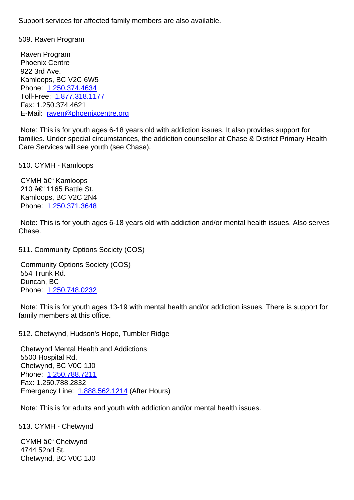Raven Program Phoenix Centre 922 3rd Ave. Kamloops, BC V2C 6W5 Phone: 1.250.374.4634 Toll-Free: 1.877.318.1177 Fax: 1.250.374.4621 E-Mail: [raven@phoenixc](tel:12503744634)entre.org

 Note: This [is for youth age](tel:18773181177)s 6-18 years old with addiction issues. It also provides support for families. Under special circumstances, the addiction counsellor at Chase & District Primary Health Care Se[rvices will see youth \(see C](mailto:raven@phoenixcentre.org)hase).

| 510. CYMH - Kamloops                                                                                                                                                                      | 51 |
|-------------------------------------------------------------------------------------------------------------------------------------------------------------------------------------------|----|
| CYMH – Kamloops<br>210 – 1165 Battle St.<br>Kamloops, BC V2C 2N4<br>Phone: 1.250.371.3648                                                                                                 |    |
| Note: This is for youth ages 6-18 years old with addiction and/or mental health issues. Also serves<br>Chase.                                                                             |    |
| 511. Community Options Society (COS)                                                                                                                                                      | 51 |
| <b>Community Options Society (COS)</b><br>554 Trunk Rd.<br>Duncan, BC<br>Phone: 1.250.748.0232                                                                                            |    |
| Note: This is for youth ages 13-19 with mental health and/or addiction issues. There is support for<br>family members at this office.                                                     |    |
| 512. Chetwynd, Hudson's Hope, Tumbler Ridge                                                                                                                                               | 51 |
| <b>Chetwynd Mental Health and Addictions</b><br>5500 Hospital Rd.<br>Chetwynd, BC V0C 1J0<br>Phone: 1.250.788.7211<br>Fax: 1.250.788.2832<br>Emergency Line: 1.888.562.1214 (After Hours) |    |
| Note: This is for adults and youth with addiction and/or mental health issues.                                                                                                            |    |

513. CYMH - Chet[wynd](tel:18885621214) 513. CYMH - Chetwynd CYMH – Chetwynd 4744 52nd St. Chetwynd, BC V0C 1J0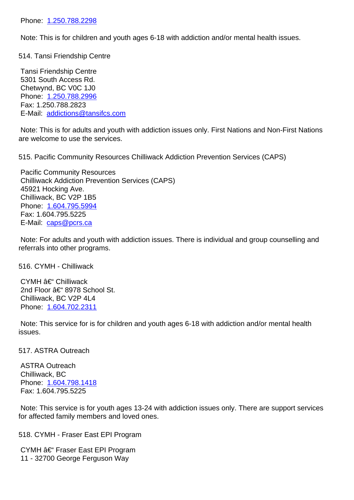Note: This is for children and youth ages 6-18 with addiction and/or mental health issues.

| <b>The Contract Company of the power ages of the manufacture of mondation reduced</b>                                                                                                                                |    |
|----------------------------------------------------------------------------------------------------------------------------------------------------------------------------------------------------------------------|----|
| 514. Tansi Friendship Centre                                                                                                                                                                                         | 51 |
| Tansi Friendship Centre<br>5301 South Access Rd.<br>Chetwynd, BC V0C 1J0<br>Phone: 1.250.788.2996<br>Fax: 1.250.788.2823<br>E-Mail: addictions@tansifcs.com                                                          |    |
| Note: This is for adults and youth with addiction issues only. First Nations and Non-First Nations<br>are welcome to use the services.                                                                               |    |
| 515. Pacific Community Resources Chilliwack Addiction Prevention Services (CAPS)                                                                                                                                     | 51 |
| <b>Pacific Community Resources</b><br><b>Chilliwack Addiction Prevention Services (CAPS)</b><br>45921 Hocking Ave.<br>Chilliwack, BC V2P 1B5<br>Phone: 1.604.795.5994<br>Fax: 1.604.795.5225<br>E-Mail: caps@pcrs.ca |    |
| Note: For adults and youth with addiction issues. There is individual and group counselling and<br>referrals into other programs.                                                                                    |    |
| 516. CYMH - Chilliwack                                                                                                                                                                                               | 51 |
| CYMH – Chilliwack<br>2nd Floor – 8978 School St.<br>Chilliwack, BC V2P 4L4<br>Phone: 1.604.702.2311                                                                                                                  |    |
| Note: This service for is for children and youth ages 6-18 with addiction and/or mental health<br>issues.                                                                                                            |    |
| 517. ASTRA Outreach                                                                                                                                                                                                  | 51 |
| <b>ASTRA Outreach</b><br>Chilliwack, BC<br>Phone: 1.604.798.1418<br>Fax: 1.604.795.5225                                                                                                                              |    |
| Note: This service is for youth ages 13-24 with addiction issues only. There are support services<br>for affected family members and loved ones.                                                                     |    |
| 518. CYMH - Fraser East EPI Program                                                                                                                                                                                  | 51 |
| CYMH – Fraser East EPI Program<br>11 - 32700 George Ferguson Way                                                                                                                                                     |    |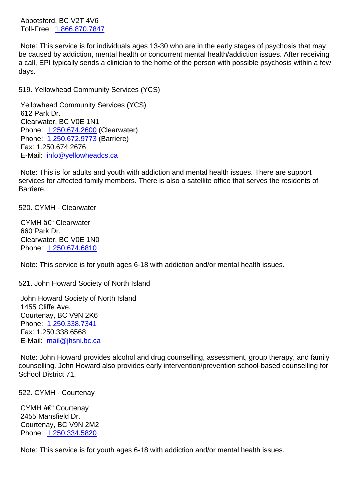TULLICE. **1.000.070.7047** 

 Note: This service is for individuals ages 13-30 who are in the early stages of psychosis that may be caused by addiction, mental health or concurrent mental health/addiction issues. After receiving a call, EPI t[ypically sends a](tel:18668707847) clinician to the home of the person with possible psychosis within a few days.

| 519. Yellowhead Community Services (YCS)                                                                                                                                                                                   | 51 |
|----------------------------------------------------------------------------------------------------------------------------------------------------------------------------------------------------------------------------|----|
| <b>Yellowhead Community Services (YCS)</b><br>612 Park Dr.<br>Clearwater, BC V0E 1N1<br>Phone: 1.250.674.2600 (Clearwater)<br>Phone: 1.250.672.9773 (Barriere)<br>Fax: 1.250.674.2676<br>E-Mail: info@yellowheadcs.ca      |    |
| Note: This is for adults and youth with addiction and mental health issues. There are support<br>services for affected family members. There is also a satellite office that serves the residents of<br>Barriere.          |    |
| 520. CYMH - Clearwater                                                                                                                                                                                                     | 52 |
| CYMH – Clearwater<br>660 Park Dr.<br>Clearwater, BC V0E 1N0<br>Phone: 1.250.674.6810                                                                                                                                       |    |
| Note: This service is for youth ages 6-18 with addiction and/or mental health issues.                                                                                                                                      |    |
| 521. John Howard Society of North Island                                                                                                                                                                                   | 52 |
| John Howard Society of North Island<br>1455 Cliffe Ave.<br>Courtenay, BC V9N 2K6<br>Phone: 1.250.338.7341<br>Fax: 1.250.338.6568<br>E-Mail: mail@jhsni.bc.ca                                                               |    |
| Note: John Howard provides alcohol and drug counselling, assessment, group therapy, and family<br>counselling. John Howard also provides early intervention/prevention school-based counselling for<br>School District 71. |    |
| 522. CYMH - Courtenay                                                                                                                                                                                                      | 52 |

CYMH – Courtenay 2455 Mansfield Dr. Courtenay, BC V9N 2M2 Phone: 1.250.334.5820

 Note: This service is for youth ages 6-18 with addiction and/or mental health issues.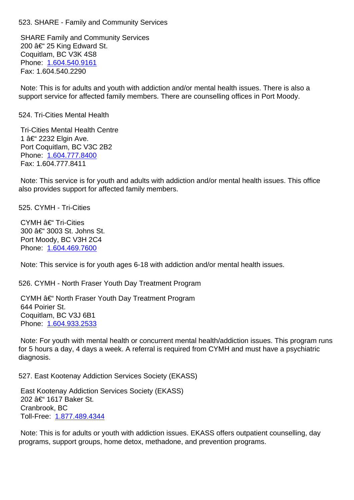SHARE Family and Community Services 200  $â€$ " 25 King Edward St. Coquitlam, BC V3K 4S8 Phone: 1.604.540.9161 Fax: 1.604.540.2290

 Note: This is for adults and youth with addiction and/or mental health issues. There is also a support [service for affecte](tel:16045409161)d family members. There are counselling offices in Port Moody.

| <b>Tri-Cities Mental Health Centre</b> |
|----------------------------------------|
| 1 – 2232 Elgin Ave.                    |
| Port Coquitlam, BC V3C 2B2             |
| Phone: 1.604.777.8400                  |

 Fax: 1.604.777.8411

 Note: This service is for youth and adults with addiction and/or mental health issues. This office also pro[vides support for](tel:16047778400) affected family members.

525. CYMH - Tri-Cities 525. CYMH - Tri-Cities

 $CYMH$   $A \in$  Tri-Cities 300 – 3003 St. Johns St. Port Moody, BC V3H 2C4 Phone: 1.604.469.7600

 Note: This service is for youth ages 6-18 with addiction and/or mental health issues.

526. CY[MH - North Frase](tel:1.604.469.7600)r Youth Day Treatment Program 526. CYMH - North Fraser Youth Day Treatment Program

CYMH – North Fraser Youth Day Treatment Program 644 Poirier St. Coquitlam, BC V3J 6B1 Phone: 1.604.933.2533

 Note: For youth with mental health or concurrent mental health/addiction issues. This program runs for 5 hou[rs a day, 4 days](tel:16049332533) a week. A referral is required from CYMH and must have a psychiatric diagnosis.

527. East Kootenay Addiction Services Society (EKASS) 527. East Kootenay Addiction Services Society (EKASS)

 East Kootenay Addiction Services Society (EKASS) 202 – 1617 Baker St. Cranbrook, BC Toll-Free: 1.877.489.4344

 Note: This is for adults or youth with addiction issues. EKASS offers outpatient counselling, day programs, [support groups, h](tel:18774894344)ome detox, methadone, and prevention programs.

524. Tri-Cities Mental Health 524. Tri-Cities Mental Health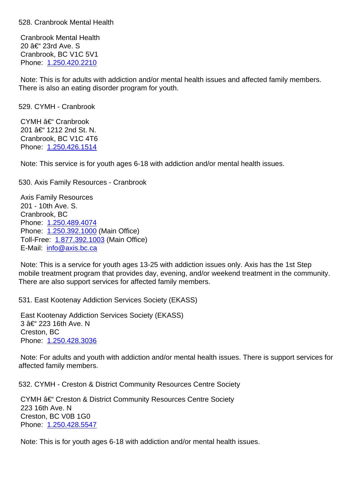Cranbrook Mental Health 20 – 23rd Ave. S Cranbrook, BC V1C 5V1 Phone: 1.250.420.2210

 Note: This is for adults with addiction and/or mental health issues and affected family members. There is [also an eating di](tel:12504202210)sorder program for youth.

| 529. CYMH - Cranbrook                                                                                                                                                                                                                                             | 52 |
|-------------------------------------------------------------------------------------------------------------------------------------------------------------------------------------------------------------------------------------------------------------------|----|
| CYMH – Cranbrook<br>201 – 1212 2nd St. N.<br>Cranbrook, BC V1C 4T6<br>Phone: 1.250.426.1514                                                                                                                                                                       |    |
| Note: This service is for youth ages 6-18 with addiction and/or mental health issues.                                                                                                                                                                             |    |
| 530. Axis Family Resources - Cranbrook                                                                                                                                                                                                                            | 53 |
| <b>Axis Family Resources</b><br>201 - 10th Ave. S.<br>Cranbrook, BC<br>Phone: 1.250.489.4074<br>Phone: 1.250.392.1000 (Main Office)<br>Toll-Free: 1.877.392.1003 (Main Office)<br>E-Mail: info@axis.bc.ca                                                         |    |
| Note: This is a service for youth ages 13-25 with addiction issues only. Axis has the 1st Step<br>mobile treatment program that provides day, evening, and/or weekend treatment in the community.<br>There are also support services for affected family members. |    |
| 531. East Kootenay Addiction Services Society (EKASS)                                                                                                                                                                                                             | 53 |
| East Kootenay Addiction Services Society (EKASS)<br>3 †223 16th Ave. N<br>Creston, BC<br>Phone: 1.250.428.3036                                                                                                                                                    |    |
| Note: For adults and youth with addiction and/or mental health issues. There is support services for<br>affected family members.                                                                                                                                  |    |
| 532. CYMH - Creston & District Community Resources Centre Society                                                                                                                                                                                                 | 53 |
| CYMH †Creston & District Community Resources Centre Society<br>223 16th Ave. N<br>Creston, BC V0B 1G0<br>Phone: 1.250.428.5547                                                                                                                                    |    |
| Note: This is for youth ages 6-18 with addiction and/or mental health issues.                                                                                                                                                                                     |    |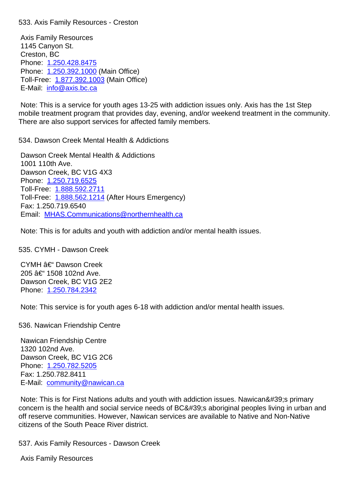Axis Family Resources 1145 Canyon St. Creston, BC Phone: 1.250.428.8475 Phone: 1.250.392.1000 (Main Office) Toll-Free: 1.877.392.1003 (Main Office) E-Mail: [info@axis.bc.ca](tel:12504288475)

 Note: T[his is a service fo](tel:12503921000)r youth ages 13-25 with addiction issues only. Axis has the 1st Step mobile trea[tment program th](tel:18773921003)at provides day, evening, and/or weekend treatment in the community. There ar[e also support se](mailto:info@axis.bc.ca)rvices for affected family members.

534. Dawson Creek Mental Health & Addictions 534. Dawson Creek Mental Health & Addictions

 Dawson Creek Mental Health & Addictions 1001 110th Ave. Dawson Creek, BC V1G 4X3 Phone: 1.250.719.6525 Toll-Free: 1.888.592.2711 Toll-Free: 1.888.562.1214 (After Hours Emergency) Fax: 1.250.719.6540 Email: [MHAS.Commun](tel:12507196525)[ica](tel:18885922711)tions@northernhealth.ca

 Note: This [is for adults and](tel:18885621214) youth with addiction and/or mental health issues.

535. CY[MH - Dawson Creek](mailto:MHAS.Communications@northernhealth.ca) 535. CYMH - Dawson Creek

CYMH  $\hat{a}\in$  Dawson Creek 205 – 1508 102nd Ave. Dawson Creek, BC V1G 2E2 Phone: 1.250.784.2342

 Note: This service is for youth ages 6-18 with addiction and/or mental health issues.

536. Na[wican Friendship](tel:1.250.784.2342) Centre 536. Nawican Friendship Centre

 Nawican Friendship Centre 1320 102nd Ave. Dawson Creek, BC V1G 2C6 Phone: 1.250.782.5205 Fax: 1.250.782.8411 E-Mail: community@nawican.ca

Note: T[his is for First Na](tel:1.250.782.5205)tions adults and youth with addiction issues. Nawican' primary concern is the health and social service needs of BC' aboriginal peoples living in urban and off reser[ve communities. However](mailto:community@nawican.ca), Nawican services are available to Native and Non-Native citizens of the South Peace River district.

537. Axis Family Resources - Dawson Creek 537. Axis Family Resources - Dawson Creek

 Axis Family Resources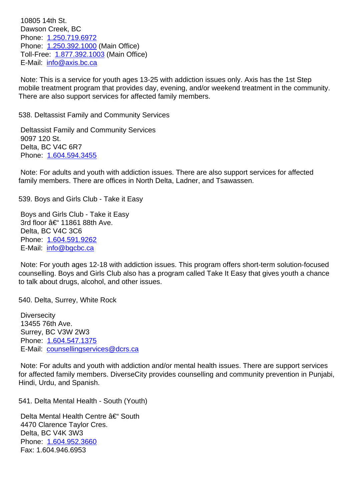Dawson Creek, BC Phone: 1.250.719.6972 Phone: 1.250.392.1000 (Main Office) Toll-Free: 1.877.392.1003 (Main Office) E-Mail: [info@axis.bc.ca](tel:1.250.719.6972)

 Note: T[his is a service fo](tel:1.250.392.1000)r youth ages 13-25 with addiction issues only. Axis has the 1st Step mobile trea[tment program th](tel:1.877.392.1003)at provides day, evening, and/or weekend treatment in the community. There ar[e also support se](mailto:info@axis.bc.ca)rvices for affected family members.

538. Deltassist Family and Community Services 538. Deltassist Family and Community Services

 Deltassist Family and Community Services 9097 120 St. Delta, BC V4C 6R7 Phone: 1.604.594.3455

 Note: For adults and youth with addiction issues. There are also support services for affected family m[embers. There a](tel:1.604.594.3455)re offices in North Delta, Ladner, and Tsawassen.

539. Boys and Girls Club - Take it Easy 539. Boys and Girls Club - Take it Easy

 Boys and Girls Club - Take it Easy 3rd floor – 11861 88th Ave. Delta, BC V4C 3C6 Phone: 1.604.591.9262 E-Mail: info@bgcbc.ca

 Note: For youth ages 12-18 with addiction issues. This program offers short-term solution-focused counselli[ng. Boys and Gi](tel:1.604.591.9262)rls Club also has a program called Take It Easy that gives youth a chance to talk a[bout drugs, alco](mailto:info@bgcbc.ca)hol, and other issues.

540. Delta, Surrey, White Rock 540. Delta, Surrey, White Rock 540. Delta, Surrey, White Rock 540. Delta, Surrey, White Rock 54

**Diversecity**  13455 76th Ave. Surrey, BC V3W 2W3 Phone: 1.604.547.1375 E-Mail: counsellingservices@dcrs.ca

 Note: For adults and youth with addiction and/or mental health issues. There are support services for affect[ed family memb](tel:1.604.547.1375)[ers. DiverseC](mailto:counsellingservices@dcrs.ca)ity provides counselling and community prevention in Punjabi, Hindi, Urdu, and Spanish.

541. Delta Mental Health - South (Youth) 541. Delta Mental Health - South (Youth)

Delta Mental Health Centre  $\hat{a}\in$ " South 4470 Clarence Taylor Cres. Delta, BC V4K 3W3 Phone: 1.604.952.3660 Fax: 1.604.946.6953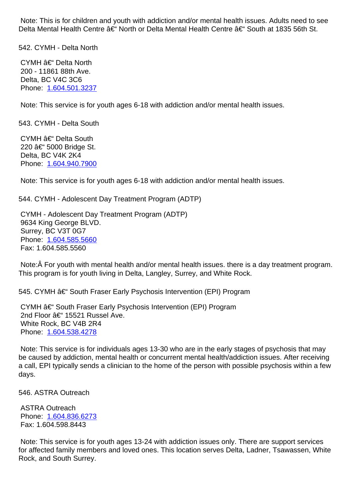| <u>benne ac Tionn of Della Mental Health Centre ac "Obuth at Topo John Ot</u>                                                                                                      |    |
|------------------------------------------------------------------------------------------------------------------------------------------------------------------------------------|----|
| 542. CYMH - Delta North                                                                                                                                                            | 54 |
| CYMH – Delta North<br>200 - 11861 88th Ave.<br>Delta, BC V4C 3C6<br>Phone: 1.604.501.3237                                                                                          |    |
| Note: This service is for youth ages 6-18 with addiction and/or mental health issues.                                                                                              |    |
| 543. CYMH - Delta South                                                                                                                                                            | 54 |
| CYMH – Delta South<br>220 †5000 Bridge St.<br>Delta, BC V4K 2K4<br>Phone: 1.604.940.7900                                                                                           |    |
| Note: This service is for youth ages 6-18 with addiction and/or mental health issues.                                                                                              |    |
| 544. CYMH - Adolescent Day Treatment Program (ADTP)                                                                                                                                | 54 |
| CYMH - Adolescent Day Treatment Program (ADTP)<br>9634 King George BLVD.<br>Surrey, BC V3T 0G7<br>Phone: 1.604.585.5660<br>Fax: 1.604.585.5560                                     |    |
| Note: Â For youth with mental health and/or mental health issues. there is a day treatment program.<br>This program is for youth living in Delta, Langley, Surrey, and White Rock. |    |
| 545. CYMH †"South Fraser Early Psychosis Intervention (EPI) Program                                                                                                                | 54 |
| CYMH †South Fraser Early Psychosis Intervention (EPI) Program<br>2nd Floor – 15521 Russel Ave.                                                                                     |    |

 White Rock, BC V4B 2R4 Phone: 1.604.538.4278 Note: This service is for individuals ages 13-30 who are in the early stages of psychosis that may

be caused by addiction, mental health or concurrent mental health/addiction issues. After receiving a call, E[PI typically sends](tel:1.604.538.4278) a clinician to the home of the person with possible psychosis within a few days.

546. ASTRA Outreach 546. ASTRA Outreach

 ASTRA Outreach Phone: 1.604.836.6273 Fax: 1.604.598.8443

 Note: This service is for youth ages 13-24 with addiction issues only. There are support services for affect[ed family membe](tel:1.604.836.6273)rs and loved ones. This location serves Delta, Ladner, Tsawassen, White Rock, and South Surrey.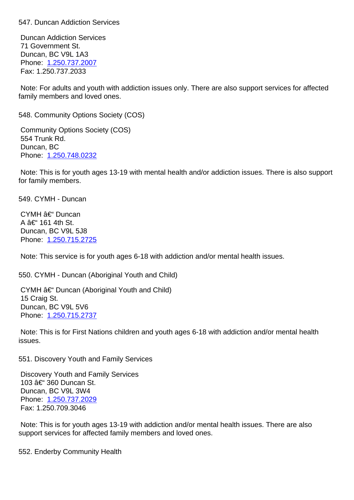Duncan Addiction Services 71 Government St. Duncan, BC V9L 1A3 Phone: 1.250.737.2007 Fax: 1.250.737.2033

 Note: For adults and youth with addiction issues only. There are also support services for affected family m[embers and love](tel:1.250.737.2007)d ones.

| 548. Community Options Society (COS)                                                                                                                          | 54 |
|---------------------------------------------------------------------------------------------------------------------------------------------------------------|----|
| <b>Community Options Society (COS)</b><br>554 Trunk Rd.<br>Duncan, BC<br>Phone: 1.250.748.0232                                                                |    |
| Note: This is for youth ages 13-19 with mental health and/or addiction issues. There is also support<br>for family members.                                   |    |
| 549. CYMH - Duncan                                                                                                                                            | 54 |
| CYMH – Duncan<br>A – 161 4th St.<br>Duncan, BC V9L 5J8<br>Phone: 1.250.715.2725                                                                               |    |
| Note: This service is for youth ages 6-18 with addiction and/or mental health issues.                                                                         |    |
| 550. CYMH - Duncan (Aboriginal Youth and Child)                                                                                                               | 55 |
| CYMH – Duncan (Aboriginal Youth and Child)<br>15 Craig St.<br>Duncan, BC V9L 5V6<br>Phone: 1.250.715.2737                                                     |    |
| Note: This is for First Nations children and youth ages 6-18 with addiction and/or mental health<br>issues.                                                   |    |
| 551. Discovery Youth and Family Services                                                                                                                      | 55 |
| <b>Discovery Youth and Family Services</b><br>103 †360 Duncan St.<br>Duncan, BC V9L 3W4<br>Phone: 1.250.737.2029<br>Fax: 1.250.709.3046                       |    |
| Note: This is for youth ages 13-19 with addiction and/or mental health issues. There are also<br>support services for affected family members and loved ones. |    |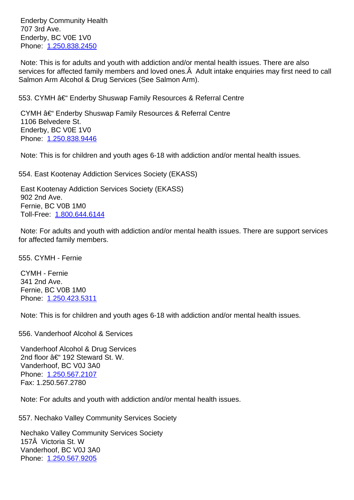707 JU AVG. Enderby, BC V0E 1V0 Phone: 1.250.838.2450

 Note: This is for adults and youth with addiction and/or mental health issues. There are also services for affected family members and loved ones. $\rm \AA$  Adult intake enquiries may first need to call Salmon [Arm Alcohol & D](tel:1.250.838.2450)rug Services (See Salmon Arm).

| 553. CYMH – Enderby Shuswap Family Resources & Referral Centre                                                                                 | 55 |
|------------------------------------------------------------------------------------------------------------------------------------------------|----|
| CYMH – Enderby Shuswap Family Resources & Referral Centre<br>1106 Belvedere St.<br>Enderby, BC V0E 1V0<br>Phone: 1.250.838.9446                |    |
| Note: This is for children and youth ages 6-18 with addiction and/or mental health issues.                                                     |    |
| 554. East Kootenay Addiction Services Society (EKASS)                                                                                          | 55 |
| East Kootenay Addiction Services Society (EKASS)<br>902 2nd Ave.<br>Fernie, BC V0B 1M0<br>Toll-Free: 1.800.644.6144                            |    |
| Note: For adults and youth with addiction and/or mental health issues. There are support services<br>for affected family members.              |    |
| 555. CYMH - Fernie                                                                                                                             | 55 |
| <b>CYMH - Fernie</b><br>341 2nd Ave.<br>Fernie, BC V0B 1M0<br>Phone: 1.250.423.5311                                                            |    |
| Note: This is for children and youth ages 6-18 with addiction and/or mental health issues.                                                     |    |
| 556. Vanderhoof Alcohol & Services                                                                                                             | 55 |
| Vanderhoof Alcohol & Drug Services<br>2nd floor – 192 Steward St. W.<br>Vanderhoof, BC V0J 3A0<br>Phone: 1.250.567.2107<br>Fax: 1.250.567.2780 |    |
| Note: For adults and youth with addiction and/or mental health issues.                                                                         |    |
| 557. Nechako Valley Community Services Society                                                                                                 | 55 |
| Nechako Valley Community Services Society<br>157Å Victoria St. W<br>Vanderhoof, BC V0J 3A0<br>Phone: 1.250.567.9205                            |    |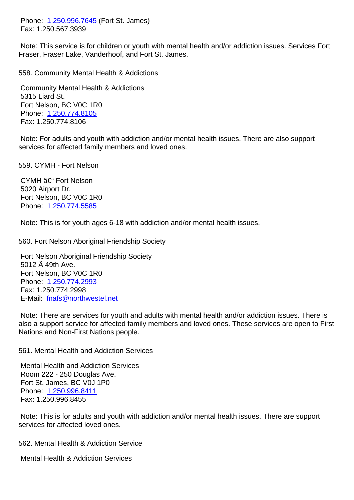Fax: 1.250.567.3939

 Note: This service is for children or youth with mental health and/or addiction issues. Services Fort Fraser, [Fraser Lake, Van](tel:1.250.996.7645)derhoof, and Fort St. James.

| 558. Community Mental Health & Addictions                                                                                                                                                                                                                                       | 55 |
|---------------------------------------------------------------------------------------------------------------------------------------------------------------------------------------------------------------------------------------------------------------------------------|----|
| <b>Community Mental Health &amp; Addictions</b><br>5315 Liard St.<br>Fort Nelson, BC V0C 1R0<br>Phone: 1.250.774.8105<br>Fax: 1.250.774.8106                                                                                                                                    |    |
| Note: For adults and youth with addiction and/or mental health issues. There are also support<br>services for affected family members and loved ones.                                                                                                                           |    |
| 559. CYMH - Fort Nelson                                                                                                                                                                                                                                                         | 55 |
| CYMH – Fort Nelson<br>5020 Airport Dr.<br>Fort Nelson, BC V0C 1R0<br>Phone: 1.250.774.5585                                                                                                                                                                                      |    |
| Note: This is for youth ages 6-18 with addiction and/or mental health issues.                                                                                                                                                                                                   |    |
| 560. Fort Nelson Aboriginal Friendship Society                                                                                                                                                                                                                                  | 56 |
| Fort Nelson Aboriginal Friendship Society<br>5012 Å 49th Ave.<br>Fort Nelson, BC V0C 1R0<br>Phone: 1.250.774.2993<br>Fax: 1.250.774.2998<br>E-Mail: fnafs@northwestel.net<br>Note: There are services for youth and adults with mental health and/or addiction issues. There is |    |
| also a support service for affected family members and loved ones. These services are open to First<br>Nations and Non-First Nations people.                                                                                                                                    |    |
| 561. Mental Health and Addiction Services                                                                                                                                                                                                                                       | 56 |
| <b>Mental Health and Addiction Services</b><br>Room 222 - 250 Douglas Ave.<br>Fort St. James, BC V0J 1P0<br>Phone: 1.250.996.8411<br>Fax: 1.250.996.8455                                                                                                                        |    |

 Note: This is for adults and youth with addiction and/or mental health issues. There are support services [for affected love](tel:1.250.996.8411)d ones.

562. Mental Health & Addiction Service 562. Mental Health & Addiction Service

 Mental Health & Addiction Services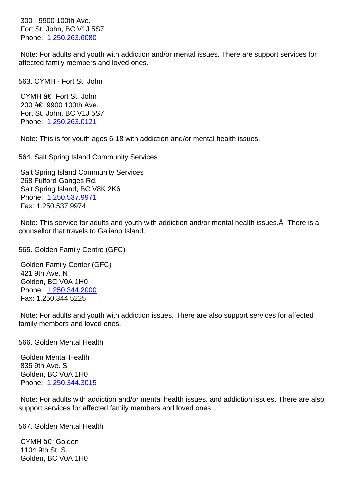|                       | <del>דטג טגוויה, טט זוט זוט ז</del> |
|-----------------------|-------------------------------------|
| Phone: 1.250.263.6080 |                                     |

 Note: For adults and youth with addiction and/or mental issues. There are support services for affected [family members](tel:1.250.263.6080) and loved ones.

| 563. CYMH - Fort St. John                                                                                                                                         | 56 |
|-------------------------------------------------------------------------------------------------------------------------------------------------------------------|----|
| CYMH – Fort St. John<br>200 – 9900 100th Ave.<br>Fort St. John, BC V1J 5S7<br>Phone: 1.250.263.0121                                                               |    |
| Note: This is for youth ages 6-18 with addiction and/or mental health issues.                                                                                     |    |
| 564. Salt Spring Island Community Services                                                                                                                        | 56 |
| <b>Salt Spring Island Community Services</b><br>268 Fulford-Ganges Rd.<br>Salt Spring Island, BC V8K 2K6<br>Phone: 1.250.537.9971<br>Fax: 1.250.537.9974          |    |
| Note: This service for adults and youth with addiction and/or mental health issues. A There is a<br>counsellor that travels to Galiano Island.                    |    |
| 565. Golden Family Centre (GFC)                                                                                                                                   | 56 |
| Golden Family Center (GFC)<br>421 9th Ave. N<br>Golden, BC V0A 1H0<br>Phone: 1.250.344.2000<br>Fax: 1.250.344.5225                                                |    |
| Note: For adults and youth with addiction issues. There are also support services for affected<br>family members and loved ones.                                  |    |
| 566. Golden Mental Health                                                                                                                                         | 56 |
| <b>Golden Mental Health</b><br>835 9th Ave. S<br>Golden, BC V0A 1H0<br>Phone: 1.250.344.3015                                                                      |    |
| Note: For adults with addiction and/or mental health issues, and addiction issues. There are also<br>support services for affected family members and loved ones. |    |
| 567. Golden Mental Health                                                                                                                                         | 56 |
| CYMH – Golden                                                                                                                                                     |    |

 1104 9th St. S. Golden, BC V0A 1H0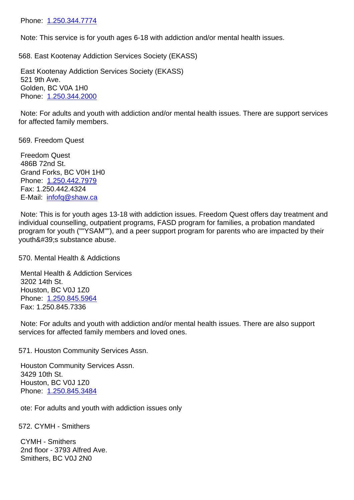Note: This service is for youth ages 6-18 with addiction and/or mental health issues.

568. Eas[t Kootenay Addi](tel:1.250.344.7774)ction Services Society (EKASS) 568. East Kootenay Addiction Services Society (EKASS)

 East Kootenay Addiction Services Society (EKASS) 521 9th Ave. Golden, BC V0A 1H0 Phone: 1.250.344.2000

 Note: For adults and youth with addiction and/or mental health issues. There are support services for affect[ed family membe](tel:1.250.344.2000)rs.

569. Freedom Quest 569. Freedom Quest

 Freedom Quest 486B 72nd St. Grand Forks, BC V0H 1H0 Phone: 1.250.442.7979 Fax: 1.250.442.4324 E-Mail: infofq@shaw.ca

 Note: T[his is for youth a](tel:1.250.442.7979)ges 13-18 with addiction issues. Freedom Quest offers day treatment and individual counselling, outpatient programs, FASD program for families, a probation mandated program [for youth \(""YSA](mailto:infofq@shaw.ca)M""), and a peer support program for parents who are impacted by their youth's substance abuse.

570. Mental Health & Addictions 570. Mental Health & Addictions

 Mental Health & Addiction Services 3202 14th St. Houston, BC V0J 1Z0 Phone: 1.250.845.5964 Fax: 1.250.845.7336

 Note: For adults and youth with addiction and/or mental health issues. There are also support services [for affected fami](tel:1.250.845.5964)ly members and loved ones.

571. Houston Community Services Assn. 571. Houston Community Services Assn.

 Houston Community Services Assn. 3429 10th St. Houston, BC V0J 1Z0 Phone: 1.250.845.3484

 ote: For adults and youth with addiction issues only

572. CY[MH - Smithers](tel:1.250.845.3484) 572. CYMH - Smithers

 CYMH - Smithers 2nd floor - 3793 Alfred Ave. Smithers, BC V0J 2N0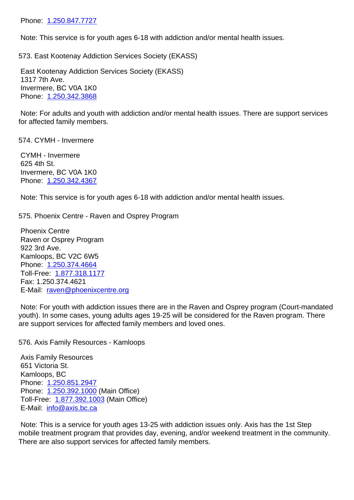Note: This service is for youth ages 6-18 with addiction and/or mental health issues.

| 573. East Kootenay Addiction Services Society (EKASS)                                                                             | 57 |
|-----------------------------------------------------------------------------------------------------------------------------------|----|
| East Kootenay Addiction Services Society (EKASS)<br>1317 7th Ave.<br>Invermere, BC V0A 1K0<br>Phone: 1.250.342.3868               |    |
| Note: For adults and youth with addiction and/or mental health issues. There are support services<br>for affected family members. |    |
| 574. CYMH - Invermere                                                                                                             | 57 |
| <b>CYMH</b> - Invermere<br>625 4th St.<br>Invermere, BC V0A 1K0<br>Phone: 1.250.342.4367                                          |    |
| Note: This service is for youth ages 6-18 with addiction and/or mental health issues.                                             |    |

575. Ph[oenix Centre - Ra](tel:1.250.342.4367)ven and Osprey Program 575. Phoenix Centre - Raven and Osprey Program

 Phoenix Centre Raven or Osprey Program 922 3rd Ave. Kamloops, BC V2C 6W5 Phone: 1.250.374.4664 Toll-Free: 1.877.318.1177 Fax: 1.250.374.4621 E-Mail: [raven@phoenixc](tel:1.250.374.4664)entre.org

 Note: For [youth with addic](tel:1.877.318.1177)tion issues there are in the Raven and Osprey program (Court-mandated youth). In some cases, young adults ages 19-25 will be considered for the Raven program. There are supp[ort services for affected fam](mailto:raven@phoenixcentre.org)ily members and loved ones.

576. Axis Family Resources - Kamloops 576. Axis Family Resources - Kamloops

 Axis Family Resources 651 Victoria St. Kamloops, BC Phone: 1.250.851.2947 Phone: 1.250.392.1000 (Main Office) Toll-Free: 1.877.392.1003 (Main Office) E-Mail: [info@axis.bc.ca](tel:1.250.851.2947)

 Note: T[his is a service fo](tel:1.250.392.1000)r youth ages 13-25 with addiction issues only. Axis has the 1st Step mobile trea[tment program th](tel:1.877.392.1003)at provides day, evening, and/or weekend treatment in the community. There ar[e also support se](mailto:info@axis.bc.ca)rvices for affected family members.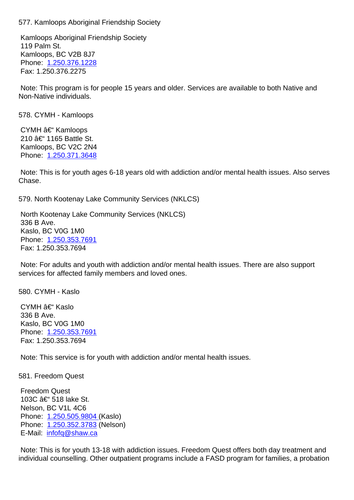Kamloops Aboriginal Friendship Society 119 Palm St. Kamloops, BC V2B 8J7 Phone: 1.250.376.1228 Fax: 1.250.376.2275

 Note: T[his program is fo](tel:1.250.376.1228)r people 15 years and older. Services are available to both Native and Non-Native individuals.

578. CYMH - Kamloops 578. CYMH - Kamloops

CYMH – Kamloops 210 – 1165 Battle St. Kamloops, BC V2C 2N4 Phone: 1.250.371.3648

 Note: This is for youth ages 6-18 years old with addiction and/or mental health issues. Also serves Chase.

579. North Kootenay Lake Community Services (NKLCS) 579. North Kootenay Lake Community Services (NKLCS)

 North Kootenay Lake Community Services (NKLCS) 336 B Ave. Kaslo, BC V0G 1M0 Phone: 1.250.353.7691 Fax: 1.250.353.7694

 Note: For adults and youth with addiction and/or mental health issues. There are also support services [for affected fami](tel:1.250.353.7691)ly members and loved ones.

580. CYMH - Kaslo 580. CYMH - Kaslo

CYMH – Kaslo 336 B Ave. Kaslo, BC V0G 1M0 Phone: 1.250.353.7691 Fax: 1.250.353.7694

 Note: T[his service is for](tel:1.250.353.7691) youth with addiction and/or mental health issues.

581. Freedom Quest 581. Freedom Quest

 Freedom Quest 103C – 518 lake St. Nelson, BC V1L 4C6 Phone: 1.250.505.9804 (Kaslo) Phone: 1.250.352.3783 (Nelson) E-Mail: infofq@shaw.ca

 Note: T[his is for youth 13](tel:1.250.505.9804)-18 with addiction issues. Freedom Quest offers both day treatment and individua[l counselling. O](tel:1.250.352.3783)[th](mailto:infofq@shaw.ca)er outpatient programs include a FASD program for families, a probation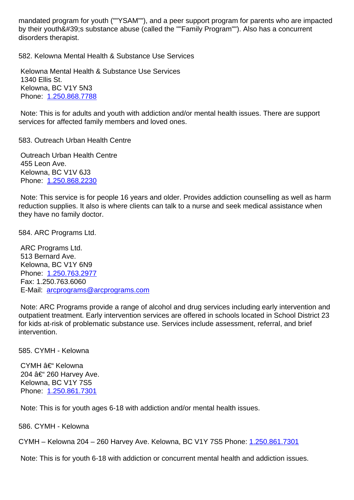by their youthomogy, substance abuse (called the "Trainity Program"). Also has a concurrent disorders therapist.

582. Kelowna Mental Health & Substance Use Services 582. Kelowna Mental Health & Substance Use Services

 Kelowna Mental Health & Substance Use Services 1340 Ellis St. Kelowna, BC V1Y 5N3 Phone: 1.250.868.7788

 Note: This is for adults and youth with addiction and/or mental health issues. There are support services [for affected fami](tel:1.250.868.7788)ly members and loved ones.

583. Outreach Urban Health Centre 583. Outreach Urban Health Centre

 Outreach Urban Health Centre 455 Leon Ave. Kelowna, BC V1V 6J3 Phone: 1.250.868.2230

 Note: This service is for people 16 years and older. Provides addiction counselling as well as harm reduction supplies. It also is where clients can talk to a nurse and seek medical assistance when they hav[e no family docto](tel:1.250.868.2230)r.

584. ARC Programs Ltd. 584. ARC Programs Ltd.

 ARC Programs Ltd. 513 Bernard Ave. Kelowna, BC V1Y 6N9 Phone: 1.250.763.2977 Fax: 1.250.763.6060 E-Mail: arcprograms@arcprograms.com

 Note: A[RC Programs pr](tel:1.250.763.2977)ovide a range of alcohol and drug services including early intervention and outpatient treatment. Early intervention services are offered in schools located in School District 23 for kids [at-risk of problematic substance u](mailto:arcprograms@arcprograms.com)se. Services include assessment, referral, and brief intervention.

585. CYMH - Kelowna 585. CYMH - Kelowna

CYMH – Kelowna 204 – 260 Harvey Ave. Kelowna, BC V1Y 7S5 Phone: 1.250.861.7301

 Note: This is for youth ages 6-18 with addiction and/or mental health issues.

586. CY[MH - Kelowna](tel:1.250.861.7301) 586. CYMH - Kelowna

CYMH – Kelowna 204 – 260 Harvey Ave. Kelowna, BC V1Y 7S5 Phone: 1.250.861.7301

Note: This is for youth 6-18 with addiction or concurrent mental health and addiction issues.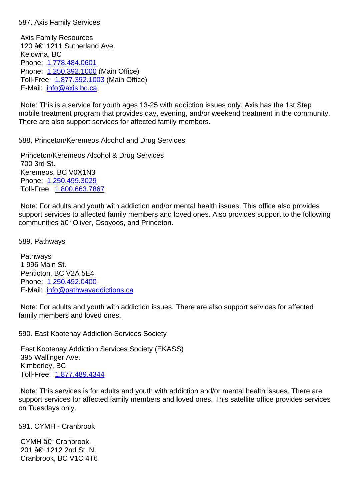Axis Family Resources 120  $a \in$  1211 Sutherland Ave. Kelowna, BC Phone: 1.778.484.0601 Phone: 1.250.392.1000 (Main Office) Toll-Free: 1.877.392.1003 (Main Office) E-Mail: [info@axis.bc.ca](tel:1.778.484.0601)

 Note: T[his is a service fo](tel:1.250.392.1000)r youth ages 13-25 with addiction issues only. Axis has the 1st Step mobile trea[tment program th](tel:1.877.392.1003)at provides day, evening, and/or weekend treatment in the community. There ar[e also support se](mailto:info@axis.bc.ca)rvices for affected family members.

588. Princeton/Keremeos Alcohol and Drug Services 588. Princeton/Keremeos Alcohol and Drug Services

 Princeton/Keremeos Alcohol & Drug Services 700 3rd St. Keremeos, BC V0X1N3 Phone: 1.250.499.3029 Toll-Free: 1.800.663.7867

 Note: For adults and youth with addiction and/or mental health issues. This office also provides support [services to affect](tel:1.250.499.3029)ed family members and loved ones. Also provides support to the following communitie[s – Oliver, Os](tel:1.800.663.7867)oyoos, and Princeton.

589. Pathways 589. Pathways

 Pathways 1 996 Main St. Penticton, BC V2A 5E4 Phone: 1.250.492.0400 E-Mail: info@pathwayaddictions.ca

 Note: For adults and youth with addiction issues. There are also support services for affected family m[embers and lov](tel:1.250.492.0400)[ed ones.](mailto:info@pathwayaddictions.ca)

590. East Kootenay Addiction Services Society 590. East Kootenay Addiction Services Society

 East Kootenay Addiction Services Society (EKASS) 395 Wallinger Ave. Kimberley, BC Toll-Free: 1.877.489.4344

 Note: This services is for adults and youth with addiction and/or mental health issues. There are support ser[vices for affected](tel:1.877.489.4344) family members and loved ones. This satellite office provides services on Tuesdays only.

591. CYMH - Cranbrook 591. CYMH - Cranbrook

CYMH – Cranbrook 201 – 1212 2nd St. N. Cranbrook, BC V1C 4T6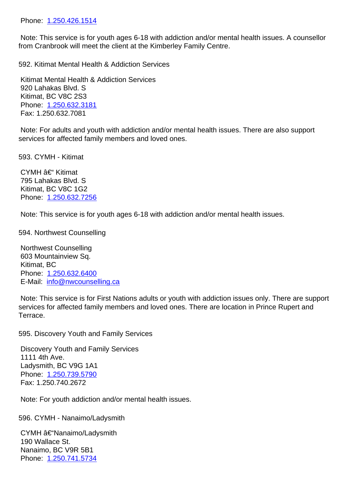| Note: This service is for youth ages 6-18 with addiction and/or mental health issues. A counsellor<br>from Cranbrook will meet the client at the Kimberley Family Centre.                                                                                                                                                                                                        |    |
|----------------------------------------------------------------------------------------------------------------------------------------------------------------------------------------------------------------------------------------------------------------------------------------------------------------------------------------------------------------------------------|----|
| 592. Kitimat Mental Health & Addiction Services                                                                                                                                                                                                                                                                                                                                  | 59 |
| Kitimat Mental Health & Addiction Services<br>920 Lahakas Blvd. S<br>Kitimat, BC V8C 2S3<br>Phone: 1.250.632.3181<br>Fax: 1.250.632.7081                                                                                                                                                                                                                                         |    |
| Note: For adults and youth with addiction and/or mental health issues. There are also support<br>services for affected family members and loved ones.                                                                                                                                                                                                                            |    |
| 593. CYMH - Kitimat                                                                                                                                                                                                                                                                                                                                                              | 59 |
| CYMH – Kitimat<br>795 Lahakas Blvd. S<br>Kitimat, BC V8C 1G2<br>Phone: 1.250.632.7256                                                                                                                                                                                                                                                                                            |    |
| Note: This service is for youth ages 6-18 with addiction and/or mental health issues.                                                                                                                                                                                                                                                                                            |    |
| 594. Northwest Counselling<br><b>Northwest Counselling</b><br>603 Mountainview Sq.<br>Kitimat, BC<br>Phone: 1.250.632.6400<br>E-Mail: info@nwcounselling.ca<br>Note: This service is for First Nations adults or youth with addiction issues only. There are support<br>services for affected family members and loved ones. There are location in Prince Rupert and<br>Terrace. | 59 |
| 595. Discovery Youth and Family Services                                                                                                                                                                                                                                                                                                                                         | 59 |
| <b>Discovery Youth and Family Services</b><br>1111 4th Ave.<br>Ladysmith, BC V9G 1A1<br>Phone: 1.250.739.5790<br>Fax: 1.250.740.2672<br>Note: For youth addiction and/or mental health issues.                                                                                                                                                                                   |    |
|                                                                                                                                                                                                                                                                                                                                                                                  |    |
| 596. CYMH - Nanaimo/Ladysmith                                                                                                                                                                                                                                                                                                                                                    | 59 |
| CYMH †"Nanaimo/Ladysmith<br>190 Wallace St.<br>Nanaimo, BC V9R 5B1<br>Phone: 1.250.741.5734                                                                                                                                                                                                                                                                                      |    |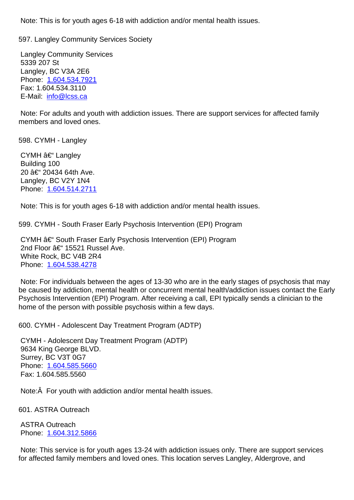597. Langley Community Services Society 597. Langley Community Services Society

 Langley Community Services 5339 207 St Langley, BC V3A 2E6 Phone: 1.604.534.7921 Fax: 1.604.534.3110 E-Mail: info@lcss.ca

 Note: F[or adults and you](tel:1.604.534.7921)th with addiction issues. There are support services for affected family member[s and loved on](mailto:info@lcss.ca)es.

598. CYMH - Langley 598. CYMH - Langley

CYMH  $\hat{a}\in$  Langley Building 100 20 †20434 64th Ave. Langley, BC V2Y 1N4 Phone: 1.604.514.2711

 Note: This is for youth ages 6-18 with addiction and/or mental health issues.

599. CY[MH - South Frase](tel:1.604.514.2711)r Early Psychosis Intervention (EPI) Program 599. CYMH - South Fraser Early Psychosis Intervention (EPI) Program

CYMH  $\hat{a}\in$  South Fraser Early Psychosis Intervention (EPI) Program 2nd Floor  $\hat{a} \in$  15521 Russel Ave. White Rock, BC V4B 2R4 Phone: 1.604.538.4278

 Note: For individuals between the ages of 13-30 who are in the early stages of psychosis that may be caused by addiction, mental health or concurrent mental health/addiction issues contact the Early Psychos[is Intervention \(E](tel:1.604.538.4278)PI) Program. After receiving a call, EPI typically sends a clinician to the home of the person with possible psychosis within a few days.

600. CYMH - Adolescent Day Treatment Program (ADTP) 600. CYMH - Adolescent Day Treatment Program (ADTP)

 CYMH - Adolescent Day Treatment Program (ADTP) 9634 King George BLVD. Surrey, BC V3T 0G7 Phone: 1.604.585.5660 Fax: 1.604.585.5560

 Note:Â [For youth with a](tel:1.604.585.5660)ddiction and/or mental health issues.

601. ASTRA Outreach 601. ASTRA Outreach

 ASTRA Outreach Phone: 1.604.312.5866

 Note: This service is for youth ages 13-24 with addiction issues only. There are support services for affect[ed family membe](tel:1.604.312.5866)rs and loved ones. This location serves Langley, Aldergrove, and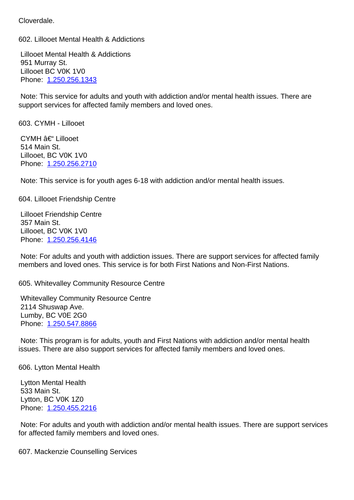Lillooet Mental Health & Addictions 951 Murray St. Lillooet BC V0K 1V0 Phone: 1.250.256.1343

 Note: This service for adults and youth with addiction and/or mental health issues. There are support [services for affec](tel:1.250.256.1343)ted family members and loved ones.

| 603. CYMH - Lillooet                                                                                                                                                                      | 60 |
|-------------------------------------------------------------------------------------------------------------------------------------------------------------------------------------------|----|
| CYMH – Lillooet<br>514 Main St.<br>Lillooet, BC V0K 1V0<br>Phone: 1.250.256.2710                                                                                                          |    |
| Note: This service is for youth ages 6-18 with addiction and/or mental health issues.                                                                                                     |    |
| 604. Lillooet Friendship Centre                                                                                                                                                           | 60 |
| <b>Lillooet Friendship Centre</b><br>357 Main St.<br>Lillooet, BC V0K 1V0<br>Phone: 1.250.256.4146                                                                                        |    |
| Note: For adults and youth with addiction issues. There are support services for affected family<br>members and loved ones. This service is for both First Nations and Non-First Nations. |    |
| 605. Whitevalley Community Resource Centre                                                                                                                                                | 60 |
| <b>Whitevalley Community Resource Centre</b><br>2114 Shuswap Ave.<br>Lumby, BC V0E 2G0<br>Phone: 1.250.547.8866                                                                           |    |
| Note: This program is for adults, youth and First Nations with addiction and/or mental health<br>issues. There are also support services for affected family members and loved ones.      |    |
| 606. Lytton Mental Health                                                                                                                                                                 | 60 |
| Lytton Mental Health<br>533 Main St.<br>Lytton, BC V0K 1Z0<br>Phone: 1.250.455.2216                                                                                                       |    |
| Note: For adults and youth with addiction and/or mental health issues. There are support services<br>for affected family members and loved ones.                                          |    |

602. Lillooet Mental Health & Addictions 602. Lillooet Mental Health & Addictions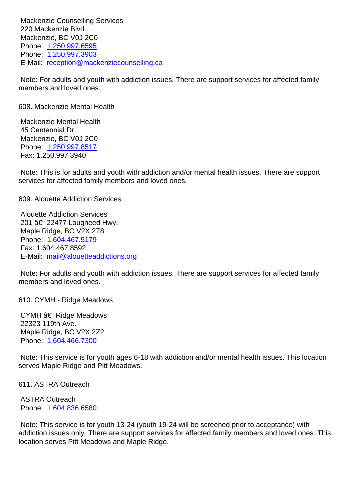220 Mackenzie Blvd. Mackenzie, BC V0J 2C0 Phone: 1.250.997.6595 Phone: 1.250.997.3903 E-Mail: reception@mackenziecounselling.ca

 Note: F[or adults and you](tel:1.250.997.6595)th with addiction issues. There are support services for affected family member[s and loved one](tel:1.250.997.3903)[s.](mailto:reception@mackenziecounselling.ca)

608. Mackenzie Mental Health 608. Mackenzie Mental Health Mackenzie Mental Health

 45 Centennial Dr. Mackenzie, BC V0J 2C0 Phone: 1.250.997.8517 Fax: 1.250.997.3940

 Note: This is for adults and youth with addiction and/or mental health issues. There are support services [for affected fami](tel:1.250.997.8517)ly members and loved ones.

609. Alouette Addiction Services 609. Alouette Addiction Services

 Alouette Addiction Services 201 – 22477 Lougheed Hwy. Maple Ridge, BC V2X 2T8 Phone: 1.604.467.5179 Fax: 1.604.467.8592 E-Mail: mail@alouetteaddictions.org

 Note: F[or adults and you](tel:1.604.467.5179)th with addiction issues. There are support services for affected family member[s and loved ones.](mailto:mail@alouetteaddictions.org)

610. CYMH - Ridge Meadows 610. CYMH - Ridge Meadows

CYMH  $\hat{a} \in \text{`` Ridge Meadows}$  22323 119th Ave. Maple Ridge, BC V2X 2Z2 Phone: 1.604.466.7300

 Note: This service is for youth ages 6-18 with addiction and/or mental health issues. This location serves [Maple Ridge and](tel:1.604.466.7300) Pitt Meadows.

611. ASTRA Outreach 611. ASTRA Outreach

 ASTRA Outreach Phone: 1.604.836.6580

 Note: This service is for youth 13-24 (youth 19-24 will be screened prior to acceptance) with addiction issues only. There are support services for affected family members and loved ones. This location [serves Pitt Mead](tel:1.604.836.6580)ows and Maple Ridge.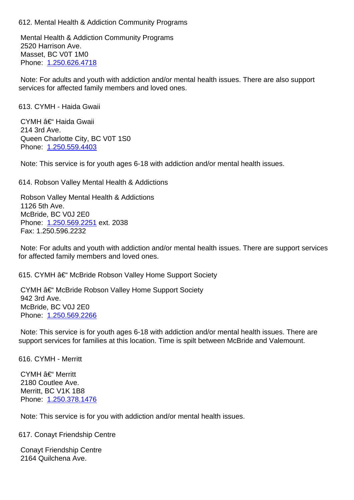Mental Health & Addiction Community Programs 2520 Harrison Ave. Masset, BC V0T 1M0 Phone: 1.250.626.4718

 Note: For adults and youth with addiction and/or mental health issues. There are also support services [for affected fami](tel:1.250.626.4718)ly members and loved ones.

| 613. CYMH - Haida Gwaii                                                                                                                                                                         | 61 |
|-------------------------------------------------------------------------------------------------------------------------------------------------------------------------------------------------|----|
| CYMH – Haida Gwaii<br>214 3rd Ave.<br>Queen Charlotte City, BC V0T 1S0<br>Phone: 1.250.559.4403                                                                                                 |    |
| Note: This service is for youth ages 6-18 with addiction and/or mental health issues.                                                                                                           |    |
| 614. Robson Valley Mental Health & Addictions                                                                                                                                                   | 61 |
| Robson Valley Mental Health & Addictions<br>1126 5th Ave.<br>McBride, BC V0J 2E0<br>Phone: 1.250.569.2251 ext. 2038<br>Fax: 1.250.596.2232                                                      |    |
| Note: For adults and youth with addiction and/or mental health issues. There are support services<br>for affected family members and loved ones.                                                |    |
| 615. CYMH †"McBride Robson Valley Home Support Society                                                                                                                                          | 61 |
| CYMH – McBride Robson Valley Home Support Society<br>942 3rd Ave.<br>McBride, BC V0J 2E0<br>Phone: 1.250.569.2266                                                                               |    |
| Note: This service is for youth ages 6-18 with addiction and/or mental health issues. There are<br>support services for families at this location. Time is spilt between McBride and Valemount. |    |
| 616. CYMH - Merritt                                                                                                                                                                             | 61 |
| CYMH – Merritt<br>2180 Coutlee Ave.<br>Merritt, BC V1K 1B8<br>Phone: 1.250.378.1476                                                                                                             |    |
| Note: This service is for you with addiction and/or mental health issues.                                                                                                                       |    |
| 617. Conayt Friendship Centre                                                                                                                                                                   | 61 |
| <b>Conayt Friendship Centre</b><br>2164 Quilchena Ave.                                                                                                                                          |    |
|                                                                                                                                                                                                 |    |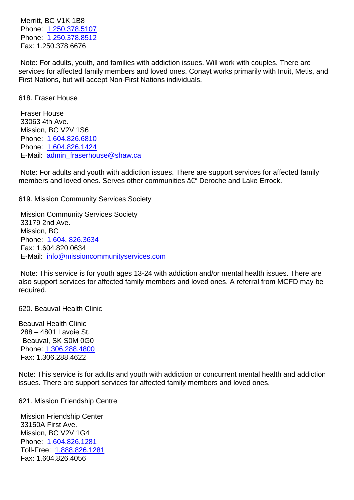Phone: 1.250.378.5107 Phone: 1.250.378.8512 Fax: 1.250.378.6676

 Note: F[or adults, youth,](tel:1.250.378.5107) and families with addiction issues. Will work with couples. There are services [for affected fami](tel:1.250.378.8512)ly members and loved ones. Conayt works primarily with Inuit, Metis, and First Nations, but will accept Non-First Nations individuals.

618. Fraser House 618. Fraser House

 Fraser House 33063 4th Ave. Mission, BC V2V 1S6 Phone: 1.604.826.6810 Phone: 1.604.826.1424 E-Mail: admin\_fraserhouse@shaw.ca

 Note: F[or adults and you](tel:1.604.826.6810)th with addiction issues. There are support services for affected family member[s and loved one](tel:1.604.826.1424)[s. Serves other](mailto:admin_fraserhouse@shaw.ca) communities – Deroche and Lake Errock.

619. Mission Community Services Society 619. Mission Community Services Society

 Mission Community Services Society 33179 2nd Ave. Mission, BC Phone: 1.604. 826.3634 Fax: 1.604.820.0634 E-Mail: info@missioncommunityservices.com

 Note: T[his service is for](tel:1.604.) youth ages 13-24 with addiction and/or mental health issues. There are also sup[port services for affected family membe](mailto:info@missioncommunityservices.com)rs and loved ones. A referral from MCFD may be required.

620. Beauval Health Clinic 620. Beauval Health Clinic

Beauval Health Clinic 288 – 4801 Lavoie St. Beauval, SK S0M 0G0 Phone: 1.306.288.4800 Fax: 1.306.288.4622

Note: This service is for adults and youth with addiction or concurrent mental health and addiction issues. [There are suppo](tel:13062884800)rt services for affected family members and loved ones.

621. Mission Friendship Centre 621. Mission Friendship Centre

 Mission Friendship Center 33150A First Ave. Mission, BC V2V 1G4 Phone: 1.604.826.1281 Toll-Free: 1.888.826.1281 Fax: 1.604.826.4056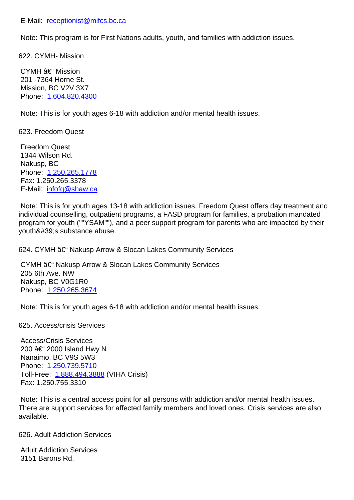Note: This program is for First Nations adults, youth, and families with addiction issues.

622. CY[MH- Mission](mailto:receptionist@mifcs.bc.ca) 622. CYMH- Mission

 $CYMH$   $â€$ " Mission 201 -7364 Horne St. Mission, BC V2V 3X7 Phone: 1.604.820.4300

 Note: This is for youth ages 6-18 with addiction and/or mental health issues.

623. Fre[edom Quest](tel:1.604.820.4300) 623. Freedom Quest

 Freedom Quest 1344 Wilson Rd. Nakusp, BC Phone: 1.250.265.1778 Fax: 1.250.265.3378 E-Mail: infofq@shaw.ca

 Note: T[his is for youth a](tel:1.250.265.1778)ges 13-18 with addiction issues. Freedom Quest offers day treatment and individual counselling, outpatient programs, a FASD program for families, a probation mandated program [for youth \(""YSA](mailto:infofq@shaw.ca)M""), and a peer support program for parents who are impacted by their youth's substance abuse.

624. CYMH †Nakusp Arrow & Slocan Lakes Community Services 62

CYMH – Nakusp Arrow & Slocan Lakes Community Services 205 6th Ave. NW Nakusp, BC V0G1R0 Phone: 1.250.265.3674

 Note: This is for youth ages 6-18 with addiction and/or mental health issues.

625. Acc[ess/crisis Servic](tel:1.250.265.3674)es 625. Access/crisis Services

 Access/Crisis Services 200 – 2000 Island Hwy N Nanaimo, BC V9S 5W3 Phone: 1.250.739.5710 Toll-Free: 1.888.494.3888 (VIHA Crisis) Fax: 1.250.755.3310

 Note: T[his is a central a](tel:1.250.739.5710)ccess point for all persons with addiction and/or mental health issues. There are s[upport services](tel:1.888.494.3888) for affected family members and loved ones. Crisis services are also available.

626. Adult Addiction Services 626. Adult Addiction Services

 Adult Addiction Services 3151 Barons Rd.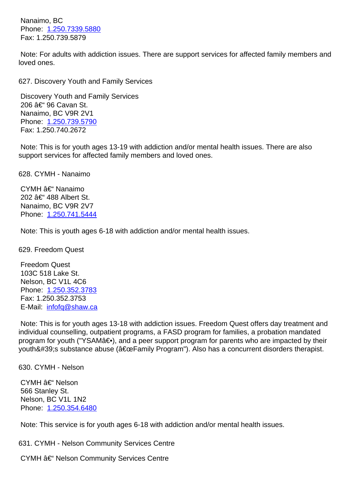Phone: 1.250.733.5880 Fax: 1.250.739.5879

 Note: F[or adults with add](tel:1.250.7339.5880)iction issues. There are support services for affected family members and loved ones.

| 627. Discovery Youth and Family Services                                                                                                                                                           | 62 |
|----------------------------------------------------------------------------------------------------------------------------------------------------------------------------------------------------|----|
| <b>Discovery Youth and Family Services</b><br>206 – 96 Cavan St.<br>Nanaimo, BC V9R 2V1<br>Phone: 1.250.739.5790<br>Fax: 1.250.740.2672                                                            |    |
| Note: This is for youth ages 13-19 with addiction and/or mental health issues. There are also<br>support services for affected family members and loved ones.                                      |    |
| 628. CYMH - Nanaimo                                                                                                                                                                                | 62 |
| CYMH – Nanaimo<br>202 †488 Albert St.<br>Nanaimo, BC V9R 2V7<br>Phone: 1.250.741.5444                                                                                                              |    |
| Note: This is youth ages 6-18 with addiction and/or mental health issues.                                                                                                                          |    |
| 629. Freedom Quest                                                                                                                                                                                 | 62 |
| <b>Freedom Quest</b><br>103C 518 Lake St.<br>Nelson, BC V1L 4C6<br>Phone: 1.250.352.3783<br>Fax: 1.250.352.3753<br>E-Mail: infofg@shaw.ca                                                          |    |
| Note: This is for youth ages 13-18 with addiction issues. Freedom Quest offers day treatment and<br>individual counselling, outpatient programs, a FASD program for families, a probation mandated |    |

individual counselling, outpatient programs, a FASD program for families, a probation mandated program [for youth \("YSAM](mailto:infofq@shaw.ca)―), and a peer support program for parents who are impacted by their youth's substance abuse ("Family Program"). Also has a concurrent disorders therapist.

630. CYMH - Nelson 630. CYMH - Nelson

CYMH – Nelson 566 Stanley St. Nelson, BC V1L 1N2 Phone: 1.250.354.6480

 Note: This service is for youth ages 6-18 with addiction and/or mental health issues.

631. CY[MH - Nelson Com](tel:1.250.354.6480)munity Services Centre 631. CYMH - Nelson Community Services Centre

CYMH – Nelson Community Services Centre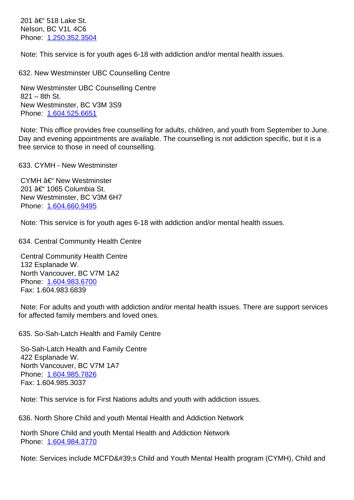$N$  $\sigma$  $\sigma$  $\sigma$ ,  $\sigma$  $\sigma$  $\sigma$  $\sigma$ Phone: 1.250.352.3504

 Note: This service is for youth ages 6-18 with addiction and/or mental health issues.

| 632. New Westminster UBC Counselling Centre                                                                                                                                                                                                                | 63 |
|------------------------------------------------------------------------------------------------------------------------------------------------------------------------------------------------------------------------------------------------------------|----|
| New Westminster UBC Counselling Centre<br>$821 - 8$ th St.                                                                                                                                                                                                 |    |
| New Westminster, BC V3M 3S9                                                                                                                                                                                                                                |    |
| Phone: 1.604.525.6651                                                                                                                                                                                                                                      |    |
| Note: This office provides free counselling for adults, children, and youth from September to June.<br>Day and evening appointments are available. The counselling is not addiction specific, but it is a<br>free service to those in need of counselling. |    |
| 633. CYMH - New Westminster                                                                                                                                                                                                                                | 63 |
| CYMH – New Westminster<br>201 – 1065 Columbia St.                                                                                                                                                                                                          |    |
| New Westminster, BC V3M 6H7                                                                                                                                                                                                                                |    |
| Phone: 1.604.660.9495                                                                                                                                                                                                                                      |    |
| Note: This service is for youth ages 6-18 with addiction and/or mental health issues.                                                                                                                                                                      |    |
| 634. Central Community Health Centre                                                                                                                                                                                                                       | 63 |
| <b>Central Community Health Centre</b>                                                                                                                                                                                                                     |    |
| 132 Esplanade W.<br>North Vancouver, BC V7M 1A2                                                                                                                                                                                                            |    |
| Phone: 1.604.983.6700                                                                                                                                                                                                                                      |    |
| Fax: 1.604.983.6839                                                                                                                                                                                                                                        |    |
| Note: For adults and youth with addiction and/or mental health issues. There are support services<br>for affected family members and loved ones.                                                                                                           |    |
| 635. So-Sah-Latch Health and Family Centre                                                                                                                                                                                                                 | 63 |
| So-Sah-Latch Health and Family Centre                                                                                                                                                                                                                      |    |
| 422 Esplanade W.<br>North Vancouver, BC V7M 1A7                                                                                                                                                                                                            |    |
| Phone: 1.604.985.7826                                                                                                                                                                                                                                      |    |
| Fax: 1.604.985.3037                                                                                                                                                                                                                                        |    |
| Note: This service is for First Nations adults and youth with addiction issues.                                                                                                                                                                            |    |
| 636. North Shore Child and youth Mental Health and Addiction Network                                                                                                                                                                                       | 63 |
| North Shore Child and youth Mental Health and Addiction Network                                                                                                                                                                                            |    |
| Phone: 1.604.984.3770                                                                                                                                                                                                                                      |    |

Note: Services include MCFD's Child and Youth Mental Health program (CYMH), Child and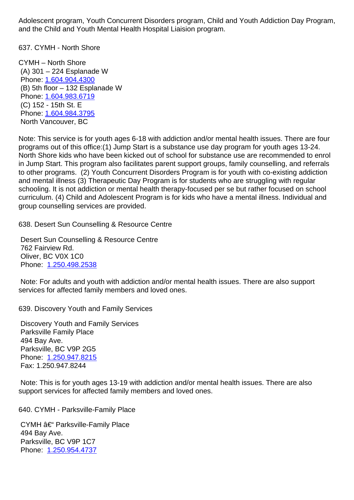and the Child and Youth Mental Health Hospital Liaision program.

637. CYMH - North Shore 637. CYMH - North Shore

CYMH – North Shore (A) 301 – 224 Esplanade W Phone: 1.604.904.4300 (B) 5th floor – 132 Esplanade W Phone: 1.604.983.6719 (C) 152 - 15th St. E Phone: [1.604.984.3795](tel:1.604.904.4300) North V[ancouver, BC](tel:1.604.983.6719) 

Note: This service is for youth ages 6-18 with addiction and/or mental health issues. There are four program[s out of this offic](tel:1.604.984.3795)e:(1) Jump Start is a substance use day program for youth ages 13-24. North Shore kids who have been kicked out of school for substance use are recommended to enrol in Jump Start. This program also facilitates parent support groups, family counselling, and referrals to other programs. (2) Youth Concurrent Disorders Program is for youth with co-existing addiction and mental illness (3) Therapeutic Day Program is for students who are struggling with regular schooling. It is not addiction or mental health therapy-focused per se but rather focused on school curriculum. (4) Child and Adolescent Program is for kids who have a mental illness. Individual and group counselling services are provided.

638. Desert Sun Counselling & Resource Centre 638. Desert Sun Counselling & Resource Centre

 Desert Sun Counselling & Resource Centre 762 Fairview Rd. Oliver, BC V0X 1C0 Phone: 1.250.498.2538

 Note: For adults and youth with addiction and/or mental health issues. There are also support services [for affected fami](tel:1.250.498.2538)ly members and loved ones.

639. Discovery Youth and Family Services 639. Discovery Youth and Family Services

 Discovery Youth and Family Services Parksville Family Place 494 Bay Ave. Parksville, BC V9P 2G5 Phone: 1.250.947.8215 Fax: 1.250.947.8244

 Note: This is for youth ages 13-19 with addiction and/or mental health issues. There are also support [services for affec](tel:1.250.947.8215)ted family members and loved ones.

640. CYMH - Parksville-Family Place 640. CYMH - Parksville-Family Place

 $CYMH$   $\hat{a}\in$ " Parksville-Family Place 494 Bay Ave. Parksville, BC V9P 1C7 Phone: 1.250.954.4737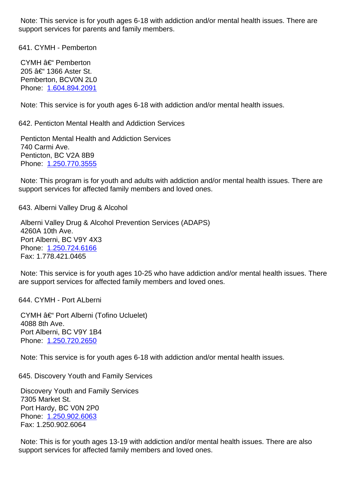support services for parents and family members.

| 641. CYMH - Pemberton                                                                                                                                                | 64 |
|----------------------------------------------------------------------------------------------------------------------------------------------------------------------|----|
| CYMH – Pemberton<br>205 †1366 Aster St.<br>Pemberton, BCV0N 2L0<br>Phone: 1.604.894.2091                                                                             |    |
| Note: This service is for youth ages 6-18 with addiction and/or mental health issues.                                                                                |    |
| 642. Penticton Mental Health and Addiction Services                                                                                                                  | 64 |
| <b>Penticton Mental Health and Addiction Services</b><br>740 Carmi Ave.<br>Penticton, BC V2A 8B9<br>Phone: 1.250.770.3555                                            |    |
| Note: This program is for youth and adults with addiction and/or mental health issues. There are<br>support services for affected family members and loved ones.     |    |
| 643. Alberni Valley Drug & Alcohol                                                                                                                                   | 64 |
| Alberni Valley Drug & Alcohol Prevention Services (ADAPS)<br>4260A 10th Ave.<br>Port Alberni, BC V9Y 4X3<br>Phone: 1.250.724.6166<br>Fax: 1.778.421.0465             |    |
| Note: This service is for youth ages 10-25 who have addiction and/or mental health issues. There<br>are support services for affected family members and loved ones. |    |
| 644. CYMH - Port ALberni                                                                                                                                             | 64 |
| CYMH – Port Alberni (Tofino Ucluelet)<br>4088 8th Ave.<br>Port Alberni, BC V9Y 1B4<br>Phone: 1.250.720.2650                                                          |    |
| Note: This service is for youth ages 6-18 with addiction and/or mental health issues.                                                                                |    |
| 645. Discovery Youth and Family Services                                                                                                                             | 64 |
| <b>Discovery Youth and Family Services</b><br>7305 Market St.<br>Port Hardy, BC V0N 2P0<br>Phone: 1.250.902.6063<br>Fax: 1.250.902.6064                              |    |
| Note: This is for youth ages 13-19 with addiction and/or mental health issues. There are also<br>support services for affected family members and loved ones.        |    |
|                                                                                                                                                                      |    |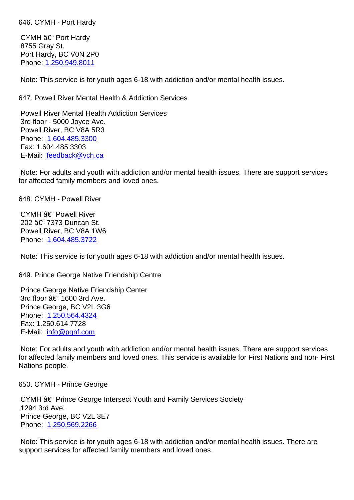CYMH – Port Hardy 8755 Gray St. Port Hardy, BC V0N 2P0 Phone:1.250.949.8011

 Note: This service is for youth ages 6-18 with addiction and/or mental health issues.

| 647. Powell River Mental Health & Addiction Services                                                                                                                                                                          | 64 |
|-------------------------------------------------------------------------------------------------------------------------------------------------------------------------------------------------------------------------------|----|
| <b>Powell River Mental Health Addiction Services</b><br>3rd floor - 5000 Joyce Ave.<br>Powell River, BC V8A 5R3<br>Phone: 1.604.485.3300<br>Fax: 1.604.485.3303                                                               |    |
| E-Mail: feedback@vch.ca                                                                                                                                                                                                       |    |
| Note: For adults and youth with addiction and/or mental health issues. There are support services<br>for affected family members and loved ones.                                                                              |    |
| 648. CYMH - Powell River                                                                                                                                                                                                      | 64 |
| CYMH – Powell River<br>202 – 7373 Duncan St.<br>Powell River, BC V8A 1W6<br>Phone: 1.604.485.3722                                                                                                                             |    |
| Note: This service is for youth ages 6-18 with addiction and/or mental health issues.                                                                                                                                         |    |
| 649. Prince George Native Friendship Centre                                                                                                                                                                                   | 64 |
| Prince George Native Friendship Center<br>3rd floor – 1600 3rd Ave.<br>Prince George, BC V2L 3G6<br>Phone: 1.250.564.4324<br>Fax: 1.250.614.7728<br>E-Mail: info@pgnf.com                                                     |    |
| Note: For adults and youth with addiction and/or mental health issues. There are support services<br>for affected family members and loved ones. This service is available for First Nations and non-First<br>Nations people. |    |
| 650. CYMH - Prince George                                                                                                                                                                                                     | 65 |
| CYMH †Prince George Intersect Youth and Family Services Society<br>1294 3rd Ave.<br>Prince George, BC V2L 3E7<br>Phone: 1.250.569.2266                                                                                        |    |
| Note: This service is for youth ages 6-18 with addiction and/or mental health issues. There are<br>support services for affected family members and loved ones.                                                               |    |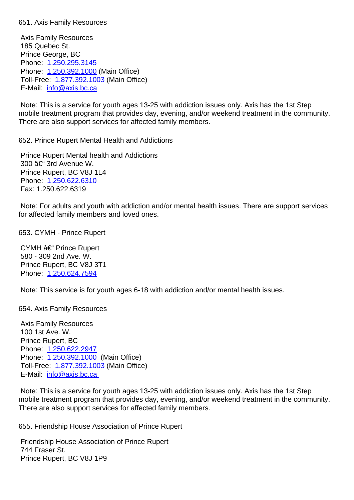Axis Family Resources 185 Quebec St. Prince George, BC Phone: 1.250.295.3145 Phone: 1.250.392.1000 (Main Office) Toll-Free: 1.877.392.1003 (Main Office) E-Mail: [info@axis.bc.ca](tel:1.250.295.3145)

 Note: T[his is a service fo](tel:1.250.392.1000)r youth ages 13-25 with addiction issues only. Axis has the 1st Step mobile trea[tment program th](tel:1.877.392.1003)at provides day, evening, and/or weekend treatment in the community. There ar[e also support se](mailto:info@axis.bc.ca)rvices for affected family members.

652. Prince Rupert Mental Health and Addictions 652. Prince Rupert Mental Health and Addictions

 Prince Rupert Mental health and Addictions 300 – 3rd Avenue W. Prince Rupert, BC V8J 1L4 Phone: 1.250.622.6310 Fax: 1.250.622.6319

 Note: For adults and youth with addiction and/or mental health issues. There are support services for affect[ed family membe](tel:1.250.622.6310)rs and loved ones.

653. CYMH - Prince Rupert 653. CYMH - Prince Rupert

CYMH  $\hat{a}\in$  Prince Rupert 580 - 309 2nd Ave. W. Prince Rupert, BC V8J 3T1 Phone: 1.250.624.7594

 Note: This service is for youth ages 6-18 with addiction and/or mental health issues.

654. Axi[s Family Resourc](tel:1.250.624.7594)es 654. Axis Family Resources

 Axis Family Resources 100 1st Ave. W. Prince Rupert, BC Phone: 1.250.622.2947 Phone: 1.250.392.1000 (Main Office) Toll-Free: 1.877.392.1003 (Main Office) E-Mail: [info@axis.bc.ca](tel:1.250.622.2947)

 Note: T[his is a service fo](tel:1.250.392.1000)r youth ages 13-25 with addiction issues only. Axis has the 1st Step mobile trea[tment program th](tel:1.877.392.1003)at provides day, evening, and/or weekend treatment in the community. There ar[e also support se](mailto:info@axis.bc.ca)rvices for affected family members.

655. Friendship House Association of Prince Rupert 655. Friendship House Association of Prince Rupert

 Friendship House Association of Prince Rupert 744 Fraser St. Prince Rupert, BC V8J 1P9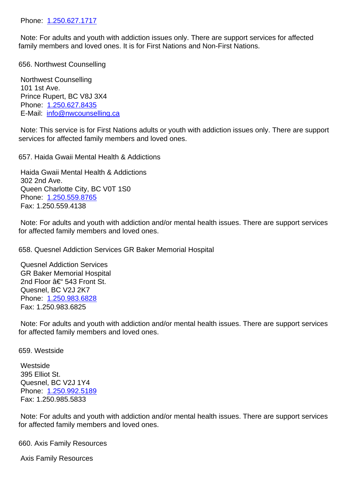Note: For adults and youth with addiction issues only. There are support services for affected family m[embers and love](tel:1.250.627.1717)d ones. It is for First Nations and Non-First Nations.

| 656. Northwest Counselling                                                                                                                                                 | 65 |
|----------------------------------------------------------------------------------------------------------------------------------------------------------------------------|----|
| <b>Northwest Counselling</b><br>101 1st Ave.<br>Prince Rupert, BC V8J 3X4<br>Phone: 1.250.627.8435<br>E-Mail: info@nwcounselling.ca                                        |    |
| Note: This service is for First Nations adults or youth with addiction issues only. There are support<br>services for affected family members and loved ones.              |    |
| 657. Haida Gwaii Mental Health & Addictions                                                                                                                                | 65 |
| Haida Gwaii Mental Health & Addictions<br>302 2nd Ave.<br>Queen Charlotte City, BC V0T 1S0<br>Phone: 1.250.559.8765<br>Fax: 1.250.559.4138                                 |    |
| Note: For adults and youth with addiction and/or mental health issues. There are support services<br>for affected family members and loved ones.                           |    |
| 658. Quesnel Addiction Services GR Baker Memorial Hospital                                                                                                                 | 65 |
| <b>Quesnel Addiction Services</b><br><b>GR Baker Memorial Hospital</b><br>2nd Floor – 543 Front St.<br>Quesnel, BC V2J 2K7<br>Phone: 1.250.983.6828<br>Fax: 1.250.983.6825 |    |

 Note: For adults and youth with addiction and/or mental health issues. There are support services for affect[ed family membe](tel:1.250.983.6828)rs and loved ones.

| 659. Westside                                                              | 65 |
|----------------------------------------------------------------------------|----|
| Westside<br>395 Elliot St.<br>Quesnel, BC V2J 1Y4<br>Phone: 1.250.992.5189 |    |
| Fax: 1.250.985.5833                                                        |    |
|                                                                            |    |

 Note: For adults and youth with addiction and/or mental health issues. There are support services for affect[ed family membe](tel:1.250.992.5189)rs and loved ones.

| <b>Axis Family Resources</b><br>660. | 66 |
|--------------------------------------|----|
|--------------------------------------|----|

 Axis Family Resources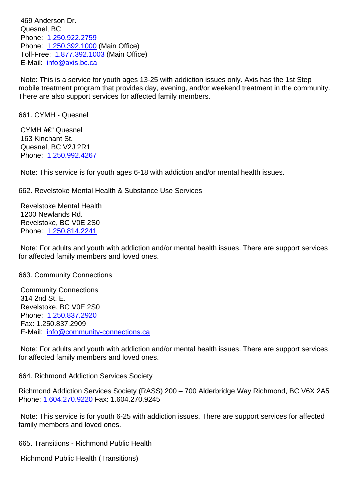Quesnel, BC Phone: 1.250.922.2759 Phone: 1.250.392.1000 (Main Office) Toll-Free: 1.877.392.1003 (Main Office) E-Mail: [info@axis.bc.ca](tel:1.250.922.2759)

 Note: T[his is a service fo](tel:1.250.392.1000)r youth ages 13-25 with addiction issues only. Axis has the 1st Step mobile trea[tment program th](tel:1.877.392.1003)at provides day, evening, and/or weekend treatment in the community. There ar[e also support se](mailto:info@axis.bc.ca)rvices for affected family members.

| 661. CYMH - Quesnel                                                                                                                              | 66 |
|--------------------------------------------------------------------------------------------------------------------------------------------------|----|
| CYMH – Quesnel<br>163 Kinchant St.                                                                                                               |    |
| Quesnel, BC V2J 2R1                                                                                                                              |    |
| Phone: 1.250.992.4267                                                                                                                            |    |
| Note: This service is for youth ages 6-18 with addiction and/or mental health issues.                                                            |    |
| 662. Revelstoke Mental Health & Substance Use Services                                                                                           | 66 |
| <b>Revelstoke Mental Health</b>                                                                                                                  |    |
| 1200 Newlands Rd.<br>Revelstoke, BC V0E 2S0                                                                                                      |    |
| Phone: 1.250.814.2241                                                                                                                            |    |
| Note: For adults and youth with addiction and/or mental health issues. There are support services<br>for affected family members and loved ones. |    |
| 663. Community Connections                                                                                                                       | 66 |
| <b>Community Connections</b>                                                                                                                     |    |
| 314 2nd St. E.<br>Revelstoke, BC V0E 2S0                                                                                                         |    |
| Phone: 1.250.837.2920                                                                                                                            |    |
| Fax: 1.250.837.2909                                                                                                                              |    |
| E-Mail: info@community-connections.ca                                                                                                            |    |
| Note: For adults and youth with addiction and/or mental health issues. There are support services<br>for affected family members and loved ones. |    |
| 664. Richmond Addiction Services Society                                                                                                         | 66 |
| Richmond Addiction Services Society (RASS) 200 - 700 Alderbridge Way Richmond, BC V6X 2A5<br>Phone: 1.604.270.9220 Fax: 1.604.270.9245           |    |
| Note: This service is for youth 6-25 with addiction issues. There are support services for affected<br>family members and loved ones.            |    |
| 665. Transitions - Richmond Public Health                                                                                                        | 66 |
| <b>Richmond Public Health (Transitions)</b>                                                                                                      |    |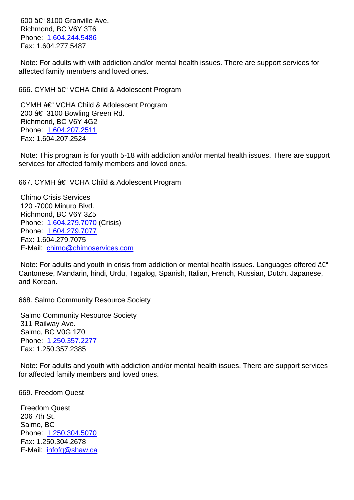RIGHTONG, BC VOT JTO Phone: 1.604.244.5486 Fax: 1.604.277.5487

 Note: For adults with with addiction and/or mental health issues. There are support services for affected [family members](tel:1.604.244.5486) and loved ones.

666. CYMH †VCHA Child & Adolescent Program 666. CYMH 26 VCHA Child & Adolescent Program CYMH  $\hat{a} \in \text{VCHA}$  Child & Adolescent Program 200 – 3100 Bowling Green Rd. Richmond, BC V6Y 4G2 Phone: 1.604.207.2511 Fax: 1.604.207.2524 Note: This program is for youth 5-18 with addiction and/or mental health issues. There are support services [for affected fami](tel:1.604.207.2511)ly members and loved ones. 667. CYMH †VCHA Child & Adolescent Program 667. CYMH – 66 Chimo Crisis Services 120 -7000 Minuro Blvd. Richmond, BC V6Y 3Z5 Phone: 1.604.279.7070 (Crisis) Phone: 1.604.279.7077 Fax: 1.604.279.7075 E-Mail: [chimo@chimose](tel:1.604.279.7070)rvices.com Note: F[or adults and you](tel:1.604.279.7077)th in crisis from addiction or mental health issues. Languages offered  $\hat{a}\in$ " Cantone[se, Mandarin, hindi, Urdu, Ta](mailto:chimo@chimoservices.com)galog, Spanish, Italian, French, Russian, Dutch, Japanese, and Korean. 668. Salmo Community Resource Society 668. Salmo Community Resource Society Salmo Community Resource Society 311 Railway Ave. Salmo, BC V0G 1Z0

 Note: For adults and youth with addiction and/or mental health issues. There are support services for affect[ed family membe](tel:1.250.357.2277)rs and loved ones.

669. Freedom Quest 669. Freedom Quest

 Phone: 1.250.357.2277 Fax: 1.250.357.2385

 Freedom Quest 206 7th St. Salmo, BC Phone: 1.250.304.5070 Fax: 1.250.304.2678 E-Mail: infofq@shaw.ca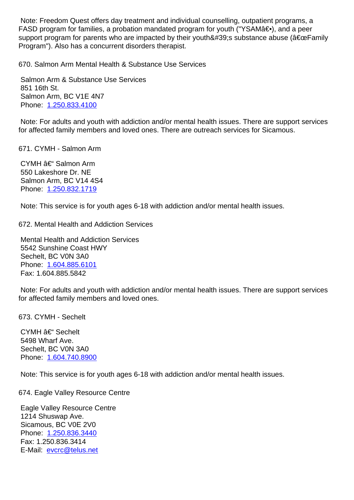| ו ראר די דומאַטיון דער זיי די דומאַטיון דער די דומאַטיון דער די דומאַטיון דער די דומאַטיון דער די די דומאַ די ד<br>support program for parents who are impacted by their youth's substance abuse ("Family<br>Program"). Also has a concurrent disorders therapist. |    |  |
|--------------------------------------------------------------------------------------------------------------------------------------------------------------------------------------------------------------------------------------------------------------------|----|--|
| 670. Salmon Arm Mental Health & Substance Use Services                                                                                                                                                                                                             | 67 |  |
| Salmon Arm & Substance Use Services<br>851 16th St.<br>Salmon Arm, BC V1E 4N7<br>Phone: 1.250.833.4100                                                                                                                                                             |    |  |
| Note: For adults and youth with addiction and/or mental health issues. There are support services<br>for affected family members and loved ones. There are outreach services for Sicamous.                                                                         |    |  |
| 671. CYMH - Salmon Arm                                                                                                                                                                                                                                             | 67 |  |
| CYMH – Salmon Arm<br>550 Lakeshore Dr. NE<br>Salmon Arm, BC V14 4S4<br>Phone: 1.250.832.1719                                                                                                                                                                       |    |  |
| Note: This service is for youth ages 6-18 with addiction and/or mental health issues.                                                                                                                                                                              |    |  |
| 672. Mental Health and Addiction Services                                                                                                                                                                                                                          | 67 |  |
| <b>Mental Health and Addiction Services</b><br>5542 Sunshine Coast HWY<br>Sechelt, BC V0N 3A0<br>Phone: 1.604.885.6101<br>Fax: 1.604.885.5842                                                                                                                      |    |  |
| Note: For adults and youth with addiction and/or mental health issues. There are support services<br>for affected family members and loved ones.                                                                                                                   |    |  |
| 673. CYMH - Sechelt                                                                                                                                                                                                                                                | 67 |  |
| CYMH – Sechelt<br>5498 Wharf Ave.<br>Sechelt, BC V0N 3A0<br>Phone: 1.604.740.8900                                                                                                                                                                                  |    |  |
| Note: This service is for youth ages 6-18 with addiction and/or mental health issues.                                                                                                                                                                              |    |  |
| 674. Eagle Valley Resource Centre                                                                                                                                                                                                                                  | 67 |  |
| Eagle Valley Resource Centre<br>1214 Shuswap Ave.<br>Sicamous, BC V0E 2V0<br>Phone: 1.250.836.3440<br>Fax: 1.250.836.3414<br>E-Mail: evcrc@telus.net                                                                                                               |    |  |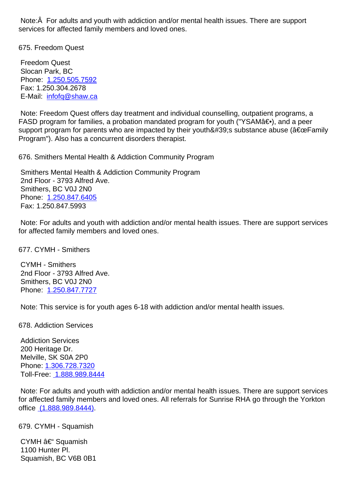services for affected family members and loved ones.

675. Freedom Quest 675. Freedom Quest

 Freedom Quest Slocan Park, BC Phone: 1.250.505.7592 Fax: 1.250.304.2678 E-Mail: infofq@shaw.ca

 Note: F[reedom Quest o](tel:1.250.505.7592)ffers day treatment and individual counselling, outpatient programs, a FASD program for families, a probation mandated program for youth ("YSAM $\hat{a} \in \bullet$ ), and a peer support [program for paren](mailto:infofq@shaw.ca)ts who are impacted by their youth ' s substance abuse ( $\hat{a} \in \text{ceFamily}$ Program"). Also has a concurrent disorders therapist.

676. Smithers Mental Health & Addiction Community Program 676. Smithers Mental Health & Addiction Community Program

 Smithers Mental Health & Addiction Community Program 2nd Floor - 3793 Alfred Ave. Smithers, BC V0J 2N0 Phone: 1.250.847.6405 Fax: 1.250.847.5993

 Note: For adults and youth with addiction and/or mental health issues. There are support services for affect[ed family membe](tel:1.250.847.6405)rs and loved ones.

677. CYMH - Smithers 677. CYMH - Smithers CYMH - Smithers 2nd Floor - 3793 Alfred Ave. Smithers, BC V0J 2N0 Phone: 1.250.847.7727

 Note: This service is for youth ages 6-18 with addiction and/or mental health issues.

| 678. Addiction Services   | 67 |
|---------------------------|----|
| <b>Addiction Services</b> |    |
| 200 Heritage Dr.          |    |
| Melville, SK S0A 2P0      |    |
| Phone: 1.306.728.7320     |    |
| Toll-Free: 1.888.989.8444 |    |
|                           |    |

 Note: For adults and youth with addiction and/or mental health issues. There are support services for affec[ted family memb](tel:13067287320)ers and loved ones. All referrals for Sunrise RHA go through the Yorkton office (1.8[88.989.8444\).](tel:18889898444)

679. CYMH - Squamish 679. CYMH - Squamish

CY[MH – Squamish](tel:18889898444) 1100 Hunter Pl. Squamish, BC V6B 0B1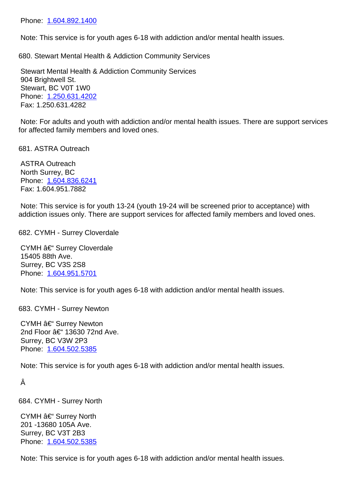Note: This service is for youth ages 6-18 with addiction and/or mental health issues.

| 680. Stewart Mental Health & Addiction Community Services                                                                                                                                      | 68 |
|------------------------------------------------------------------------------------------------------------------------------------------------------------------------------------------------|----|
| Stewart Mental Health & Addiction Community Services<br>904 Brightwell St.<br>Stewart, BC V0T 1W0<br>Phone: 1.250.631.4202<br>Fax: 1.250.631.4282                                              |    |
| Note: For adults and youth with addiction and/or mental health issues. There are support services<br>for affected family members and loved ones.                                               |    |
| 681. ASTRA Outreach                                                                                                                                                                            | 68 |
| <b>ASTRA Outreach</b><br>North Surrey, BC<br>Phone: 1.604.836.6241<br>Fax: 1.604.951.7882                                                                                                      |    |
| Note: This service is for youth 13-24 (youth 19-24 will be screened prior to acceptance) with<br>addiction issues only. There are support services for affected family members and loved ones. |    |
| 682. CYMH - Surrey Cloverdale                                                                                                                                                                  | 68 |
| CYMH – Surrey Cloverdale<br>15405 88th Ave.<br>Surrey, BC V3S 2S8<br>Phone: 1.604.951.5701                                                                                                     |    |
| Note: This service is for youth ages 6-18 with addiction and/or mental health issues.                                                                                                          |    |
| 683. CYMH - Surrey Newton                                                                                                                                                                      | 68 |
| CYMH – Surrey Newton<br>2nd Floor – 13630 72nd Ave.<br>Surrey, BC V3W 2P3<br>Phone: 1.604.502.5385                                                                                             |    |
| Note: This service is for youth ages 6-18 with addiction and/or mental health issues.                                                                                                          |    |
| Â                                                                                                                                                                                              |    |
| 684. CYMH - Surrey North                                                                                                                                                                       | 68 |
| CYMH – Surrey North<br>201-13680 105A Ave.<br>Surrey, BC V3T 2B3<br>Phone: 1.604.502.5385                                                                                                      |    |

 Note: This service is for youth ages 6-18 with addiction and/or mental health issues.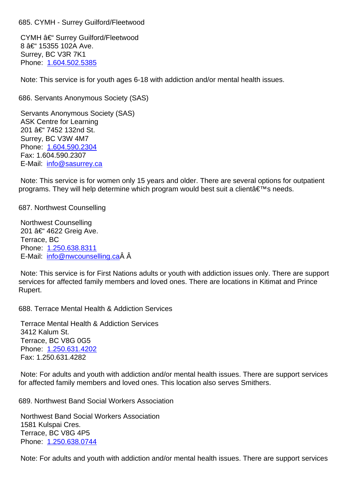CYMH – Surrey Guilford/Fleetwood 8 – 15355 102A Ave. Surrey, BC V3R 7K1 Phone: 1.604.502.5385

 Note: This service is for youth ages 6-18 with addiction and/or mental health issues.

686. Ser[vants Anonymou](tel:1.604.502.5385)s Society (SAS) 686. Servants Anonymous Society (SAS)

 Servants Anonymous Society (SAS) ASK Centre for Learning 201 – 7452 132nd St. Surrey, BC V3W 4M7 Phone: 1.604.590.2304 Fax: 1.604.590.2307 E-Mail: info@sasurrey.ca

 Note: T[his service is for](tel:1.604.590.2304) women only 15 years and older. There are several options for outpatient program[s. They will help de](mailto:info@sasurrey.ca)termine which program would best suit a client  $\hat{a} \in \mathbb{N}$ s needs.

687. Northwest Counselling 687. Northwest Counselling

 Northwest Counselling 201 – 4622 Greig Ave. Terrace, BC Phone: 1.250.638.8311 E-Mail: info@nwcounselling.ca Â

 Note: This service is for First Nations adults or youth with addiction issues only. There are support services [for affected fam](tel:1.250.638.8311)[ily mem](mailto:info@nwcounselling.ca)bers and loved ones. There are locations in Kitimat and Prince Rupert.

688. Terrace Mental Health & Addiction Services 688. Terrace Mental Health & Addiction Services

 Terrace Mental Health & Addiction Services 3412 Kalum St. Terrace, BC V8G 0G5 Phone: 1.250.631.4202 Fax: 1.250.631.4282

 Note: For adults and youth with addiction and/or mental health issues. There are support services for affect[ed family membe](tel:1.250.631.4202)rs and loved ones. This location also serves Smithers.

689. Northwest Band Social Workers Association 689. Northwest Band Social Workers Association

 Northwest Band Social Workers Association 1581 Kulspai Cres. Terrace, BC V8G 4P5 Phone: 1.250.638.0744

 Note: For adults and youth with addiction and/or mental health issues. There are support services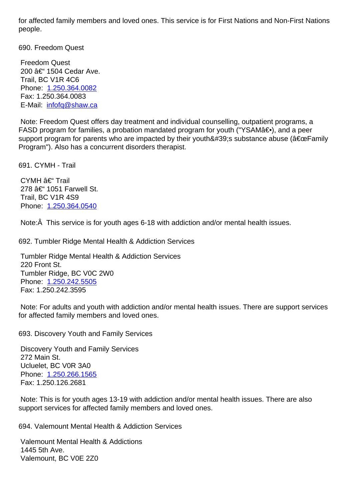people.

690. Freedom Quest 690. Freedom Quest

 Freedom Quest 200 – 1504 Cedar Ave. Trail, BC V1R 4C6 Phone: 1.250.364.0082 Fax: 1.250.364.0083 E-Mail: infofq@shaw.ca

 Note: F[reedom Quest o](tel:1.250.364.0082)ffers day treatment and individual counselling, outpatient programs, a FASD program for families, a probation mandated program for youth ("YSAMa€.), and a peer support [program for paren](mailto:infofq@shaw.ca)ts who are impacted by their youth ' s substance abuse ( $\hat{a} \in \text{ceFamily}$ Program"). Also has a concurrent disorders therapist.

| CYMH – Trail<br>278 – 1051 Farwell St.                                                                                                                    |    |
|-----------------------------------------------------------------------------------------------------------------------------------------------------------|----|
| Trail, BC V1R 4S9<br>Phone: 1.250.364.0540                                                                                                                |    |
| Note: $\hat{A}$ This service is for youth ages 6-18 with addiction and/or mental health issues.                                                           |    |
| 692. Tumbler Ridge Mental Health & Addiction Services                                                                                                     | 69 |
| <b>Tumbler Ridge Mental Health &amp; Addiction Services</b><br>220 Front St.<br>Tumbler Ridge, BC V0C 2W0<br>Phone: 1.250.242.5505<br>Fax: 1.250.242.3595 |    |
| Note: For adults and youth with addiction and/or mental health issues. There are support services<br>for affected family members and loved ones.          |    |
| 693. Discovery Youth and Family Services                                                                                                                  | 69 |
| <b>Discovery Youth and Family Services</b><br>272 Main St.<br>Ucluelet, BC V0R 3A0<br>Phone: 1.250.266.1565                                               |    |

691. CYMH - Trail 691. CYMH - Trail

 Note: This is for youth ages 13-19 with addiction and/or mental health issues. There are also support [services for affec](tel:1.250.266.1565)ted family members and loved ones.

694. Valemount Mental Health & Addiction Services 694. Valemount Mental Health & Addiction Services

 Valemount Mental Health & Addictions 1445 5th Ave. Valemount, BC V0E 2Z0

 Fax: 1.250.126.2681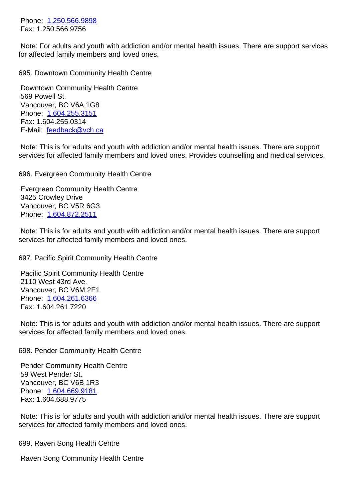Note: For adults and youth with addiction and/or mental health issues. There are support services for affect[ed family membe](tel:1.250.566.9898)rs and loved ones.

| 695. Downtown Community Health Centre                                                                                                                                                               | 69 |
|-----------------------------------------------------------------------------------------------------------------------------------------------------------------------------------------------------|----|
| Downtown Community Health Centre<br>569 Powell St.<br>Vancouver, BC V6A 1G8                                                                                                                         |    |
| Phone: 1.604.255.3151<br>Fax: 1.604.255.0314                                                                                                                                                        |    |
| E-Mail: feedback@vch.ca                                                                                                                                                                             |    |
| Note: This is for adults and youth with addiction and/or mental health issues. There are support<br>services for affected family members and loved ones. Provides counselling and medical services. |    |
| 696. Evergreen Community Health Centre                                                                                                                                                              | 69 |
| <b>Evergreen Community Health Centre</b>                                                                                                                                                            |    |
| 3425 Crowley Drive<br>Vancouver, BC V5R 6G3                                                                                                                                                         |    |
| Phone: 1.604.872.2511                                                                                                                                                                               |    |
|                                                                                                                                                                                                     |    |
| Note: This is for adults and youth with addiction and/or mental health issues. There are support<br>services for affected family members and loved ones.                                            |    |
| 697. Pacific Spirit Community Health Centre                                                                                                                                                         | 69 |
| <b>Pacific Spirit Community Health Centre</b>                                                                                                                                                       |    |
| 2110 West 43rd Ave.                                                                                                                                                                                 |    |
| Vancouver, BC V6M 2E1                                                                                                                                                                               |    |
| Phone: 1.604.261.6366<br>Fax: 1.604.261.7220                                                                                                                                                        |    |
|                                                                                                                                                                                                     |    |
| Note: This is for adults and youth with addiction and/or mental health issues. There are support<br>services for affected family members and loved ones.                                            |    |
| 698. Pender Community Health Centre                                                                                                                                                                 | 69 |
| <b>Pender Community Health Centre</b>                                                                                                                                                               |    |
| 59 West Pender St.                                                                                                                                                                                  |    |
| Vancouver, BC V6B 1R3<br>Phone: 1.604.669.9181                                                                                                                                                      |    |
| Fax: 1.604.688.9775                                                                                                                                                                                 |    |
|                                                                                                                                                                                                     |    |
| Note: This is for adults and youth with addiction and/or mental health issues. There are support<br>services for affected family members and loved ones.                                            |    |
| 699. Raven Song Health Centre                                                                                                                                                                       | 69 |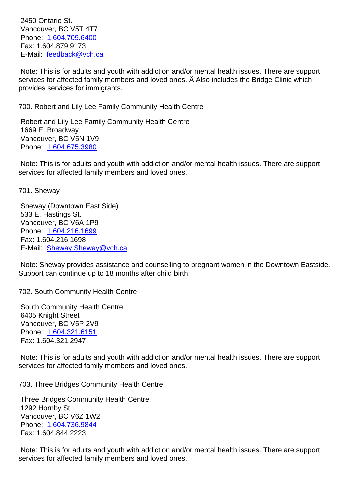vancouver, DC von 4T7 Phone: 1.604.709.6400 Fax: 1.604.879.9173 E-Mail: feedback@vch.ca

 Note: T[his is for adults a](tel:1.604.709.6400)nd youth with addiction and/or mental health issues. There are support services for affected family members and loved ones. Â Also includes the Bridge Clinic which provides [services for immig](mailto:feedback@vch.ca)rants.

700. Robert and Lily Lee Family Community Health Centre 700. Robert and Lily Lee Family Community Health Centre

 Robert and Lily Lee Family Community Health Centre 1669 E. Broadway Vancouver, BC V5N 1V9 Phone: 1.604.675.3980

 Note: This is for adults and youth with addiction and/or mental health issues. There are support services [for affected fami](tel:1.604.675.3980)ly members and loved ones.

701. Sheway 701. Sheway

 Sheway (Downtown East Side) 533 E. Hastings St. Vancouver, BC V6A 1P9 Phone: 1.604.216.1699 Fax: 1.604.216.1698 E-Mail: Sheway.Sheway@vch.ca

 Note: S[heway provides](tel:1.604.216.1699) assistance and counselling to pregnant women in the Downtown Eastside. Support [can continue up to 18 mon](mailto:Sheway.Sheway@vch.ca)ths after child birth.

702. South Community Health Centre 702. South Community Health Centre

 South Community Health Centre 6405 Knight Street Vancouver, BC V5P 2V9 Phone: 1.604.321.6151 Fax: 1.604.321.2947

 Note: This is for adults and youth with addiction and/or mental health issues. There are support services [for affected fami](tel:1.604.321.6151)ly members and loved ones.

703. Three Bridges Community Health Centre 703. Three Bridges Community Health Centre

 Three Bridges Community Health Centre 1292 Hornby St. Vancouver, BC V6Z 1W2 Phone: 1.604.736.9844 Fax: 1.604.844.2223

 Note: This is for adults and youth with addiction and/or mental health issues. There are support services [for affected fami](tel:1.604.736.9844)ly members and loved ones.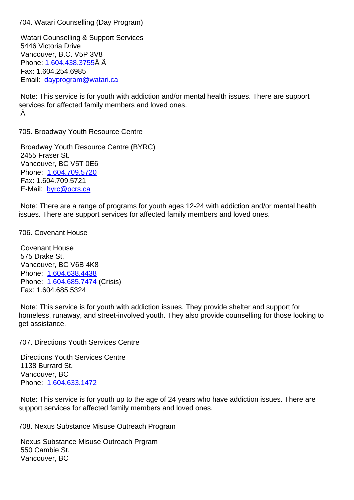Watari Counselling & Support Services 5446 Victoria Drive Vancouver, B.C. V5P 3V8 Phone:1.604.438.3755Â Â Fax: 1.604.254.6985 Email: dayprogram@watari.ca

 Note: [This service is fo](tel:1.604.438.3755)r youth with addiction and/or mental health issues. There are support service[s for affected family mem](mailto:dayprogram@watari.ca)bers and loved ones. Â

705. Broadway Youth Resource Centre 705. Broadway Youth Resource Centre

 Broadway Youth Resource Centre (BYRC) 2455 Fraser St. Vancouver, BC V5T 0E6 Phone: 1.604.709.5720 Fax: 1.604.709.5721 E-Mail: byrc@pcrs.ca

 Note: T[here are a range](tel:1.604.709.5720) of programs for youth ages 12-24 with addiction and/or mental health issues. [There are supp](mailto:byrc@pcrs.ca)ort services for affected family members and loved ones.

706. Covenant House 706. Covenant House

 Covenant House 575 Drake St. Vancouver, BC V6B 4K8 Phone: 1.604.638.4438 Phone: 1.604.685.7474 (Crisis) Fax: 1.604.685.5324

 Note: T[his service is for](tel:1.604.638.4438) youth with addiction issues. They provide shelter and support for homeles[s, runaway, and](tel:1.604.685.7474) street-involved youth. They also provide counselling for those looking to get assistance.

707. Directions Youth Services Centre 707. Directions Youth Services Centre

 Directions Youth Services Centre 1138 Burrard St. Vancouver, BC Phone: 1.604.633.1472

 Note: This service is for youth up to the age of 24 years who have addiction issues. There are support [services for affec](tel:1.604.633.1472)ted family members and loved ones.

708. Nexus Substance Misuse Outreach Program 708. Nexus Substance Misuse Outreach Program

 Nexus Substance Misuse Outreach Prgram 550 Cambie St. Vancouver, BC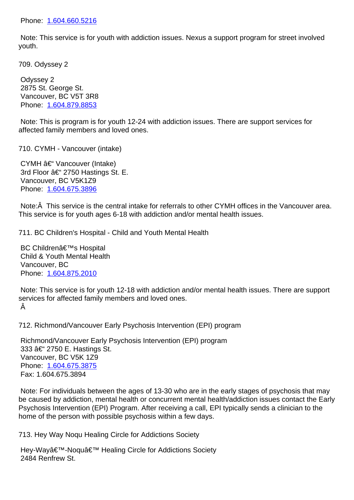Note: This service is for youth with addiction issues. Nexus a support program for street involved youth.

709. Odyssey 2 709. Odyssey 2 Odyssey 2 2875 St. George St. Vancouver, BC V5T 3R8 Phone: 1.604.879.8853 Note: This is program is for youth 12-24 with addiction issues. There are support services for affected [family members](tel:1.604.879.8853) and loved ones. 710. CYMH - Vancouver (intake) 710. CYMH - Vancouver (intake) CYMH – Vancouver (Intake) 3rd Floor  $\hat{a} \in \text{``} 2750$  Hastings St. E. Vancouver, BC V5K1Z9 Phone: 1.604.675.3896 Note:Â This service is the central intake for referrals to other CYMH offices in the Vancouver area. This ser[vice is for youth a](tel:1.604.675.3896)ges 6-18 with addiction and/or mental health issues. 711. BC Children's Hospital - Child and Youth Mental Health 711. BC Children's Hospital - Child and Youth Mental Health BC Children's Hospital Child & Youth Mental Health Vancouver, BC Phone: 1.604.875.2010

 Note: This service is for youth 12-18 with addiction and/or mental health issues. There are support services [for affected fami](tel:1.604.875.2010)ly members and loved ones. Â

712. Richmond/Vancouver Early Psychosis Intervention (EPI) program 712. Richmond/Vancouver Early Psychosis Intervention (EPI) program

 Richmond/Vancouver Early Psychosis Intervention (EPI) program 333 †2750 E. Hastings St. Vancouver, BC V5K 1Z9 Phone: 1.604.675.3875 Fax: 1.604.675.3894

 Note: For individuals between the ages of 13-30 who are in the early stages of psychosis that may be caus[ed by addiction, m](tel:1.604.675.3875)ental health or concurrent mental health/addiction issues contact the Early Psychosis Intervention (EPI) Program. After receiving a call, EPI typically sends a clinician to the home of the person with possible psychosis within a few days.

713. Hey Way Noqu Healing Circle for Addictions Society 713. Hey Way Noqu Healing Circle for Addictions Society

Hey-Way'-Noqu' Healing Circle for Addictions Society 2484 Renfrew St.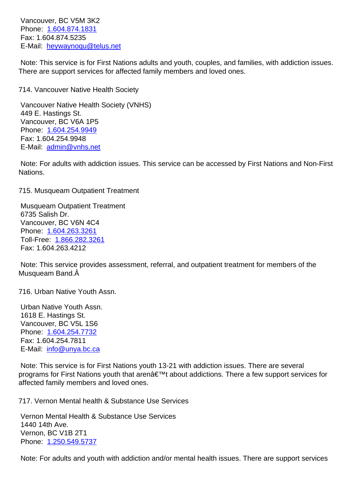Phone: 1.604.874.1831 Fax: 1.604.874.5235 E-Mail: heywaynoqu@telus.net

 Note: T[his service is for](tel:1.604.874.1831) First Nations adults and youth, couples, and families, with addiction issues. There ar[e support services for af](mailto:heywaynoqu@telus.net)fected family members and loved ones.

714. Vancouver Native Health Society 714. Vancouver Native Health Society Vancouver Native Health Society (VNHS) 449 E. Hastings St. Vancouver, BC V6A 1P5 Phone: 1.604.254.9949 Fax: 1.604.254.9948 E-Mail: admin@vnhs.net Note: F[or adults with ad](tel:1.604.254.9949)diction issues. This service can be accessed by First Nations and Non-First Nations. 715. Musqueam Outpatient Treatment 715. Musqueam Outpatient Treatment Musqueam Outpatient Treatment 6735 Salish Dr. Vancouver, BC V6N 4C4 Phone: 1.604.263.3261 Toll-Free: 1.866.282.3261 Fax: 1.604.263.4212 Note: T[his service provi](tel:1.604.263.3261)[de](tel:1.866.282.3261)s assessment, referral, and outpatient treatment for members of the Musqueam Band. 716. Urban Native Youth Assn. 716. Urban Native Youth Assn.

 Urban Native Youth Assn. 1618 E. Hastings St. Vancouver, BC V5L 1S6 Phone: 1.604.254.7732 Fax: 1.604.254.7811 E-Mail: info@unya.bc.ca

 Note: T[his service is for](tel:1.604.254.7732) First Nations youth 13-21 with addiction issues. There are several programs for First Nations youth that aren't about addictions. There a few support services for affected [family members a](mailto:info@unya.bc.ca)nd loved ones.

717. Vernon Mental health & Substance Use Services 717. Vernon Mental health & Substance Use Services

 Vernon Mental Health & Substance Use Services 1440 14th Ave. Vernon, BC V1B 2T1 Phone: 1.250.549.5737

 Note: For adults and youth with addiction and/or mental health issues. There are support services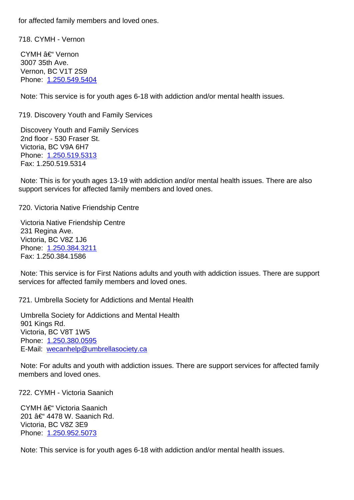| 718. CYMH<br>Vernon | _ |  |
|---------------------|---|--|
|---------------------|---|--|

CYMH – Vernon 3007 35th Ave. Vernon, BC V1T 2S9 Phone: 1.250.549.5404

 Note: This service is for youth ages 6-18 with addiction and/or mental health issues.

| 719. Discovery Youth and Family Services                                                                                                                                                                                                                                                                                                             | 71 |
|------------------------------------------------------------------------------------------------------------------------------------------------------------------------------------------------------------------------------------------------------------------------------------------------------------------------------------------------------|----|
| <b>Discovery Youth and Family Services</b><br>2nd floor - 530 Fraser St.<br>Victoria, BC V9A 6H7<br>Phone: 1.250.519.5313<br>Fax: 1.250.519.5314                                                                                                                                                                                                     |    |
| Note: This is for youth ages 13-19 with addiction and/or mental health issues. There are also<br>support services for affected family members and loved ones.                                                                                                                                                                                        |    |
| 720. Victoria Native Friendship Centre                                                                                                                                                                                                                                                                                                               | 72 |
| Victoria Native Friendship Centre<br>231 Regina Ave.<br>Victoria, BC V8Z 1J6<br>Phone: 1.250.384.3211<br>Fax: 1.250.384.1586                                                                                                                                                                                                                         |    |
| Note: This service is for First Nations adults and youth with addiction issues. There are support<br>services for affected family members and loved ones.                                                                                                                                                                                            |    |
| 721. Umbrella Society for Addictions and Mental Health<br>Umbrella Society for Addictions and Mental Health<br>901 Kings Rd.<br>Victoria, BC V8T 1W5<br>Phone: 1.250.380.0595<br>E-Mail: wecanhelp@umbrellasociety.ca<br>Note: For adults and youth with addiction issues. There are support services for affected family<br>members and loved ones. | 72 |
| 722. CYMH - Victoria Saanich                                                                                                                                                                                                                                                                                                                         | 72 |
| CYMH – Victoria Saanich<br>201 – 4478 W. Saanich Rd.<br>Victoria, BC V8Z 3E9<br>Phone: 1.250.952.5073                                                                                                                                                                                                                                                |    |

 Note: This service is for youth ages 6-18 with addiction and/or mental health issues.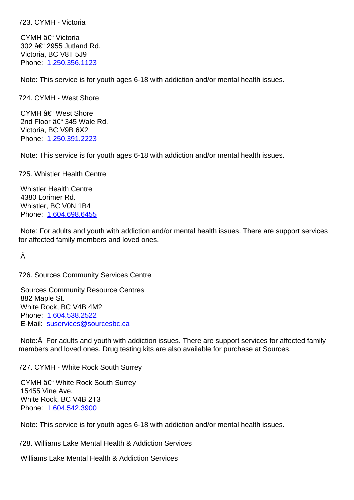CYMH – Victoria 302 – 2955 Jutland Rd. Victoria, BC V8T 5J9 Phone: 1.250.356.1123

 Note: This service is for youth ages 6-18 with addiction and/or mental health issues.

| 724. CYMH - West Shore                                                                                                                                                                      | 72 |
|---------------------------------------------------------------------------------------------------------------------------------------------------------------------------------------------|----|
| CYMH – West Shore<br>2nd Floor – 345 Wale Rd.<br>Victoria, BC V9B 6X2<br>Phone: 1.250.391.2223                                                                                              |    |
| Note: This service is for youth ages 6-18 with addiction and/or mental health issues.                                                                                                       |    |
| 725. Whistler Health Centre                                                                                                                                                                 | 72 |
| <b>Whistler Health Centre</b><br>4380 Lorimer Rd.<br>Whistler, BC V0N 1B4<br>Phone: 1.604.698.6455                                                                                          |    |
| Note: For adults and youth with addiction and/or mental health issues. There are support services<br>for affected family members and loved ones.                                            |    |
| Â                                                                                                                                                                                           |    |
| 726. Sources Community Services Centre                                                                                                                                                      | 72 |
| <b>Sources Community Resource Centres</b><br>882 Maple St.<br>White Rock, BC V4B 4M2<br>Phone: 1.604.538.2522<br>E-Mail: suservices@sourcesbc.ca                                            |    |
| Note: A For adults and youth with addiction issues. There are support services for affected family<br>members and loved ones. Drug testing kits are also available for purchase at Sources. |    |
| 727. CYMH - White Rock South Surrey                                                                                                                                                         | 72 |
| CYMH – White Rock South Surrey<br>15455 Vine Ave.<br>White Rock, BC V4B 2T3<br>Phone: 1.604.542.3900                                                                                        |    |
| Note: This service is for youth ages 6-18 with addiction and/or mental health issues.                                                                                                       |    |
| 728. Williams Lake Mental Health & Addiction Services                                                                                                                                       | 72 |
|                                                                                                                                                                                             |    |

 Williams Lake Mental Health & Addiction Services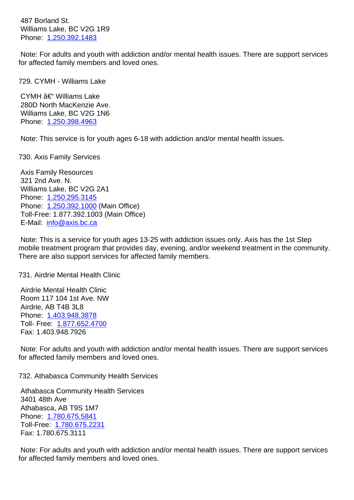Williams Lake, BC V2G 1R9 Phone: 1.250.392.1483

 Note: For adults and youth with addiction and/or mental health issues. There are support services for affect[ed family membe](tel:1.250.392.1483)rs and loved ones.

| 729. CYMH - Williams Lake                                                                                                                                                                                                                                         | 72 |
|-------------------------------------------------------------------------------------------------------------------------------------------------------------------------------------------------------------------------------------------------------------------|----|
| CYMH – Williams Lake<br>280D North MacKenzie Ave.<br>Williams Lake, BC V2G 1N6<br>Phone: 1.250.398.4963                                                                                                                                                           |    |
| Note: This service is for youth ages 6-18 with addiction and/or mental health issues.                                                                                                                                                                             |    |
| 730. Axis Family Services                                                                                                                                                                                                                                         | 73 |
| <b>Axis Family Resources</b><br>321 2nd Ave. N.<br>Williams Lake, BC V2G 2A1<br>Phone: 1.250.295.3145<br>Phone: 1.250.392.1000 (Main Office)<br>Toll-Free: 1.877.392.1003 (Main Office)<br>E-Mail: info@axis.bc.ca                                                |    |
| Note: This is a service for youth ages 13-25 with addiction issues only. Axis has the 1st Step<br>mobile treatment program that provides day, evening, and/or weekend treatment in the community.<br>There are also support services for affected family members. |    |
| 731. Airdrie Mental Health Clinic                                                                                                                                                                                                                                 | 73 |
| Aixaria Mantal Haalth Olinia                                                                                                                                                                                                                                      |    |

 Airdrie Mental Health Clinic Room 117 104 1st Ave. NW Airdrie, AB T4B 3L8 Phone: 1.403.948.3878 Toll- Free: 1.877.652.4700 Fax: 1.403.948.7926

 Note: F[or adults and you](tel:1.403.948.3878)th with addiction and/or mental health issues. There are support services for affected [family members](tel:1.877.652.4700) and loved ones.

732. Athabasca Community Health Services 732. Athabasca Community Health Services

 Athabasca Community Health Services 3401 48th Ave Athabasca, AB T9S 1M7 Phone: 1.780.675.5841 Toll-Free: 1.780.675.2231 Fax: 1.780.675.3111

 Note: F[or adults and you](tel:17806755841)th with addiction and/or mental health issues. There are support services for affected [family members](tel:17806752231) and loved ones.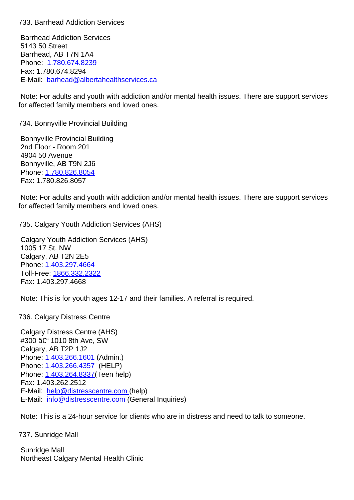Barrhead Addiction Services 5143 50 Street Barrhead, AB T7N 1A4 Phone: 1.780.674.8239 Fax: 1.780.674.8294 E-Mail: barhead@albertahealthservices.ca

 Note: F[or adults and you](tel:17806748239)th with addiction and/or mental health issues. There are support services for affect[ed family members and loved ones.](mailto:barhead@albertahealthservices.ca)

| 734. Bonnyville Provincial Building                                                                                                                                                                                  | 73 |
|----------------------------------------------------------------------------------------------------------------------------------------------------------------------------------------------------------------------|----|
| <b>Bonnyville Provincial Building</b><br>2nd Floor - Room 201<br>4904 50 Avenue<br>Bonnyville, AB T9N 2J6<br>Phone: 1.780.826.8054<br>Fax: 1.780.826.8057                                                            |    |
| Note: For adults and youth with addiction and/or mental health issues. There are support services<br>for affected family members and loved ones.                                                                     |    |
| 735. Calgary Youth Addiction Services (AHS)                                                                                                                                                                          | 73 |
| <b>Calgary Youth Addiction Services (AHS)</b><br>1005 17 St. NW<br>Calgary, AB T2N 2E5<br>Phone: 1.403.297.4664<br>Toll-Free: 1866.332.2322<br>Fax: 1.403.297.4668                                                   |    |
| Note: This is for youth ages 12-17 and their families. A referral is required.                                                                                                                                       |    |
| 736. Calgary Distress Centre                                                                                                                                                                                         | 73 |
| <b>Calgary Distress Centre (AHS)</b><br>#300 – 1010 8th Ave, SW<br>Calgary, AB T2P 1J2<br>Phone: 1.403.266.1601 (Admin.)<br>Phone: 1.403.266.4357 (HELP)<br>Phone: 1.403.264.8337 (Teen help)<br>Fax: 1.403.262.2512 |    |

 E-Mail: [info@distressce](tel:14032664357)ntre.com (General Inquiries)

 Note: T[his is a 24-hour service for](mailto:help@distresscentre.com) clients who are in distress and need to talk to someone.

737. Su[nridge Mall](mailto:info@distresscentre.com) 737. Sunridge Mall

 Sunridge Mall Northeast Calgary Mental Health Clinic

 E-Mail: [help@distressc](tel:14032661601)entre.com (help)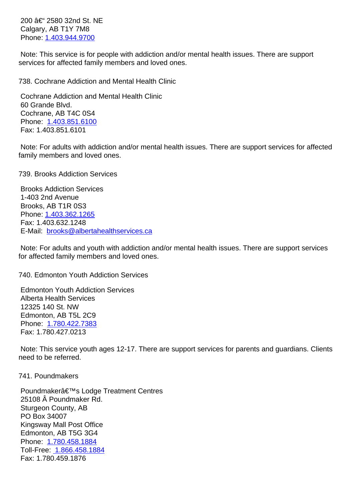Calyary, AD T1T 7M0 Phone:1.403.944.9700

 Note: This service is for people with addiction and/or mental health issues. There are support services [for affected fam](tel:14039449700)ily members and loved ones.

738. Cochrane Addiction and Mental Health Clinic 738. Cochrane Addiction and Mental Health Clinic Cochrane Addiction and Mental Health Clinic 60 Grande Blvd. Cochrane, AB T4C 0S4 Phone: 1.403.851.6100 Fax: 1.403.851.6101 Note: For adults with addiction and/or mental health issues. There are support services for affected family m[embers and love](tel:14038516100)d ones. 739. Brooks Addiction Services 739. Brooks Addiction Services Brooks Addiction Services 1-403 2nd Avenue Brooks, AB T1R 0S3 Phone:1.403.362.1265 Fax: 1.403.632.1248 E-Mail: brooks@albertahealthservices.ca Note: [For adults and yo](tel:)uth with addiction and/or mental health issues. There are support services for affect[ed family members and loved one](mailto:brooks@albertahealthservices.ca)s. 740. Edmonton Youth Addiction Services 740. Edmonton Youth Addiction Services Edmonton Youth Addiction Services Alberta Health Services

 12325 140 St. NW Edmonton, AB T5L 2C9 Phone: 1.780.422.7383 Fax: 1.780.427.0213

 Note: T[his service youth](tel:17804227383) ages 12-17. There are support services for parents and guardians. Clients need to be referred.

741. Poundmakers 741. Poundmakers

Poundmaker's Lodge Treatment Centres 25108 Â Poundmaker Rd. Sturgeon County, AB PO Box 34007 Kingsway Mall Post Office Edmonton, AB T5G 3G4 Phone: 1.780.458.1884 Toll-Free: 1.866.458.1884 Fax: 1.780.459.1876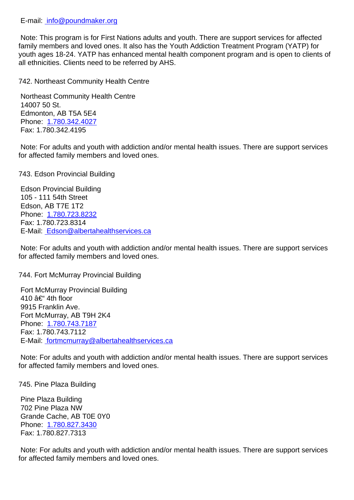Note: This program is for First Nations adults and youth. There are support services for affected family members and loved ones. It also has the Youth Addiction Treatment Program (YATP) for youth a[ges 18-24. YATP has en](mailto:info@poundmaker.org)hanced mental health component program and is open to clients of all ethnicities. Clients need to be referred by AHS.

742. Northeast Community Health Centre 742. Northeast Community Health Centre Northeast Community Health Centre 14007 50 St. Edmonton, AB T5A 5E4 Phone: 1.780.342.4027 Fax: 1.780.342.4195 Note: For adults and youth with addiction and/or mental health issues. There are support services for affect[ed family membe](tel:17803424027)rs and loved ones. 743. Edson Provincial Building 743. Edson Provincial Building Edson Provincial Building 105 - 111 54th Street Edson, AB T7E 1T2 Phone: 1.780.723.8232 Fax: 1.780.723.8314 E-Mail: Edson@albertahealthservices.ca Note: F[or adults and you](tel:17807238232)th with addiction and/or mental health issues. There are support services

for affec[ted family members and loved one](mailto:Edson@albertahealthservices.ca)s.

744. Fort McMurray Provincial Building 744. Fort McMurray Provincial Building

 Fort McMurray Provincial Building 410  $a \in$ " 4th floor 9915 Franklin Ave. Fort McMurray, AB T9H 2K4 Phone: 1.780.743.7187 Fax: 1.780.743.7112 E-Mail: fortmcmurray@albertahealthservices.ca

 Note: F[or adults and you](tel:17807437187)th with addiction and/or mental health issues. There are support services for affec[ted family members and loved ones.](mailto:fortmcmurray@albertahealthservices.ca)

745. Pine Plaza Building 745. Pine Plaza Building

 Pine Plaza Building 702 Pine Plaza NW Grande Cache, AB T0E 0Y0 Phone: 1.780.827.3430 Fax: 1.780.827.7313

 Note: For adults and youth with addiction and/or mental health issues. There are support services for affect[ed family membe](tel:17808273430)rs and loved ones.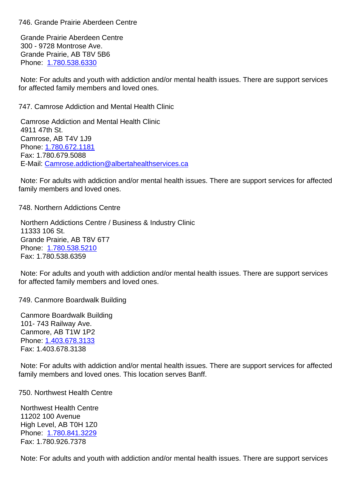Grande Prairie Aberdeen Centre 300 - 9728 Montrose Ave. Grande Prairie, AB T8V 5B6 Phone: 1.780.538.6330

 Note: For adults and youth with addiction and/or mental health issues. There are support services for affect[ed family membe](tel:17805386330)rs and loved ones.

| 747. Camrose Addiction and Mental Health Clinic                                                                                                                    | 74 |
|--------------------------------------------------------------------------------------------------------------------------------------------------------------------|----|
| <b>Camrose Addiction and Mental Health Clinic</b><br>4911 47th St.<br>Camrose, AB T4V 1J9<br>Phone: 1.780.672.1181<br>Fax: 1.780.679.5088                          |    |
| E-Mail:Camrose.addiction@albertahealthservices.ca                                                                                                                  |    |
| Note: For adults with addiction and/or mental health issues. There are support services for affected<br>family members and loved ones.                             |    |
| 748. Northern Addictions Centre                                                                                                                                    | 74 |
| Northern Addictions Centre / Business & Industry Clinic<br>11333 106 St.<br>Grande Prairie, AB T8V 6T7<br>Phone: 1.780.538.5210<br>Fax: 1.780.538.6359             |    |
| Note: For adults and youth with addiction and/or mental health issues. There are support services<br>for affected family members and loved ones.                   |    |
| 749. Canmore Boardwalk Building                                                                                                                                    | 74 |
| <b>Canmore Boardwalk Building</b><br>101-743 Railway Ave.<br>Canmore, AB T1W 1P2<br>Phone: 1.403.678.3133<br>Fax: 1.403.678.3138                                   |    |
| Note: For adults with addiction and/or mental health issues. There are support services for affected<br>family members and loved ones. This location serves Banff. |    |
| 750. Northwest Health Centre                                                                                                                                       | 75 |
| <b>Northwest Health Centre</b><br>11202 100 Avenue<br>High Level, AB T0H 1Z0<br>Phone: 1.780.841.3229<br>Fax: 1.780.926.7378                                       |    |

 Note: F[or adults and you](tel:17808413229)th with addiction and/or mental health issues. There are support services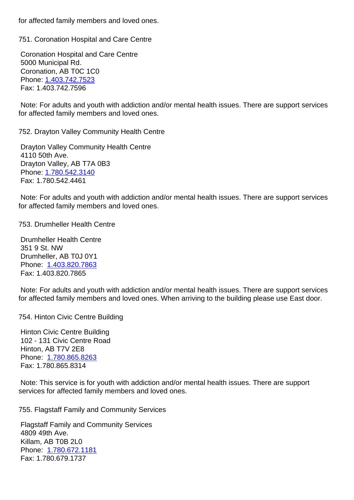## 751. Coronation Hospital and Care Centre 751. Coronation Hospital and Care Centre

 Coronation Hospital and Care Centre 5000 Municipal Rd. Coronation, AB T0C 1C0 Phone:1.403.742.7523 Fax: 1.403.742.7596

 Note: For adults and youth with addiction and/or mental health issues. There are support services for affec[ted family memb](tel:14037427523)ers and loved ones.

752. Drayton Valley Community Health Centre 752. Drayton Valley Community Health Centre

 Drayton Valley Community Health Centre 4110 50th Ave. Drayton Valley, AB T7A 0B3 Phone:1.780.542.3140 Fax: 1.780.542.4461

 Note: For adults and youth with addiction and/or mental health issues. There are support services for affec[ted family memb](tel:17805423140)ers and loved ones.

753. Drumheller Health Centre 753. Drumheller Health Centre

 Drumheller Health Centre 351 9 St. NW Drumheller, AB T0J 0Y1 Phone: 1.403.820.7863 Fax: 1.403.820.7865

 Note: For adults and youth with addiction and/or mental health issues. There are support services for affect[ed family membe](tel:14038207863)rs and loved ones. When arriving to the building please use East door.

754. Hinton Civic Centre Building 754. Hinton Civic Centre Building

 Hinton Civic Centre Building 102 - 131 Civic Centre Road Hinton, AB T7V 2E8 Phone: 1.780.865.8263 Fax: 1.780.865.8314

 Note: This service is for youth with addiction and/or mental health issues. There are support services [for affected fami](tel:17808658263)ly members and loved ones.

755. Flagstaff Family and Community Services 755. Flagstaff Family and Community Services

 Flagstaff Family and Community Services 4809 49th Ave. Killam, AB T0B 2L0 Phone: 1.780.672.1181 Fax: 1.780.679.1737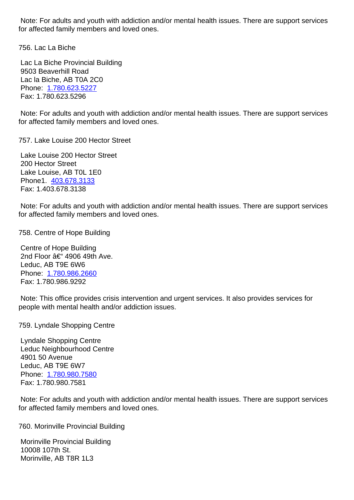for affected family members and loved ones.

756. Lac La Biche 756. Lac La Biche

 Lac La Biche Provincial Building 9503 Beaverhill Road Lac la Biche, AB T0A 2C0 Phone: 1.780.623.5227 Fax: 1.780.623.5296

 Note: For adults and youth with addiction and/or mental health issues. There are support services for affect[ed family membe](tel:17806235227)rs and loved ones.

 Lake Louise 200 Hector Street 200 Hector Street Lake Louise, AB T0L 1E0 Phone1. 403.678.3133 Fax: 1.403.678.3138

 Note: For adults and youth with addiction and/or mental health issues. There are support services for affecte[d family memb](tel:4036783133)ers and loved ones.

758. Centre of Hope Building 758. Centre of Hope Building

 Centre of Hope Building 2nd Floor  $a \in 4906$  49th Ave. Leduc, AB T9E 6W6 Phone: 1.780.986.2660 Fax: 1.780.986.9292

 Note: This office provides crisis intervention and urgent services. It also provides services for people [with mental health](tel:17809862660) and/or addiction issues.

759. Lyndale Shopping Centre 759. Lyndale Shopping Centre

 Lyndale Shopping Centre Leduc Neighbourhood Centre 4901 50 Avenue Leduc, AB T9E 6W7 Phone: 1.780.980.7580 Fax: 1.780.980.7581

 Note: For adults and youth with addiction and/or mental health issues. There are support services for affect[ed family membe](tel:17809807580)rs and loved ones.

760. Morinville Provincial Building 760. Morinville Provincial Building

 Morinville Provincial Building 10008 107th St. Morinville, AB T8R 1L3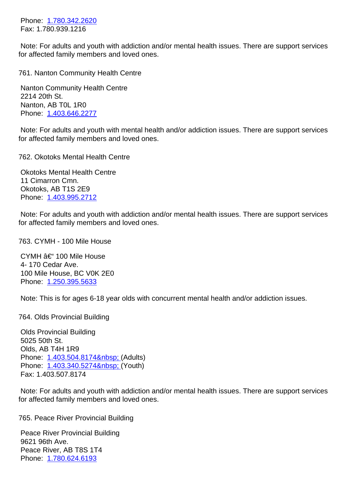Fax: 1.780.939.1216

 Note: For adults and youth with addiction and/or mental health issues. There are support services for affect[ed family membe](tel:17803422620)rs and loved ones.

| 761. Nanton Community Health Centre                                                                                                                              | 76 |
|------------------------------------------------------------------------------------------------------------------------------------------------------------------|----|
| <b>Nanton Community Health Centre</b><br>2214 20th St.<br>Nanton, AB T0L 1R0                                                                                     |    |
| Phone: 1.403.646.2277                                                                                                                                            |    |
| Note: For adults and youth with mental health and/or addiction issues. There are support services<br>for affected family members and loved ones.                 |    |
| 762. Okotoks Mental Health Centre                                                                                                                                | 76 |
| <b>Okotoks Mental Health Centre</b><br>11 Cimarron Cmn.<br>Okotoks, AB T1S 2E9<br>Phone: 1.403.995.2712                                                          |    |
| Note: For adults and youth with addiction and/or mental health issues. There are support services<br>for affected family members and loved ones.                 |    |
| 763. CYMH - 100 Mile House                                                                                                                                       | 76 |
| CYMH – 100 Mile House<br>4-170 Cedar Ave.                                                                                                                        |    |
| 100 Mile House, BC V0K 2E0<br>Phone: 1.250.395.5633                                                                                                              |    |
| Note: This is for ages 6-18 year olds with concurrent mental health and/or addiction issues.                                                                     |    |
| 764. Olds Provincial Building                                                                                                                                    | 76 |
| <b>Olds Provincial Building</b><br>5025 50th St.<br>Olds, AB T4H 1R9<br>Phone: 1.403.504.8174  (Adults)<br>Phone: 1.403.340.5274  (Youth)<br>Fax: 1.403.507.8174 |    |
| Note: For adults and youth with addiction and/or mental health issues. There are support services<br>for affected family members and loved ones.                 |    |
| 765. Peace River Provincial Building                                                                                                                             | 76 |
| <b>Peace River Provincial Building</b><br>9621 96th Ave.<br>Peace River, AB T8S 1T4                                                                              |    |

Phone: 1.780.624.6193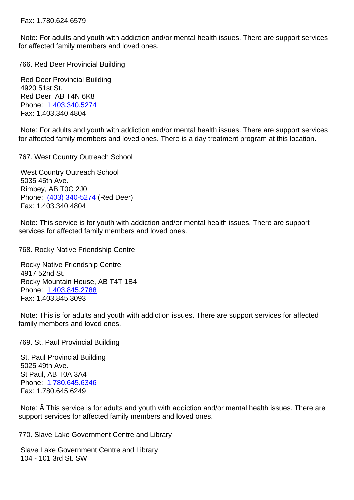| Note: For adults and youth with addiction and/or mental health issues. There are support services<br>for affected family members and loved ones.                                                    |    |
|-----------------------------------------------------------------------------------------------------------------------------------------------------------------------------------------------------|----|
| 766. Red Deer Provincial Building                                                                                                                                                                   | 76 |
| <b>Red Deer Provincial Building</b><br>4920 51st St.<br>Red Deer, AB T4N 6K8<br>Phone: 1.403.340.5274<br>Fax: 1.403.340.4804                                                                        |    |
| Note: For adults and youth with addiction and/or mental health issues. There are support services<br>for affected family members and loved ones. There is a day treatment program at this location. |    |
| 767. West Country Outreach School                                                                                                                                                                   | 76 |
| <b>West Country Outreach School</b><br>5035 45th Ave.<br>Rimbey, AB T0C 2J0<br>Phone: (403) 340-5274 (Red Deer)<br>Fax: 1.403.340.4804                                                              |    |
| Note: This service is for youth with addiction and/or mental health issues. There are support<br>services for affected family members and loved ones.                                               |    |
| 768. Rocky Native Friendship Centre                                                                                                                                                                 | 76 |
| Rocky Native Friendship Centre<br>4917 52nd St.<br>Rocky Mountain House, AB T4T 1B4<br>Phone: 1.403.845.2788<br>Fax: 1.403.845.3093                                                                 |    |
| Note: This is for adults and youth with addiction issues. There are support services for affected<br>family members and loved ones.                                                                 |    |
| 769. St. Paul Provincial Building                                                                                                                                                                   | 76 |
| St. Paul Provincial Building<br>5025 49th Ave.<br>St Paul, AB T0A 3A4<br>Phone: 1.780.645.6346<br>Fax: 1.780.645.6249                                                                               |    |
| Note: $\hat{A}$ This service is for adults and youth with addiction and/or mental health issues. There are<br>support services for affected family members and loved ones.                          |    |
| 770. Slave Lake Government Centre and Library                                                                                                                                                       | 77 |

 Slave Lake Government Centre and Library 104 - 101 3rd St. SW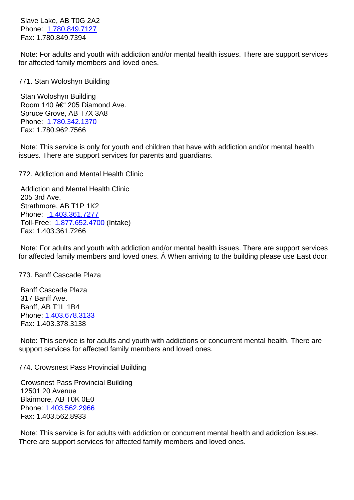<u>ד דומר הטיסט דו</u> הסווטור ד Fax: 1.780.849.7394

 Note: For adults and youth with addiction and/or mental health issues. There are support services for affect[ed family membe](tel:17808497127)rs and loved ones.

| 771. Stan Woloshyn Building                                                                                                                                                                            | 77 |
|--------------------------------------------------------------------------------------------------------------------------------------------------------------------------------------------------------|----|
| Stan Woloshyn Building<br>Room 140 – 205 Diamond Ave.<br>Spruce Grove, AB T7X 3A8<br>Phone: 1.780.342.1370<br>Fax: 1.780.962.7566                                                                      |    |
| Note: This service is only for youth and children that have with addiction and/or mental health<br>issues. There are support services for parents and guardians.                                       |    |
| 772. Addiction and Mental Health Clinic                                                                                                                                                                | 77 |
| <b>Addiction and Mental Health Clinic</b>                                                                                                                                                              |    |
| 205 3rd Ave.                                                                                                                                                                                           |    |
| Strathmore, AB T1P 1K2<br>Phone: 1.403.361.7277                                                                                                                                                        |    |
| Toll-Free: 1.877.652.4700 (Intake)                                                                                                                                                                     |    |
| Fax: 1.403.361.7266                                                                                                                                                                                    |    |
| Note: For adults and youth with addiction and/or mental health issues. There are support services<br>for affected family members and loved ones. A When arriving to the building please use East door. |    |
| 773. Banff Cascade Plaza                                                                                                                                                                               | 77 |
| <b>Banff Cascade Plaza</b><br>317 Banff Ave.                                                                                                                                                           |    |

 Banff, AB T1L 1B4 Phone:1.403.678.3133 Fax: 1.403.378.3138

 Note: This service is for adults and youth with addictions or concurrent mental health. There are support [services for affe](tel:14036783133)cted family members and loved ones.

774. Crowsnest Pass Provincial Building 774. Crowsnest Pass Provincial Building

 Crowsnest Pass Provincial Building 12501 20 Avenue Blairmore, AB T0K 0E0 Phone: 1.403.562.2966 Fax: 1.403.562.8933

 Note: This service is for adults with addiction or concurrent mental health and addiction issues. There a[re support servic](tel:14035622966)es for affected family members and loved ones.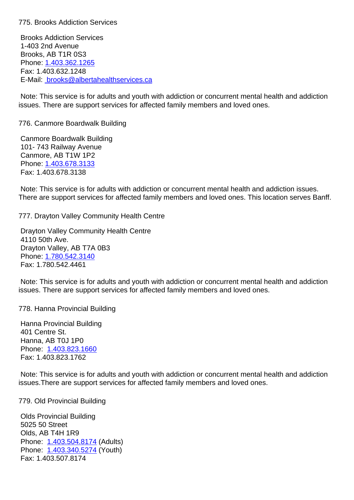Brooks Addiction Services 1-403 2nd Avenue Brooks, AB T1R 0S3 Phone:1.403.362.1265 Fax: 1.403.632.1248 E-Mail: brooks@albertahealthservices.ca

 Note: [This service is fo](tel:)r adults and youth with addiction or concurrent mental health and addiction issues. [There are support services for affec](mailto:brooks@albertahealthservices.ca)ted family members and loved ones.

776. Canmore Boardwalk Building 776. Canmore Boardwalk Building

 Canmore Boardwalk Building 101- 743 Railway Avenue Canmore, AB T1W 1P2 Phone:1.403.678.3133 Fax: 1.403.678.3138

 Note: This service is for adults with addiction or concurrent mental health and addiction issues. There a[re support servic](tel:14036783133)es for affected family members and loved ones. This location serves Banff.

777. Drayton Valley Community Health Centre 777. Drayton Valley Community Health Centre

 Drayton Valley Community Health Centre 4110 50th Ave. Drayton Valley, AB T7A 0B3 Phone:1.780.542.3140 Fax: 1.780.542.4461

 Note: This service is for adults and youth with addiction or concurrent mental health and addiction issues. [There are suppo](tel:17805423140)rt services for affected family members and loved ones.

778. Hanna Provincial Building 778. Hanna Provincial Building

 Hanna Provincial Building 401 Centre St. Hanna, AB T0J 1P0 Phone: 1.403.823.1660 Fax: 1.403.823.1762

 Note: This service is for adults and youth with addiction or concurrent mental health and addiction issues.T[here are support](tel:14038231660) services for affected family members and loved ones.

779. Old Provincial Building 779. Old Provincial Building

 Olds Provincial Building 5025 50 Street Olds, AB T4H 1R9 Phone: 1.403.504.8174 (Adults) Phone: 1.403.340.5274 (Youth) Fax: 1.403.507.8174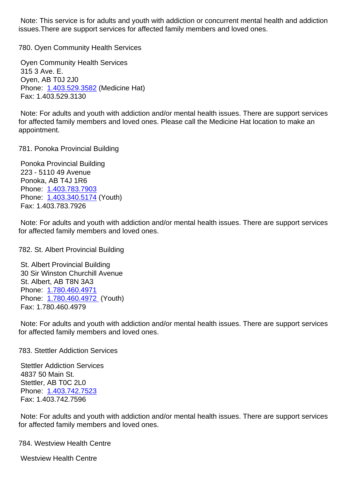issues.There are support services for affected family members and loved ones.

780. Oyen Community Health Services 780. Oyen Community Health Services Oyen Community Health Services 315 3 Ave. E. Oyen, AB T0J 2J0 Phone: 1.403.529.3582 (Medicine Hat) Fax: 1.403.529.3130

 Note: For adults and youth with addiction and/or mental health issues. There are support services for affect[ed family membe](tel:14035293582)rs and loved ones. Please call the Medicine Hat location to make an appointment.

## 781. Ponoka Provincial Building 781. Ponoka Provincial Building

 Ponoka Provincial Building 223 - 5110 49 Avenue Ponoka, AB T4J 1R6 Phone: 1.403.783.7903 Phone: 1.403.340.5174 (Youth) Fax: 1.403.783.7926

 Note: F[or adults and you](tel:14037837903)th with addiction and/or mental health issues. There are support services for affect[ed family membe](tel:14033405174)rs and loved ones.

782. St. Albert Provincial Building 782. St. Albert Provincial Building

 St. Albert Provincial Building 30 Sir Winston Churchill Avenue St. Albert, AB T8N 3A3 Phone: 1.780.460.4971 Phone: 1.780.460.4972 (Youth) Fax: 1.780.460.4979

 Note: F[or adults and you](tel:17804604971)th with addiction and/or mental health issues. There are support services for affect[ed family membe](tel:17804604972)rs and loved ones.

783. Stettler Addiction Services 783. Stettler Addiction Services

 Stettler Addiction Services 4837 50 Main St. Stettler, AB T0C 2L0 Phone: 1.403.742.7523 Fax: 1.403.742.7596

 Note: For adults and youth with addiction and/or mental health issues. There are support services for affect[ed family membe](tel:14037427523)rs and loved ones.

784. Westview Health Centre 784. Westview Health Centre

 Westview Health Centre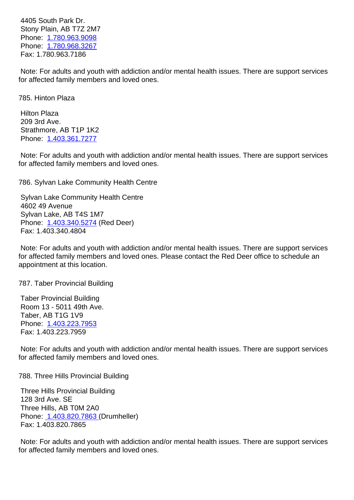Stony Plain, AB T7Z 2M7 Phone: 1.780.963.9098 Phone: 1.780.968.3267 Fax: 1.780.963.7186

 Note: F[or adults and you](tel:17809639098)th with addiction and/or mental health issues. There are support services for affect[ed family membe](tel:17809683267)rs and loved ones.

785. Hinton Plaza 785. Hinton Plaza

 Hilton Plaza 209 3rd Ave. Strathmore, AB T1P 1K2 Phone: 1.403.361.7277

 Note: For adults and youth with addiction and/or mental health issues. There are support services for affect[ed family membe](tel:14033617277)rs and loved ones.

786. Sylvan Lake Community Health Centre 786. Sylvan Lake Community Health Centre

 Sylvan Lake Community Health Centre 4602 49 Avenue Sylvan Lake, AB T4S 1M7 Phone: 1.403.340.5274 (Red Deer) Fax: 1.403.340.4804

 Note: For adults and youth with addiction and/or mental health issues. There are support services for affect[ed family membe](tel:14033405274)rs and loved ones. Please contact the Red Deer office to schedule an appointment at this location.

787. Taber Provincial Building 787. Taber Provincial Building

 Taber Provincial Building Room 13 - 5011 49th Ave. Taber, AB T1G 1V9 Phone: 1.403.223.7953 Fax: 1.403.223.7959

 Note: For adults and youth with addiction and/or mental health issues. There are support services for affect[ed family membe](tel:14032237953)rs and loved ones.

788. Three Hills Provincial Building 788. Three Hills Provincial Building

 Three Hills Provincial Building 128 3rd Ave. SE Three Hills, AB T0M 2A0 Phone: 1.403.820.7863 (Drumheller) Fax: 1.403.820.7865

 Note: For adults and youth with addiction and/or mental health issues. There are support services for affec[ted family membe](tel:14038207863)rs and loved ones.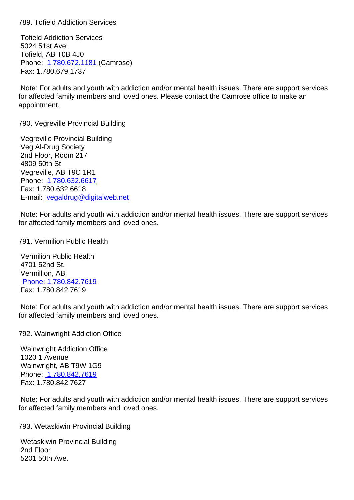Tofield Addiction Services 5024 51st Ave. Tofield, AB T0B 4J0 Phone: 1.780.672.1181 (Camrose) Fax: 1.780.679.1737

 Note: For adults and youth with addiction and/or mental health issues. There are support services for affect[ed family membe](tel:17806721181)rs and loved ones. Please contact the Camrose office to make an appointment.

790. Vegreville Provincial Building 790. Vegreville Provincial Building

 Vegreville Provincial Building Veg Al-Drug Society 2nd Floor, Room 217 4809 50th St Vegreville, AB T9C 1R1 Phone: 1.780.632.6617 Fax: 1.780.632.6618 E-mail: vegaldrug@digitalweb.net

 Note: F[or adults and you](tel:17806326617)th with addiction and/or mental health issues. There are support services for affec[ted family members and lov](mailto:vegaldrug@digitalweb.net)ed ones.

791. Vermilion Public Health 791. Vermilion Public Health

 Vermilion Public Health 4701 52nd St. Vermillion, AB Phone: 1.780.842.7619 Fax: 1.780.842.7619

 Note: For adults and youth with addiction and/or mental health issues. There are support services f[or affected family membe](tel:17808427619)rs and loved ones.

| <b>Wainwright Addiction Office</b><br><b>1020 1 Avenue</b><br>Wainwright, AB T9W 1G9<br>Phone: 1.780.842.7619<br>Fax: 1.780.842.7627             |    |
|--------------------------------------------------------------------------------------------------------------------------------------------------|----|
| Note: For adults and youth with addiction and/or mental health issues. There are support services<br>for affected family members and loved ones. |    |
| 793. Wetaskiwin Provincial Building                                                                                                              | 79 |
| <b>Wetaskiwin Provincial Building</b><br>2nd Floor<br>5201 50th Ave.                                                                             |    |

792. Wainwright Addiction Office 792. Wainwright Addiction Office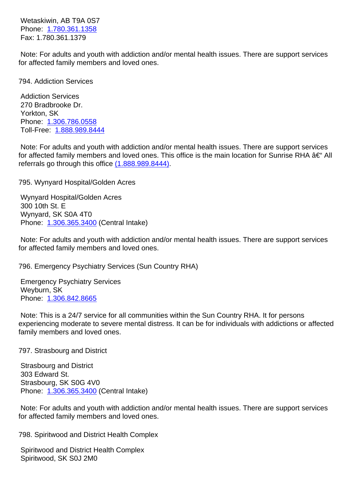Phone: 1.780.301.1338 Fax: 1.780.361.1379

 Note: For adults and youth with addiction and/or mental health issues. There are support services for affect[ed family membe](tel:17803611358)rs and loved ones.

| 794. Addiction Services                                                                                                                                                                                                                                       | 79 |
|---------------------------------------------------------------------------------------------------------------------------------------------------------------------------------------------------------------------------------------------------------------|----|
| <b>Addiction Services</b><br>270 Bradbrooke Dr.<br>Yorkton, SK<br>Phone: 1.306.786.0558<br>Toll-Free: 1.888.989.8444                                                                                                                                          |    |
| Note: For adults and youth with addiction and/or mental health issues. There are support services<br>for affected family members and loved ones. This office is the main location for Sunrise RHA – All<br>referrals go through this office (1.888.989.8444). |    |
| 795. Wynyard Hospital/Golden Acres                                                                                                                                                                                                                            | 79 |
| Wynyard Hospital/Golden Acres<br>300 10th St. E<br>Wynyard, SK S0A 4T0<br>Phone: 1.306.365.3400 (Central Intake)                                                                                                                                              |    |
| Note: For adults and youth with addiction and/or mental health issues. There are support services<br>for affected family members and loved ones.                                                                                                              |    |
| 796. Emergency Psychiatry Services (Sun Country RHA)                                                                                                                                                                                                          | 79 |
| <b>Emergency Psychiatry Services</b><br>Weyburn, SK<br>Phone: 1.306.842.8665                                                                                                                                                                                  |    |
| Note: This is a 24/7 service for all communities within the Sun Country RHA. It for persons<br>experiencing moderate to severe mental distress. It can be for individuals with addictions or affected<br>family members and loved ones.                       |    |
|                                                                                                                                                                                                                                                               |    |

797. Strasbourg and District 797. Strasbourg and District 79

 Strasbourg and District 303 Edward St. Strasbourg, SK S0G 4V0 Phone: 1.306.365.3400 (Central Intake)

 Note: For adults and youth with addiction and/or mental health issues. There are support services for affect[ed family membe](tel:13063653400)rs and loved ones.

798. Spiritwood and District Health Complex 798. Spiritwood and District Health Complex

 Spiritwood and District Health Complex Spiritwood, SK S0J 2M0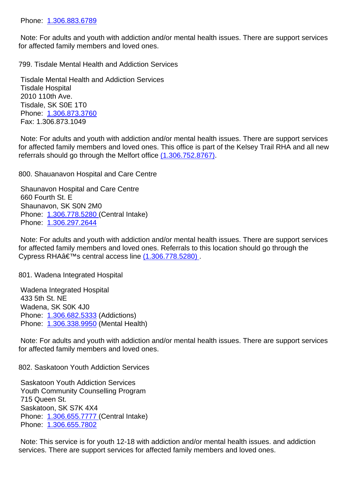Note: For adults and youth with addiction and/or mental health issues. There are support services for affect[ed family membe](tel:13068836789)rs and loved ones.

799. Tisdale Mental Health and Addiction Services 799. Tisdale Mental Health and Addiction Services

 Tisdale Mental Health and Addiction Services Tisdale Hospital 2010 110th Ave. Tisdale, SK S0E 1T0 Phone: 1.306.873.3760 Fax: 1.306.873.1049

 Note: For adults and youth with addiction and/or mental health issues. There are support services for affect[ed family membe](tel:13068733760)rs and loved ones. This office is part of the Kelsey Trail RHA and all new referrals should go through the Melfort office  $(1.306.752.8767)$ .

800. Shauanavon Hospital and Care Centre 800. Shauanavon Hospital and Care Centre

 Shaunavon Hospital and Care Centre 660 Fourth St. E Shaunavon, SK S0N 2M0 Phone: 1.306.778.5280 (Central Intake) Phone: 1.306.297.2644

 Note: For adults and youth with addiction and/or mental health issues. There are support services for affect[ed family membe](tel:13067785280)rs and loved ones. Referrals to this location should go through the Cypress RHAâ€<sup>™</sup>s central access line (1.306.778.5280).

## 801. Wadena Integrated Hospital 801. Wadena Integrated Hospital 80

 Wadena Integrated Hospital 433 5th St. NE Wadena, SK S0K 4J0 Phone: 1.306.682.5333 (Addictions) Phone: 1.306.338.9950 (Mental Health)

 Note: For adults and youth with addiction and/or mental health issues. There are support services for affect[ed family membe](tel:13066825333)rs and loved ones.

802. Saskatoon Youth Addiction Services 802. Saskatoon Youth Addiction Services

 Saskatoon Youth Addiction Services Youth Community Counselling Program 715 Queen St. Saskatoon, SK S7K 4X4 Phone: 1.306.655.7777 (Central Intake) Phone: 1.306.655.7802

 Note: This service is for youth 12-18 with addiction and/or mental health issues. and addiction services. [There are suppo](tel:13066557777)rt services for affected family members and loved ones.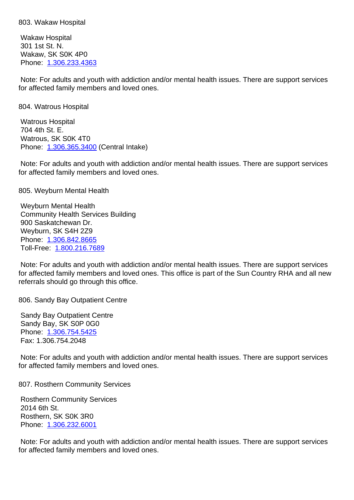Wakaw Hospital 301 1st St. N. Wakaw, SK S0K 4P0 Phone: 1.306.233.4363

 Note: For adults and youth with addiction and/or mental health issues. There are support services for affect[ed family membe](tel:1.306.233.4363)rs and loved ones.

804. Watrous Hospital 804. Watrous Hospital

 Watrous Hospital 704 4th St. E. Watrous, SK S0K 4T0 Phone: 1.306.365.3400 (Central Intake)

 Note: For adults and youth with addiction and/or mental health issues. There are support services for affect[ed family membe](tel:1.306.365.3400)rs and loved ones.

805. Weyburn Mental Health 805. Weyburn Mental Health

 Weyburn Mental Health Community Health Services Building 900 Saskatchewan Dr. Weyburn, SK S4H 2Z9 Phone: 1.306.842.8665 Toll-Free: 1.800.216.7689

 Note: For adults and youth with addiction and/or mental health issues. There are support services for affect[ed family membe](tel:1.306.842.8665)rs and loved ones. This office is part of the Sun Country RHA and all new referrals sh[ould go through](tel:1.800.216.7689) this office.

806. Sandy Bay Outpatient Centre 806. Sandy Bay Outpatient Centre 806. Sandy Bay Outpatient Centre 806.

 Sandy Bay Outpatient Centre Sandy Bay, SK S0P 0G0 Phone: 1.306.754.5425 Fax: 1.306.754.2048

 Note: For adults and youth with addiction and/or mental health issues. There are support services for affect[ed family membe](tel:13067545425)rs and loved ones.

807. Rosthern Community Services 807. Rosthern Community Services 80

 Rosthern Community Services 2014 6th St. Rosthern, SK S0K 3R0 Phone: 1.306.232.6001

 Note: For adults and youth with addiction and/or mental health issues. There are support services for affect[ed family membe](tel:13062326001)rs and loved ones.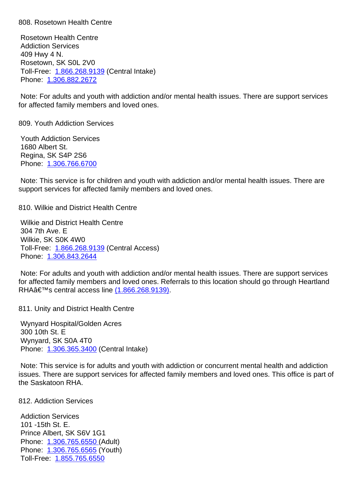Rosetown Health Centre Addiction Services 409 Hwy 4 N. Rosetown, SK S0L 2V0 Toll-Free: 1.866.268.9139 (Central Intake) Phone: 1.306.882.2672

 Note: For adults and youth with addiction and/or mental health issues. There are support services for affect[ed](tel:13068822672) [family members](tel:18662689139) and loved ones.

809. Youth Addiction Services 809. Youth Addiction Services

 Youth Addiction Services 1680 Albert St. Regina, SK S4P 2S6 Phone: 1.306.766.6700

 Note: This service is for children and youth with addiction and/or mental health issues. There are support [services for affec](tel:13067666700)ted family members and loved ones.

810. Wilkie and District Health Centre 810. Wilkie and District Health Centre

 Wilkie and District Health Centre 304 7th Ave. E Wilkie, SK S0K 4W0 Toll-Free: 1.866.268.9139 (Central Access) Phone: 1.306.843.2644

 Note: For adults and youth with addiction and/or mental health issues. There are support services for affected [family members](tel:1.866.268.9139) and loved ones. Referrals to this location should go through Heartland RHAâ€[™s central acces](tel:1.306.843.2644)s line (1.866.268.9139).

811. Unity and District Health Centre 81<sup>1</sup> and 81<sup>8</sup>

 Wynyard Hospital/Golden Ac[res](tel:1.866.268.9139) 300 10th St. E Wynyard, SK S0A 4T0 Phone: 1.306.365.3400 (Central Intake)

 Note: This service is for adults and youth with addiction or concurrent mental health and addiction issues. [There are suppor](tel:1.306.365.3400)t services for affected family members and loved ones. This office is part of the Saskatoon RHA.

812. Addiction Services 812. Addiction Services

 Addiction Services 101 -15th St. E. Prince Albert, SK S6V 1G1 Phone: 1.306.765.6550 (Adult) Phone: 1.306.765.6565 (Youth) Toll-Free: 1.855.765.6550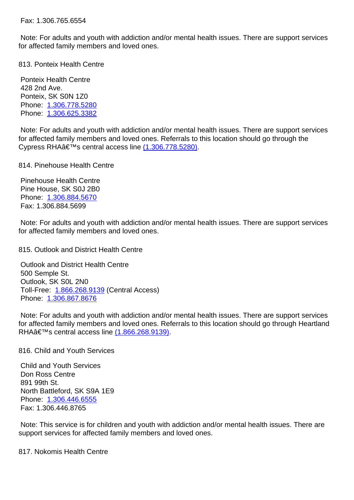Note: For adults and youth with addiction and/or mental health issues. There are support services for affected family members and loved ones. 813. Ponteix Health Centre 813. Ponteix Health Centre Ponteix Health Centre 428 2nd Ave. Ponteix, SK S0N 1Z0 Phone: 1.306.778.5280 Phone: 1.306.625.3382 Note: For adults and youth with addiction and/or mental health issues. There are support services for affect[ed family membe](tel:13067785280)rs and loved ones. Referrals to this location should go through the Cypress RHAâ€<sup>™</sup>s central access line (1.306.778.5280). 814. Pinehouse Health Centre 814. Pinehouse Health Centre Pinehouse Health Centre Pine House, SK S0J 2B0 Phone: 1.306.884.5670 Fax: 1.306.884.5699 Note: For adults and youth with addiction and/or mental health issues. There are support services for affect[ed family membe](tel:13068845670)rs and loved ones. 815. Outlook and District Health Centre 815. Outlook and District Health Centre Outlook and District Health Centre 500 Semple St. Outlook, SK S0L 2N0 Toll-Free: 1.866.268.9139 (Central Access) Phone: 1.306.867.8676 Note: For adults and youth with addiction and/or mental health issues. There are support services for affected [family members](tel:18662689139) and loved ones. Referrals to this location should go through Heartland RHAâ€[™s central acces](tel:13068678676)s line (1.866.268.9139). 816. Child and Youth Services 816. Child and Youth Services Child and Youth Services Don Ross Centre 891 99th St. North Battleford, SK S9A 1E9 Phone: 1.306.446.6555

 Note: This service is for children and youth with addiction and/or mental health issues. There are support [services for affec](tel:13064466555)ted family members and loved ones.

 Fax: 1.306.446.8765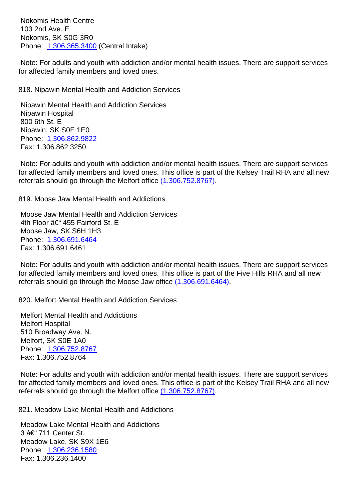103 2nd Ave. E Nokomis, SK S0G 3R0 Phone: 1.306.365.3400 (Central Intake)

 Note: For adults and youth with addiction and/or mental health issues. There are support services for affect[ed family membe](tel:13063653400)rs and loved ones.

818. Nipawin Mental Health and Addiction Services 818. Nipawin Mental Health and Addiction Services

 Nipawin Mental Health and Addiction Services Nipawin Hospital 800 6th St. E Nipawin, SK S0E 1E0 Phone: 1.306.862.9822 Fax: 1.306.862.3250

 Note: For adults and youth with addiction and/or mental health issues. There are support services for affect[ed family membe](tel:13068629822)rs and loved ones. This office is part of the Kelsey Trail RHA and all new referrals should go through the Melfort office (1.306.752.8767).

819. Moose Jaw Mental Health and Addictions 819. Moose Jaw Mental Health and Addictions

 Moose Jaw Mental Health and Addiction Se[rvices](tel:1.306.752.8767) 4th Floor  $\hat{a} \in$  455 Fairford St. E Moose Jaw, SK S6H 1H3 Phone: 1.306.691.6464 Fax: 1.306.691.6461

 Note: For adults and youth with addiction and/or mental health issues. There are support services for affect[ed family membe](tel:13066916464)rs and loved ones. This office is part of the Five Hills RHA and all new referrals should go through the Moose Jaw office (1.306.691.6464).

820. Melfort Mental Health and Addiction Services 820. Melfort Mental Health and Addiction Services

 Melfort Mental Health and Addictions Melfort Hospital 510 Broadway Ave. N. Melfort, SK S0E 1A0 Phone: 1.306.752.8767 Fax: 1.306.752.8764

 Note: For adults and youth with addiction and/or mental health issues. There are support services for affect[ed family membe](tel:13067528767)rs and loved ones. This office is part of the Kelsey Trail RHA and all new referrals should go through the Melfort office  $(1.306.752.8767)$ .

821. Meadow Lake Mental Health and Addictions 821. Meadow Lake Mental Health and Addictions

 Meadow Lake Mental Health and Addiction[s](tel:13067528767)  $3$   $â$   $€$   $'$  711 Center St. Meadow Lake, SK S9X 1E6 Phone: 1.306.236.1580 Fax: 1.306.236.1400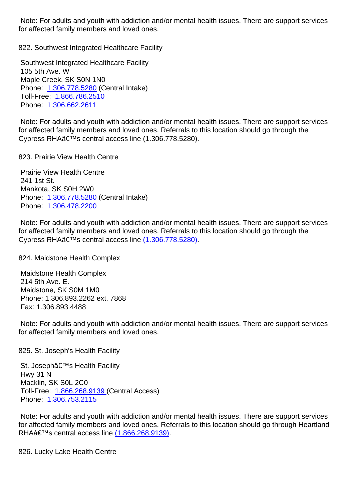for affected family members and loved ones.

822. Southwest Integrated Healthcare Facility 822. Southwest Integrated Healthcare Facility

 Southwest Integrated Healthcare Facility 105 5th Ave. W Maple Creek, SK S0N 1N0 Phone: 1.306.778.5280 (Central Intake) Toll-Free: 1.866.786.2510 Phone: 1.306.662.2611

 Note: F[or adults and you](tel:13067785280)th with addiction and/or mental health issues. There are support services for affected [family members](tel:18667862510) and loved ones. Referrals to this location should go through the Cypress [RHA's centr](tel:13066622611)al access line (1.306.778.5280).

823. Prairie View Health Centre 823. Prairie View Health Centre 823. Prairie View Health Centre 82

 Prairie View Health Centre 241 1st St. Mankota, SK S0H 2W0 Phone: 1.306.778.5280 (Central Intake) Phone: 1.306.478.2200

 Note: For adults and youth with addiction and/or mental health issues. There are support services for affect[ed family membe](tel:13067785280)rs and loved ones. Referrals to this location should go through the Cypress [RHA's centr](tel:13064782200)al access line (1.306.778.5280).

824. Maidstone Health Complex 824. Maidstone  $\overline{82}$ 

 Maidstone Health Complex 214 5th Ave. E. Maidstone, SK S0M 1M0 Phone: 1.306.893.2262 ext. 7868 Fax: 1.306.893.4488

 Note: For adults and youth with addiction and/or mental health issues. There are support services for affected family members and loved ones.

825. St. Joseph's Health Facility 825. St. Joseph's Health Facility

St. Joseph's Health Facility Hwy 31 N Macklin, SK S0L 2C0 Toll-Free: 1.866.268.9139 (Central Access) Phone: 1.306.753.2115

 Note: For adults and youth with addiction and/or mental health issues. There are support services for affected [family members](tel:18662689139) and loved ones. Referrals to this location should go through Heartland RHAâ€[™s central acces](tel:13067532115)s line (1.866.268.9139).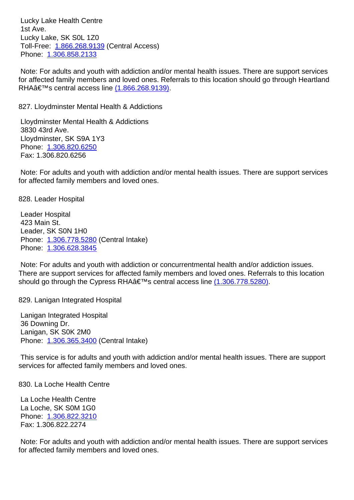$131$  AVG. Lucky Lake, SK S0L 1Z0 Toll-Free: 1.866.268.9139 (Central Access) Phone: 1.306.858.2133

 Note: For adults and youth with addiction and/or mental health issues. There are support services for affected [family members](tel:18662689139) and loved ones. Referrals to this location should go through Heartland RHA's central access line (1.866.268.9139).

827. Lloydminster Mental Health & Addictions 827. Lloydminster Mental Health & Addictions

 Lloydminster Mental Health [& Addictions](tel:1.866.268.9139) 3830 43rd Ave. Lloydminster, SK S9A 1Y3 Phone: 1.306.820.6250 Fax: 1.306.820.6256

 Note: For adults and youth with addiction and/or mental health issues. There are support services for affect[ed family membe](tel:13068206250)rs and loved ones.

828. Leader Hospital 828. Leader Hospital

 Leader Hospital 423 Main St. Leader, SK S0N 1H0 Phone: 1.306.778.5280 (Central Intake) Phone: 1.306.628.3845

 Note: For adults and youth with addiction or concurrentmental health and/or addiction issues. There ar[e support service](tel:13067785280)s for affected family members and loved ones. Referrals to this location should g[o through the Cy](tel:13066283845)press RHA $â€<sup>TM</sup>$ s central access line (1.306.778.5280).

829. Lanigan Integrated Hospital 829. Lanigan Integrated Hospital 82

 Lanigan Integrated Hospital 36 Downing Dr. Lanigan, SK S0K 2M0 Phone: 1.306.365.3400 (Central Intake)

 This service is for adults and youth with addiction and/or mental health issues. There are support services [for affected fami](tel:13063653400)ly members and loved ones.

830. La Loche Health Centre 830. La Loche Health Centre

 La Loche Health Centre La Loche, SK S0M 1G0 Phone: 1.306.822.3210 Fax: 1.306.822.2274

 Note: For adults and youth with addiction and/or mental health issues. There are support services for affect[ed family membe](tel:13068223210)rs and loved ones.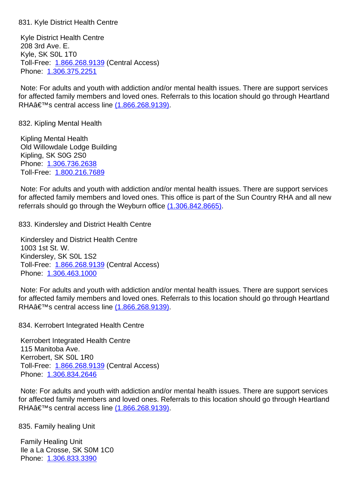Kyle District Health Centre 208 3rd Ave. E. Kyle, SK S0L 1T0 Toll-Free: 1.866.268.9139 (Central Access) Phone: 1.306.375.2251

 Note: For adults and youth with addiction and/or mental health issues. There are support services for affected [family members](tel:18662689139) and loved ones. Referrals to this location should go through Heartland RHAâ€[™s central acces](tel:13063752251)s line (1.866.268.9139).

832. Kipling Mental Health 832. Kipling Mental Health

 Kipling Mental Health Old Willowdale Lodge Building Kipling, SK S0G 2S0 Phone: 1.306.736.2638 Toll-Free: 1.800.216.7689

 Note: For adults and youth with addiction and/or mental health issues. There are support services for affect[ed family membe](tel:13067362638)rs and loved ones. This office is part of the Sun Country RHA and all new referrals sh[ould go through](tel:18002167689) the Weyburn office (1.306.842.8665).

833. Kindersley and District Health Centre 833. Kindersley and District Health Centre

 Kindersley and District Health Centre 1003 1st St. W. Kindersley, SK S0L 1S2 Toll-Free: 1.866.268.9139 (Central Access) Phone: 1.306.463.1000

 Note: For adults and youth with addiction and/or mental health issues. There are support services for affected [family members](tel:18662689139) and loved ones. Referrals to this location should go through Heartland RHAâ€[™s central acces](tel:13064631000)s line (1.866.268.9139).

834. Kerrobert Integrated Health Centre 834. Kerrobert Integrated Health Centre

 Kerrobert Integrated Health [Centre](tel:1.866.268.9139) 115 Manitoba Ave. Kerrobert, SK S0L 1R0 Toll-Free: 1.866.268.9139 (Central Access) Phone: 1.306.834.2646

 Note: For adults and youth with addiction and/or mental health issues. There are support services for affected [family members](tel:18662689139) and loved ones. Referrals to this location should go through Heartland RHAâ€[™s central acces](tel:13068342646)s line (1.866.268.9139).

835. Family healing Unit 835. Family healing Unit 835.

 Family Healing Unit Ile a La Crosse, SK S0M 1C0 Phone: 1.306.833.3390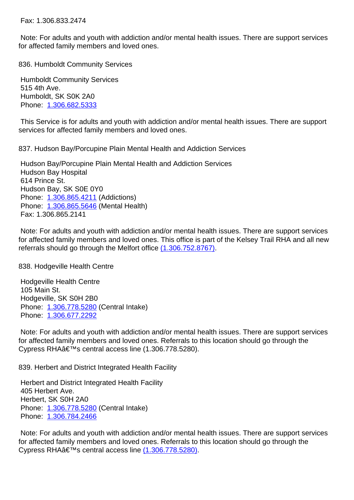Note: For adults and youth with addiction and/or mental health issues. There are support services for affected family members and loved ones.

836. Humboldt Community Services 836. Humboldt Community Services

 Humboldt Community Services 515 4th Ave. Humboldt, SK S0K 2A0 Phone: 1.306.682.5333

 This Service is for adults and youth with addiction and/or mental health issues. There are support services [for affected fami](tel:13066825333)ly members and loved ones.

837. Hudson Bay/Porcupine Plain Mental Health and Addiction Services 837. Hudson Bay/Porcupine Plain Mental Health and Addiction Services

 Hudson Bay/Porcupine Plain Mental Health and Addiction Services Hudson Bay Hospital 614 Prince St. Hudson Bay, SK S0E 0Y0 Phone: 1.306.865.4211 (Addictions) Phone: 1.306.865.5646 (Mental Health) Fax: 1.306.865.2141

 Note: F[or adults and you](tel:13068654211)th with addiction and/or mental health issues. There are support services for affect[ed family membe](tel:13068655646)rs and loved ones. This office is part of the Kelsey Trail RHA and all new referrals should go through the Melfort office  $(1.306.752.8767)$ .

838. Hodgeville Health Centre 838. Hodgeville 838. Hodgeville Health Centre 83

 Hodgeville Health Centre 105 Main St. Hodgeville, SK S0H 2B0 Phone: 1.306.778.5280 (Central Intake) Phone: 1.306.677.2292

 Note: For adults and youth with addiction and/or mental health issues. There are support services for affect[ed family membe](tel:13067785280)rs and loved ones. Referrals to this location should go through the Cypress [RHA's centr](tel:13066772292)al access line (1.306.778.5280).

839. Herbert and District Integrated Health Facility 83

 Herbert and District Integrated Health Facility 405 Herbert Ave. Herbert, SK S0H 2A0 Phone: 1.306.778.5280 (Central Intake) Phone: 1.306.784.2466

 Note: For adults and youth with addiction and/or mental health issues. There are support services for affect[ed family membe](tel:13067785280)rs and loved ones. Referrals to this location should go through the Cypress [RHA's centr](tel:13067842466)al access line (1.306.778.5280).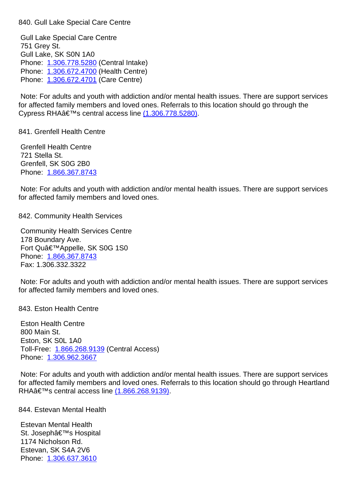Gull Lake Special Care Centre 751 Grey St. Gull Lake, SK S0N 1A0 Phone: 1.306.778.5280 (Central Intake) Phone: 1.306.672.4700 (Health Centre) Phone: 1.306.672.4701 (Care Centre)

 Note: F[or adults and you](tel:13067785280)th with addiction and/or mental health issues. There are support services for affect[ed family membe](tel:13066724700)rs and loved ones. Referrals to this location should go through the Cypress RHAâ€<sup>™</sup>s central access line (1.306.778.5280).

841. Grenfell Health Centre 841. Grenfell Health Centre

 Grenfell Health Centre 721 Stella St. Grenfell, SK S0G 2B0 Phone: 1.866.367.8743

 Note: For adults and youth with addiction and/or mental health issues. There are support services for affect[ed family membe](tel:18663678743)rs and loved ones.

842. Community Health Services 842. Community Health Services

 Community Health Services Centre 178 Boundary Ave. Fort Qu'Appelle, SK S0G 1S0 Phone: 1.866.367.8743 Fax: 1.306.332.3322

 Note: For adults and youth with addiction and/or mental health issues. There are support services for affect[ed family membe](tel:18663678743)rs and loved ones.

843. Eston Health Centre 843. Eston Health Centre

 Eston Health Centre 800 Main St. Eston, SK S0L 1A0 Toll-Free: 1.866.268.9139 (Central Access) Phone: 1.306.962.3667

 Note: For adults and youth with addiction and/or mental health issues. There are support services for affected [family members](tel:18662689139) and loved ones. Referrals to this location should go through Heartland RHAâ€[™s central acces](tel:13069623667)s line (1.866.268.9139).

844. Estevan Mental Health 844. Estevan Mental Health

 Estevan Mental Health St. Joseph's Hospital 1174 Nicholson Rd. Estevan, SK S4A 2V6 Phone: 1.306.637.3610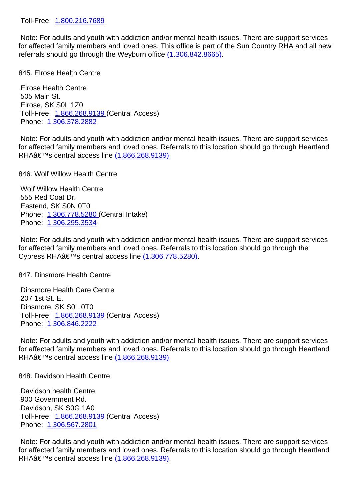Note: For adults and youth with addiction and/or mental health issues. There are support services for affected family members and loved ones. This office is part of the Sun Country RHA and all new referrals sh[ould go through](tel:18002167689) the Weyburn office (1.306.842.8665).

845. Elrose Health Centre 845. Elrose Health Centre

 Elrose Health Centre 505 Main St. Elrose, SK S0L 1Z0 Toll-Free: 1.866.268.9139 (Central Access) Phone: 1.306.378.2882

 Note: For adults and youth with addiction and/or mental health issues. There are support services for affected [family members](tel:18662689139) and loved ones. Referrals to this location should go through Heartland RHAâ€[™s central acces](tel:13063782882)s line (1.866.268.9139).

846. Wolf Willow Health Centre 846. Wolf Willow Health Centre 846.

 Wolf Willow Health Centre 555 Red Coat Dr. Eastend, SK S0N 0T0 Phone: 1.306.778.5280 (Central Intake) Phone: 1.306.295.3534

 Note: For adults and youth with addiction and/or mental health issues. There are support services for affect[ed family membe](tel:13067785280)rs and loved ones. Referrals to this location should go through the Cypress RHAâ€<sup>™</sup>s central access line (1.306.778.5280).

847. Dinsmore Health Centre 847. Dinsmore Health Centre

 Dinsmore Health Care Centre 207 1st St. E. Dinsmore, SK S0L 0T0 Toll-Free: 1.866.268.9139 (Central Access) Phone: 1.306.846.2222

 Note: For adults and youth with addiction and/or mental health issues. There are support services for affected [family members](tel:18662689139) and loved ones. Referrals to this location should go through Heartland RHAâ€[™s central acces](tel:13068462222)s line (1.866.268.9139).

848. Davidson Health Centre 848. Davidson Health Centre

 Davidson health Centre 900 Government Rd. Davidson, SK S0G 1A0 Toll-Free: 1.866.268.9139 (Central Access) Phone: 1.306.567.2801

 Note: For adults and youth with addiction and/or mental health issues. There are support services for affected [family members](tel:18662689139) and loved ones. Referrals to this location should go through Heartland RHAâ€[™s central acces](tel:13065672801)s line (1.866.268.9139).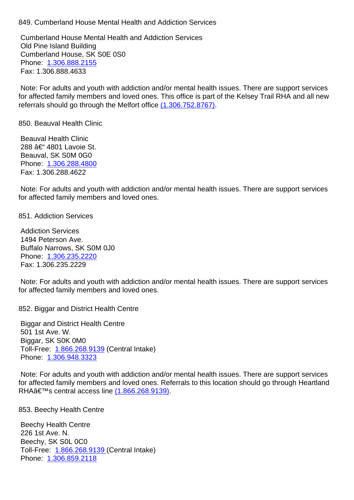Cumberland House Mental Health and Addiction Services Old Pine Island Building Cumberland House, SK S0E 0S0 Phone: 1.306.888.2155 Fax: 1.306.888.4633

 Note: For adults and youth with addiction and/or mental health issues. There are support services for affect[ed family membe](tel:13068882155)rs and loved ones. This office is part of the Kelsey Trail RHA and all new referrals should go through the Melfort office (1.306.752.8767).

850. Beauval Health Clinic 850. Beauval Health Clinic

 Beauval Health Clinic 288 – 4801 Lavoie St. Beauval, SK S0M 0G0 Phone: 1.306.288.4800 Fax: 1.306.288.4622

 Note: For adults and youth with addiction and/or mental health issues. There are support services for affect[ed family membe](tel:13062884800)rs and loved ones.

851. Addiction Services 851. Addiction Services

 Addiction Services 1494 Peterson Ave. Buffalo Narrows, SK S0M 0J0 Phone: 1.306.235.2220 Fax: 1.306.235.2229

 Note: For adults and youth with addiction and/or mental health issues. There are support services for affect[ed family membe](tel:13062352220)rs and loved ones.

852. Biggar and District Health Centre 85

 Biggar and District Health Centre 501 1st Ave. W. Biggar, SK S0K 0M0 Toll-Free: 1.866.268.9139 (Central Intake) Phone: 1.306.948.3323

 Note: For adults and youth with addiction and/or mental health issues. There are support services for affected [family members](tel:18662689139) and loved ones. Referrals to this location should go through Heartland RHA's central access line (1.866.268.9139).

853. Beechy Health Centre 853. Beechy Health Centre 85

 Beechy Health Centre 226 1st Ave. N. Beechy, SK S0L 0C0 Toll-Free: 1.866.268.9139 (Central Intake) Phone: 1.306.859.2118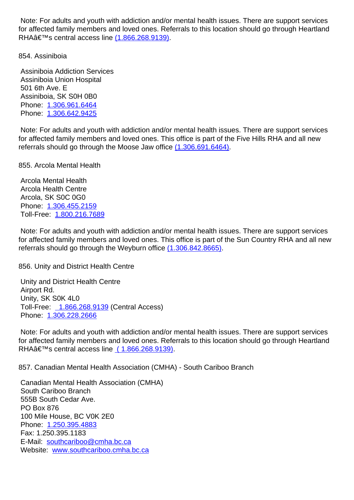for affected family members and loved ones. Referrals to this location should go through Heartland RHA $\hat{\mathbf{a}} \in \mathbb{M}$ s central access line (1.866.268.9139).

854. Assiniboia 854. Assiniboia

 Assiniboia Addiction Service[s](tel:1.866.268.9139) Assiniboia Union Hospital 501 6th Ave. E Assiniboia, SK S0H 0B0 Phone: 1.306.961.6464 Phone: 1.306.642.9425

 Note: For adults and youth with addiction and/or mental health issues. There are support services for affect[ed family membe](tel:13069616464)rs and loved ones. This office is part of the Five Hills RHA and all new referrals [should go throug](tel:13066429425)h the Moose Jaw office (1.306.691.6464).

855. Arcola Mental Health 855. Arcola Mental Health

 Arcola Mental Health Arcola Health Centre Arcola, SK S0C 0G0 Phone: 1.306.455.2159 Toll-Free: 1.800.216.7689

 Note: For adults and youth with addiction and/or mental health issues. There are support services for affect[ed family membe](tel:13064552159)rs and loved ones. This office is part of the Sun Country RHA and all new referrals sh[ould go through](tel:18002167689) the Weyburn office (1.306.842.8665).

856. Unity and District Health Centre 85

 Unity and District Health Centre Airport Rd. Unity, SK S0K 4L0 Toll-Free: 1.866.268.9139 (Central Access) Phone: 1.306.228.2666

 Note: For adults and youth with addiction and/or mental health issues. There are support services for affected [family members a](tel:)nd loved ones. Referrals to this location should go through Heartland RHAâ€[™s central acces](tel:13062282666)s line ( 1.866.268.9139).

857. Canadian Mental Health Association (CMHA) - South Cariboo Branch 857. Canadian Mental Health Association (CMHA) - South Cariboo Branch

 Canadian Mental Health Ass[ociation \(CMHA\)](tel:) South Cariboo Branch 555B South Cedar Ave. PO Box 876 100 Mile House, BC V0K 2E0 Phone: 1.250.395.4883 Fax: 1.250.395.1183 E-Mail: southcariboo@cmha.bc.ca Websit[e: www.southcar](tel:12503954883)iboo.cmha.bc.ca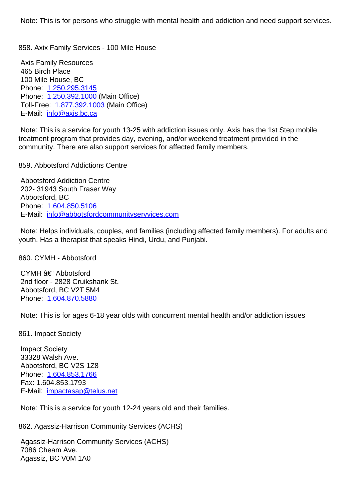Axis Family Resources 465 Birch Place 100 Mile House, BC Phone: 1.250.295.3145 Phone: 1.250.392.1000 (Main Office) Toll-Free: 1.877.392.1003 (Main Office) E-Mail: [info@axis.bc.ca](tel:12502953145) Note: T[his is a service fo](tel:12503921000)r youth 13-25 with addiction issues only. Axis has the 1st Step mobile treatment p[rogram that prov](tel:18773921003)ides day, evening, and/or weekend treatment provided in the commun[ity. There are als](mailto:info@axis.bc.ca)o support services for affected family members. 859. Abbotsford Addictions Centre 859. Abbotsford Addictions Centre Abbotsford Addiction Centre 202- 31943 South Fraser Way Abbotsford, BC Phone: 1.604.850.5106 E-Mail: info@abbotsfordcommunityservvices.com Note: Helps individuals, couples, and families (including affected family members). For adults and youth. H[as a therapist th](tel:16048505106)[at speaks Hindi, Urdu, and](mailto:info@abbotsfordcommunityservvices.com) Punjabi. 860. CYMH - Abbotsford 860. CYMH - Abbotsford  $CYMH$   $A \notin H$  Abbotsford 2nd floor - 2828 Cruikshank St. Abbotsford, BC V2T 5M4 Phone: 1.604.870.5880 Note: This is for ages 6-18 year olds with concurrent mental health and/or addiction issues 861. Imp[act Society](tel:16048705880) 86 Impact Society 33328 Walsh Ave. Abbotsford, BC V2S 1Z8 Phone: 1.604.853.1766 Fax: 1.604.853.1793 E-Mail: impactasap@telus.net

858. Axix Family Services - 100 Mile House 858. Axix Family Services - 100 Mile House

 Note: T[his is a service fo](tel:16048531766)r youth 12-24 years old and their families.

862. Ag[assiz-Harrison Commun](mailto:impactasap@telus.net)ity Services (ACHS) 86

 Agassiz-Harrison Community Services (ACHS) 7086 Cheam Ave. Agassiz, BC V0M 1A0